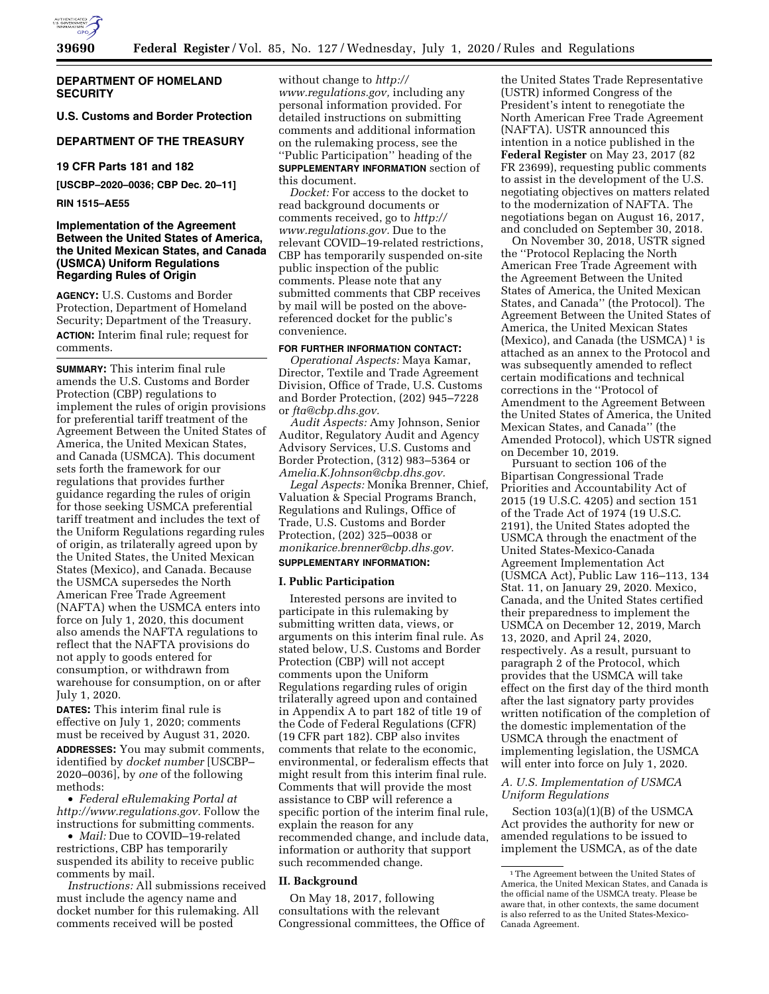

# **U.S. Customs and Border Protection**

# **DEPARTMENT OF THE TREASURY**

# **19 CFR Parts 181 and 182**

**[USCBP–2020–0036; CBP Dec. 20–11]** 

## **RIN 1515–AE55**

# **Implementation of the Agreement Between the United States of America, the United Mexican States, and Canada (USMCA) Uniform Regulations Regarding Rules of Origin**

**AGENCY:** U.S. Customs and Border Protection, Department of Homeland Security; Department of the Treasury. **ACTION:** Interim final rule; request for comments.

**SUMMARY:** This interim final rule amends the U.S. Customs and Border Protection (CBP) regulations to implement the rules of origin provisions for preferential tariff treatment of the Agreement Between the United States of America, the United Mexican States, and Canada (USMCA). This document sets forth the framework for our regulations that provides further guidance regarding the rules of origin for those seeking USMCA preferential tariff treatment and includes the text of the Uniform Regulations regarding rules of origin, as trilaterally agreed upon by the United States, the United Mexican States (Mexico), and Canada. Because the USMCA supersedes the North American Free Trade Agreement (NAFTA) when the USMCA enters into force on July 1, 2020, this document also amends the NAFTA regulations to reflect that the NAFTA provisions do not apply to goods entered for consumption, or withdrawn from warehouse for consumption, on or after July 1, 2020.

**DATES:** This interim final rule is effective on July 1, 2020; comments must be received by August 31, 2020. **ADDRESSES:** You may submit comments, identified by *docket number* [USCBP– 2020–0036], by *one* of the following methods:

• *Federal eRulemaking Portal at [http://www.regulations.gov.](http://www.regulations.gov)* Follow the instructions for submitting comments.

• *Mail:* Due to COVID–19-related restrictions, CBP has temporarily suspended its ability to receive public comments by mail.

*Instructions:* All submissions received must include the agency name and docket number for this rulemaking. All comments received will be posted

without change to *[http://](http://www.regulations.gov) [www.regulations.gov,](http://www.regulations.gov)* including any personal information provided. For detailed instructions on submitting comments and additional information on the rulemaking process, see the ''Public Participation'' heading of the **SUPPLEMENTARY INFORMATION** section of this document.

*Docket:* For access to the docket to read background documents or comments received, go to *[http://](http://www.regulations.gov) [www.regulations.gov.](http://www.regulations.gov)* Due to the relevant COVID–19-related restrictions, CBP has temporarily suspended on-site public inspection of the public comments. Please note that any submitted comments that CBP receives by mail will be posted on the abovereferenced docket for the public's convenience.

#### **FOR FURTHER INFORMATION CONTACT:**

*Operational Aspects:* Maya Kamar, Director, Textile and Trade Agreement Division, Office of Trade, U.S. Customs and Border Protection, (202) 945–7228 or *[fta@cbp.dhs.gov.](mailto:fta@cbp.dhs.gov)* 

*Audit Aspects:* Amy Johnson, Senior Auditor, Regulatory Audit and Agency Advisory Services, U.S. Customs and Border Protection, (312) 983–5364 or *[Amelia.K.Johnson@cbp.dhs.gov.](mailto:Amelia.K.Johnson@cbp.dhs.gov)* 

*Legal Aspects:* Monika Brenner, Chief, Valuation & Special Programs Branch, Regulations and Rulings, Office of Trade, U.S. Customs and Border Protection, (202) 325–0038 or *[monikarice.brenner@cbp.dhs.gov.](mailto:monikarice.brenner@cbp.dhs.gov)* 

# **SUPPLEMENTARY INFORMATION:**

#### **I. Public Participation**

Interested persons are invited to participate in this rulemaking by submitting written data, views, or arguments on this interim final rule. As stated below, U.S. Customs and Border Protection (CBP) will not accept comments upon the Uniform Regulations regarding rules of origin trilaterally agreed upon and contained in Appendix A to part 182 of title 19 of the Code of Federal Regulations (CFR) (19 CFR part 182). CBP also invites comments that relate to the economic, environmental, or federalism effects that might result from this interim final rule. Comments that will provide the most assistance to CBP will reference a specific portion of the interim final rule, explain the reason for any recommended change, and include data, information or authority that support such recommended change.

## **II. Background**

On May 18, 2017, following consultations with the relevant Congressional committees, the Office of

the United States Trade Representative (USTR) informed Congress of the President's intent to renegotiate the North American Free Trade Agreement (NAFTA). USTR announced this intention in a notice published in the **Federal Register** on May 23, 2017 (82 FR 23699), requesting public comments to assist in the development of the U.S. negotiating objectives on matters related to the modernization of NAFTA. The negotiations began on August 16, 2017, and concluded on September 30, 2018.

On November 30, 2018, USTR signed the ''Protocol Replacing the North American Free Trade Agreement with the Agreement Between the United States of America, the United Mexican States, and Canada'' (the Protocol). The Agreement Between the United States of America, the United Mexican States (Mexico), and Canada (the USMCA) 1 is attached as an annex to the Protocol and was subsequently amended to reflect certain modifications and technical corrections in the ''Protocol of Amendment to the Agreement Between the United States of America, the United Mexican States, and Canada'' (the Amended Protocol), which USTR signed on December 10, 2019.

Pursuant to section 106 of the Bipartisan Congressional Trade Priorities and Accountability Act of 2015 (19 U.S.C. 4205) and section 151 of the Trade Act of 1974 (19 U.S.C. 2191), the United States adopted the USMCA through the enactment of the United States-Mexico-Canada Agreement Implementation Act (USMCA Act), Public Law 116–113, 134 Stat. 11, on January 29, 2020. Mexico, Canada, and the United States certified their preparedness to implement the USMCA on December 12, 2019, March 13, 2020, and April 24, 2020, respectively. As a result, pursuant to paragraph 2 of the Protocol, which provides that the USMCA will take effect on the first day of the third month after the last signatory party provides written notification of the completion of the domestic implementation of the USMCA through the enactment of implementing legislation, the USMCA will enter into force on July 1, 2020.

# *A. U.S. Implementation of USMCA Uniform Regulations*

Section 103(a)(1)(B) of the USMCA Act provides the authority for new or amended regulations to be issued to implement the USMCA, as of the date

<sup>&</sup>lt;sup>1</sup>The Agreement between the United States of America, the United Mexican States, and Canada is the official name of the USMCA treaty. Please be aware that, in other contexts, the same document is also referred to as the United States-Mexico-Canada Agreement.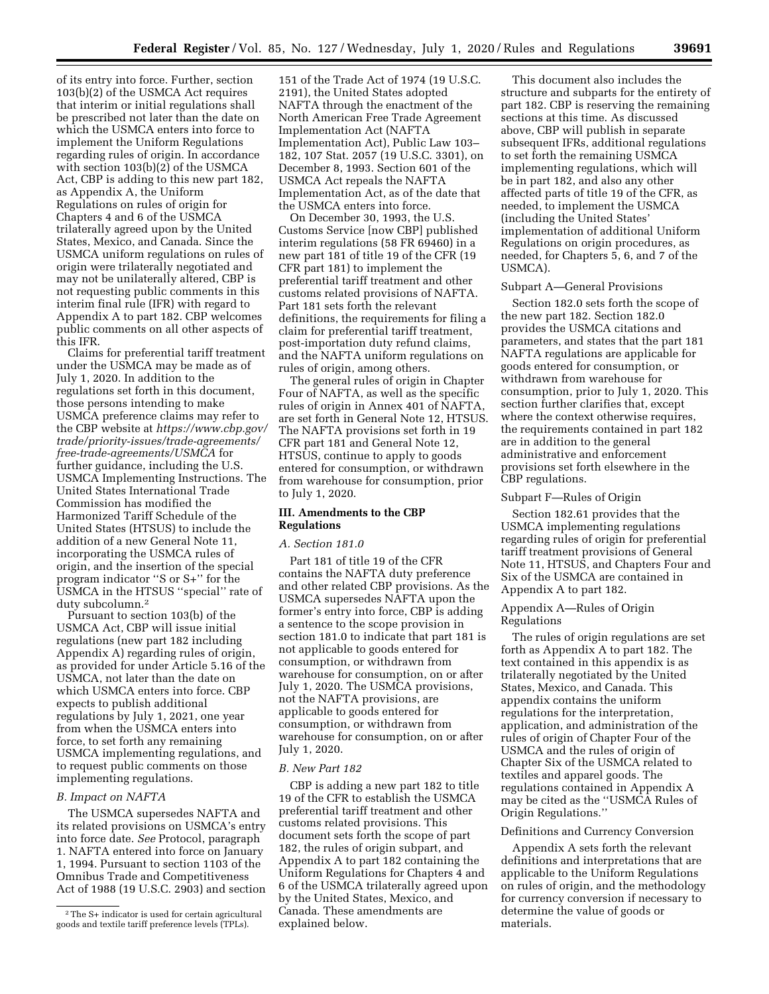of its entry into force. Further, section 103(b)(2) of the USMCA Act requires that interim or initial regulations shall be prescribed not later than the date on which the USMCA enters into force to implement the Uniform Regulations regarding rules of origin. In accordance with section 103(b)(2) of the USMCA Act, CBP is adding to this new part 182, as Appendix A, the Uniform Regulations on rules of origin for Chapters 4 and 6 of the USMCA trilaterally agreed upon by the United States, Mexico, and Canada. Since the USMCA uniform regulations on rules of origin were trilaterally negotiated and may not be unilaterally altered, CBP is not requesting public comments in this interim final rule (IFR) with regard to Appendix A to part 182. CBP welcomes public comments on all other aspects of this IFR.

Claims for preferential tariff treatment under the USMCA may be made as of July 1, 2020. In addition to the regulations set forth in this document, those persons intending to make USMCA preference claims may refer to the CBP website at *[https://www.cbp.gov/](https://www.cbp.gov/trade/priority-issues/trade-agreements/free-trade-agreements/USMCA) [trade/priority-issues/trade-agreements/](https://www.cbp.gov/trade/priority-issues/trade-agreements/free-trade-agreements/USMCA) [free-trade-agreements/USMCA](https://www.cbp.gov/trade/priority-issues/trade-agreements/free-trade-agreements/USMCA)* for further guidance, including the U.S. USMCA Implementing Instructions. The United States International Trade Commission has modified the Harmonized Tariff Schedule of the United States (HTSUS) to include the addition of a new General Note 11, incorporating the USMCA rules of origin, and the insertion of the special program indicator ''S or S+'' for the USMCA in the HTSUS ''special'' rate of duty subcolumn.2

Pursuant to section 103(b) of the USMCA Act, CBP will issue initial regulations (new part 182 including Appendix A) regarding rules of origin, as provided for under Article 5.16 of the USMCA, not later than the date on which USMCA enters into force. CBP expects to publish additional regulations by July 1, 2021, one year from when the USMCA enters into force, to set forth any remaining USMCA implementing regulations, and to request public comments on those implementing regulations.

# *B. Impact on NAFTA*

The USMCA supersedes NAFTA and its related provisions on USMCA's entry into force date. *See* Protocol, paragraph 1. NAFTA entered into force on January 1, 1994. Pursuant to section 1103 of the Omnibus Trade and Competitiveness Act of 1988 (19 U.S.C. 2903) and section

151 of the Trade Act of 1974 (19 U.S.C. 2191), the United States adopted NAFTA through the enactment of the North American Free Trade Agreement Implementation Act (NAFTA Implementation Act), Public Law 103– 182, 107 Stat. 2057 (19 U.S.C. 3301), on December 8, 1993. Section 601 of the USMCA Act repeals the NAFTA Implementation Act, as of the date that the USMCA enters into force.

On December 30, 1993, the U.S. Customs Service [now CBP] published interim regulations (58 FR 69460) in a new part 181 of title 19 of the CFR (19 CFR part 181) to implement the preferential tariff treatment and other customs related provisions of NAFTA. Part 181 sets forth the relevant definitions, the requirements for filing a claim for preferential tariff treatment, post-importation duty refund claims, and the NAFTA uniform regulations on rules of origin, among others.

The general rules of origin in Chapter Four of NAFTA, as well as the specific rules of origin in Annex 401 of NAFTA, are set forth in General Note 12, HTSUS. The NAFTA provisions set forth in 19 CFR part 181 and General Note 12, HTSUS, continue to apply to goods entered for consumption, or withdrawn from warehouse for consumption, prior to July 1, 2020.

# **III. Amendments to the CBP Regulations**

# *A. Section 181.0*

Part 181 of title 19 of the CFR contains the NAFTA duty preference and other related CBP provisions. As the USMCA supersedes NAFTA upon the former's entry into force, CBP is adding a sentence to the scope provision in section 181.0 to indicate that part 181 is not applicable to goods entered for consumption, or withdrawn from warehouse for consumption, on or after July 1, 2020. The USMCA provisions, not the NAFTA provisions, are applicable to goods entered for consumption, or withdrawn from warehouse for consumption, on or after July 1, 2020.

# *B. New Part 182*

CBP is adding a new part 182 to title 19 of the CFR to establish the USMCA preferential tariff treatment and other customs related provisions. This document sets forth the scope of part 182, the rules of origin subpart, and Appendix A to part 182 containing the Uniform Regulations for Chapters 4 and 6 of the USMCA trilaterally agreed upon by the United States, Mexico, and Canada. These amendments are explained below.

This document also includes the structure and subparts for the entirety of part 182. CBP is reserving the remaining sections at this time. As discussed above, CBP will publish in separate subsequent IFRs, additional regulations to set forth the remaining USMCA implementing regulations, which will be in part 182, and also any other affected parts of title 19 of the CFR, as needed, to implement the USMCA (including the United States' implementation of additional Uniform Regulations on origin procedures, as needed, for Chapters 5, 6, and 7 of the USMCA).

## Subpart A—General Provisions

Section 182.0 sets forth the scope of the new part 182. Section 182.0 provides the USMCA citations and parameters, and states that the part 181 NAFTA regulations are applicable for goods entered for consumption, or withdrawn from warehouse for consumption, prior to July 1, 2020. This section further clarifies that, except where the context otherwise requires, the requirements contained in part 182 are in addition to the general administrative and enforcement provisions set forth elsewhere in the CBP regulations.

## Subpart F—Rules of Origin

Section 182.61 provides that the USMCA implementing regulations regarding rules of origin for preferential tariff treatment provisions of General Note 11, HTSUS, and Chapters Four and Six of the USMCA are contained in Appendix A to part 182.

# Appendix A—Rules of Origin Regulations

The rules of origin regulations are set forth as Appendix A to part 182. The text contained in this appendix is as trilaterally negotiated by the United States, Mexico, and Canada. This appendix contains the uniform regulations for the interpretation, application, and administration of the rules of origin of Chapter Four of the USMCA and the rules of origin of Chapter Six of the USMCA related to textiles and apparel goods. The regulations contained in Appendix A may be cited as the ''USMCA Rules of Origin Regulations.''

# Definitions and Currency Conversion

Appendix A sets forth the relevant definitions and interpretations that are applicable to the Uniform Regulations on rules of origin, and the methodology for currency conversion if necessary to determine the value of goods or materials.

<sup>2</sup>The S+ indicator is used for certain agricultural goods and textile tariff preference levels (TPLs).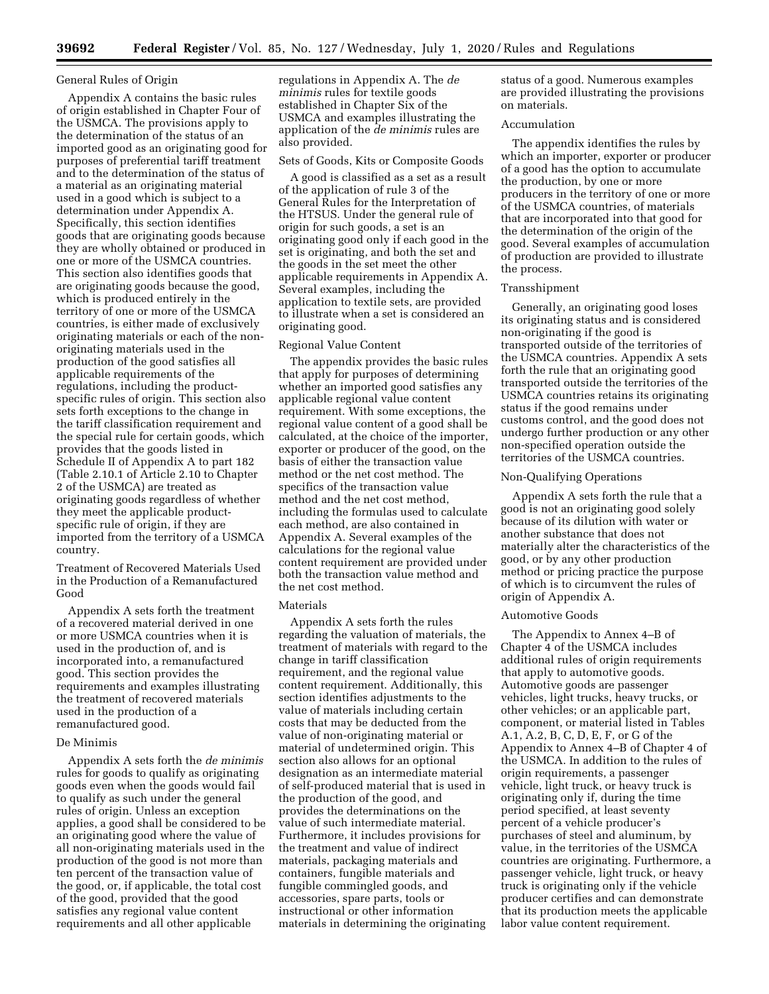#### General Rules of Origin

Appendix A contains the basic rules of origin established in Chapter Four of the USMCA. The provisions apply to the determination of the status of an imported good as an originating good for purposes of preferential tariff treatment and to the determination of the status of a material as an originating material used in a good which is subject to a determination under Appendix A. Specifically, this section identifies goods that are originating goods because they are wholly obtained or produced in one or more of the USMCA countries. This section also identifies goods that are originating goods because the good, which is produced entirely in the territory of one or more of the USMCA countries, is either made of exclusively originating materials or each of the nonoriginating materials used in the production of the good satisfies all applicable requirements of the regulations, including the productspecific rules of origin. This section also sets forth exceptions to the change in the tariff classification requirement and the special rule for certain goods, which provides that the goods listed in Schedule II of Appendix A to part 182 (Table 2.10.1 of Article 2.10 to Chapter 2 of the USMCA) are treated as originating goods regardless of whether they meet the applicable productspecific rule of origin, if they are imported from the territory of a USMCA country.

Treatment of Recovered Materials Used in the Production of a Remanufactured Good

Appendix A sets forth the treatment of a recovered material derived in one or more USMCA countries when it is used in the production of, and is incorporated into, a remanufactured good. This section provides the requirements and examples illustrating the treatment of recovered materials used in the production of a remanufactured good.

#### De Minimis

Appendix A sets forth the *de minimis*  rules for goods to qualify as originating goods even when the goods would fail to qualify as such under the general rules of origin. Unless an exception applies, a good shall be considered to be an originating good where the value of all non-originating materials used in the production of the good is not more than ten percent of the transaction value of the good, or, if applicable, the total cost of the good, provided that the good satisfies any regional value content requirements and all other applicable

regulations in Appendix A. The *de minimis* rules for textile goods established in Chapter Six of the USMCA and examples illustrating the application of the *de minimis* rules are also provided.

## Sets of Goods, Kits or Composite Goods

A good is classified as a set as a result of the application of rule 3 of the General Rules for the Interpretation of the HTSUS. Under the general rule of origin for such goods, a set is an originating good only if each good in the set is originating, and both the set and the goods in the set meet the other applicable requirements in Appendix A. Several examples, including the application to textile sets, are provided to illustrate when a set is considered an originating good.

# Regional Value Content

The appendix provides the basic rules that apply for purposes of determining whether an imported good satisfies any applicable regional value content requirement. With some exceptions, the regional value content of a good shall be calculated, at the choice of the importer, exporter or producer of the good, on the basis of either the transaction value method or the net cost method. The specifics of the transaction value method and the net cost method, including the formulas used to calculate each method, are also contained in Appendix A. Several examples of the calculations for the regional value content requirement are provided under both the transaction value method and the net cost method.

#### Materials

Appendix A sets forth the rules regarding the valuation of materials, the treatment of materials with regard to the change in tariff classification requirement, and the regional value content requirement. Additionally, this section identifies adjustments to the value of materials including certain costs that may be deducted from the value of non-originating material or material of undetermined origin. This section also allows for an optional designation as an intermediate material of self-produced material that is used in the production of the good, and provides the determinations on the value of such intermediate material. Furthermore, it includes provisions for the treatment and value of indirect materials, packaging materials and containers, fungible materials and fungible commingled goods, and accessories, spare parts, tools or instructional or other information materials in determining the originating

status of a good. Numerous examples are provided illustrating the provisions on materials.

# Accumulation

The appendix identifies the rules by which an importer, exporter or producer of a good has the option to accumulate the production, by one or more producers in the territory of one or more of the USMCA countries, of materials that are incorporated into that good for the determination of the origin of the good. Several examples of accumulation of production are provided to illustrate the process.

# Transshipment

Generally, an originating good loses its originating status and is considered non-originating if the good is transported outside of the territories of the USMCA countries. Appendix A sets forth the rule that an originating good transported outside the territories of the USMCA countries retains its originating status if the good remains under customs control, and the good does not undergo further production or any other non-specified operation outside the territories of the USMCA countries.

# Non-Qualifying Operations

Appendix A sets forth the rule that a good is not an originating good solely because of its dilution with water or another substance that does not materially alter the characteristics of the good, or by any other production method or pricing practice the purpose of which is to circumvent the rules of origin of Appendix A.

# Automotive Goods

The Appendix to Annex 4–B of Chapter 4 of the USMCA includes additional rules of origin requirements that apply to automotive goods. Automotive goods are passenger vehicles, light trucks, heavy trucks, or other vehicles; or an applicable part, component, or material listed in Tables A.1, A.2, B, C, D, E, F, or G of the Appendix to Annex 4–B of Chapter 4 of the USMCA. In addition to the rules of origin requirements, a passenger vehicle, light truck, or heavy truck is originating only if, during the time period specified, at least seventy percent of a vehicle producer's purchases of steel and aluminum, by value, in the territories of the USMCA countries are originating. Furthermore, a passenger vehicle, light truck, or heavy truck is originating only if the vehicle producer certifies and can demonstrate that its production meets the applicable labor value content requirement.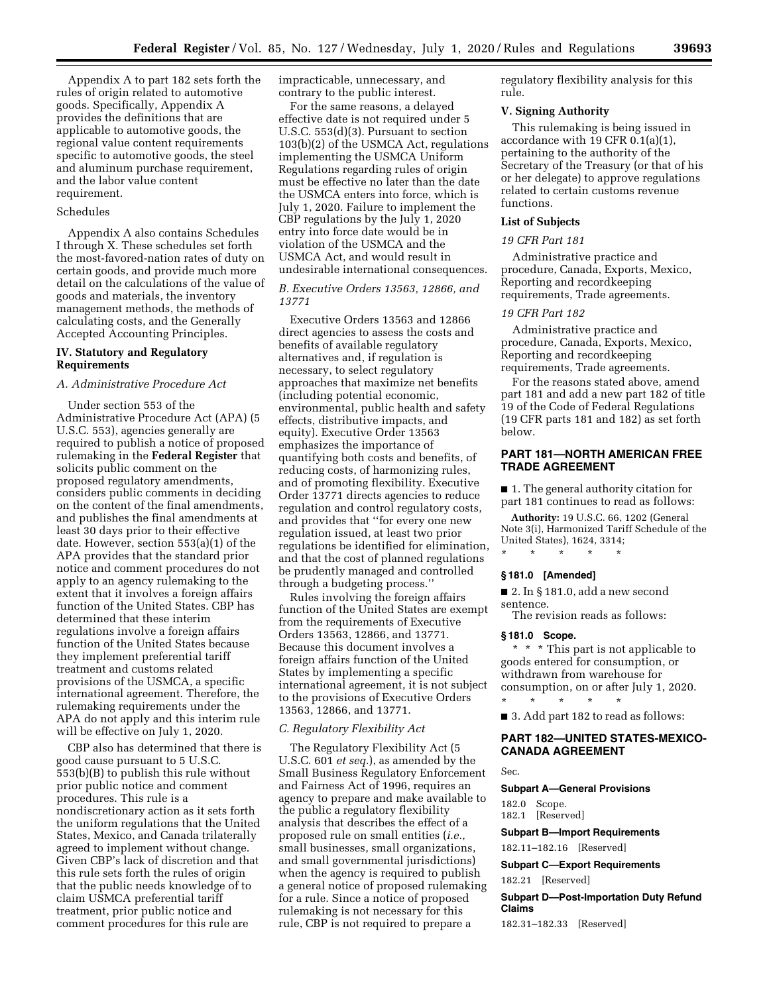Appendix A to part 182 sets forth the rules of origin related to automotive goods. Specifically, Appendix A provides the definitions that are applicable to automotive goods, the regional value content requirements specific to automotive goods, the steel and aluminum purchase requirement, and the labor value content requirement.

#### Schedules

Appendix A also contains Schedules I through X. These schedules set forth the most-favored-nation rates of duty on certain goods, and provide much more detail on the calculations of the value of goods and materials, the inventory management methods, the methods of calculating costs, and the Generally Accepted Accounting Principles.

# **IV. Statutory and Regulatory Requirements**

# *A. Administrative Procedure Act*

Under section 553 of the Administrative Procedure Act (APA) (5 U.S.C. 553), agencies generally are required to publish a notice of proposed rulemaking in the **Federal Register** that solicits public comment on the proposed regulatory amendments, considers public comments in deciding on the content of the final amendments, and publishes the final amendments at least 30 days prior to their effective date. However, section 553(a)(1) of the APA provides that the standard prior notice and comment procedures do not apply to an agency rulemaking to the extent that it involves a foreign affairs function of the United States. CBP has determined that these interim regulations involve a foreign affairs function of the United States because they implement preferential tariff treatment and customs related provisions of the USMCA, a specific international agreement. Therefore, the rulemaking requirements under the APA do not apply and this interim rule will be effective on July 1, 2020.

CBP also has determined that there is good cause pursuant to 5 U.S.C. 553(b)(B) to publish this rule without prior public notice and comment procedures. This rule is a nondiscretionary action as it sets forth the uniform regulations that the United States, Mexico, and Canada trilaterally agreed to implement without change. Given CBP's lack of discretion and that this rule sets forth the rules of origin that the public needs knowledge of to claim USMCA preferential tariff treatment, prior public notice and comment procedures for this rule are

impracticable, unnecessary, and contrary to the public interest.

For the same reasons, a delayed effective date is not required under 5 U.S.C. 553(d)(3). Pursuant to section 103(b)(2) of the USMCA Act, regulations implementing the USMCA Uniform Regulations regarding rules of origin must be effective no later than the date the USMCA enters into force, which is July 1, 2020. Failure to implement the CBP regulations by the July 1, 2020 entry into force date would be in violation of the USMCA and the USMCA Act, and would result in undesirable international consequences.

*B. Executive Orders 13563, 12866, and 13771* 

Executive Orders 13563 and 12866 direct agencies to assess the costs and benefits of available regulatory alternatives and, if regulation is necessary, to select regulatory approaches that maximize net benefits (including potential economic, environmental, public health and safety effects, distributive impacts, and equity). Executive Order 13563 emphasizes the importance of quantifying both costs and benefits, of reducing costs, of harmonizing rules, and of promoting flexibility. Executive Order 13771 directs agencies to reduce regulation and control regulatory costs, and provides that ''for every one new regulation issued, at least two prior regulations be identified for elimination, and that the cost of planned regulations be prudently managed and controlled through a budgeting process.''

Rules involving the foreign affairs function of the United States are exempt from the requirements of Executive Orders 13563, 12866, and 13771. Because this document involves a foreign affairs function of the United States by implementing a specific international agreement, it is not subject to the provisions of Executive Orders 13563, 12866, and 13771.

# *C. Regulatory Flexibility Act*

The Regulatory Flexibility Act (5 U.S.C. 601 *et seq.*), as amended by the Small Business Regulatory Enforcement and Fairness Act of 1996, requires an agency to prepare and make available to the public a regulatory flexibility analysis that describes the effect of a proposed rule on small entities (*i.e.,*  small businesses, small organizations, and small governmental jurisdictions) when the agency is required to publish a general notice of proposed rulemaking for a rule. Since a notice of proposed rulemaking is not necessary for this rule, CBP is not required to prepare a

regulatory flexibility analysis for this rule.

#### **V. Signing Authority**

This rulemaking is being issued in accordance with 19 CFR 0.1(a)(1), pertaining to the authority of the Secretary of the Treasury (or that of his or her delegate) to approve regulations related to certain customs revenue functions.

## **List of Subjects**

# *19 CFR Part 181*

Administrative practice and procedure, Canada, Exports, Mexico, Reporting and recordkeeping requirements, Trade agreements.

#### *19 CFR Part 182*

Administrative practice and procedure, Canada, Exports, Mexico, Reporting and recordkeeping requirements, Trade agreements.

For the reasons stated above, amend part 181 and add a new part 182 of title 19 of the Code of Federal Regulations (19 CFR parts 181 and 182) as set forth below.

# **PART 181—NORTH AMERICAN FREE TRADE AGREEMENT**

■ 1. The general authority citation for part 181 continues to read as follows:

**Authority:** 19 U.S.C. 66, 1202 (General Note 3(i), Harmonized Tariff Schedule of the United States), 1624, 3314; \* \* \* \* \*

#### **§ 181.0 [Amended]**

■ 2. In § 181.0, add a new second sentence.

The revision reads as follows:

#### **§ 181.0 Scope.**

\* \* \* This part is not applicable to goods entered for consumption, or withdrawn from warehouse for consumption, on or after July 1, 2020. \* \* \* \* \*

■ 3. Add part 182 to read as follows:

# **PART 182—UNITED STATES-MEXICO-CANADA AGREEMENT**

Sec.

**Subpart A—General Provisions** 

182.0 Scope. 182.1 [Reserved]

**Subpart B—Import Requirements**  182.11–182.16 [Reserved]

**Subpart C—Export Requirements**  182.21 [Reserved]

**Subpart D—Post-Importation Duty Refund Claims** 

182.31–182.33 [Reserved]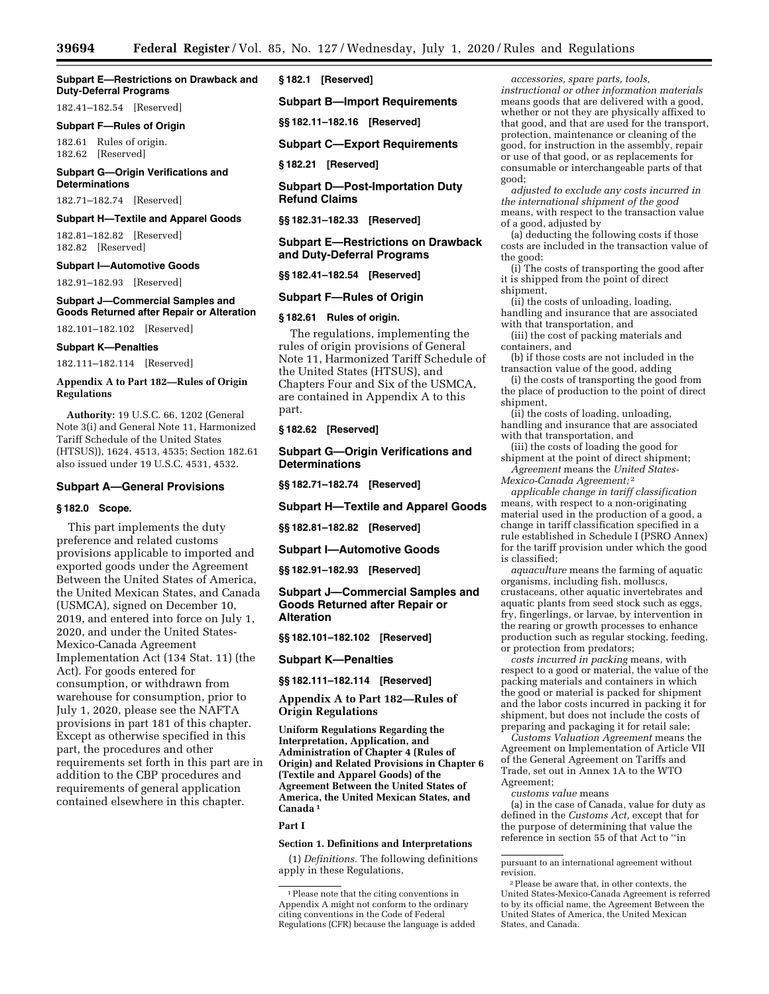# **Subpart E—Restrictions on Drawback and Duty-Deferral Programs**

182.41–182.54 [Reserved]

## **Subpart F—Rules of Origin**

182.61 Rules of origin. 182.62 [Reserved]

# **Subpart G—Origin Verifications and Determinations**

182.71–182.74 [Reserved]

# **Subpart H—Textile and Apparel Goods**

182.81–182.82 [Reserved] 182.82 [Reserved]

# **Subpart I—Automotive Goods**

182.91–182.93 [Reserved]

# **Subpart J—Commercial Samples and Goods Returned after Repair or Alteration**  182.101–182.102 [Reserved]

# **Subpart K—Penalties**

182.111–182.114 [Reserved]

# **Appendix A to Part 182—Rules of Origin Regulations**

**Authority:** 19 U.S.C. 66, 1202 (General Note 3(i) and General Note 11, Harmonized Tariff Schedule of the United States (HTSUS)), 1624, 4513, 4535; Section 182.61 also issued under 19 U.S.C. 4531, 4532.

# **Subpart A—General Provisions**

## **§ 182.0 Scope.**

This part implements the duty preference and related customs provisions applicable to imported and exported goods under the Agreement Between the United States of America, the United Mexican States, and Canada (USMCA), signed on December 10, 2019, and entered into force on July 1, 2020, and under the United States-Mexico-Canada Agreement Implementation Act (134 Stat. 11) (the Act). For goods entered for consumption, or withdrawn from warehouse for consumption, prior to July 1, 2020, please see the NAFTA provisions in part 181 of this chapter. Except as otherwise specified in this part, the procedures and other requirements set forth in this part are in addition to the CBP procedures and requirements of general application contained elsewhere in this chapter.

**§ 182.1 [Reserved]** 

**Subpart B—Import Requirements** 

**§§ 182.11–182.16 [Reserved]** 

**Subpart C—Export Requirements** 

**§ 182.21 [Reserved]** 

# **Subpart D—Post-Importation Duty Refund Claims**

**§§ 182.31–182.33 [Reserved]** 

# **Subpart E—Restrictions on Drawback and Duty-Deferral Programs**

**§§ 182.41–182.54 [Reserved]** 

## **Subpart F—Rules of Origin**

## **§ 182.61 Rules of origin.**

The regulations, implementing the rules of origin provisions of General Note 11, Harmonized Tariff Schedule of the United States (HTSUS), and Chapters Four and Six of the USMCA, are contained in Appendix A to this part.

## **§ 182.62 [Reserved]**

**Subpart G—Origin Verifications and Determinations** 

**§§ 182.71–182.74 [Reserved]** 

#### **Subpart H—Textile and Apparel Goods**

**§§ 182.81–182.82 [Reserved]** 

#### **Subpart I—Automotive Goods**

**§§ 182.91–182.93 [Reserved]** 

# **Subpart J—Commercial Samples and Goods Returned after Repair or Alteration**

**§§ 182.101–182.102 [Reserved]** 

**Subpart K—Penalties** 

**§§ 182.111–182.114 [Reserved]** 

**Appendix A to Part 182—Rules of Origin Regulations** 

**Uniform Regulations Regarding the Interpretation, Application, and Administration of Chapter 4 (Rules of Origin) and Related Provisions in Chapter 6 (Textile and Apparel Goods) of the Agreement Between the United States of America, the United Mexican States, and Canada 1**

# **Part I**

#### **Section 1. Definitions and Interpretations**

(1) *Definitions.* The following definitions apply in these Regulations,

*accessories, spare parts, tools, instructional or other information materials*  means goods that are delivered with a good, whether or not they are physically affixed to that good, and that are used for the transport, protection, maintenance or cleaning of the good, for instruction in the assembly, repair or use of that good, or as replacements for consumable or interchangeable parts of that good;

*adjusted to exclude any costs incurred in the international shipment of the good*  means, with respect to the transaction value of a good, adjusted by

(a) deducting the following costs if those costs are included in the transaction value of the good:

(i) The costs of transporting the good after it is shipped from the point of direct shipment,

(ii) the costs of unloading, loading, handling and insurance that are associated with that transportation, and

(iii) the cost of packing materials and containers, and

(b) if those costs are not included in the transaction value of the good, adding

(i) the costs of transporting the good from the place of production to the point of direct shipment,

(ii) the costs of loading, unloading, handling and insurance that are associated with that transportation, and

(iii) the costs of loading the good for shipment at the point of direct shipment; *Agreement* means the *United States-*

*Mexico-Canada Agreement;* 2

*applicable change in tariff classification*  means, with respect to a non-originating material used in the production of a good, a change in tariff classification specified in a rule established in Schedule I (PSRO Annex) for the tariff provision under which the good is classified;

*aquaculture* means the farming of aquatic organisms, including fish, molluscs, crustaceans, other aquatic invertebrates and aquatic plants from seed stock such as eggs, fry, fingerlings, or larvae, by intervention in the rearing or growth processes to enhance production such as regular stocking, feeding, or protection from predators;

*costs incurred in packing* means, with respect to a good or material, the value of the packing materials and containers in which the good or material is packed for shipment and the labor costs incurred in packing it for shipment, but does not include the costs of preparing and packaging it for retail sale;

*Customs Valuation Agreement* means the Agreement on Implementation of Article VII of the General Agreement on Tariffs and Trade, set out in Annex 1A to the WTO Agreement;

*customs value* means

(a) in the case of Canada, value for duty as defined in the *Customs Act,* except that for the purpose of determining that value the reference in section 55 of that Act to ''in

<sup>1</sup>Please note that the citing conventions in Appendix A might not conform to the ordinary citing conventions in the Code of Federal Regulations (CFR) because the language is added

pursuant to an international agreement without revision.

<sup>2</sup>Please be aware that, in other contexts, the United States-Mexico-Canada Agreement is referred to by its official name, the Agreement Between the United States of America, the United Mexican States, and Canada.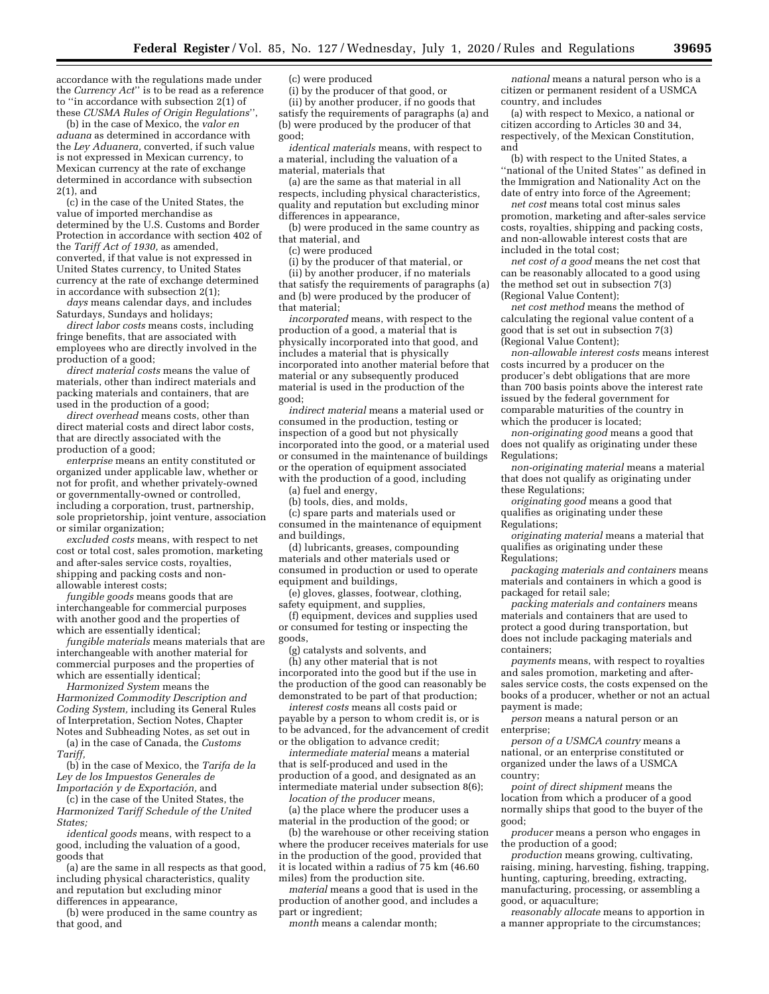accordance with the regulations made under the *Currency Act*'' is to be read as a reference to ''in accordance with subsection 2(1) of these *CUSMA Rules of Origin Regulations*'',

(b) in the case of Mexico, the *valor en aduana* as determined in accordance with the *Ley Aduanera,* converted, if such value is not expressed in Mexican currency, to Mexican currency at the rate of exchange determined in accordance with subsection 2(1), and

(c) in the case of the United States, the value of imported merchandise as determined by the U.S. Customs and Border Protection in accordance with section 402 of the *Tariff Act of 1930,* as amended, converted, if that value is not expressed in United States currency, to United States currency at the rate of exchange determined in accordance with subsection 2(1);

*days* means calendar days, and includes Saturdays, Sundays and holidays;

*direct labor costs* means costs, including fringe benefits, that are associated with employees who are directly involved in the production of a good;

*direct material costs* means the value of materials, other than indirect materials and packing materials and containers, that are used in the production of a good;

*direct overhead* means costs, other than direct material costs and direct labor costs, that are directly associated with the production of a good;

*enterprise* means an entity constituted or organized under applicable law, whether or not for profit, and whether privately-owned or governmentally-owned or controlled, including a corporation, trust, partnership, sole proprietorship, joint venture, association or similar organization;

*excluded costs* means, with respect to net cost or total cost, sales promotion, marketing and after-sales service costs, royalties, shipping and packing costs and nonallowable interest costs;

*fungible goods* means goods that are interchangeable for commercial purposes with another good and the properties of which are essentially identical;

*fungible materials* means materials that are interchangeable with another material for commercial purposes and the properties of which are essentially identical;

*Harmonized System* means the *Harmonized Commodity Description and Coding System,* including its General Rules of Interpretation, Section Notes, Chapter Notes and Subheading Notes, as set out in

(a) in the case of Canada, the *Customs Tariff,* 

(b) in the case of Mexico, the *Tarifa de la Ley de los Impuestos Generales de Importación* y de Exportación, and

(c) in the case of the United States, the *Harmonized Tariff Schedule of the United States;* 

*identical goods* means, with respect to a good, including the valuation of a good, goods that

(a) are the same in all respects as that good, including physical characteristics, quality and reputation but excluding minor differences in appearance,

(b) were produced in the same country as that good, and

(c) were produced (i) by the producer of that good, or

(ii) by another producer, if no goods that satisfy the requirements of paragraphs (a) and (b) were produced by the producer of that good;

*identical materials* means, with respect to a material, including the valuation of a material, materials that

(a) are the same as that material in all respects, including physical characteristics, quality and reputation but excluding minor differences in appearance,

(b) were produced in the same country as that material, and

(c) were produced

(i) by the producer of that material, or (ii) by another producer, if no materials

that satisfy the requirements of paragraphs (a) and (b) were produced by the producer of that material;

*incorporated* means, with respect to the production of a good, a material that is physically incorporated into that good, and includes a material that is physically incorporated into another material before that material or any subsequently produced material is used in the production of the good;

*indirect material* means a material used or consumed in the production, testing or inspection of a good but not physically incorporated into the good, or a material used or consumed in the maintenance of buildings or the operation of equipment associated with the production of a good, including

(a) fuel and energy,

(b) tools, dies, and molds,

(c) spare parts and materials used or consumed in the maintenance of equipment and buildings,

(d) lubricants, greases, compounding materials and other materials used or consumed in production or used to operate equipment and buildings,

(e) gloves, glasses, footwear, clothing, safety equipment, and supplies,

(f) equipment, devices and supplies used or consumed for testing or inspecting the goods,

(g) catalysts and solvents, and

(h) any other material that is not incorporated into the good but if the use in the production of the good can reasonably be demonstrated to be part of that production;

*interest costs* means all costs paid or payable by a person to whom credit is, or is to be advanced, for the advancement of credit or the obligation to advance credit;

*intermediate material* means a material that is self-produced and used in the production of a good, and designated as an intermediate material under subsection 8(6); *location of the producer* means,

(a) the place where the producer uses a material in the production of the good; or

(b) the warehouse or other receiving station where the producer receives materials for use in the production of the good, provided that it is located within a radius of 75 km (46.60 miles) from the production site.

*material* means a good that is used in the production of another good, and includes a part or ingredient;

*month* means a calendar month;

*national* means a natural person who is a citizen or permanent resident of a USMCA country, and includes

(a) with respect to Mexico, a national or citizen according to Articles 30 and 34, respectively, of the Mexican Constitution, and

(b) with respect to the United States, a ''national of the United States'' as defined in the Immigration and Nationality Act on the date of entry into force of the Agreement;

*net cost* means total cost minus sales promotion, marketing and after-sales service costs, royalties, shipping and packing costs, and non-allowable interest costs that are included in the total cost;

*net cost of a good* means the net cost that can be reasonably allocated to a good using the method set out in subsection 7(3) (Regional Value Content);

*net cost method* means the method of calculating the regional value content of a good that is set out in subsection 7(3) (Regional Value Content);

*non-allowable interest costs* means interest costs incurred by a producer on the producer's debt obligations that are more than 700 basis points above the interest rate issued by the federal government for comparable maturities of the country in which the producer is located;

*non-originating good* means a good that does not qualify as originating under these Regulations;

*non-originating material* means a material that does not qualify as originating under these Regulations;

*originating good* means a good that qualifies as originating under these Regulations;

*originating material* means a material that qualifies as originating under these Regulations;

*packaging materials and containers* means materials and containers in which a good is packaged for retail sale;

*packing materials and containers* means materials and containers that are used to protect a good during transportation, but does not include packaging materials and containers;

*payments* means, with respect to royalties and sales promotion, marketing and aftersales service costs, the costs expensed on the books of a producer, whether or not an actual payment is made;

*person* means a natural person or an enterprise:

*person of a USMCA country* means a national, or an enterprise constituted or organized under the laws of a USMCA country;

*point of direct shipment* means the location from which a producer of a good normally ships that good to the buyer of the good;

*producer* means a person who engages in the production of a good;

*production* means growing, cultivating, raising, mining, harvesting, fishing, trapping, hunting, capturing, breeding, extracting, manufacturing, processing, or assembling a good, or aquaculture;

*reasonably allocate* means to apportion in a manner appropriate to the circumstances;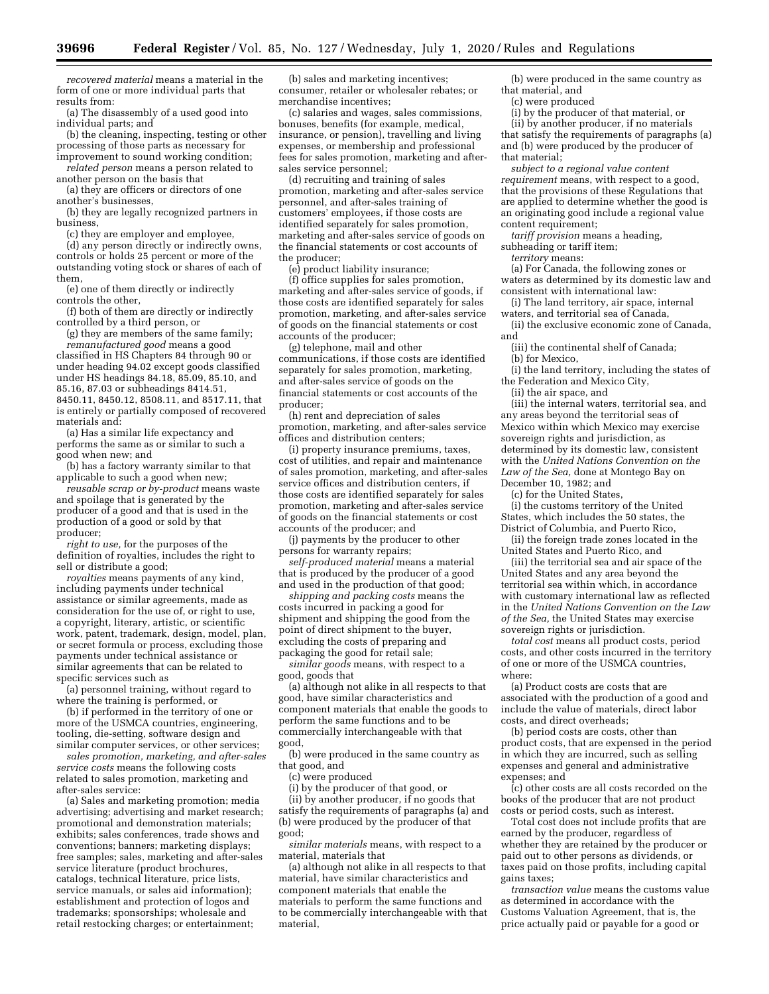*recovered material* means a material in the form of one or more individual parts that results from:

(a) The disassembly of a used good into individual parts; and

(b) the cleaning, inspecting, testing or other processing of those parts as necessary for

improvement to sound working condition; *related person* means a person related to

another person on the basis that (a) they are officers or directors of one

another's businesses,

(b) they are legally recognized partners in business,

(c) they are employer and employee,

(d) any person directly or indirectly owns, controls or holds 25 percent or more of the outstanding voting stock or shares of each of them,

(e) one of them directly or indirectly controls the other,

(f) both of them are directly or indirectly controlled by a third person, or

(g) they are members of the same family;

*remanufactured good* means a good classified in HS Chapters 84 through 90 or under heading 94.02 except goods classified under HS headings 84.18, 85.09, 85.10, and 85.16, 87.03 or subheadings 8414.51, 8450.11, 8450.12, 8508.11, and 8517.11, that is entirely or partially composed of recovered materials and:

(a) Has a similar life expectancy and performs the same as or similar to such a good when new; and

(b) has a factory warranty similar to that applicable to such a good when new;

*reusable scrap or by-product* means waste and spoilage that is generated by the producer of a good and that is used in the production of a good or sold by that producer;

*right to use,* for the purposes of the definition of royalties, includes the right to sell or distribute a good;

*royalties* means payments of any kind, including payments under technical assistance or similar agreements, made as consideration for the use of, or right to use, a copyright, literary, artistic, or scientific work, patent, trademark, design, model, plan, or secret formula or process, excluding those payments under technical assistance or similar agreements that can be related to specific services such as

(a) personnel training, without regard to where the training is performed, or

(b) if performed in the territory of one or more of the USMCA countries, engineering, tooling, die-setting, software design and similar computer services, or other services;

*sales promotion, marketing, and after-sales service costs* means the following costs related to sales promotion, marketing and after-sales service:

(a) Sales and marketing promotion; media advertising; advertising and market research; promotional and demonstration materials; exhibits; sales conferences, trade shows and conventions; banners; marketing displays; free samples; sales, marketing and after-sales service literature (product brochures, catalogs, technical literature, price lists, service manuals, or sales aid information); establishment and protection of logos and trademarks; sponsorships; wholesale and retail restocking charges; or entertainment;

(b) sales and marketing incentives; consumer, retailer or wholesaler rebates; or merchandise incentives;

(c) salaries and wages, sales commissions, bonuses, benefits (for example, medical, insurance, or pension), travelling and living expenses, or membership and professional fees for sales promotion, marketing and aftersales service personnel;

(d) recruiting and training of sales promotion, marketing and after-sales service personnel, and after-sales training of customers' employees, if those costs are identified separately for sales promotion, marketing and after-sales service of goods on the financial statements or cost accounts of the producer;

(e) product liability insurance;

(f) office supplies for sales promotion, marketing and after-sales service of goods, if those costs are identified separately for sales promotion, marketing, and after-sales service of goods on the financial statements or cost accounts of the producer;

(g) telephone, mail and other communications, if those costs are identified separately for sales promotion, marketing, and after-sales service of goods on the financial statements or cost accounts of the producer;

(h) rent and depreciation of sales promotion, marketing, and after-sales service offices and distribution centers;

(i) property insurance premiums, taxes, cost of utilities, and repair and maintenance of sales promotion, marketing, and after-sales service offices and distribution centers, if those costs are identified separately for sales promotion, marketing and after-sales service of goods on the financial statements or cost accounts of the producer; and

(j) payments by the producer to other persons for warranty repairs;

*self-produced material* means a material that is produced by the producer of a good and used in the production of that good;

*shipping and packing costs* means the costs incurred in packing a good for shipment and shipping the good from the point of direct shipment to the buyer, excluding the costs of preparing and packaging the good for retail sale;

*similar goods* means, with respect to a good, goods that

(a) although not alike in all respects to that good, have similar characteristics and component materials that enable the goods to perform the same functions and to be commercially interchangeable with that good,

(b) were produced in the same country as that good, and

(c) were produced

(i) by the producer of that good, or

(ii) by another producer, if no goods that satisfy the requirements of paragraphs (a) and (b) were produced by the producer of that good;

*similar materials* means, with respect to a material, materials that

(a) although not alike in all respects to that material, have similar characteristics and component materials that enable the materials to perform the same functions and to be commercially interchangeable with that material,

(b) were produced in the same country as that material, and

(c) were produced

(i) by the producer of that material, or (ii) by another producer, if no materials that satisfy the requirements of paragraphs (a) and (b) were produced by the producer of that material;

*subject to a regional value content requirement* means, with respect to a good, that the provisions of these Regulations that are applied to determine whether the good is an originating good include a regional value content requirement;

*tariff provision* means a heading, subheading or tariff item;

*territory* means:

(a) For Canada, the following zones or waters as determined by its domestic law and

consistent with international law:

(i) The land territory, air space, internal waters, and territorial sea of Canada,

(ii) the exclusive economic zone of Canada, and

(iii) the continental shelf of Canada;

(b) for Mexico,

(i) the land territory, including the states of the Federation and Mexico City,

(ii) the air space, and

(iii) the internal waters, territorial sea, and any areas beyond the territorial seas of Mexico within which Mexico may exercise sovereign rights and jurisdiction, as determined by its domestic law, consistent with the *United Nations Convention on the Law of the Sea,* done at Montego Bay on December 10, 1982; and

(c) for the United States,

(i) the customs territory of the United States, which includes the 50 states, the District of Columbia, and Puerto Rico,

(ii) the foreign trade zones located in the United States and Puerto Rico, and

(iii) the territorial sea and air space of the United States and any area beyond the territorial sea within which, in accordance with customary international law as reflected in the *United Nations Convention on the Law of the Sea,* the United States may exercise sovereign rights or jurisdiction.

*total cost* means all product costs, period costs, and other costs incurred in the territory of one or more of the USMCA countries, where:

(a) Product costs are costs that are associated with the production of a good and include the value of materials, direct labor costs, and direct overheads;

(b) period costs are costs, other than product costs, that are expensed in the period in which they are incurred, such as selling expenses and general and administrative expenses; and

(c) other costs are all costs recorded on the books of the producer that are not product costs or period costs, such as interest.

Total cost does not include profits that are earned by the producer, regardless of whether they are retained by the producer or paid out to other persons as dividends, or taxes paid on those profits, including capital gains taxes;

*transaction value* means the customs value as determined in accordance with the Customs Valuation Agreement, that is, the price actually paid or payable for a good or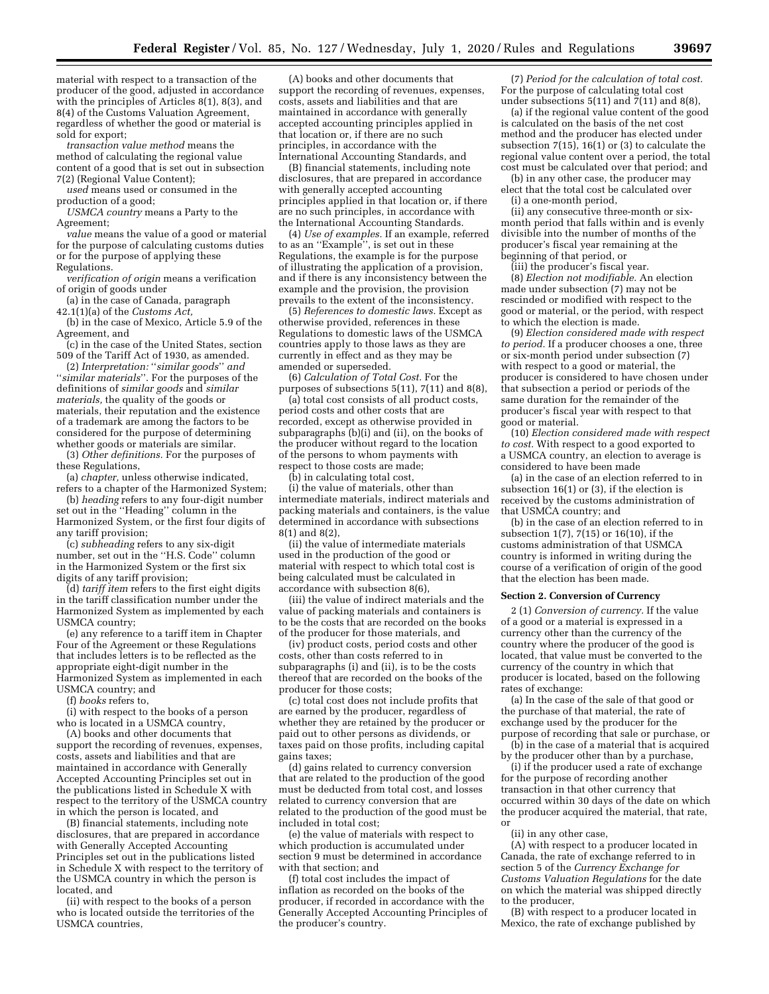material with respect to a transaction of the producer of the good, adjusted in accordance with the principles of Articles 8(1), 8(3), and 8(4) of the Customs Valuation Agreement, regardless of whether the good or material is sold for export;

*transaction value method* means the method of calculating the regional value content of a good that is set out in subsection 7(2) (Regional Value Content);

*used* means used or consumed in the production of a good;

*USMCA country* means a Party to the Agreement;

*value* means the value of a good or material for the purpose of calculating customs duties or for the purpose of applying these Regulations.

*verification of origin* means a verification of origin of goods under

(a) in the case of Canada, paragraph 42.1(1)(a) of the *Customs Act,* 

(b) in the case of Mexico, Article 5.9 of the Agreement, and

(c) in the case of the United States, section 509 of the Tariff Act of 1930, as amended.

(2) *Interpretation:* ''*similar goods*'' *and*  ''*similar materials*''. For the purposes of the definitions of *similar goods* and *similar materials,* the quality of the goods or materials, their reputation and the existence of a trademark are among the factors to be considered for the purpose of determining whether goods or materials are similar.

(3) *Other definitions.* For the purposes of these Regulations,

(a) *chapter,* unless otherwise indicated, refers to a chapter of the Harmonized System;

(b) *heading* refers to any four-digit number set out in the ''Heading'' column in the Harmonized System, or the first four digits of any tariff provision;

(c) *subheading* refers to any six-digit number, set out in the ''H.S. Code'' column in the Harmonized System or the first six digits of any tariff provision;

(d) *tariff item* refers to the first eight digits in the tariff classification number under the Harmonized System as implemented by each USMCA country;

(e) any reference to a tariff item in Chapter Four of the Agreement or these Regulations that includes letters is to be reflected as the appropriate eight-digit number in the Harmonized System as implemented in each USMCA country; and

(f) *books* refers to,

(i) with respect to the books of a person who is located in a USMCA country,

(A) books and other documents that support the recording of revenues, expenses, costs, assets and liabilities and that are maintained in accordance with Generally Accepted Accounting Principles set out in the publications listed in Schedule X with respect to the territory of the USMCA country in which the person is located, and

(B) financial statements, including note disclosures, that are prepared in accordance with Generally Accepted Accounting Principles set out in the publications listed in Schedule X with respect to the territory of the USMCA country in which the person is located, and

(ii) with respect to the books of a person who is located outside the territories of the USMCA countries,

(A) books and other documents that support the recording of revenues, expenses, costs, assets and liabilities and that are maintained in accordance with generally accepted accounting principles applied in that location or, if there are no such principles, in accordance with the International Accounting Standards, and

(B) financial statements, including note disclosures, that are prepared in accordance with generally accepted accounting principles applied in that location or, if there are no such principles, in accordance with the International Accounting Standards.

(4) *Use of examples.* If an example, referred to as an ''Example'', is set out in these Regulations, the example is for the purpose of illustrating the application of a provision, and if there is any inconsistency between the example and the provision, the provision prevails to the extent of the inconsistency.

(5) *References to domestic laws.* Except as otherwise provided, references in these Regulations to domestic laws of the USMCA countries apply to those laws as they are currently in effect and as they may be amended or superseded.

(6) *Calculation of Total Cost.* For the purposes of subsections 5(11), 7(11) and 8(8),

(a) total cost consists of all product costs, period costs and other costs that are recorded, except as otherwise provided in subparagraphs (b)(i) and (ii), on the books of the producer without regard to the location of the persons to whom payments with respect to those costs are made;

(b) in calculating total cost,

(i) the value of materials, other than intermediate materials, indirect materials and packing materials and containers, is the value determined in accordance with subsections 8(1) and 8(2),

(ii) the value of intermediate materials used in the production of the good or material with respect to which total cost is being calculated must be calculated in accordance with subsection 8(6),

(iii) the value of indirect materials and the value of packing materials and containers is to be the costs that are recorded on the books of the producer for those materials, and

(iv) product costs, period costs and other costs, other than costs referred to in subparagraphs (i) and (ii), is to be the costs thereof that are recorded on the books of the producer for those costs;

(c) total cost does not include profits that are earned by the producer, regardless of whether they are retained by the producer or paid out to other persons as dividends, or taxes paid on those profits, including capital gains taxes;

(d) gains related to currency conversion that are related to the production of the good must be deducted from total cost, and losses related to currency conversion that are related to the production of the good must be included in total cost;

(e) the value of materials with respect to which production is accumulated under section 9 must be determined in accordance with that section; and

(f) total cost includes the impact of inflation as recorded on the books of the producer, if recorded in accordance with the Generally Accepted Accounting Principles of the producer's country.

(7) *Period for the calculation of total cost.*  For the purpose of calculating total cost under subsections  $5(11)$  and  $7(11)$  and  $8(8)$ .

(a) if the regional value content of the good is calculated on the basis of the net cost method and the producer has elected under subsection  $7(15)$ ,  $16(1)$  or (3) to calculate the regional value content over a period, the total cost must be calculated over that period; and

(b) in any other case, the producer may elect that the total cost be calculated over (i) a one-month period,

(ii) any consecutive three-month or sixmonth period that falls within and is evenly divisible into the number of months of the producer's fiscal year remaining at the beginning of that period, or

(iii) the producer's fiscal year.

(8) *Election not modifiable.* An election made under subsection (7) may not be rescinded or modified with respect to the good or material, or the period, with respect to which the election is made.

(9) *Election considered made with respect to period.* If a producer chooses a one, three or six-month period under subsection (7) with respect to a good or material, the producer is considered to have chosen under that subsection a period or periods of the same duration for the remainder of the producer's fiscal year with respect to that good or material.

(10) *Election considered made with respect to cost.* With respect to a good exported to a USMCA country, an election to average is considered to have been made

(a) in the case of an election referred to in subsection 16(1) or (3), if the election is received by the customs administration of that USMCA country; and

(b) in the case of an election referred to in subsection 1(7), 7(15) or 16(10), if the customs administration of that USMCA country is informed in writing during the course of a verification of origin of the good that the election has been made.

#### **Section 2. Conversion of Currency**

2 (1) *Conversion of currency.* If the value of a good or a material is expressed in a currency other than the currency of the country where the producer of the good is located, that value must be converted to the currency of the country in which that producer is located, based on the following rates of exchange:

(a) In the case of the sale of that good or the purchase of that material, the rate of exchange used by the producer for the purpose of recording that sale or purchase, or

(b) in the case of a material that is acquired by the producer other than by a purchase,

(i) if the producer used a rate of exchange for the purpose of recording another transaction in that other currency that occurred within 30 days of the date on which the producer acquired the material, that rate, or

(ii) in any other case,

(A) with respect to a producer located in Canada, the rate of exchange referred to in section 5 of the *Currency Exchange for Customs Valuation Regulations* for the date on which the material was shipped directly to the producer,

(B) with respect to a producer located in Mexico, the rate of exchange published by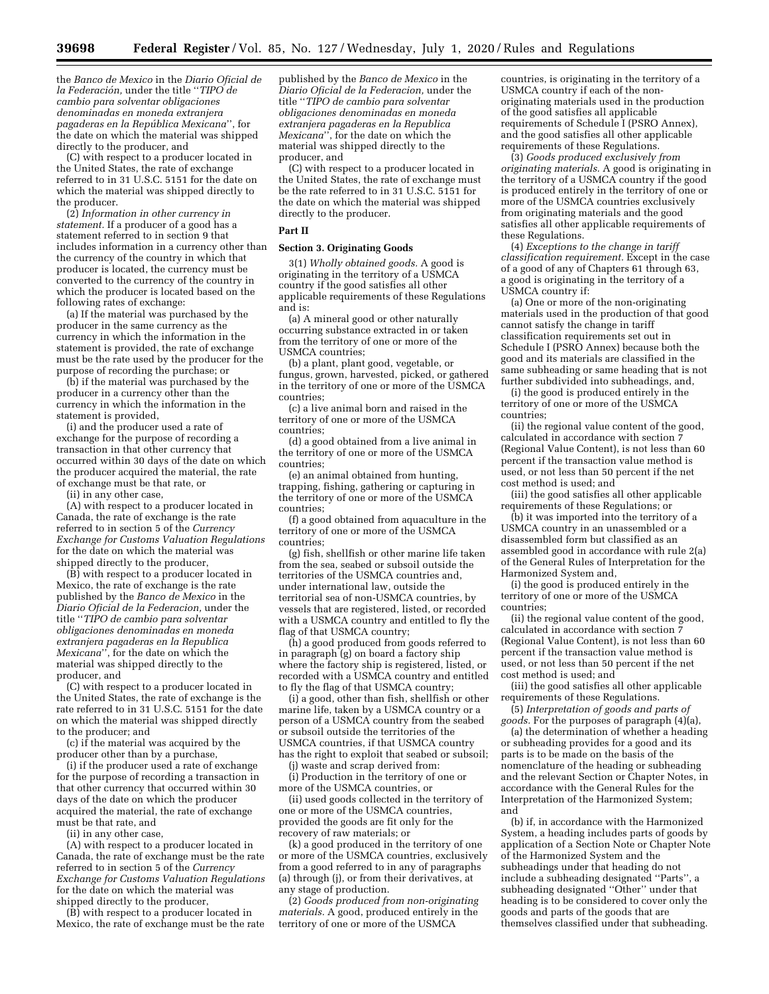the *Banco de Mexico* in the *Diario Oficial de la Federacio´n,* under the title ''*TIPO de cambio para solventar obligaciones denominadas en moneda extranjera pagaderas en la Repu´ blica Mexicana*'', for the date on which the material was shipped directly to the producer, and

(C) with respect to a producer located in the United States, the rate of exchange referred to in 31 U.S.C. 5151 for the date on which the material was shipped directly to the producer.

(2) *Information in other currency in statement.* If a producer of a good has a statement referred to in section 9 that includes information in a currency other than the currency of the country in which that producer is located, the currency must be converted to the currency of the country in which the producer is located based on the following rates of exchange:

(a) If the material was purchased by the producer in the same currency as the currency in which the information in the statement is provided, the rate of exchange must be the rate used by the producer for the purpose of recording the purchase; or

(b) if the material was purchased by the producer in a currency other than the currency in which the information in the statement is provided,

(i) and the producer used a rate of exchange for the purpose of recording a transaction in that other currency that occurred within 30 days of the date on which the producer acquired the material, the rate of exchange must be that rate, or

(ii) in any other case,

(A) with respect to a producer located in Canada, the rate of exchange is the rate referred to in section 5 of the *Currency Exchange for Customs Valuation Regulations*  for the date on which the material was shipped directly to the producer,

(B) with respect to a producer located in Mexico, the rate of exchange is the rate published by the *Banco de Mexico* in the *Diario Oficial de la Federacion,* under the title ''*TIPO de cambio para solventar obligaciones denominadas en moneda extranjera pagaderas en la Republica Mexicana*'', for the date on which the material was shipped directly to the producer, and

(C) with respect to a producer located in the United States, the rate of exchange is the rate referred to in 31 U.S.C. 5151 for the date on which the material was shipped directly to the producer; and

(c) if the material was acquired by the producer other than by a purchase,

(i) if the producer used a rate of exchange for the purpose of recording a transaction in that other currency that occurred within 30 days of the date on which the producer acquired the material, the rate of exchange must be that rate, and

(ii) in any other case,

(A) with respect to a producer located in Canada, the rate of exchange must be the rate referred to in section 5 of the *Currency Exchange for Customs Valuation Regulations*  for the date on which the material was shipped directly to the producer,

(B) with respect to a producer located in Mexico, the rate of exchange must be the rate

published by the *Banco de Mexico* in the *Diario Oficial de la Federacion,* under the title ''*TIPO de cambio para solventar obligaciones denominadas en moneda extranjera pagaderas en la Republica Mexicana*'', for the date on which the material was shipped directly to the producer, and

(C) with respect to a producer located in the United States, the rate of exchange must be the rate referred to in 31 U.S.C. 5151 for the date on which the material was shipped directly to the producer.

# **Part II**

## **Section 3. Originating Goods**

3(1) *Wholly obtained goods.* A good is originating in the territory of a USMCA country if the good satisfies all other applicable requirements of these Regulations and is:

(a) A mineral good or other naturally occurring substance extracted in or taken from the territory of one or more of the USMCA countries;

(b) a plant, plant good, vegetable, or fungus, grown, harvested, picked, or gathered in the territory of one or more of the USMCA countries;

(c) a live animal born and raised in the territory of one or more of the USMCA countries;

(d) a good obtained from a live animal in the territory of one or more of the USMCA countries;

(e) an animal obtained from hunting, trapping, fishing, gathering or capturing in the territory of one or more of the USMCA countries;

(f) a good obtained from aquaculture in the territory of one or more of the USMCA countries;

(g) fish, shellfish or other marine life taken from the sea, seabed or subsoil outside the territories of the USMCA countries and, under international law, outside the territorial sea of non-USMCA countries, by vessels that are registered, listed, or recorded with a USMCA country and entitled to fly the flag of that USMCA country;

(h) a good produced from goods referred to in paragraph (g) on board a factory ship where the factory ship is registered, listed, or recorded with a USMCA country and entitled to fly the flag of that USMCA country;

(i) a good, other than fish, shellfish or other marine life, taken by a USMCA country or a person of a USMCA country from the seabed or subsoil outside the territories of the USMCA countries, if that USMCA country has the right to exploit that seabed or subsoil;

(j) waste and scrap derived from:

(i) Production in the territory of one or more of the USMCA countries, or

(ii) used goods collected in the territory of one or more of the USMCA countries, provided the goods are fit only for the recovery of raw materials; or

(k) a good produced in the territory of one or more of the USMCA countries, exclusively from a good referred to in any of paragraphs (a) through (j), or from their derivatives, at any stage of production.

(2) *Goods produced from non-originating materials.* A good, produced entirely in the territory of one or more of the USMCA

countries, is originating in the territory of a USMCA country if each of the nonoriginating materials used in the production of the good satisfies all applicable requirements of Schedule I (PSRO Annex), and the good satisfies all other applicable requirements of these Regulations.

(3) *Goods produced exclusively from originating materials.* A good is originating in the territory of a USMCA country if the good is produced entirely in the territory of one or more of the USMCA countries exclusively from originating materials and the good satisfies all other applicable requirements of these Regulations.

(4) *Exceptions to the change in tariff classification requirement.* Except in the case of a good of any of Chapters 61 through 63, a good is originating in the territory of a USMCA country if:

(a) One or more of the non-originating materials used in the production of that good cannot satisfy the change in tariff classification requirements set out in Schedule I (PSRO Annex) because both the good and its materials are classified in the same subheading or same heading that is not further subdivided into subheadings, and,

(i) the good is produced entirely in the territory of one or more of the USMCA countries;

(ii) the regional value content of the good, calculated in accordance with section 7 (Regional Value Content), is not less than 60 percent if the transaction value method is used, or not less than 50 percent if the net cost method is used; and

(iii) the good satisfies all other applicable requirements of these Regulations; or

(b) it was imported into the territory of a USMCA country in an unassembled or a disassembled form but classified as an assembled good in accordance with rule 2(a) of the General Rules of Interpretation for the Harmonized System and,

(i) the good is produced entirely in the territory of one or more of the USMCA countries;

(ii) the regional value content of the good, calculated in accordance with section 7 (Regional Value Content), is not less than 60 percent if the transaction value method is used, or not less than 50 percent if the net cost method is used; and

(iii) the good satisfies all other applicable requirements of these Regulations.

(5) *Interpretation of goods and parts of goods.* For the purposes of paragraph (4)(a),

(a) the determination of whether a heading or subheading provides for a good and its parts is to be made on the basis of the nomenclature of the heading or subheading and the relevant Section or Chapter Notes, in accordance with the General Rules for the Interpretation of the Harmonized System; and

(b) if, in accordance with the Harmonized System, a heading includes parts of goods by application of a Section Note or Chapter Note of the Harmonized System and the subheadings under that heading do not include a subheading designated ''Parts'', a subheading designated ''Other'' under that heading is to be considered to cover only the goods and parts of the goods that are themselves classified under that subheading.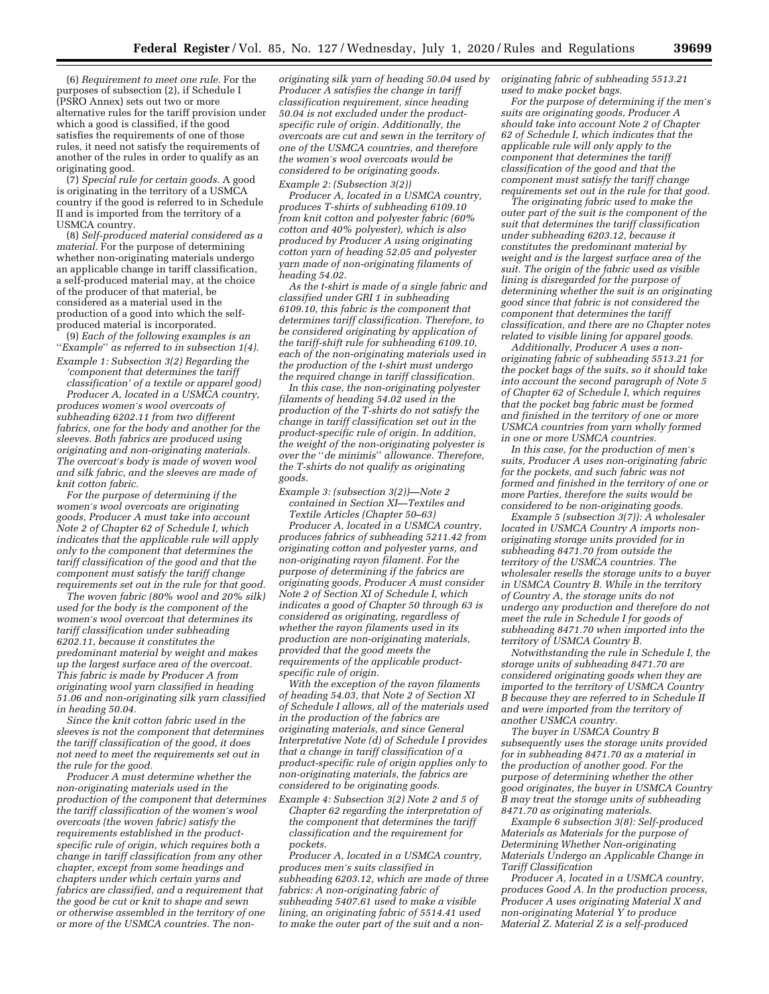(6) *Requirement to meet one rule.* For the purposes of subsection (2), if Schedule I (PSRO Annex) sets out two or more alternative rules for the tariff provision under which a good is classified, if the good satisfies the requirements of one of those rules, it need not satisfy the requirements of another of the rules in order to qualify as an originating good.

(7) *Special rule for certain goods.* A good is originating in the territory of a USMCA country if the good is referred to in Schedule II and is imported from the territory of a USMCA country.

(8) *Self-produced material considered as a material.* For the purpose of determining whether non-originating materials undergo an applicable change in tariff classification, a self-produced material may, at the choice of the producer of that material, be considered as a material used in the production of a good into which the selfproduced material is incorporated.

(9) *Each of the following examples is an*  ''*Example*'' *as referred to in subsection 1(4). Example 1: Subsection 3(2) Regarding the* 

*'component that determines the tariff classification' of a textile or apparel good)* 

*Producer A, located in a USMCA country, produces women*´*s wool overcoats of subheading 6202.11 from two different fabrics, one for the body and another for the sleeves. Both fabrics are produced using originating and non-originating materials. The overcoat*´*s body is made of woven wool and silk fabric, and the sleeves are made of knit cotton fabric.* 

*For the purpose of determining if the women*´*s wool overcoats are originating goods, Producer A must take into account Note 2 of Chapter 62 of Schedule I, which indicates that the applicable rule will apply only to the component that determines the tariff classification of the good and that the component must satisfy the tariff change requirements set out in the rule for that good.* 

*The woven fabric (80% wool and 20% silk) used for the body is the component of the women*´*s wool overcoat that determines its tariff classification under subheading 6202.11, because it constitutes the predominant material by weight and makes up the largest surface area of the overcoat. This fabric is made by Producer A from originating wool yarn classified in heading 51.06 and non-originating silk yarn classified in heading 50.04.* 

*Since the knit cotton fabric used in the sleeves is not the component that determines the tariff classification of the good, it does not need to meet the requirements set out in the rule for the good.* 

*Producer A must determine whether the non-originating materials used in the production of the component that determines the tariff classification of the women*´*s wool overcoats (the woven fabric) satisfy the requirements established in the productspecific rule of origin, which requires both a change in tariff classification from any other chapter, except from some headings and chapters under which certain yarns and fabrics are classified, and a requirement that the good be cut or knit to shape and sewn or otherwise assembled in the territory of one or more of the USMCA countries. The non-* *originating silk yarn of heading 50.04 used by Producer A satisfies the change in tariff classification requirement, since heading 50.04 is not excluded under the productspecific rule of origin. Additionally, the overcoats are cut and sewn in the territory of one of the USMCA countries, and therefore the women*´*s wool overcoats would be considered to be originating goods. Example 2: (Subsection 3(2))* 

*Producer A, located in a USMCA country, produces T-shirts of subheading 6109.10 from knit cotton and polyester fabric (60% cotton and 40% polyester), which is also produced by Producer A using originating cotton yarn of heading 52.05 and polyester yarn made of non-originating filaments of heading 54.02.* 

*As the t-shirt is made of a single fabric and classified under GRI 1 in subheading 6109.10, this fabric is the component that determines tariff classification. Therefore, to be considered originating by application of the tariff-shift rule for subheading 6109.10, each of the non-originating materials used in the production of the t-shirt must undergo the required change in tariff classification.* 

*In this case, the non-originating polyester filaments of heading 54.02 used in the production of the T-shirts do not satisfy the change in tariff classification set out in the product-specific rule of origin. In addition, the weight of the non-originating polyester is over the* ''*de minimis*'' *allowance. Therefore, the T-shirts do not qualify as originating goods.* 

*Example 3: (subsection 3(2))—Note 2 contained in Section XI—Textiles and Textile Articles (Chapter 50–63)* 

*Producer A, located in a USMCA country, produces fabrics of subheading 5211.42 from originating cotton and polyester yarns, and non-originating rayon filament. For the purpose of determining if the fabrics are originating goods, Producer A must consider Note 2 of Section XI of Schedule I, which indicates a good of Chapter 50 through 63 is considered as originating, regardless of whether the rayon filaments used in its production are non-originating materials, provided that the good meets the requirements of the applicable productspecific rule of origin.* 

*With the exception of the rayon filaments of heading 54.03, that Note 2 of Section XI of Schedule I allows, all of the materials used in the production of the fabrics are originating materials, and since General Interpretative Note (d) of Schedule I provides that a change in tariff classification of a product-specific rule of origin applies only to non-originating materials, the fabrics are considered to be originating goods.* 

*Example 4: Subsection 3(2) Note 2 and 5 of Chapter 62 regarding the interpretation of the component that determines the tariff classification and the requirement for pockets.* 

*Producer A, located in a USMCA country, produces men*´*s suits classified in subheading 6203.12, which are made of three fabrics: A non-originating fabric of subheading 5407.61 used to make a visible lining, an originating fabric of 5514.41 used to make the outer part of the suit and a non-* *originating fabric of subheading 5513.21 used to make pocket bags.* 

*For the purpose of determining if the men*´*s suits are originating goods, Producer A should take into account Note 2 of Chapter 62 of Schedule I, which indicates that the applicable rule will only apply to the component that determines the tariff classification of the good and that the component must satisfy the tariff change requirements set out in the rule for that good.* 

*The originating fabric used to make the outer part of the suit is the component of the suit that determines the tariff classification under subheading 6203.12, because it constitutes the predominant material by weight and is the largest surface area of the suit. The origin of the fabric used as visible lining is disregarded for the purpose of determining whether the suit is an originating good since that fabric is not considered the component that determines the tariff classification, and there are no Chapter notes related to visible lining for apparel goods.* 

*Additionally, Producer A uses a nonoriginating fabric of subheading 5513.21 for the pocket bags of the suits, so it should take into account the second paragraph of Note 5 of Chapter 62 of Schedule I, which requires that the pocket bag fabric must be formed and finished in the territory of one or more USMCA countries from yarn wholly formed in one or more USMCA countries.* 

*In this case, for the production of men*´*s suits, Producer A uses non-originating fabric for the pockets, and such fabric was not formed and finished in the territory of one or more Parties, therefore the suits would be considered to be non-originating goods.* 

*Example 5 (subsection 3(7)): A wholesaler located in USMCA Country A imports nonoriginating storage units provided for in subheading 8471.70 from outside the territory of the USMCA countries. The wholesaler resells the storage units to a buyer in USMCA Country B. While in the territory of Country A, the storage units do not undergo any production and therefore do not meet the rule in Schedule I for goods of subheading 8471.70 when imported into the territory of USMCA Country B.* 

*Notwithstanding the rule in Schedule I, the storage units of subheading 8471.70 are considered originating goods when they are imported to the territory of USMCA Country B because they are referred to in Schedule II and were imported from the territory of another USMCA country.* 

*The buyer in USMCA Country B subsequently uses the storage units provided for in subheading 8471.70 as a material in the production of another good. For the purpose of determining whether the other good originates, the buyer in USMCA Country B may treat the storage units of subheading 8471.70 as originating materials.* 

*Example 6 subsection 3(8): Self-produced Materials as Materials for the purpose of Determining Whether Non-originating Materials Undergo an Applicable Change in Tariff Classification* 

*Producer A, located in a USMCA country, produces Good A. In the production process, Producer A uses originating Material X and non-originating Material Y to produce Material Z. Material Z is a self-produced*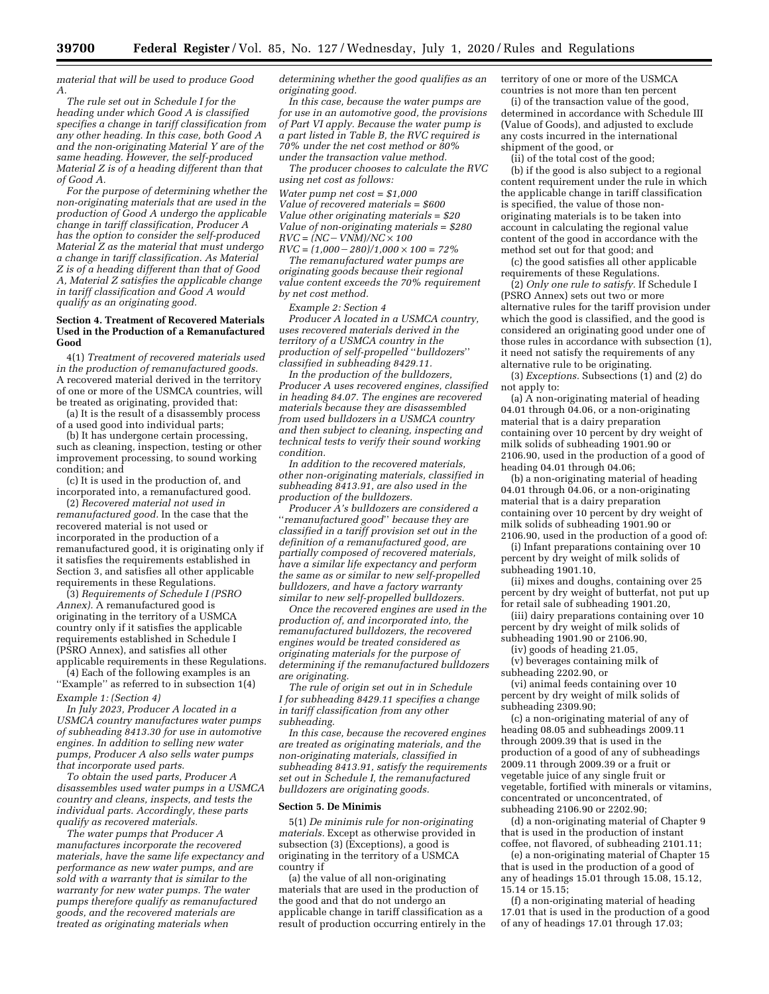*material that will be used to produce Good A.* 

*The rule set out in Schedule I for the heading under which Good A is classified specifies a change in tariff classification from any other heading. In this case, both Good A and the non-originating Material Y are of the same heading. However, the self-produced Material Z is of a heading different than that of Good A.* 

*For the purpose of determining whether the non-originating materials that are used in the production of Good A undergo the applicable change in tariff classification, Producer A has the option to consider the self-produced Material Z as the material that must undergo a change in tariff classification. As Material Z is of a heading different than that of Good A, Material Z satisfies the applicable change in tariff classification and Good A would qualify as an originating good.* 

## **Section 4. Treatment of Recovered Materials Used in the Production of a Remanufactured Good**

4(1) *Treatment of recovered materials used in the production of remanufactured goods.*  A recovered material derived in the territory of one or more of the USMCA countries, will be treated as originating, provided that:

(a) It is the result of a disassembly process of a used good into individual parts;

(b) It has undergone certain processing, such as cleaning, inspection, testing or other improvement processing, to sound working condition; and

(c) It is used in the production of, and incorporated into, a remanufactured good.

(2) *Recovered material not used in remanufactured good.* In the case that the recovered material is not used or incorporated in the production of a remanufactured good, it is originating only if it satisfies the requirements established in Section 3, and satisfies all other applicable requirements in these Regulations.

(3) *Requirements of Schedule I (PSRO Annex).* A remanufactured good is originating in the territory of a USMCA country only if it satisfies the applicable requirements established in Schedule I (PSRO Annex), and satisfies all other applicable requirements in these Regulations.

(4) Each of the following examples is an ''Example'' as referred to in subsection 1(4) *Example 1: (Section 4)* 

*In July 2023, Producer A located in a USMCA country manufactures water pumps of subheading 8413.30 for use in automotive engines. In addition to selling new water pumps, Producer A also sells water pumps that incorporate used parts.* 

*To obtain the used parts, Producer A disassembles used water pumps in a USMCA country and cleans, inspects, and tests the individual parts. Accordingly, these parts qualify as recovered materials.* 

*The water pumps that Producer A manufactures incorporate the recovered materials, have the same life expectancy and performance as new water pumps, and are sold with a warranty that is similar to the warranty for new water pumps. The water pumps therefore qualify as remanufactured goods, and the recovered materials are treated as originating materials when* 

*determining whether the good qualifies as an originating good.* 

*In this case, because the water pumps are for use in an automotive good, the provisions of Part VI apply. Because the water pump is a part listed in Table B, the RVC required is 70% under the net cost method or 80% under the transaction value method.* 

*The producer chooses to calculate the RVC using net cost as follows:* 

*Water pump net cost = \$1,000 Value of recovered materials = \$600 Value other originating materials = \$20 Value of non-originating materials = \$280*   $RVC = (NC - VNM)/NC \times 100$  $RVC = (1,000 - 280)/1,000 \times 100 = 72\%$ 

*The remanufactured water pumps are originating goods because their regional value content exceeds the 70% requirement by net cost method.* 

*Example 2: Section 4* 

*Producer A located in a USMCA country, uses recovered materials derived in the territory of a USMCA country in the production of self-propelled* ''*bulldozers*'' *classified in subheading 8429.11.* 

*In the production of the bulldozers, Producer A uses recovered engines, classified in heading 84.07. The engines are recovered materials because they are disassembled from used bulldozers in a USMCA country and then subject to cleaning, inspecting and technical tests to verify their sound working condition.* 

*In addition to the recovered materials, other non-originating materials, classified in subheading 8413.91, are also used in the production of the bulldozers.* 

*Producer A's bulldozers are considered a*  ''*remanufactured good*'' *because they are classified in a tariff provision set out in the definition of a remanufactured good, are partially composed of recovered materials, have a similar life expectancy and perform the same as or similar to new self-propelled bulldozers, and have a factory warranty similar to new self-propelled bulldozers.* 

*Once the recovered engines are used in the production of, and incorporated into, the remanufactured bulldozers, the recovered engines would be treated considered as originating materials for the purpose of determining if the remanufactured bulldozers are originating.* 

*The rule of origin set out in in Schedule I for subheading 8429.11 specifies a change in tariff classification from any other subheading.* 

*In this case, because the recovered engines are treated as originating materials, and the non-originating materials, classified in subheading 8413.91, satisfy the requirements set out in Schedule I, the remanufactured bulldozers are originating goods.* 

#### **Section 5. De Minimis**

5(1) *De minimis rule for non-originating materials.* Except as otherwise provided in subsection (3) (Exceptions), a good is originating in the territory of a USMCA country if

(a) the value of all non-originating materials that are used in the production of the good and that do not undergo an applicable change in tariff classification as a result of production occurring entirely in the territory of one or more of the USMCA countries is not more than ten percent

(i) of the transaction value of the good, determined in accordance with Schedule III (Value of Goods), and adjusted to exclude any costs incurred in the international shipment of the good, or

(ii) of the total cost of the good;

(b) if the good is also subject to a regional content requirement under the rule in which the applicable change in tariff classification is specified, the value of those nonoriginating materials is to be taken into account in calculating the regional value content of the good in accordance with the method set out for that good; and

(c) the good satisfies all other applicable requirements of these Regulations.

(2) *Only one rule to satisfy.* If Schedule I (PSRO Annex) sets out two or more alternative rules for the tariff provision under which the good is classified, and the good is considered an originating good under one of those rules in accordance with subsection (1), it need not satisfy the requirements of any alternative rule to be originating.

(3) *Exceptions.* Subsections (1) and (2) do not apply to:

(a) A non-originating material of heading 04.01 through 04.06, or a non-originating material that is a dairy preparation containing over 10 percent by dry weight of milk solids of subheading 1901.90 or 2106.90, used in the production of a good of heading 04.01 through 04.06;

(b) a non-originating material of heading 04.01 through 04.06, or a non-originating material that is a dairy preparation containing over 10 percent by dry weight of milk solids of subheading 1901.90 or 2106.90, used in the production of a good of:

(i) Infant preparations containing over 10 percent by dry weight of milk solids of subheading 1901.10,

(ii) mixes and doughs, containing over 25 percent by dry weight of butterfat, not put up for retail sale of subheading 1901.20,

(iii) dairy preparations containing over 10 percent by dry weight of milk solids of subheading 1901.90 or 2106.90,

(iv) goods of heading 21.05,

(v) beverages containing milk of subheading 2202.90, or

(vi) animal feeds containing over 10 percent by dry weight of milk solids of subheading 2309.90;

(c) a non-originating material of any of heading 08.05 and subheadings 2009.11 through 2009.39 that is used in the production of a good of any of subheadings 2009.11 through 2009.39 or a fruit or vegetable juice of any single fruit or vegetable, fortified with minerals or vitamins, concentrated or unconcentrated, of subheading 2106.90 or 2202.90;

(d) a non-originating material of Chapter 9 that is used in the production of instant coffee, not flavored, of subheading 2101.11;

(e) a non-originating material of Chapter 15 that is used in the production of a good of any of headings 15.01 through 15.08, 15.12, 15.14 or 15.15;

(f) a non-originating material of heading 17.01 that is used in the production of a good of any of headings 17.01 through 17.03;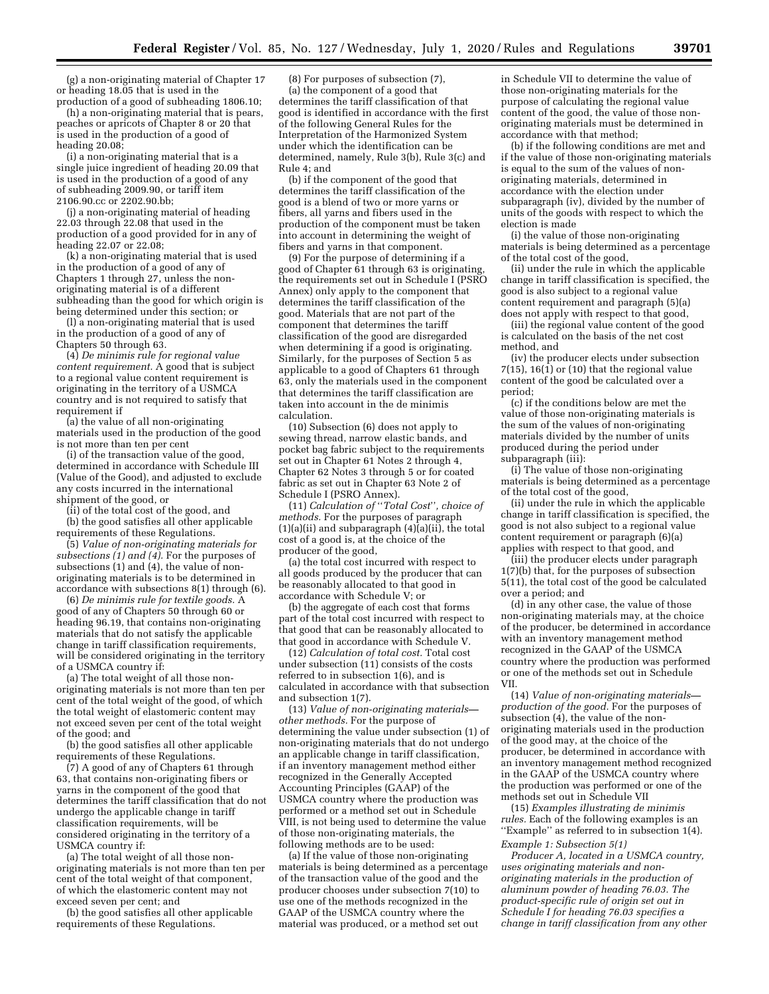(g) a non-originating material of Chapter 17 or heading 18.05 that is used in the production of a good of subheading 1806.10;

(h) a non-originating material that is pears, peaches or apricots of Chapter 8 or 20 that is used in the production of a good of heading 20.08;

(i) a non-originating material that is a single juice ingredient of heading 20.09 that is used in the production of a good of any of subheading 2009.90, or tariff item 2106.90.cc or 2202.90.bb;

(j) a non-originating material of heading 22.03 through 22.08 that used in the production of a good provided for in any of heading 22.07 or 22.08;

(k) a non-originating material that is used in the production of a good of any of Chapters 1 through 27, unless the nonoriginating material is of a different subheading than the good for which origin is being determined under this section; or

(l) a non-originating material that is used in the production of a good of any of Chapters 50 through 63.

(4) *De minimis rule for regional value content requirement.* A good that is subject to a regional value content requirement is originating in the territory of a USMCA country and is not required to satisfy that requirement if

(a) the value of all non-originating materials used in the production of the good is not more than ten per cent

(i) of the transaction value of the good, determined in accordance with Schedule III (Value of the Good), and adjusted to exclude any costs incurred in the international shipment of the good, or

(ii) of the total cost of the good, and (b) the good satisfies all other applicable requirements of these Regulations.

(5) *Value of non-originating materials for subsections (1) and (4).* For the purposes of subsections (1) and (4), the value of nonoriginating materials is to be determined in accordance with subsections 8(1) through (6).

(6) *De minimis rule for textile goods.* A good of any of Chapters 50 through 60 or heading 96.19, that contains non-originating materials that do not satisfy the applicable change in tariff classification requirements, will be considered originating in the territory of a USMCA country if:

(a) The total weight of all those nonoriginating materials is not more than ten per cent of the total weight of the good, of which the total weight of elastomeric content may not exceed seven per cent of the total weight of the good; and

(b) the good satisfies all other applicable requirements of these Regulations.

(7) A good of any of Chapters 61 through 63, that contains non-originating fibers or yarns in the component of the good that determines the tariff classification that do not undergo the applicable change in tariff classification requirements, will be considered originating in the territory of a USMCA country if:

(a) The total weight of all those nonoriginating materials is not more than ten per cent of the total weight of that component, of which the elastomeric content may not exceed seven per cent; and

(b) the good satisfies all other applicable requirements of these Regulations.

(8) For purposes of subsection (7), (a) the component of a good that determines the tariff classification of that good is identified in accordance with the first of the following General Rules for the Interpretation of the Harmonized System under which the identification can be determined, namely, Rule 3(b), Rule 3(c) and Rule 4; and

(b) if the component of the good that determines the tariff classification of the good is a blend of two or more yarns or fibers, all yarns and fibers used in the production of the component must be taken into account in determining the weight of fibers and yarns in that component.

(9) For the purpose of determining if a good of Chapter 61 through 63 is originating, the requirements set out in Schedule I (PSRO Annex) only apply to the component that determines the tariff classification of the good. Materials that are not part of the component that determines the tariff classification of the good are disregarded when determining if a good is originating. Similarly, for the purposes of Section 5 as applicable to a good of Chapters 61 through 63, only the materials used in the component that determines the tariff classification are taken into account in the de minimis calculation.

(10) Subsection (6) does not apply to sewing thread, narrow elastic bands, and pocket bag fabric subject to the requirements set out in Chapter 61 Notes 2 through 4, Chapter 62 Notes 3 through 5 or for coated fabric as set out in Chapter 63 Note 2 of Schedule I (PSRO Annex).

(11) *Calculation of* ''*Total Cost*''*, choice of methods.* For the purposes of paragraph (1)(a)(ii) and subparagraph (4)(a)(ii), the total cost of a good is, at the choice of the producer of the good,

(a) the total cost incurred with respect to all goods produced by the producer that can be reasonably allocated to that good in accordance with Schedule V; or

(b) the aggregate of each cost that forms part of the total cost incurred with respect to that good that can be reasonably allocated to that good in accordance with Schedule V.

(12) *Calculation of total cost.* Total cost under subsection (11) consists of the costs referred to in subsection 1(6), and is calculated in accordance with that subsection and subsection 1(7).

(13) *Value of non-originating materials other methods.* For the purpose of determining the value under subsection (1) of non-originating materials that do not undergo an applicable change in tariff classification, if an inventory management method either recognized in the Generally Accepted Accounting Principles (GAAP) of the USMCA country where the production was performed or a method set out in Schedule VIII, is not being used to determine the value of those non-originating materials, the following methods are to be used:

(a) If the value of those non-originating materials is being determined as a percentage of the transaction value of the good and the producer chooses under subsection 7(10) to use one of the methods recognized in the GAAP of the USMCA country where the material was produced, or a method set out

in Schedule VII to determine the value of those non-originating materials for the purpose of calculating the regional value content of the good, the value of those nonoriginating materials must be determined in accordance with that method;

(b) if the following conditions are met and if the value of those non-originating materials is equal to the sum of the values of nonoriginating materials, determined in accordance with the election under subparagraph (iv), divided by the number of units of the goods with respect to which the election is made

(i) the value of those non-originating materials is being determined as a percentage of the total cost of the good,

(ii) under the rule in which the applicable change in tariff classification is specified, the good is also subject to a regional value content requirement and paragraph (5)(a) does not apply with respect to that good,

(iii) the regional value content of the good is calculated on the basis of the net cost method, and

(iv) the producer elects under subsection 7(15), 16(1) or (10) that the regional value content of the good be calculated over a period;

(c) if the conditions below are met the value of those non-originating materials is the sum of the values of non-originating materials divided by the number of units produced during the period under subparagraph (iii):

(i) The value of those non-originating materials is being determined as a percentage of the total cost of the good,

(ii) under the rule in which the applicable change in tariff classification is specified, the good is not also subject to a regional value content requirement or paragraph (6)(a) applies with respect to that good, and

(iii) the producer elects under paragraph 1(7)(b) that, for the purposes of subsection 5(11), the total cost of the good be calculated over a period; and

(d) in any other case, the value of those non-originating materials may, at the choice of the producer, be determined in accordance with an inventory management method recognized in the GAAP of the USMCA country where the production was performed or one of the methods set out in Schedule VII.

(14) *Value of non-originating materials production of the good.* For the purposes of subsection (4), the value of the nonoriginating materials used in the production of the good may, at the choice of the producer, be determined in accordance with an inventory management method recognized in the GAAP of the USMCA country where the production was performed or one of the methods set out in Schedule VII

(15) *Examples illustrating de minimis rules.* Each of the following examples is an ''Example'' as referred to in subsection 1(4). *Example 1: Subsection 5(1)* 

*Producer A, located in a USMCA country, uses originating materials and nonoriginating materials in the production of aluminum powder of heading 76.03. The product-specific rule of origin set out in Schedule I for heading 76.03 specifies a change in tariff classification from any other*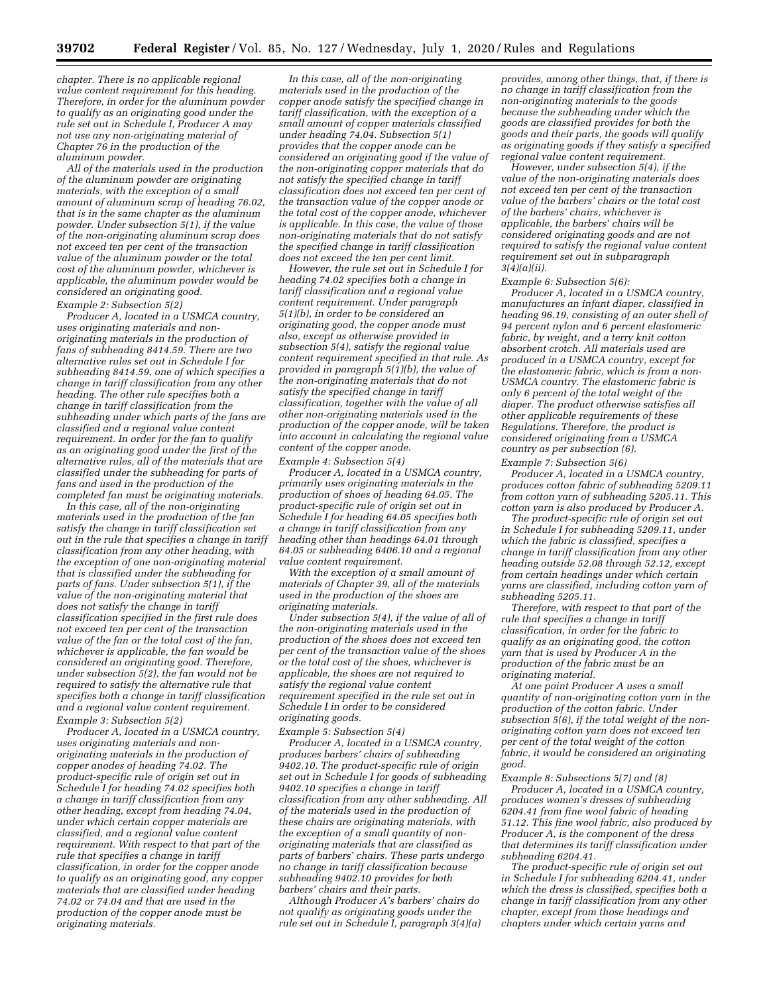*chapter. There is no applicable regional value content requirement for this heading. Therefore, in order for the aluminum powder to qualify as an originating good under the rule set out in Schedule I, Producer A may not use any non-originating material of Chapter 76 in the production of the aluminum powder.* 

*All of the materials used in the production of the aluminum powder are originating materials, with the exception of a small amount of aluminum scrap of heading 76.02, that is in the same chapter as the aluminum powder. Under subsection 5(1), if the value of the non-originating aluminum scrap does not exceed ten per cent of the transaction value of the aluminum powder or the total cost of the aluminum powder, whichever is applicable, the aluminum powder would be considered an originating good.* 

# *Example 2: Subsection 5(2)*

*Producer A, located in a USMCA country, uses originating materials and nonoriginating materials in the production of fans of subheading 8414.59. There are two alternative rules set out in Schedule I for subheading 8414.59, one of which specifies a change in tariff classification from any other heading. The other rule specifies both a change in tariff classification from the subheading under which parts of the fans are classified and a regional value content requirement. In order for the fan to qualify as an originating good under the first of the alternative rules, all of the materials that are classified under the subheading for parts of fans and used in the production of the completed fan must be originating materials.* 

*In this case, all of the non-originating materials used in the production of the fan satisfy the change in tariff classification set out in the rule that specifies a change in tariff classification from any other heading, with the exception of one non-originating material that is classified under the subheading for parts of fans. Under subsection 5(1), if the value of the non-originating material that does not satisfy the change in tariff classification specified in the first rule does not exceed ten per cent of the transaction value of the fan or the total cost of the fan, whichever is applicable, the fan would be considered an originating good. Therefore, under subsection 5(2), the fan would not be required to satisfy the alternative rule that specifies both a change in tariff classification and a regional value content requirement. Example 3: Subsection 5(2)* 

*Producer A, located in a USMCA country, uses originating materials and nonoriginating materials in the production of copper anodes of heading 74.02. The product-specific rule of origin set out in Schedule I for heading 74.02 specifies both a change in tariff classification from any other heading, except from heading 74.04, under which certain copper materials are classified, and a regional value content requirement. With respect to that part of the rule that specifies a change in tariff classification, in order for the copper anode to qualify as an originating good, any copper materials that are classified under heading 74.02 or 74.04 and that are used in the production of the copper anode must be originating materials.* 

*In this case, all of the non-originating materials used in the production of the copper anode satisfy the specified change in tariff classification, with the exception of a small amount of copper materials classified under heading 74.04. Subsection 5(1) provides that the copper anode can be considered an originating good if the value of the non-originating copper materials that do not satisfy the specified change in tariff classification does not exceed ten per cent of the transaction value of the copper anode or the total cost of the copper anode, whichever is applicable. In this case, the value of those non-originating materials that do not satisfy the specified change in tariff classification does not exceed the ten per cent limit.* 

*However, the rule set out in Schedule I for heading 74.02 specifies both a change in tariff classification and a regional value content requirement. Under paragraph 5(1)(b), in order to be considered an originating good, the copper anode must also, except as otherwise provided in subsection 5(4), satisfy the regional value content requirement specified in that rule. As provided in paragraph 5(1)(b), the value of the non-originating materials that do not satisfy the specified change in tariff classification, together with the value of all other non-originating materials used in the production of the copper anode, will be taken into account in calculating the regional value content of the copper anode.* 

*Example 4: Subsection 5(4) Producer A, located in a USMCA country, primarily uses originating materials in the production of shoes of heading 64.05. The product-specific rule of origin set out in Schedule I for heading 64.05 specifies both a change in tariff classification from any heading other than headings 64.01 through 64.05 or subheading 6406.10 and a regional value content requirement.* 

*With the exception of a small amount of materials of Chapter 39, all of the materials used in the production of the shoes are originating materials.* 

*Under subsection 5(4), if the value of all of the non-originating materials used in the production of the shoes does not exceed ten per cent of the transaction value of the shoes or the total cost of the shoes, whichever is applicable, the shoes are not required to satisfy the regional value content requirement specified in the rule set out in Schedule I in order to be considered originating goods.* 

# *Example 5: Subsection 5(4)*

*Producer A, located in a USMCA country, produces barbers' chairs of subheading 9402.10. The product-specific rule of origin set out in Schedule I for goods of subheading 9402.10 specifies a change in tariff classification from any other subheading. All of the materials used in the production of these chairs are originating materials, with the exception of a small quantity of nonoriginating materials that are classified as parts of barbers' chairs. These parts undergo no change in tariff classification because subheading 9402.10 provides for both barbers' chairs and their parts.* 

*Although Producer A's barbers' chairs do not qualify as originating goods under the rule set out in Schedule I, paragraph 3(4)(a)* 

*provides, among other things, that, if there is no change in tariff classification from the non-originating materials to the goods because the subheading under which the goods are classified provides for both the goods and their parts, the goods will qualify as originating goods if they satisfy a specified regional value content requirement.* 

*However, under subsection 5(4), if the value of the non-originating materials does not exceed ten per cent of the transaction value of the barbers' chairs or the total cost of the barbers' chairs, whichever is applicable, the barbers' chairs will be considered originating goods and are not required to satisfy the regional value content requirement set out in subparagraph 3(4)(a)(ii).* 

#### *Example 6: Subsection 5(6):*

*Producer A, located in a USMCA country, manufactures an infant diaper, classified in heading 96.19, consisting of an outer shell of 94 percent nylon and 6 percent elastomeric fabric, by weight, and a terry knit cotton absorbent crotch. All materials used are produced in a USMCA country, except for the elastomeric fabric, which is from a non-USMCA country. The elastomeric fabric is only 6 percent of the total weight of the diaper. The product otherwise satisfies all other applicable requirements of these Regulations. Therefore, the product is considered originating from a USMCA country as per subsection (6).* 

*Example 7: Subsection 5(6)* 

*Producer A, located in a USMCA country, produces cotton fabric of subheading 5209.11 from cotton yarn of subheading 5205.11. This cotton yarn is also produced by Producer A.* 

*The product-specific rule of origin set out in Schedule I for subheading 5209.11, under which the fabric is classified, specifies a change in tariff classification from any other heading outside 52.08 through 52.12, except from certain headings under which certain yarns are classified, including cotton yarn of subheading 5205.11.* 

*Therefore, with respect to that part of the rule that specifies a change in tariff classification, in order for the fabric to qualify as an originating good, the cotton yarn that is used by Producer A in the production of the fabric must be an originating material.* 

*At one point Producer A uses a small quantity of non-originating cotton yarn in the production of the cotton fabric. Under subsection 5(6), if the total weight of the nonoriginating cotton yarn does not exceed ten per cent of the total weight of the cotton fabric, it would be considered an originating good.* 

*Example 8: Subsections 5(7) and (8) Producer A, located in a USMCA country, produces women's dresses of subheading 6204.41 from fine wool fabric of heading 51.12. This fine wool fabric, also produced by Producer A, is the component of the dress that determines its tariff classification under subheading 6204.41.* 

*The product-specific rule of origin set out in Schedule I for subheading 6204.41, under which the dress is classified, specifies both a change in tariff classification from any other chapter, except from those headings and chapters under which certain yarns and*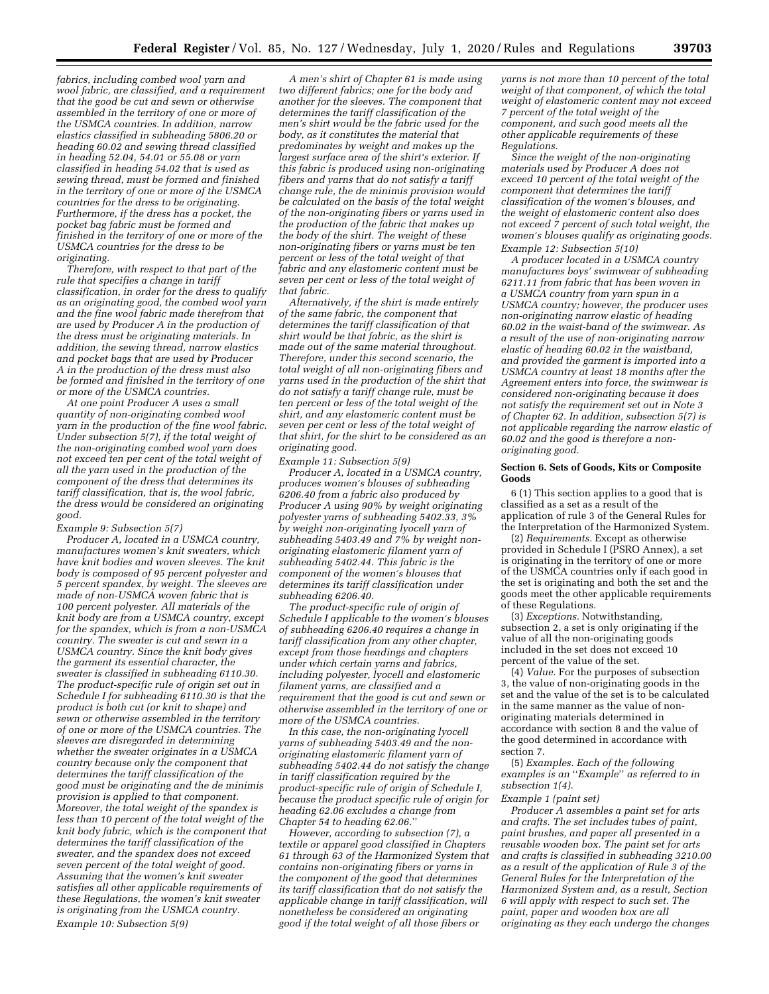*fabrics, including combed wool yarn and wool fabric, are classified, and a requirement that the good be cut and sewn or otherwise assembled in the territory of one or more of the USMCA countries. In addition, narrow elastics classified in subheading 5806.20 or heading 60.02 and sewing thread classified in heading 52.04, 54.01 or 55.08 or yarn classified in heading 54.02 that is used as sewing thread, must be formed and finished in the territory of one or more of the USMCA countries for the dress to be originating. Furthermore, if the dress has a pocket, the pocket bag fabric must be formed and finished in the territory of one or more of the USMCA countries for the dress to be originating.* 

*Therefore, with respect to that part of the rule that specifies a change in tariff classification, in order for the dress to qualify as an originating good, the combed wool yarn and the fine wool fabric made therefrom that are used by Producer A in the production of the dress must be originating materials. In addition, the sewing thread, narrow elastics and pocket bags that are used by Producer A in the production of the dress must also be formed and finished in the territory of one or more of the USMCA countries.* 

*At one point Producer A uses a small quantity of non-originating combed wool yarn in the production of the fine wool fabric. Under subsection 5(7), if the total weight of the non-originating combed wool yarn does not exceed ten per cent of the total weight of all the yarn used in the production of the component of the dress that determines its tariff classification, that is, the wool fabric, the dress would be considered an originating good.* 

#### *Example 9: Subsection 5(7)*

*Producer A, located in a USMCA country, manufactures women's knit sweaters, which have knit bodies and woven sleeves. The knit body is composed of 95 percent polyester and 5 percent spandex, by weight. The sleeves are made of non-USMCA woven fabric that is 100 percent polyester. All materials of the knit body are from a USMCA country, except for the spandex, which is from a non-USMCA country. The sweater is cut and sewn in a USMCA country. Since the knit body gives the garment its essential character, the sweater is classified in subheading 6110.30. The product-specific rule of origin set out in Schedule I for subheading 6110.30 is that the product is both cut (or knit to shape) and sewn or otherwise assembled in the territory of one or more of the USMCA countries. The sleeves are disregarded in determining whether the sweater originates in a USMCA country because only the component that determines the tariff classification of the good must be originating and the de minimis provision is applied to that component. Moreover, the total weight of the spandex is less than 10 percent of the total weight of the knit body fabric, which is the component that determines the tariff classification of the sweater, and the spandex does not exceed seven percent of the total weight of good. Assuming that the women's knit sweater satisfies all other applicable requirements of these Regulations, the women's knit sweater is originating from the USMCA country. Example 10: Subsection 5(9)* 

*A men's shirt of Chapter 61 is made using two different fabrics; one for the body and another for the sleeves. The component that determines the tariff classification of the men's shirt would be the fabric used for the body, as it constitutes the material that predominates by weight and makes up the largest surface area of the shirt's exterior. If this fabric is produced using non-originating fibers and yarns that do not satisfy a tariff change rule, the de minimis provision would be calculated on the basis of the total weight of the non-originating fibers or yarns used in the production of the fabric that makes up the body of the shirt. The weight of these non-originating fibers or yarns must be ten percent or less of the total weight of that fabric and any elastomeric content must be seven per cent or less of the total weight of that fabric.* 

*Alternatively, if the shirt is made entirely of the same fabric, the component that determines the tariff classification of that shirt would be that fabric, as the shirt is made out of the same material throughout. Therefore, under this second scenario, the total weight of all non-originating fibers and yarns used in the production of the shirt that do not satisfy a tariff change rule, must be ten percent or less of the total weight of the shirt, and any elastomeric content must be seven per cent or less of the total weight of that shirt, for the shirt to be considered as an originating good.* 

*Example 11: Subsection 5(9) Producer A, located in a USMCA country, produces women*´*s blouses of subheading 6206.40 from a fabric also produced by Producer A using 90% by weight originating polyester yarns of subheading 5402.33, 3% by weight non-originating lyocell yarn of subheading 5403.49 and 7% by weight nonoriginating elastomeric filament yarn of subheading 5402.44. This fabric is the component of the women*´*s blouses that determines its tariff classification under subheading 6206.40.* 

*The product-specific rule of origin of Schedule I applicable to the women*´*s blouses of subheading 6206.40 requires a change in tariff classification from any other chapter, except from those headings and chapters under which certain yarns and fabrics, including polyester, lyocell and elastomeric filament yarns, are classified and a requirement that the good is cut and sewn or otherwise assembled in the territory of one or more of the USMCA countries.* 

*In this case, the non-originating lyocell yarns of subheading 5403.49 and the nonoriginating elastomeric filament yarn of subheading 5402.44 do not satisfy the change in tariff classification required by the product-specific rule of origin of Schedule I, because the product specific rule of origin for heading 62.06 excludes a change from Chapter 54 to heading 62.06.*''

*However, according to subsection (7), a textile or apparel good classified in Chapters 61 through 63 of the Harmonized System that contains non-originating fibers or yarns in the component of the good that determines its tariff classification that do not satisfy the applicable change in tariff classification, will nonetheless be considered an originating good if the total weight of all those fibers or* 

*yarns is not more than 10 percent of the total weight of that component, of which the total weight of elastomeric content may not exceed 7 percent of the total weight of the component, and such good meets all the other applicable requirements of these Regulations.* 

*Since the weight of the non-originating materials used by Producer A does not exceed 10 percent of the total weight of the component that determines the tariff classification of the women*´*s blouses, and the weight of elastomeric content also does not exceed 7 percent of such total weight, the women*´*s blouses qualify as originating goods. Example 12: Subsection 5(10)* 

*A producer located in a USMCA country manufactures boys' swimwear of subheading 6211.11 from fabric that has been woven in a USMCA country from yarn spun in a USMCA country; however, the producer uses non-originating narrow elastic of heading 60.02 in the waist-band of the swimwear. As a result of the use of non-originating narrow elastic of heading 60.02 in the waistband, and provided the garment is imported into a USMCA country at least 18 months after the Agreement enters into force, the swimwear is considered non-originating because it does not satisfy the requirement set out in Note 3 of Chapter 62. In addition, subsection 5(7) is not applicable regarding the narrow elastic of 60.02 and the good is therefore a nonoriginating good.* 

## **Section 6. Sets of Goods, Kits or Composite Goods**

6 (1) This section applies to a good that is classified as a set as a result of the application of rule 3 of the General Rules for the Interpretation of the Harmonized System.

(2) *Requirements.* Except as otherwise provided in Schedule I (PSRO Annex), a set is originating in the territory of one or more of the USMCA countries only if each good in the set is originating and both the set and the goods meet the other applicable requirements of these Regulations.

(3) *Exceptions.* Notwithstanding, subsection 2, a set is only originating if the value of all the non-originating goods included in the set does not exceed 10 percent of the value of the set.

(4) *Value.* For the purposes of subsection 3, the value of non-originating goods in the set and the value of the set is to be calculated in the same manner as the value of nonoriginating materials determined in accordance with section 8 and the value of the good determined in accordance with section 7.

(5) *Examples. Each of the following examples is an* ''*Example*'' *as referred to in subsection 1(4).* 

# *Example 1 (paint set)*

*Producer A assembles a paint set for arts and crafts. The set includes tubes of paint, paint brushes, and paper all presented in a reusable wooden box. The paint set for arts and crafts is classified in subheading 3210.00 as a result of the application of Rule 3 of the General Rules for the Interpretation of the Harmonized System and, as a result, Section 6 will apply with respect to such set. The paint, paper and wooden box are all originating as they each undergo the changes*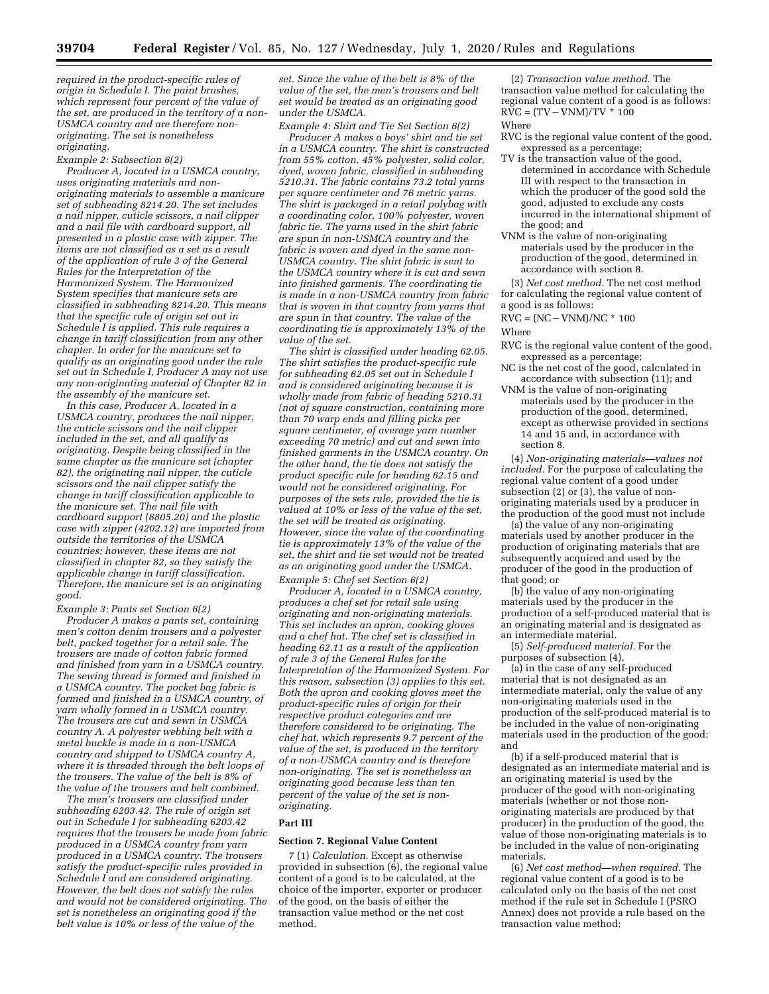*required in the product-specific rules of origin in Schedule I. The paint brushes, which represent four percent of the value of the set, are produced in the territory of a non-USMCA country and are therefore nonoriginating. The set is nonetheless originating.* 

# *Example 2: Subsection 6(2)*

*Producer A, located in a USMCA country, uses originating materials and nonoriginating materials to assemble a manicure set of subheading 8214.20. The set includes a nail nipper, cuticle scissors, a nail clipper and a nail file with cardboard support, all presented in a plastic case with zipper. The items are not classified as a set as a result of the application of rule 3 of the General Rules for the Interpretation of the Harmonized System. The Harmonized System specifies that manicure sets are classified in subheading 8214.20. This means that the specific rule of origin set out in Schedule I is applied. This rule requires a change in tariff classification from any other chapter. In order for the manicure set to qualify as an originating good under the rule set out in Schedule I, Producer A may not use any non-originating material of Chapter 82 in the assembly of the manicure set.* 

*In this case, Producer A, located in a USMCA country, produces the nail nipper, the cuticle scissors and the nail clipper included in the set, and all qualify as originating. Despite being classified in the same chapter as the manicure set (chapter 82), the originating nail nipper, the cuticle scissors and the nail clipper satisfy the change in tariff classification applicable to the manicure set. The nail file with cardboard support (6805.20) and the plastic case with zipper (4202.12) are imported from outside the territories of the USMCA countries; however, these items are not classified in chapter 82, so they satisfy the applicable change in tariff classification. Therefore, the manicure set is an originating good.* 

*Example 3: Pants set Section 6(2)* 

*Producer A makes a pants set, containing men's cotton denim trousers and a polyester belt, packed together for a retail sale. The trousers are made of cotton fabric formed and finished from yarn in a USMCA country. The sewing thread is formed and finished in a USMCA country. The pocket bag fabric is formed and finished in a USMCA country, of yarn wholly formed in a USMCA country. The trousers are cut and sewn in USMCA country A. A polyester webbing belt with a metal buckle is made in a non-USMCA country and shipped to USMCA country A, where it is threaded through the belt loops of the trousers. The value of the belt is 8% of the value of the trousers and belt combined.* 

*The men's trousers are classified under subheading 6203.42. The rule of origin set out in Schedule I for subheading 6203.42 requires that the trousers be made from fabric produced in a USMCA country from yarn produced in a USMCA country. The trousers satisfy the product-specific rules provided in Schedule I and are considered originating. However, the belt does not satisfy the rules and would not be considered originating. The set is nonetheless an originating good if the belt value is 10% or less of the value of the* 

*set. Since the value of the belt is 8% of the value of the set, the men's trousers and belt set would be treated as an originating good under the USMCA.* 

*Example 4: Shirt and Tie Set Section 6(2) Producer A makes a boys' shirt and tie set in a USMCA country. The shirt is constructed from 55% cotton, 45% polyester, solid color, dyed, woven fabric, classified in subheading 5210.31. The fabric contains 73.2 total yarns per square centimeter and 76 metric yarns. The shirt is packaged in a retail polybag with a coordinating color, 100% polyester, woven fabric tie. The yarns used in the shirt fabric are spun in non-USMCA country and the fabric is woven and dyed in the same non-USMCA country. The shirt fabric is sent to the USMCA country where it is cut and sewn into finished garments. The coordinating tie is made in a non-USMCA country from fabric that is woven in that country from yarns that are spun in that country. The value of the coordinating tie is approximately 13% of the value of the set.* 

*The shirt is classified under heading 62.05. The shirt satisfies the product-specific rule for subheading 62.05 set out in Schedule I and is considered originating because it is wholly made from fabric of heading 5210.31 (not of square construction, containing more than 70 warp ends and filling picks per square centimeter, of average yarn number exceeding 70 metric) and cut and sewn into finished garments in the USMCA country. On the other hand, the tie does not satisfy the product specific rule for heading 62.15 and would not be considered originating. For purposes of the sets rule, provided the tie is valued at 10% or less of the value of the set, the set will be treated as originating. However, since the value of the coordinating tie is approximately 13% of the value of the set, the shirt and tie set would not be treated as an originating good under the USMCA. Example 5: Chef set Section 6(2)* 

*Producer A, located in a USMCA country, produces a chef set for retail sale using originating and non-originating materials. This set includes an apron, cooking gloves and a chef hat. The chef set is classified in heading 62.11 as a result of the application of rule 3 of the General Rules for the Interpretation of the Harmonized System. For this reason, subsection (3) applies to this set. Both the apron and cooking gloves meet the product-specific rules of origin for their respective product categories and are therefore considered to be originating. The chef hat, which represents 9.7 percent of the value of the set, is produced in the territory of a non-USMCA country and is therefore non-originating. The set is nonetheless an originating good because less than ten percent of the value of the set is nonoriginating.* 

#### **Part III**

## **Section 7. Regional Value Content**

7 (1) *Calculation.* Except as otherwise provided in subsection  $(6)$ , the regional value content of a good is to be calculated, at the choice of the importer, exporter or producer of the good, on the basis of either the transaction value method or the net cost method.

(2) *Transaction value method.* The transaction value method for calculating the regional value content of a good is as follows:  $\overline{RVC} = (\text{TV}-\text{VNM})/\text{TV}$  \* 100

Where

- RVC is the regional value content of the good, expressed as a percentage;
- TV is the transaction value of the good, determined in accordance with Schedule III with respect to the transaction in which the producer of the good sold the good, adjusted to exclude any costs incurred in the international shipment of the good; and
- VNM is the value of non-originating materials used by the producer in the production of the good, determined in accordance with section 8.

(3) *Net cost method.* The net cost method for calculating the regional value content of a good is as follows:

#### $RVC = (NC-VNM)/NC * 100$

Where

- RVC is the regional value content of the good, expressed as a percentage;
- NC is the net cost of the good, calculated in accordance with subsection (11); and
- VNM is the value of non-originating materials used by the producer in the production of the good, determined, except as otherwise provided in sections 14 and 15 and, in accordance with section 8.

(4) *Non-originating materials—values not included.* For the purpose of calculating the regional value content of a good under subsection (2) or (3), the value of nonoriginating materials used by a producer in the production of the good must not include

(a) the value of any non-originating materials used by another producer in the production of originating materials that are subsequently acquired and used by the producer of the good in the production of that good; or

(b) the value of any non-originating materials used by the producer in the production of a self-produced material that is an originating material and is designated as an intermediate material.

(5) *Self-produced material.* For the purposes of subsection (4),

(a) in the case of any self-produced material that is not designated as an intermediate material, only the value of any non-originating materials used in the production of the self-produced material is to be included in the value of non-originating materials used in the production of the good; and

(b) if a self-produced material that is designated as an intermediate material and is an originating material is used by the producer of the good with non-originating materials (whether or not those nonoriginating materials are produced by that producer) in the production of the good, the value of those non-originating materials is to be included in the value of non-originating materials.

(6) *Net cost method—when required.* The regional value content of a good is to be calculated only on the basis of the net cost method if the rule set in Schedule I (PSRO Annex) does not provide a rule based on the transaction value method;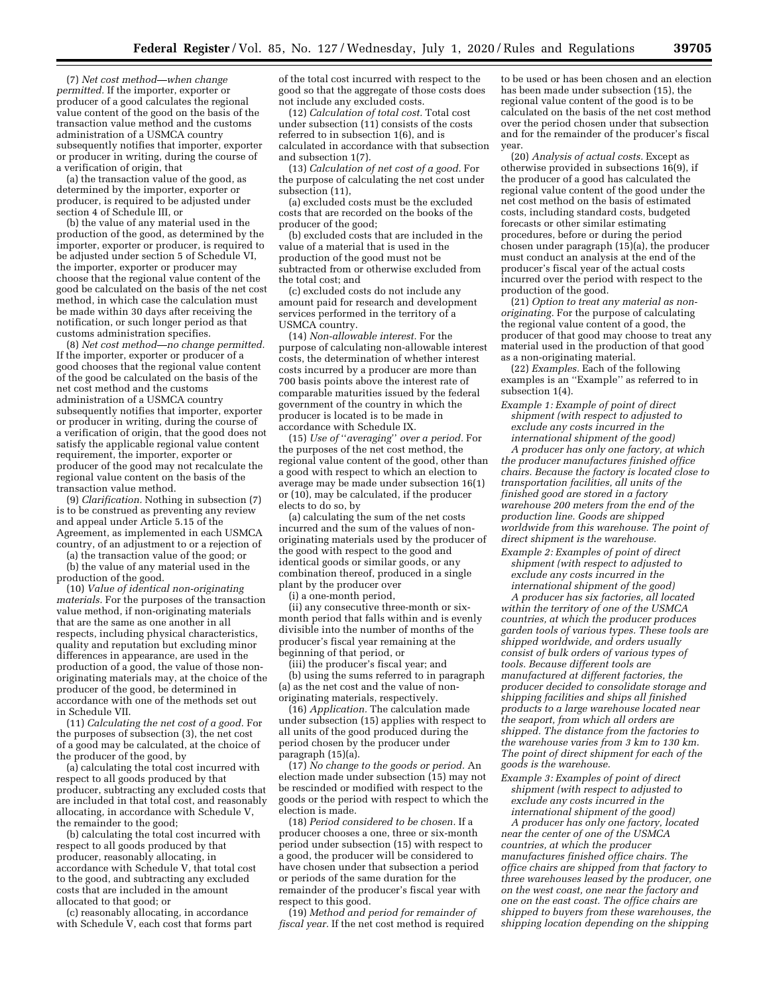(7) *Net cost method—when change permitted.* If the importer, exporter or producer of a good calculates the regional value content of the good on the basis of the transaction value method and the customs administration of a USMCA country subsequently notifies that importer, exporter or producer in writing, during the course of a verification of origin, that

(a) the transaction value of the good, as determined by the importer, exporter or producer, is required to be adjusted under section 4 of Schedule III, or

(b) the value of any material used in the production of the good, as determined by the importer, exporter or producer, is required to be adjusted under section 5 of Schedule VI, the importer, exporter or producer may choose that the regional value content of the good be calculated on the basis of the net cost method, in which case the calculation must be made within 30 days after receiving the notification, or such longer period as that customs administration specifies.

(8) *Net cost method—no change permitted.*  If the importer, exporter or producer of a good chooses that the regional value content of the good be calculated on the basis of the net cost method and the customs administration of a USMCA country subsequently notifies that importer, exporter or producer in writing, during the course of a verification of origin, that the good does not satisfy the applicable regional value content requirement, the importer, exporter or producer of the good may not recalculate the regional value content on the basis of the transaction value method.

(9) *Clarification.* Nothing in subsection (7) is to be construed as preventing any review and appeal under Article 5.15 of the Agreement, as implemented in each USMCA country, of an adjustment to or a rejection of

(a) the transaction value of the good; or (b) the value of any material used in the production of the good.

(10) *Value of identical non-originating materials.* For the purposes of the transaction value method, if non-originating materials that are the same as one another in all respects, including physical characteristics, quality and reputation but excluding minor differences in appearance, are used in the production of a good, the value of those nonoriginating materials may, at the choice of the producer of the good, be determined in accordance with one of the methods set out in Schedule VII.

(11) *Calculating the net cost of a good.* For the purposes of subsection (3), the net cost of a good may be calculated, at the choice of the producer of the good, by

(a) calculating the total cost incurred with respect to all goods produced by that producer, subtracting any excluded costs that are included in that total cost, and reasonably allocating, in accordance with Schedule V, the remainder to the good;

(b) calculating the total cost incurred with respect to all goods produced by that producer, reasonably allocating, in accordance with Schedule V, that total cost to the good, and subtracting any excluded costs that are included in the amount allocated to that good; or

(c) reasonably allocating, in accordance with Schedule V, each cost that forms part of the total cost incurred with respect to the good so that the aggregate of those costs does not include any excluded costs.

(12) *Calculation of total cost.* Total cost under subsection (11) consists of the costs referred to in subsection 1(6), and is calculated in accordance with that subsection and subsection 1(7).

(13) *Calculation of net cost of a good.* For the purpose of calculating the net cost under subsection (11),

(a) excluded costs must be the excluded costs that are recorded on the books of the producer of the good;

(b) excluded costs that are included in the value of a material that is used in the production of the good must not be subtracted from or otherwise excluded from the total cost; and

(c) excluded costs do not include any amount paid for research and development services performed in the territory of a USMCA country.

(14) *Non-allowable interest.* For the purpose of calculating non-allowable interest costs, the determination of whether interest costs incurred by a producer are more than 700 basis points above the interest rate of comparable maturities issued by the federal government of the country in which the producer is located is to be made in accordance with Schedule IX.

(15) *Use of* ''*averaging*'' *over a period.* For the purposes of the net cost method, the regional value content of the good, other than a good with respect to which an election to average may be made under subsection 16(1) or (10), may be calculated, if the producer elects to do so, by

(a) calculating the sum of the net costs incurred and the sum of the values of nonoriginating materials used by the producer of the good with respect to the good and identical goods or similar goods, or any combination thereof, produced in a single plant by the producer over

(i) a one-month period,

(ii) any consecutive three-month or sixmonth period that falls within and is evenly divisible into the number of months of the producer's fiscal year remaining at the beginning of that period, or

(iii) the producer's fiscal year; and (b) using the sums referred to in paragraph (a) as the net cost and the value of nonoriginating materials, respectively.

(16) *Application.* The calculation made under subsection (15) applies with respect to all units of the good produced during the period chosen by the producer under paragraph (15)(a).

(17) *No change to the goods or period.* An election made under subsection (15) may not be rescinded or modified with respect to the goods or the period with respect to which the election is made.

(18) *Period considered to be chosen.* If a producer chooses a one, three or six-month period under subsection (15) with respect to a good, the producer will be considered to have chosen under that subsection a period or periods of the same duration for the remainder of the producer's fiscal year with respect to this good.

(19) *Method and period for remainder of fiscal year.* If the net cost method is required

to be used or has been chosen and an election has been made under subsection (15), the regional value content of the good is to be calculated on the basis of the net cost method over the period chosen under that subsection and for the remainder of the producer's fiscal year.

(20) *Analysis of actual costs.* Except as otherwise provided in subsections 16(9), if the producer of a good has calculated the regional value content of the good under the net cost method on the basis of estimated costs, including standard costs, budgeted forecasts or other similar estimating procedures, before or during the period chosen under paragraph (15)(a), the producer must conduct an analysis at the end of the producer's fiscal year of the actual costs incurred over the period with respect to the production of the good.

(21) *Option to treat any material as nonoriginating.* For the purpose of calculating the regional value content of a good, the producer of that good may choose to treat any material used in the production of that good as a non-originating material.

(22) *Examples.* Each of the following examples is an ''Example'' as referred to in subsection 1(4).

*Example 1: Example of point of direct shipment (with respect to adjusted to exclude any costs incurred in the international shipment of the good)* 

*A producer has only one factory, at which the producer manufactures finished office chairs. Because the factory is located close to transportation facilities, all units of the finished good are stored in a factory warehouse 200 meters from the end of the production line. Goods are shipped worldwide from this warehouse. The point of direct shipment is the warehouse.* 

*Example 2: Examples of point of direct shipment (with respect to adjusted to exclude any costs incurred in the international shipment of the good)* 

*A producer has six factories, all located within the territory of one of the USMCA countries, at which the producer produces garden tools of various types. These tools are shipped worldwide, and orders usually consist of bulk orders of various types of tools. Because different tools are manufactured at different factories, the producer decided to consolidate storage and shipping facilities and ships all finished products to a large warehouse located near the seaport, from which all orders are shipped. The distance from the factories to the warehouse varies from 3 km to 130 km. The point of direct shipment for each of the goods is the warehouse.* 

*Example 3: Examples of point of direct shipment (with respect to adjusted to exclude any costs incurred in the* 

*international shipment of the good) A producer has only one factory, located near the center of one of the USMCA countries, at which the producer manufactures finished office chairs. The office chairs are shipped from that factory to three warehouses leased by the producer, one on the west coast, one near the factory and one on the east coast. The office chairs are shipped to buyers from these warehouses, the shipping location depending on the shipping*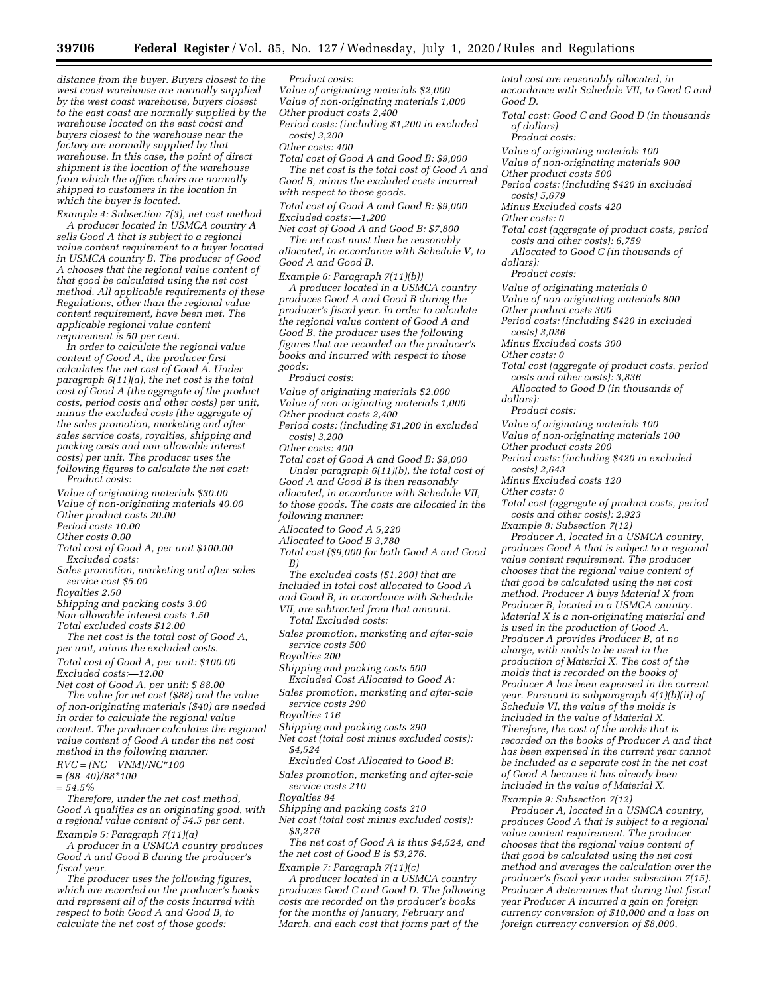*distance from the buyer. Buyers closest to the west coast warehouse are normally supplied by the west coast warehouse, buyers closest to the east coast are normally supplied by the warehouse located on the east coast and buyers closest to the warehouse near the factory are normally supplied by that warehouse. In this case, the point of direct shipment is the location of the warehouse from which the office chairs are normally shipped to customers in the location in which the buyer is located.* 

*Example 4: Subsection 7(3), net cost method A producer located in USMCA country A* 

*sells Good A that is subject to a regional value content requirement to a buyer located in USMCA country B. The producer of Good A chooses that the regional value content of that good be calculated using the net cost method. All applicable requirements of these Regulations, other than the regional value content requirement, have been met. The applicable regional value content requirement is 50 per cent.* 

*In order to calculate the regional value content of Good A, the producer first calculates the net cost of Good A. Under paragraph 6(11)(a), the net cost is the total cost of Good A (the aggregate of the product costs, period costs and other costs) per unit, minus the excluded costs (the aggregate of the sales promotion, marketing and aftersales service costs, royalties, shipping and packing costs and non-allowable interest costs) per unit. The producer uses the following figures to calculate the net cost: Product costs:* 

*Value of originating materials \$30.00* 

*Value of non-originating materials 40.00 Other product costs 20.00 Period costs 10.00* 

*Other costs 0.00* 

*Total cost of Good A, per unit \$100.00 Excluded costs:* 

*Sales promotion, marketing and after-sales service cost \$5.00* 

*Royalties 2.50* 

*Shipping and packing costs 3.00* 

*Non-allowable interest costs 1.50* 

*Total excluded costs \$12.00 The net cost is the total cost of Good A, per unit, minus the excluded costs. Total cost of Good A, per unit: \$100.00 Excluded costs:—12.00* 

*Net cost of Good A, per unit: \$ 88.00 The value for net cost (\$88) and the value of non-originating materials (\$40) are needed in order to calculate the regional value content. The producer calculates the regional value content of Good A under the net cost method in the following manner:* 

 $RVC = (NC - VNM)/NC*100$ 

*= (88–40)/88\*100* 

*= 54.5% Therefore, under the net cost method, Good A qualifies as an originating good, with a regional value content of 54.5 per cent.* 

*Example 5: Paragraph 7(11)(a) A producer in a USMCA country produces* 

*Good A and Good B during the producer's fiscal year.* 

*The producer uses the following figures, which are recorded on the producer's books and represent all of the costs incurred with respect to both Good A and Good B, to calculate the net cost of those goods:* 

#### *Product costs:*

*Value of originating materials \$2,000 Value of non-originating materials 1,000 Other product costs 2,400 Period costs: (including \$1,200 in excluded costs) 3,200 Other costs: 400 Total cost of Good A and Good B: \$9,000* 

*The net cost is the total cost of Good A and Good B, minus the excluded costs incurred with respect to those goods.* 

*Total cost of Good A and Good B: \$9,000 Excluded costs:—1,200* 

*Net cost of Good A and Good B: \$7,800 The net cost must then be reasonably allocated, in accordance with Schedule V, to Good A and Good B.* 

*Example 6: Paragraph 7(11)(b))* 

*A producer located in a USMCA country produces Good A and Good B during the producer's fiscal year. In order to calculate the regional value content of Good A and Good B, the producer uses the following figures that are recorded on the producer's books and incurred with respect to those goods:* 

*Product costs:* 

*Value of originating materials \$2,000 Value of non-originating materials 1,000 Other product costs 2,400* 

*Period costs: (including \$1,200 in excluded costs) 3,200* 

*Other costs: 400* 

*Total cost of Good A and Good B: \$9,000 Under paragraph 6(11)(b), the total cost of Good A and Good B is then reasonably allocated, in accordance with Schedule VII, to those goods. The costs are allocated in the following manner:* 

*Allocated to Good A 5,220* 

- *Allocated to Good B 3,780*
- *Total cost (\$9,000 for both Good A and Good B)*
- *The excluded costs (\$1,200) that are included in total cost allocated to Good A and Good B, in accordance with Schedule VII, are subtracted from that amount.*

*Total Excluded costs:* 

*Sales promotion, marketing and after-sale service costs 500* 

*Royalties 200* 

*Shipping and packing costs 500 Excluded Cost Allocated to Good A:* 

*Sales promotion, marketing and after-sale service costs 290* 

*Royalties 116* 

- *Shipping and packing costs 290*
- *Net cost (total cost minus excluded costs): \$4,524*

*Excluded Cost Allocated to Good B:* 

- *Sales promotion, marketing and after-sale service costs 210*
- *Royalties 84*
- *Shipping and packing costs 210*

*Net cost (total cost minus excluded costs): \$3,276* 

*The net cost of Good A is thus \$4,524, and the net cost of Good B is \$3,276. Example 7: Paragraph 7(11)(c)* 

*A producer located in a USMCA country produces Good C and Good D. The following costs are recorded on the producer's books for the months of January, February and March, and each cost that forms part of the* 

*Good D. Total cost: Good C and Good D (in thousands of dollars) Product costs: Value of originating materials 100 Value of non-originating materials 900 Other product costs 500 Period costs: (including \$420 in excluded costs) 5,679 Minus Excluded costs 420* 

*total cost are reasonably allocated, in accordance with Schedule VII, to Good C and* 

*Other costs: 0* 

*Total cost (aggregate of product costs, period costs and other costs): 6,759* 

*Allocated to Good C (in thousands of dollars):* 

*Product costs:* 

*Value of originating materials 0* 

*Value of non-originating materials 800* 

*Other product costs 300* 

*Period costs: (including \$420 in excluded costs) 3,036* 

*Minus Excluded costs 300* 

*Other costs: 0* 

*Total cost (aggregate of product costs, period costs and other costs): 3,836* 

*Allocated to Good D (in thousands of dollars):* 

*Product costs:* 

*Value of originating materials 100* 

*Value of non-originating materials 100* 

*Other product costs 200* 

*Period costs: (including \$420 in excluded costs) 2,643* 

*Minus Excluded costs 120* 

*Other costs: 0* 

*Total cost (aggregate of product costs, period costs and other costs): 2,923* 

*Example 8: Subsection 7(12)* 

*Producer A, located in a USMCA country, produces Good A that is subject to a regional value content requirement. The producer chooses that the regional value content of that good be calculated using the net cost method. Producer A buys Material X from Producer B, located in a USMCA country. Material X is a non-originating material and is used in the production of Good A. Producer A provides Producer B, at no charge, with molds to be used in the production of Material X. The cost of the molds that is recorded on the books of Producer A has been expensed in the current year. Pursuant to subparagraph 4(1)(b)(ii) of Schedule VI, the value of the molds is included in the value of Material X. Therefore, the cost of the molds that is recorded on the books of Producer A and that has been expensed in the current year cannot be included as a separate cost in the net cost of Good A because it has already been included in the value of Material X. Example 9: Subsection 7(12)* 

*Producer A, located in a USMCA country, produces Good A that is subject to a regional value content requirement. The producer chooses that the regional value content of that good be calculated using the net cost method and averages the calculation over the producer's fiscal year under subsection 7(15). Producer A determines that during that fiscal year Producer A incurred a gain on foreign currency conversion of \$10,000 and a loss on foreign currency conversion of \$8,000,*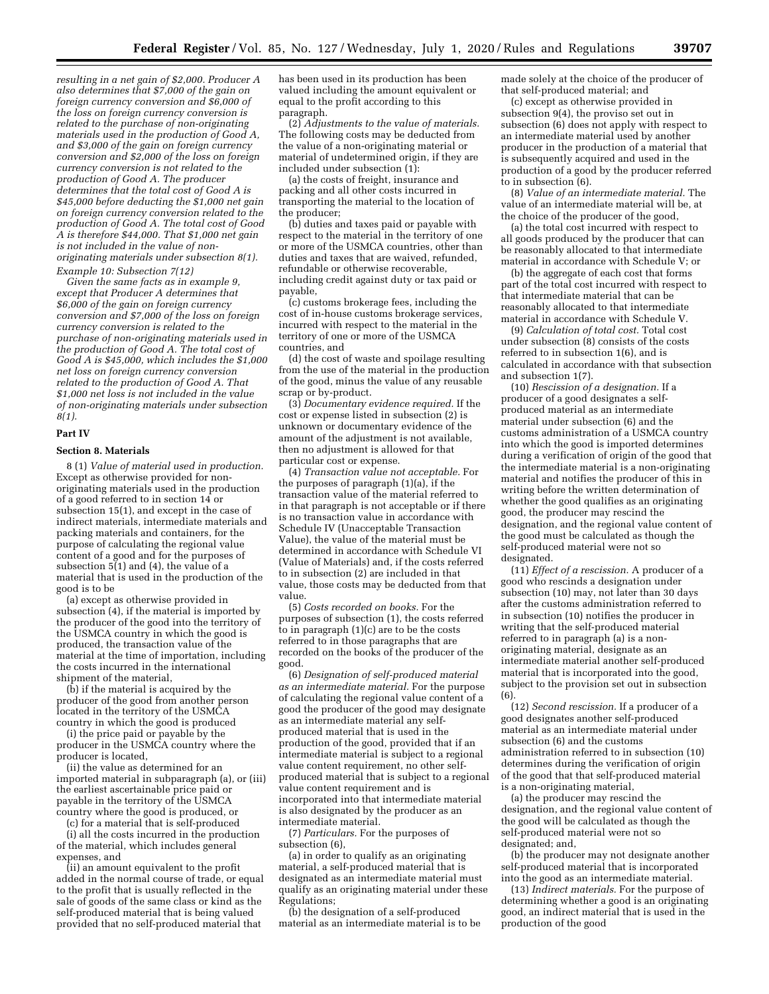*resulting in a net gain of \$2,000. Producer A also determines that \$7,000 of the gain on foreign currency conversion and \$6,000 of the loss on foreign currency conversion is related to the purchase of non-originating materials used in the production of Good A, and \$3,000 of the gain on foreign currency conversion and \$2,000 of the loss on foreign currency conversion is not related to the production of Good A. The producer determines that the total cost of Good A is \$45,000 before deducting the \$1,000 net gain on foreign currency conversion related to the production of Good A. The total cost of Good A is therefore \$44,000. That \$1,000 net gain is not included in the value of nonoriginating materials under subsection 8(1). Example 10: Subsection 7(12)* 

*Given the same facts as in example 9, except that Producer A determines that \$6,000 of the gain on foreign currency conversion and \$7,000 of the loss on foreign currency conversion is related to the purchase of non-originating materials used in the production of Good A. The total cost of Good A is \$45,000, which includes the \$1,000 net loss on foreign currency conversion related to the production of Good A. That \$1,000 net loss is not included in the value of non-originating materials under subsection 8(1).* 

# **Part IV**

#### **Section 8. Materials**

8 (1) *Value of material used in production.*  Except as otherwise provided for nonoriginating materials used in the production of a good referred to in section 14 or subsection 15(1), and except in the case of indirect materials, intermediate materials and packing materials and containers, for the purpose of calculating the regional value content of a good and for the purposes of subsection  $5(1)$  and (4), the value of a material that is used in the production of the good is to be

(a) except as otherwise provided in subsection (4), if the material is imported by the producer of the good into the territory of the USMCA country in which the good is produced, the transaction value of the material at the time of importation, including the costs incurred in the international shipment of the material,

(b) if the material is acquired by the producer of the good from another person located in the territory of the USMCA country in which the good is produced

(i) the price paid or payable by the producer in the USMCA country where the producer is located,

(ii) the value as determined for an imported material in subparagraph (a), or (iii) the earliest ascertainable price paid or payable in the territory of the USMCA country where the good is produced, or

(c) for a material that is self-produced

(i) all the costs incurred in the production of the material, which includes general expenses, and

(ii) an amount equivalent to the profit added in the normal course of trade, or equal to the profit that is usually reflected in the sale of goods of the same class or kind as the self-produced material that is being valued provided that no self-produced material that

has been used in its production has been valued including the amount equivalent or equal to the profit according to this paragraph.

(2) *Adjustments to the value of materials.*  The following costs may be deducted from the value of a non-originating material or material of undetermined origin, if they are included under subsection (1):

(a) the costs of freight, insurance and packing and all other costs incurred in transporting the material to the location of the producer;

(b) duties and taxes paid or payable with respect to the material in the territory of one or more of the USMCA countries, other than duties and taxes that are waived, refunded, refundable or otherwise recoverable, including credit against duty or tax paid or payable,

(c) customs brokerage fees, including the cost of in-house customs brokerage services, incurred with respect to the material in the territory of one or more of the USMCA countries, and

(d) the cost of waste and spoilage resulting from the use of the material in the production of the good, minus the value of any reusable scrap or by-product.

(3) *Documentary evidence required.* If the cost or expense listed in subsection (2) is unknown or documentary evidence of the amount of the adjustment is not available, then no adjustment is allowed for that particular cost or expense.

(4) *Transaction value not acceptable.* For the purposes of paragraph (1)(a), if the transaction value of the material referred to in that paragraph is not acceptable or if there is no transaction value in accordance with Schedule IV (Unacceptable Transaction Value), the value of the material must be determined in accordance with Schedule VI (Value of Materials) and, if the costs referred to in subsection (2) are included in that value, those costs may be deducted from that value.

(5) *Costs recorded on books.* For the purposes of subsection (1), the costs referred to in paragraph (1)(c) are to be the costs referred to in those paragraphs that are recorded on the books of the producer of the good.

(6) *Designation of self-produced material as an intermediate material.* For the purpose of calculating the regional value content of a good the producer of the good may designate as an intermediate material any selfproduced material that is used in the production of the good, provided that if an intermediate material is subject to a regional value content requirement, no other selfproduced material that is subject to a regional value content requirement and is incorporated into that intermediate material is also designated by the producer as an intermediate material.

(7) *Particulars.* For the purposes of subsection (6),

(a) in order to qualify as an originating material, a self-produced material that is designated as an intermediate material must qualify as an originating material under these Regulations;

(b) the designation of a self-produced material as an intermediate material is to be made solely at the choice of the producer of that self-produced material; and

(c) except as otherwise provided in subsection 9(4), the proviso set out in subsection (6) does not apply with respect to an intermediate material used by another producer in the production of a material that is subsequently acquired and used in the production of a good by the producer referred to in subsection (6).

(8) *Value of an intermediate material.* The value of an intermediate material will be, at the choice of the producer of the good,

(a) the total cost incurred with respect to all goods produced by the producer that can be reasonably allocated to that intermediate material in accordance with Schedule V; or

(b) the aggregate of each cost that forms part of the total cost incurred with respect to that intermediate material that can be reasonably allocated to that intermediate material in accordance with Schedule V.

(9) *Calculation of total cost.* Total cost under subsection (8) consists of the costs referred to in subsection 1(6), and is calculated in accordance with that subsection and subsection 1(7).

(10) *Rescission of a designation.* If a producer of a good designates a selfproduced material as an intermediate material under subsection (6) and the customs administration of a USMCA country into which the good is imported determines during a verification of origin of the good that the intermediate material is a non-originating material and notifies the producer of this in writing before the written determination of whether the good qualifies as an originating good, the producer may rescind the designation, and the regional value content of the good must be calculated as though the self-produced material were not so designated.

(11) *Effect of a rescission.* A producer of a good who rescinds a designation under subsection (10) may, not later than 30 days after the customs administration referred to in subsection (10) notifies the producer in writing that the self-produced material referred to in paragraph (a) is a nonoriginating material, designate as an intermediate material another self-produced material that is incorporated into the good, subject to the provision set out in subsection (6).

(12) *Second rescission.* If a producer of a good designates another self-produced material as an intermediate material under subsection (6) and the customs administration referred to in subsection (10) determines during the verification of origin of the good that that self-produced material is a non-originating material,

(a) the producer may rescind the designation, and the regional value content of the good will be calculated as though the self-produced material were not so designated; and,

(b) the producer may not designate another self-produced material that is incorporated into the good as an intermediate material.

(13) *Indirect materials.* For the purpose of determining whether a good is an originating good, an indirect material that is used in the production of the good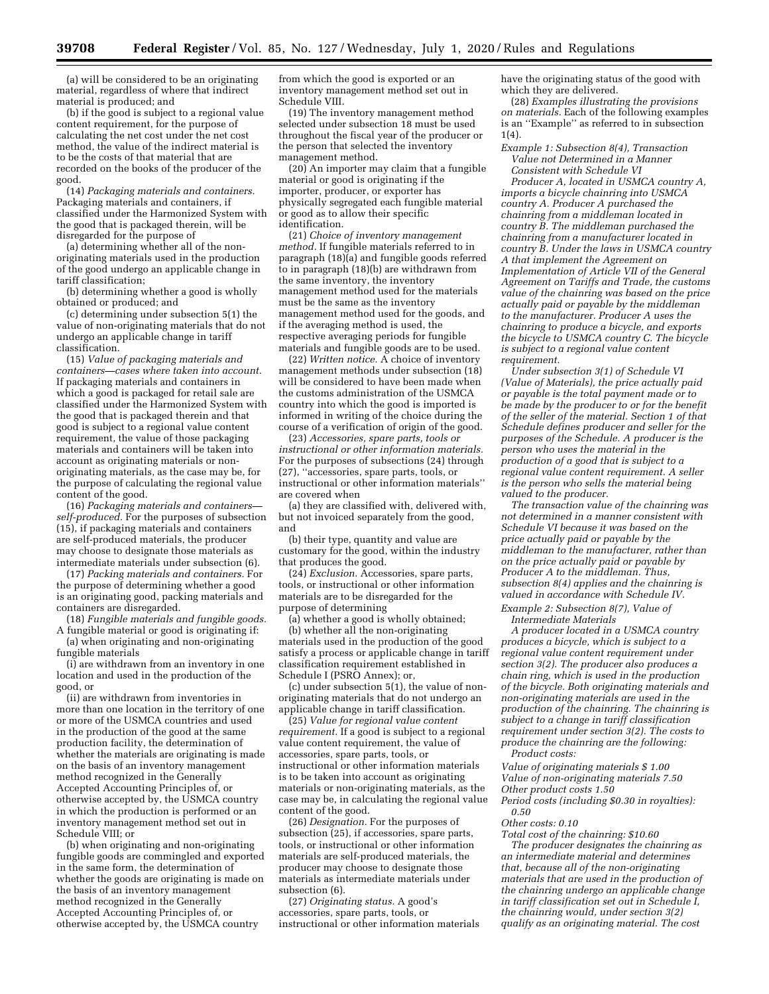(a) will be considered to be an originating material, regardless of where that indirect material is produced; and

(b) if the good is subject to a regional value content requirement, for the purpose of calculating the net cost under the net cost method, the value of the indirect material is to be the costs of that material that are recorded on the books of the producer of the good.

(14) *Packaging materials and containers.*  Packaging materials and containers, if classified under the Harmonized System with the good that is packaged therein, will be disregarded for the purpose of

(a) determining whether all of the nonoriginating materials used in the production of the good undergo an applicable change in tariff classification;

(b) determining whether a good is wholly obtained or produced; and

(c) determining under subsection 5(1) the value of non-originating materials that do not undergo an applicable change in tariff classification.

(15) *Value of packaging materials and containers—cases where taken into account.*  If packaging materials and containers in which a good is packaged for retail sale are classified under the Harmonized System with the good that is packaged therein and that good is subject to a regional value content requirement, the value of those packaging materials and containers will be taken into account as originating materials or nonoriginating materials, as the case may be, for the purpose of calculating the regional value content of the good.

(16) *Packaging materials and containers self-produced.* For the purposes of subsection (15), if packaging materials and containers are self-produced materials, the producer may choose to designate those materials as intermediate materials under subsection (6).

(17) *Packing materials and containers.* For the purpose of determining whether a good is an originating good, packing materials and containers are disregarded.

(18) *Fungible materials and fungible goods.*  A fungible material or good is originating if:

(a) when originating and non-originating fungible materials

(i) are withdrawn from an inventory in one location and used in the production of the good, or

(ii) are withdrawn from inventories in more than one location in the territory of one or more of the USMCA countries and used in the production of the good at the same production facility, the determination of whether the materials are originating is made on the basis of an inventory management method recognized in the Generally Accepted Accounting Principles of, or otherwise accepted by, the USMCA country in which the production is performed or an inventory management method set out in Schedule VIII; or

(b) when originating and non-originating fungible goods are commingled and exported in the same form, the determination of whether the goods are originating is made on the basis of an inventory management method recognized in the Generally Accepted Accounting Principles of, or otherwise accepted by, the USMCA country

from which the good is exported or an inventory management method set out in Schedule VIII.

(19) The inventory management method selected under subsection 18 must be used throughout the fiscal year of the producer or the person that selected the inventory management method.

(20) An importer may claim that a fungible material or good is originating if the importer, producer, or exporter has physically segregated each fungible material or good as to allow their specific identification.

(21) *Choice of inventory management method.* If fungible materials referred to in paragraph (18)(a) and fungible goods referred to in paragraph (18)(b) are withdrawn from the same inventory, the inventory management method used for the materials must be the same as the inventory management method used for the goods, and if the averaging method is used, the respective averaging periods for fungible materials and fungible goods are to be used.

(22) *Written notice.* A choice of inventory management methods under subsection (18) will be considered to have been made when the customs administration of the USMCA country into which the good is imported is informed in writing of the choice during the course of a verification of origin of the good.

(23) *Accessories, spare parts, tools or instructional or other information materials.*  For the purposes of subsections (24) through (27), ''accessories, spare parts, tools, or instructional or other information materials'' are covered when

(a) they are classified with, delivered with, but not invoiced separately from the good, and

(b) their type, quantity and value are customary for the good, within the industry that produces the good.

(24) *Exclusion.* Accessories, spare parts, tools, or instructional or other information materials are to be disregarded for the purpose of determining

(a) whether a good is wholly obtained; (b) whether all the non-originating materials used in the production of the good satisfy a process or applicable change in tariff classification requirement established in Schedule I (PSRO Annex); or,

(c) under subsection 5(1), the value of nonoriginating materials that do not undergo an applicable change in tariff classification.

(25) *Value for regional value content requirement.* If a good is subject to a regional value content requirement, the value of accessories, spare parts, tools, or instructional or other information materials is to be taken into account as originating materials or non-originating materials, as the case may be, in calculating the regional value content of the good.

(26) *Designation.* For the purposes of subsection (25), if accessories, spare parts, tools, or instructional or other information materials are self-produced materials, the producer may choose to designate those materials as intermediate materials under subsection (6).

(27) *Originating status.* A good's accessories, spare parts, tools, or instructional or other information materials have the originating status of the good with which they are delivered.

(28) *Examples illustrating the provisions on materials.* Each of the following examples is an ''Example'' as referred to in subsection 1(4).

*Example 1: Subsection 8(4), Transaction Value not Determined in a Manner* 

*Consistent with Schedule VI Producer A, located in USMCA country A, imports a bicycle chainring into USMCA country A. Producer A purchased the chainring from a middleman located in country B. The middleman purchased the chainring from a manufacturer located in country B. Under the laws in USMCA country A that implement the Agreement on Implementation of Article VII of the General Agreement on Tariffs and Trade, the customs value of the chainring was based on the price actually paid or payable by the middleman to the manufacturer. Producer A uses the chainring to produce a bicycle, and exports the bicycle to USMCA country C. The bicycle is subject to a regional value content requirement.* 

*Under subsection 3(1) of Schedule VI (Value of Materials), the price actually paid or payable is the total payment made or to be made by the producer to or for the benefit of the seller of the material. Section 1 of that Schedule defines producer and seller for the purposes of the Schedule. A producer is the person who uses the material in the production of a good that is subject to a regional value content requirement. A seller is the person who sells the material being valued to the producer.* 

*The transaction value of the chainring was not determined in a manner consistent with Schedule VI because it was based on the price actually paid or payable by the middleman to the manufacturer, rather than on the price actually paid or payable by Producer A to the middleman. Thus, subsection 8(4) applies and the chainring is valued in accordance with Schedule IV.* 

*Example 2: Subsection 8(7), Value of Intermediate Materials* 

*A producer located in a USMCA country produces a bicycle, which is subject to a regional value content requirement under section 3(2). The producer also produces a chain ring, which is used in the production of the bicycle. Both originating materials and non-originating materials are used in the production of the chainring. The chainring is subject to a change in tariff classification requirement under section 3(2). The costs to produce the chainring are the following: Product costs:* 

*Value of originating materials \$ 1.00 Value of non-originating materials 7.50 Other product costs 1.50* 

*Period costs (including \$0.30 in royalties): 0.50* 

*Other costs: 0.10 Total cost of the chainring: \$10.60* 

*The producer designates the chainring as an intermediate material and determines that, because all of the non-originating materials that are used in the production of the chainring undergo an applicable change in tariff classification set out in Schedule I, the chainring would, under section 3(2) qualify as an originating material. The cost*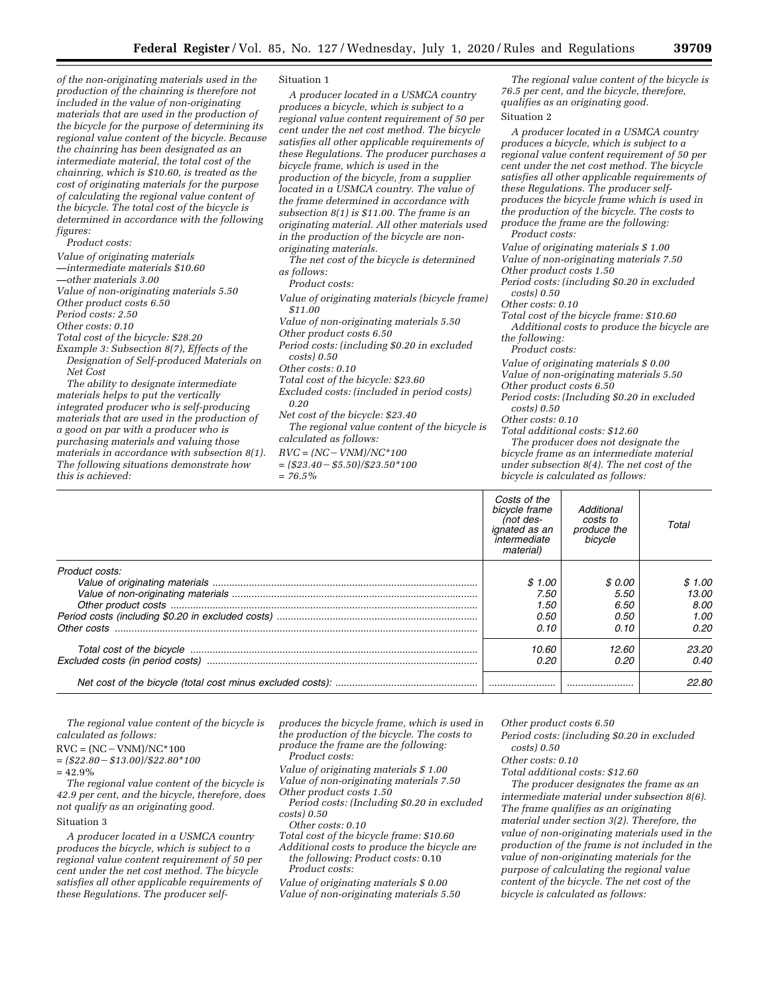*of the non-originating materials used in the production of the chainring is therefore not included in the value of non-originating materials that are used in the production of the bicycle for the purpose of determining its regional value content of the bicycle. Because the chainring has been designated as an intermediate material, the total cost of the chainring, which is \$10.60, is treated as the cost of originating materials for the purpose of calculating the regional value content of the bicycle. The total cost of the bicycle is determined in accordance with the following figures:* 

*Product costs:* 

*Value of originating materials —intermediate materials \$10.60 —other materials 3.00 Value of non-originating materials 5.50 Other product costs 6.50 Period costs: 2.50 Other costs: 0.10 Total cost of the bicycle: \$28.20 Example 3: Subsection 8(7), Effects of the Designation of Self-produced Materials on Net Cost The ability to designate intermediate materials helps to put the vertically integrated producer who is self-producing materials that are used in the production of a good on par with a producer who is purchasing materials and valuing those materials in accordance with subsection 8(1).* 

*The following situations demonstrate how this is achieved:* 

#### Situation 1

*A producer located in a USMCA country produces a bicycle, which is subject to a regional value content requirement of 50 per cent under the net cost method. The bicycle satisfies all other applicable requirements of these Regulations. The producer purchases a bicycle frame, which is used in the production of the bicycle, from a supplier located in a USMCA country. The value of the frame determined in accordance with subsection 8(1) is \$11.00. The frame is an originating material. All other materials used in the production of the bicycle are nonoriginating materials.* 

*The net cost of the bicycle is determined as follows:* 

*Product costs:* 

- *Value of originating materials (bicycle frame) \$11.00*
- *Value of non-originating materials 5.50*

*Other product costs 6.50* 

*Period costs: (including \$0.20 in excluded costs) 0.50* 

*Other costs: 0.10* 

*Total cost of the bicycle: \$23.60* 

*Excluded costs: (included in period costs) 0.20* 

*Net cost of the bicycle: \$23.40 The regional value content of the bicycle is calculated as follows:* 

 $RVC = (NC - VNM)/NC*100$ 

*= 76.5%* 

*The regional value content of the bicycle is 76.5 per cent, and the bicycle, therefore, qualifies as an originating good.*  Situation 2

*A producer located in a USMCA country produces a bicycle, which is subject to a regional value content requirement of 50 per cent under the net cost method. The bicycle satisfies all other applicable requirements of these Regulations. The producer selfproduces the bicycle frame which is used in the production of the bicycle. The costs to produce the frame are the following: Product costs:* 

*Value of originating materials \$ 1.00 Value of non-originating materials 7.50 Other product costs 1.50 Period costs: (including \$0.20 in excluded costs) 0.50 Other costs: 0.10 Total cost of the bicycle frame: \$10.60 Additional costs to produce the bicycle are the following: Product costs: Value of originating materials \$ 0.00 Value of non-originating materials 5.50 Other product costs 6.50 Period costs: (Including \$0.20 in excluded costs) 0.50 Other costs: 0.10 Total additional costs: \$12.60 The producer does not designate the* 

*bicycle frame as an intermediate material under subsection 8(4). The net cost of the bicycle is calculated as follows:* 

|                | Costs of the<br>bicycle frame<br>(not des-<br>ignated as an<br>intermediate<br>material) | Additional<br>costs to<br>produce the<br>bicvcle | Total  |
|----------------|------------------------------------------------------------------------------------------|--------------------------------------------------|--------|
| Product costs: |                                                                                          |                                                  |        |
|                | \$1.00                                                                                   | \$0.00                                           | \$1.00 |
|                | 7.50                                                                                     | 5.50                                             | 13.00  |
|                | 1.50                                                                                     | 6.50                                             | 8.00   |
|                | 0.50                                                                                     | 0.50                                             | 1.00   |
| Other costs    | 0.10                                                                                     | 0.10                                             | 0.20   |
|                | 10.60                                                                                    | 12.60                                            | 23.20  |
|                | 0.20                                                                                     | 0.20                                             | 0.40   |
|                |                                                                                          |                                                  | 22.80  |

*The regional value content of the bicycle is calculated as follows:* 

 $RVC = (NC-VNM)/NC*100$ 

 $=($22.80 - $13.00)/$22.80*100$ 

 $= 42.9\%$ 

*The regional value content of the bicycle is 42.9 per cent, and the bicycle, therefore, does not qualify as an originating good.* 

# Situation 3

*A producer located in a USMCA country produces the bicycle, which is subject to a regional value content requirement of 50 per cent under the net cost method. The bicycle satisfies all other applicable requirements of these Regulations. The producer self-*

*produces the bicycle frame, which is used in the production of the bicycle. The costs to produce the frame are the following:* 

# *Product costs:*

*Value of originating materials \$ 1.00 Value of non-originating materials 7.50 Other product costs 1.50* 

*Period costs: (Including \$0.20 in excluded costs) 0.50* 

*Other costs: 0.10* 

*Total cost of the bicycle frame: \$10.60* 

*Additional costs to produce the bicycle are the following: Product costs:* 0.10 *Product costs:* 

*Value of originating materials \$ 0.00 Value of non-originating materials 5.50*  *Other product costs 6.50* 

*Period costs: (including \$0.20 in excluded costs) 0.50* 

*Other costs: 0.10* 

*Total additional costs: \$12.60* 

*The producer designates the frame as an intermediate material under subsection 8(6). The frame qualifies as an originating material under section 3(2). Therefore, the value of non-originating materials used in the production of the frame is not included in the value of non-originating materials for the purpose of calculating the regional value content of the bicycle. The net cost of the bicycle is calculated as follows:* 

 $=($23.40 - $5.50)/$23.50*100$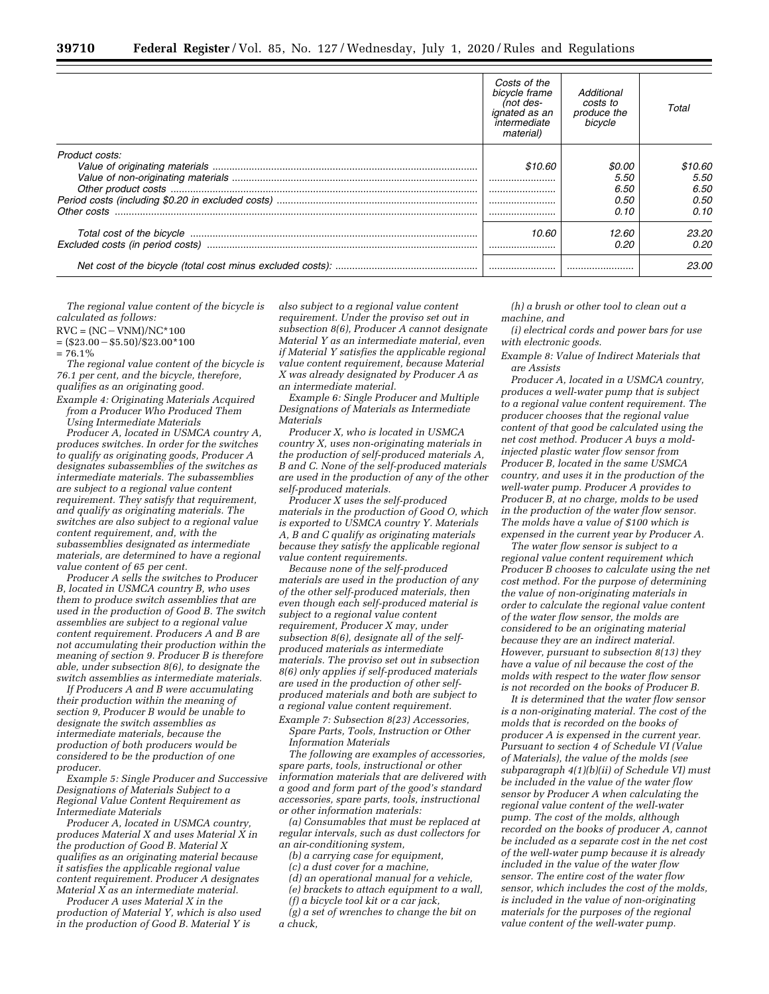|                | Costs of the<br>bicycle frame<br>not des-<br>ignated as an<br>intermediate<br>material) | Additional<br>costs to<br>produce the<br>bicvcle | Total   |
|----------------|-----------------------------------------------------------------------------------------|--------------------------------------------------|---------|
| Product costs: |                                                                                         |                                                  |         |
|                | \$10.60                                                                                 | \$0.00                                           | \$10.60 |
|                |                                                                                         | 5.50                                             | 5.50    |
|                |                                                                                         | 6.50                                             | 6.50    |
|                |                                                                                         | 0.50                                             | 0.50    |
|                |                                                                                         | 0.10                                             | 0.10    |
|                | 10.60                                                                                   | 12.60                                            | 23.20   |
|                |                                                                                         | 0.20                                             | 0.20    |
|                |                                                                                         |                                                  | 23.00   |

*The regional value content of the bicycle is calculated as follows:* 

 $RVC = (NC-VNM)/NC*100$ 

 $=($23.00 - $5.50)/$23.00 *100$ 

 $= 76.1\%$ 

*The regional value content of the bicycle is 76.1 per cent, and the bicycle, therefore, qualifies as an originating good.* 

*Example 4: Originating Materials Acquired from a Producer Who Produced Them Using Intermediate Materials* 

*Producer A, located in USMCA country A, produces switches. In order for the switches to qualify as originating goods, Producer A designates subassemblies of the switches as intermediate materials. The subassemblies are subject to a regional value content requirement. They satisfy that requirement, and qualify as originating materials. The switches are also subject to a regional value content requirement, and, with the subassemblies designated as intermediate materials, are determined to have a regional value content of 65 per cent.* 

*Producer A sells the switches to Producer B, located in USMCA country B, who uses them to produce switch assemblies that are used in the production of Good B. The switch assemblies are subject to a regional value content requirement. Producers A and B are not accumulating their production within the meaning of section 9. Producer B is therefore able, under subsection 8(6), to designate the switch assemblies as intermediate materials.* 

*If Producers A and B were accumulating their production within the meaning of section 9, Producer B would be unable to designate the switch assemblies as intermediate materials, because the production of both producers would be considered to be the production of one producer.* 

*Example 5: Single Producer and Successive Designations of Materials Subject to a Regional Value Content Requirement as Intermediate Materials* 

*Producer A, located in USMCA country, produces Material X and uses Material X in the production of Good B. Material X qualifies as an originating material because it satisfies the applicable regional value content requirement. Producer A designates Material X as an intermediate material.* 

*Producer A uses Material X in the production of Material Y, which is also used in the production of Good B. Material Y is* 

*also subject to a regional value content requirement. Under the proviso set out in subsection 8(6), Producer A cannot designate Material Y as an intermediate material, even if Material Y satisfies the applicable regional value content requirement, because Material X was already designated by Producer A as an intermediate material.* 

*Example 6: Single Producer and Multiple Designations of Materials as Intermediate Materials* 

*Producer X, who is located in USMCA country X, uses non-originating materials in the production of self-produced materials A, B and C. None of the self-produced materials are used in the production of any of the other self-produced materials.* 

*Producer X uses the self-produced materials in the production of Good O, which is exported to USMCA country Y. Materials A, B and C qualify as originating materials because they satisfy the applicable regional value content requirements.* 

*Because none of the self-produced materials are used in the production of any of the other self-produced materials, then even though each self-produced material is subject to a regional value content requirement, Producer X may, under subsection 8(6), designate all of the selfproduced materials as intermediate materials. The proviso set out in subsection 8(6) only applies if self-produced materials are used in the production of other selfproduced materials and both are subject to a regional value content requirement.* 

*Example 7: Subsection 8(23) Accessories, Spare Parts, Tools, Instruction or Other Information Materials* 

*The following are examples of accessories, spare parts, tools, instructional or other information materials that are delivered with a good and form part of the good's standard accessories, spare parts, tools, instructional or other information materials:* 

*(a) Consumables that must be replaced at regular intervals, such as dust collectors for an air-conditioning system,* 

*(b) a carrying case for equipment,* 

*(c) a dust cover for a machine,* 

*(d) an operational manual for a vehicle,* 

*(e) brackets to attach equipment to a wall,* 

*(f) a bicycle tool kit or a car jack,* 

*(g) a set of wrenches to change the bit on a chuck,* 

*(h) a brush or other tool to clean out a machine, and* 

*(i) electrical cords and power bars for use with electronic goods.* 

*Example 8: Value of Indirect Materials that are Assists* 

*Producer A, located in a USMCA country, produces a well-water pump that is subject to a regional value content requirement. The producer chooses that the regional value content of that good be calculated using the net cost method. Producer A buys a moldinjected plastic water flow sensor from Producer B, located in the same USMCA country, and uses it in the production of the well-water pump. Producer A provides to Producer B, at no charge, molds to be used in the production of the water flow sensor. The molds have a value of \$100 which is expensed in the current year by Producer A.* 

*The water flow sensor is subject to a regional value content requirement which Producer B chooses to calculate using the net cost method. For the purpose of determining the value of non-originating materials in order to calculate the regional value content of the water flow sensor, the molds are considered to be an originating material because they are an indirect material. However, pursuant to subsection 8(13) they have a value of nil because the cost of the molds with respect to the water flow sensor is not recorded on the books of Producer B.* 

*It is determined that the water flow sensor is a non-originating material. The cost of the molds that is recorded on the books of producer A is expensed in the current year. Pursuant to section 4 of Schedule VI (Value of Materials), the value of the molds (see subparagraph 4(1)(b)(ii) of Schedule VI) must be included in the value of the water flow sensor by Producer A when calculating the regional value content of the well-water pump. The cost of the molds, although recorded on the books of producer A, cannot be included as a separate cost in the net cost of the well-water pump because it is already included in the value of the water flow sensor. The entire cost of the water flow sensor, which includes the cost of the molds, is included in the value of non-originating materials for the purposes of the regional value content of the well-water pump.*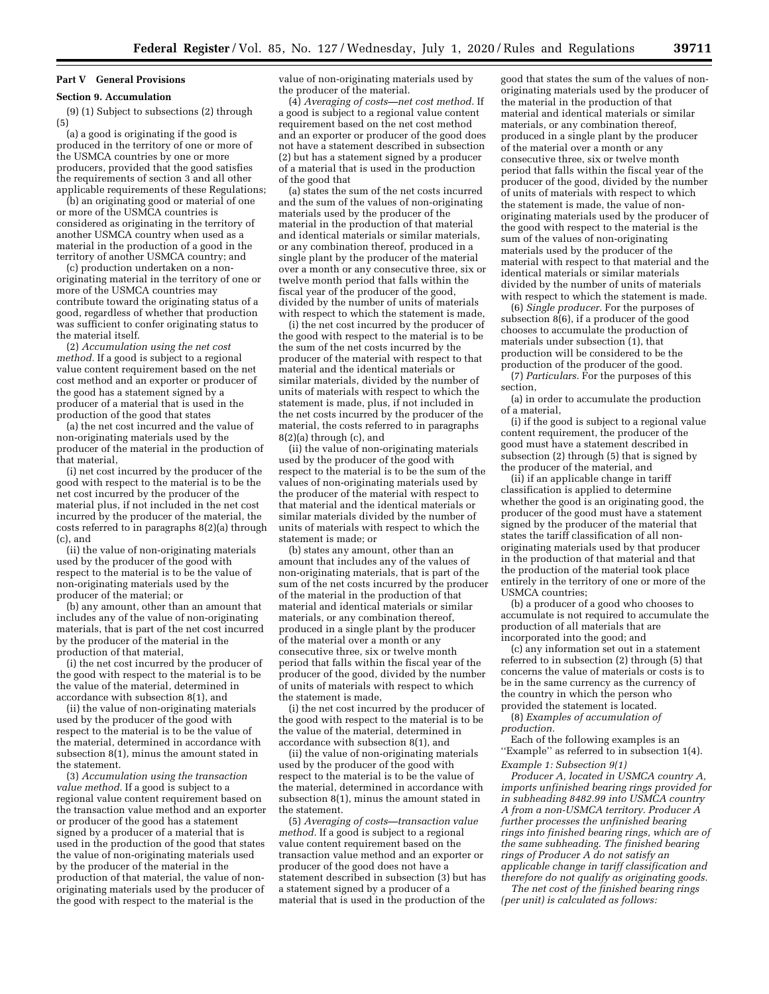# **Part V General Provisions**

# **Section 9. Accumulation**

(9) (1) Subject to subsections (2) through (5)

(a) a good is originating if the good is produced in the territory of one or more of the USMCA countries by one or more producers, provided that the good satisfies the requirements of section 3 and all other applicable requirements of these Regulations;

(b) an originating good or material of one or more of the USMCA countries is considered as originating in the territory of another USMCA country when used as a material in the production of a good in the territory of another USMCA country; and

(c) production undertaken on a nonoriginating material in the territory of one or more of the USMCA countries may contribute toward the originating status of a good, regardless of whether that production was sufficient to confer originating status to the material itself.

(2) *Accumulation using the net cost method.* If a good is subject to a regional value content requirement based on the net cost method and an exporter or producer of the good has a statement signed by a producer of a material that is used in the production of the good that states

(a) the net cost incurred and the value of non-originating materials used by the producer of the material in the production of that material,

(i) net cost incurred by the producer of the good with respect to the material is to be the net cost incurred by the producer of the material plus, if not included in the net cost incurred by the producer of the material, the costs referred to in paragraphs 8(2)(a) through (c), and

(ii) the value of non-originating materials used by the producer of the good with respect to the material is to be the value of non-originating materials used by the producer of the material; or

(b) any amount, other than an amount that includes any of the value of non-originating materials, that is part of the net cost incurred by the producer of the material in the production of that material,

(i) the net cost incurred by the producer of the good with respect to the material is to be the value of the material, determined in accordance with subsection 8(1), and

(ii) the value of non-originating materials used by the producer of the good with respect to the material is to be the value of the material, determined in accordance with subsection 8(1), minus the amount stated in the statement.

(3) *Accumulation using the transaction value method.* If a good is subject to a regional value content requirement based on the transaction value method and an exporter or producer of the good has a statement signed by a producer of a material that is used in the production of the good that states the value of non-originating materials used by the producer of the material in the production of that material, the value of nonoriginating materials used by the producer of the good with respect to the material is the

value of non-originating materials used by the producer of the material.

(4) *Averaging of costs—net cost method.* If a good is subject to a regional value content requirement based on the net cost method and an exporter or producer of the good does not have a statement described in subsection (2) but has a statement signed by a producer of a material that is used in the production of the good that

(a) states the sum of the net costs incurred and the sum of the values of non-originating materials used by the producer of the material in the production of that material and identical materials or similar materials, or any combination thereof, produced in a single plant by the producer of the material over a month or any consecutive three, six or twelve month period that falls within the fiscal year of the producer of the good, divided by the number of units of materials with respect to which the statement is made,

(i) the net cost incurred by the producer of the good with respect to the material is to be the sum of the net costs incurred by the producer of the material with respect to that material and the identical materials or similar materials, divided by the number of units of materials with respect to which the statement is made, plus, if not included in the net costs incurred by the producer of the material, the costs referred to in paragraphs  $8(2)(a)$  through  $(c)$ , and

(ii) the value of non-originating materials used by the producer of the good with respect to the material is to be the sum of the values of non-originating materials used by the producer of the material with respect to that material and the identical materials or similar materials divided by the number of units of materials with respect to which the statement is made; or

(b) states any amount, other than an amount that includes any of the values of non-originating materials, that is part of the sum of the net costs incurred by the producer of the material in the production of that material and identical materials or similar materials, or any combination thereof, produced in a single plant by the producer of the material over a month or any consecutive three, six or twelve month period that falls within the fiscal year of the producer of the good, divided by the number of units of materials with respect to which the statement is made,

(i) the net cost incurred by the producer of the good with respect to the material is to be the value of the material, determined in accordance with subsection 8(1), and

(ii) the value of non-originating materials used by the producer of the good with respect to the material is to be the value of the material, determined in accordance with subsection 8(1), minus the amount stated in the statement.

(5) *Averaging of costs—transaction value method.* If a good is subject to a regional value content requirement based on the transaction value method and an exporter or producer of the good does not have a statement described in subsection (3) but has a statement signed by a producer of a material that is used in the production of the

good that states the sum of the values of nonoriginating materials used by the producer of the material in the production of that material and identical materials or similar materials, or any combination thereof, produced in a single plant by the producer of the material over a month or any consecutive three, six or twelve month period that falls within the fiscal year of the producer of the good, divided by the number of units of materials with respect to which the statement is made, the value of nonoriginating materials used by the producer of the good with respect to the material is the sum of the values of non-originating materials used by the producer of the material with respect to that material and the identical materials or similar materials divided by the number of units of materials with respect to which the statement is made.

(6) *Single producer.* For the purposes of subsection  $8(6)$ , if a producer of the good chooses to accumulate the production of materials under subsection (1), that production will be considered to be the production of the producer of the good.

(7) *Particulars.* For the purposes of this section,

(a) in order to accumulate the production of a material,

(i) if the good is subject to a regional value content requirement, the producer of the good must have a statement described in subsection (2) through (5) that is signed by the producer of the material, and

(ii) if an applicable change in tariff classification is applied to determine whether the good is an originating good, the producer of the good must have a statement signed by the producer of the material that states the tariff classification of all nonoriginating materials used by that producer in the production of that material and that the production of the material took place entirely in the territory of one or more of the USMCA countries;

(b) a producer of a good who chooses to accumulate is not required to accumulate the production of all materials that are incorporated into the good; and

(c) any information set out in a statement referred to in subsection (2) through (5) that concerns the value of materials or costs is to be in the same currency as the currency of the country in which the person who provided the statement is located.

(8) *Examples of accumulation of production.* 

Each of the following examples is an ''Example'' as referred to in subsection 1(4). *Example 1: Subsection 9(1)* 

*Producer A, located in USMCA country A, imports unfinished bearing rings provided for in subheading 8482.99 into USMCA country A from a non-USMCA territory. Producer A further processes the unfinished bearing rings into finished bearing rings, which are of the same subheading. The finished bearing rings of Producer A do not satisfy an applicable change in tariff classification and therefore do not qualify as originating goods.* 

*The net cost of the finished bearing rings (per unit) is calculated as follows:*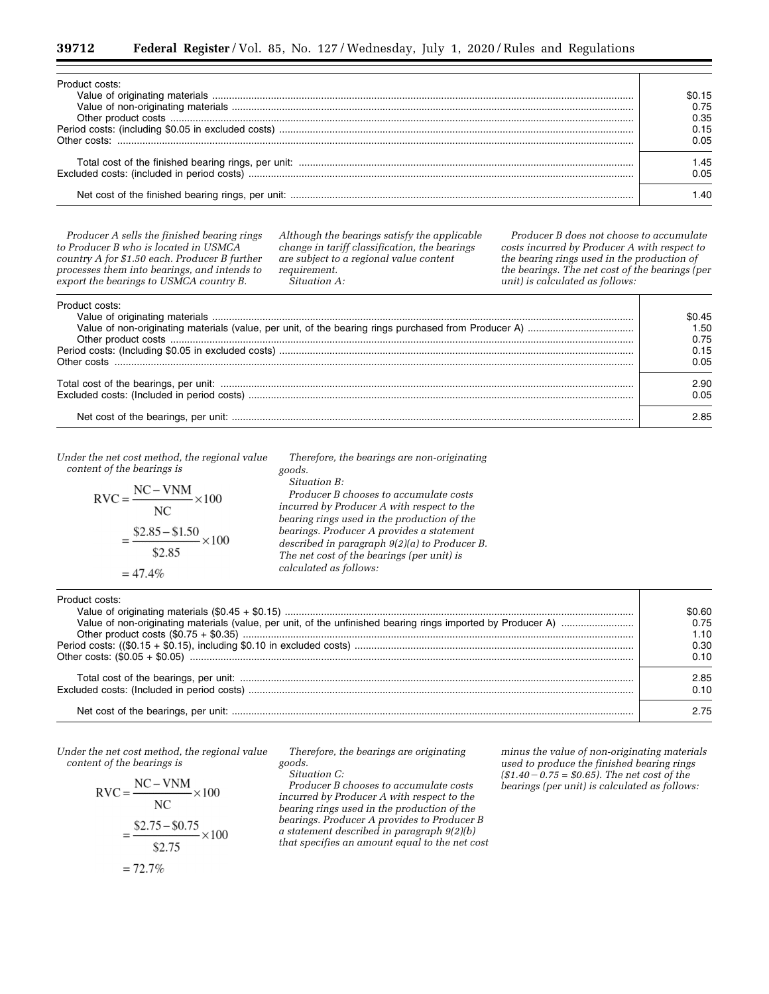**39712 Federal Register** / Vol. 85, No. 127 / Wednesday, July 1, 2020 / Rules and Regulations

| Product costs: | 30.15<br>0.75<br>0.35<br>0.15<br>0.05 |
|----------------|---------------------------------------|
|                | 1.45                                  |
|                | 0.05                                  |
|                | 40                                    |

*Producer A sells the finished bearing rings to Producer B who is located in USMCA country A for \$1.50 each. Producer B further processes them into bearings, and intends to export the bearings to USMCA country B.* 

*Although the bearings satisfy the applicable change in tariff classification, the bearings are subject to a regional value content requirement. Situation A:* 

*Producer B does not choose to accumulate costs incurred by Producer A with respect to the bearing rings used in the production of the bearings. The net cost of the bearings (per unit) is calculated as follows:* 

| Product costs: |        |
|----------------|--------|
|                | \$0.45 |
|                | 1.50   |
|                | 0.75   |
|                | 0.15   |
|                | 0.05   |
|                | 2.90   |
|                | 0.05   |
|                | 2 8.5  |

*Under the net cost method, the regional value content of the bearings is* 

$$
RVC = \frac{NC - VNM}{NC} \times 100
$$
  
=  $\frac{$2.85 - $1.50}{$2.85} \times 100$   
= 47.4%

*Therefore, the bearings are non-originating goods. Situation B: Producer B chooses to accumulate costs incurred by Producer A with respect to the bearing rings used in the production of the bearings. Producer A provides a statement described in paragraph 9(2)(a) to Producer B. The net cost of the bearings (per unit) is calculated as follows:* 

| Product costs: | \$0.60<br>0.75<br>1.10<br>0.30<br>0.10 |
|----------------|----------------------------------------|
|                | 2.85<br>0.10                           |
|                | 2 75                                   |

*Under the net cost method, the regional value content of the bearings is* 

$$
RVC = \frac{NC - VNM}{NC} \times 100
$$

$$
= \frac{\$2.75 - \$0.75}{\$2.75} \times 100
$$

$$
= 72.7\%
$$

*Therefore, the bearings are originating goods.* 

# *Situation C:*

*Producer B chooses to accumulate costs incurred by Producer A with respect to the bearing rings used in the production of the bearings. Producer A provides to Producer B a statement described in paragraph 9(2)(b) that specifies an amount equal to the net cost*  *minus the value of non-originating materials used to produce the finished bearing rings*   $($1.40 - 0.75 = $0.65)$ *. The net cost of the bearings (per unit) is calculated as follows:*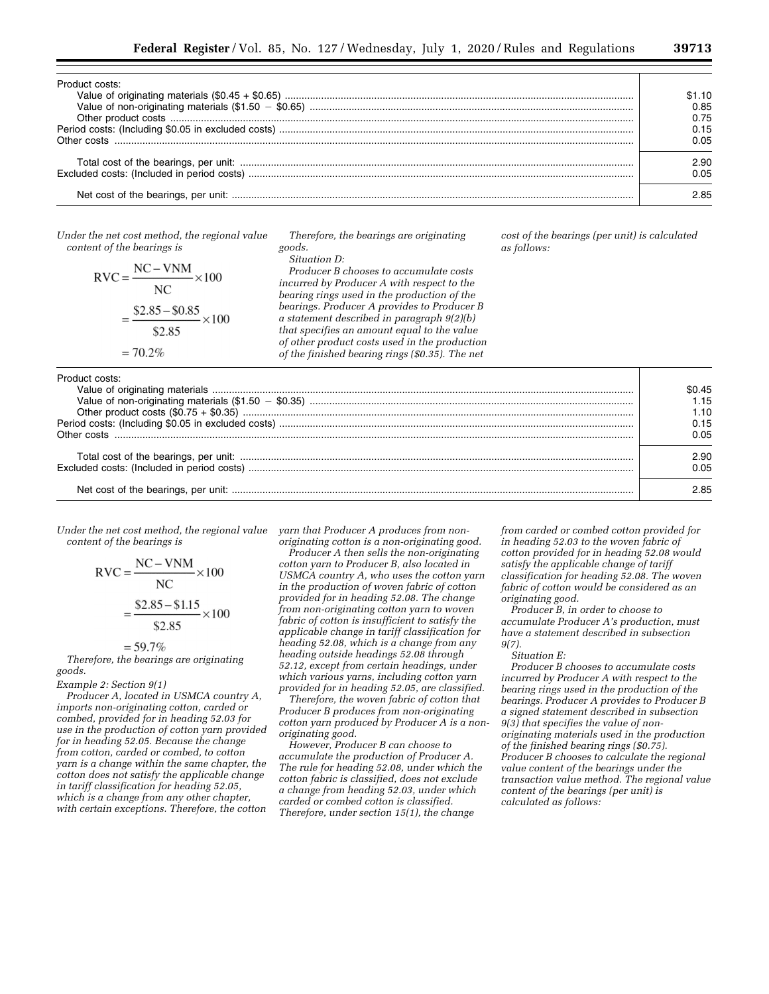| Product costs: | 51.10<br>0.85<br>0.75<br>0.15<br>0.05 |
|----------------|---------------------------------------|
|                | 2.90<br>0.05                          |
|                | 2 8.5                                 |

*Therefore, the bearings are originating* 

*Producer B chooses to accumulate costs incurred by Producer A with respect to the bearing rings used in the production of the bearings. Producer A provides to Producer B a statement described in paragraph 9(2)(b) that specifies an amount equal to the value of other product costs used in the production of the finished bearing rings (\$0.35). The net* 

*goods.* 

*Situation D:* 

*Under the net cost method, the regional value content of the bearings is* 

> $\text{RVC} = \frac{\text{NC} - \text{VNM}}{\text{NC}} \times 100$  $=\frac{$2.85 - $0.85}{$2.85} \times 100$  $= 70.2%$

| ነ0.45 |
|-------|
| 1.15  |
| 1.10  |
| 0.15  |
| 0.05  |
| 2.90  |
| 0.05  |
| 2 R.5 |

*Under the net cost method, the regional value content of the bearings is* 

$$
RVC = \frac{NC - VNM}{NC} \times 100
$$

$$
= \frac{\$2.85 - \$1.15}{\$2.85} \times 100
$$

#### $= 59.7\%$

*Therefore, the bearings are originating goods.* 

*Example 2: Section 9(1)* 

*Producer A, located in USMCA country A, imports non-originating cotton, carded or combed, provided for in heading 52.03 for use in the production of cotton yarn provided for in heading 52.05. Because the change from cotton, carded or combed, to cotton yarn is a change within the same chapter, the cotton does not satisfy the applicable change in tariff classification for heading 52.05, which is a change from any other chapter, with certain exceptions. Therefore, the cotton* 

*yarn that Producer A produces from nonoriginating cotton is a non-originating good.* 

*Producer A then sells the non-originating cotton yarn to Producer B, also located in USMCA country A, who uses the cotton yarn in the production of woven fabric of cotton provided for in heading 52.08. The change from non-originating cotton yarn to woven fabric of cotton is insufficient to satisfy the applicable change in tariff classification for heading 52.08, which is a change from any heading outside headings 52.08 through 52.12, except from certain headings, under which various yarns, including cotton yarn provided for in heading 52.05, are classified.* 

*Therefore, the woven fabric of cotton that Producer B produces from non-originating cotton yarn produced by Producer A is a nonoriginating good.* 

*However, Producer B can choose to accumulate the production of Producer A. The rule for heading 52.08, under which the cotton fabric is classified, does not exclude a change from heading 52.03, under which carded or combed cotton is classified. Therefore, under section 15(1), the change* 

*from carded or combed cotton provided for in heading 52.03 to the woven fabric of cotton provided for in heading 52.08 would satisfy the applicable change of tariff classification for heading 52.08. The woven fabric of cotton would be considered as an originating good.* 

*cost of the bearings (per unit) is calculated* 

*as follows:* 

*Producer B, in order to choose to accumulate Producer A's production, must have a statement described in subsection 9(7).* 

#### *Situation E:*

*Producer B chooses to accumulate costs incurred by Producer A with respect to the bearing rings used in the production of the bearings. Producer A provides to Producer B a signed statement described in subsection 9(3) that specifies the value of nonoriginating materials used in the production of the finished bearing rings (\$0.75). Producer B chooses to calculate the regional value content of the bearings under the transaction value method. The regional value content of the bearings (per unit) is calculated as follows:*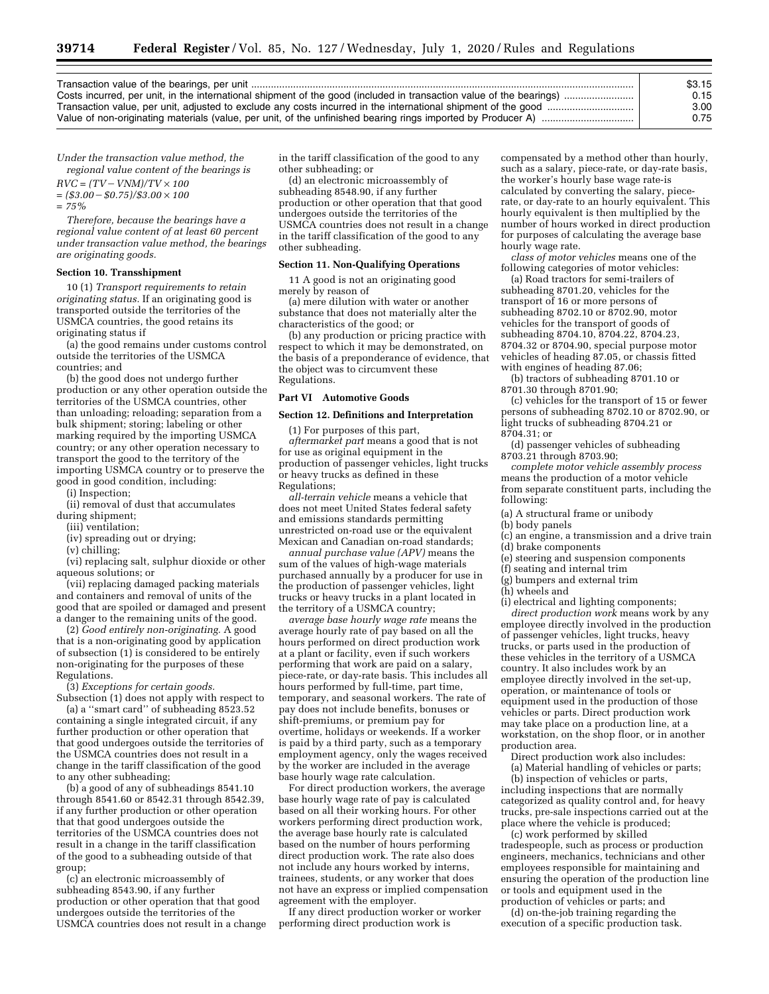| \$3.15 |
|--------|
| 0.15   |
| 3.00   |
| 0.75   |

*Under the transaction value method, the regional value content of the bearings is* 

 $RVC = (TV - VNM)/TV \times 100$ 

 $=($3.00 - $0.75)/$3.00 \times 100$ 

*= 75%* 

*Therefore, because the bearings have a regional value content of at least 60 percent under transaction value method, the bearings are originating goods.* 

#### **Section 10. Transshipment**

10 (1) *Transport requirements to retain originating status.* If an originating good is transported outside the territories of the USMCA countries, the good retains its originating status if

(a) the good remains under customs control outside the territories of the USMCA countries; and

(b) the good does not undergo further production or any other operation outside the territories of the USMCA countries, other than unloading; reloading; separation from a bulk shipment; storing; labeling or other marking required by the importing USMCA country; or any other operation necessary to transport the good to the territory of the importing USMCA country or to preserve the good in good condition, including:

(i) Inspection;

(ii) removal of dust that accumulates during shipment;

(iii) ventilation;

(iv) spreading out or drying;

(v) chilling;

(vi) replacing salt, sulphur dioxide or other aqueous solutions; or

(vii) replacing damaged packing materials and containers and removal of units of the good that are spoiled or damaged and present a danger to the remaining units of the good.

(2) *Good entirely non-originating.* A good that is a non-originating good by application of subsection (1) is considered to be entirely non-originating for the purposes of these Regulations.

(3) *Exceptions for certain goods.* 

Subsection (1) does not apply with respect to (a) a ''smart card'' of subheading 8523.52 containing a single integrated circuit, if any further production or other operation that that good undergoes outside the territories of the USMCA countries does not result in a change in the tariff classification of the good to any other subheading;

(b) a good of any of subheadings 8541.10 through 8541.60 or 8542.31 through 8542.39, if any further production or other operation that that good undergoes outside the territories of the USMCA countries does not result in a change in the tariff classification of the good to a subheading outside of that group;

(c) an electronic microassembly of subheading 8543.90, if any further production or other operation that that good undergoes outside the territories of the USMCA countries does not result in a change

in the tariff classification of the good to any other subheading; or

(d) an electronic microassembly of subheading 8548.90, if any further production or other operation that that good undergoes outside the territories of the USMCA countries does not result in a change in the tariff classification of the good to any other subheading.

#### **Section 11. Non-Qualifying Operations**

11 A good is not an originating good merely by reason of

(a) mere dilution with water or another substance that does not materially alter the characteristics of the good; or

(b) any production or pricing practice with respect to which it may be demonstrated, on the basis of a preponderance of evidence, that the object was to circumvent these Regulations.

#### **Part VI Automotive Goods**

#### **Section 12. Definitions and Interpretation**

(1) For purposes of this part, *aftermarket part* means a good that is not for use as original equipment in the production of passenger vehicles, light trucks or heavy trucks as defined in these Regulations;

*all-terrain vehicle* means a vehicle that does not meet United States federal safety and emissions standards permitting unrestricted on-road use or the equivalent Mexican and Canadian on-road standards;

*annual purchase value (APV)* means the sum of the values of high-wage materials purchased annually by a producer for use in the production of passenger vehicles, light trucks or heavy trucks in a plant located in the territory of a USMCA country;

*average base hourly wage rate* means the average hourly rate of pay based on all the hours performed on direct production work at a plant or facility, even if such workers performing that work are paid on a salary, piece-rate, or day-rate basis. This includes all hours performed by full-time, part time, temporary, and seasonal workers. The rate of pay does not include benefits, bonuses or shift-premiums, or premium pay for overtime, holidays or weekends. If a worker is paid by a third party, such as a temporary employment agency, only the wages received by the worker are included in the average base hourly wage rate calculation.

For direct production workers, the average base hourly wage rate of pay is calculated based on all their working hours. For other workers performing direct production work, the average base hourly rate is calculated based on the number of hours performing direct production work. The rate also does not include any hours worked by interns, trainees, students, or any worker that does not have an express or implied compensation agreement with the employer.

If any direct production worker or worker performing direct production work is

compensated by a method other than hourly, such as a salary, piece-rate, or day-rate basis, the worker's hourly base wage rate-is calculated by converting the salary, piecerate, or day-rate to an hourly equivalent. This hourly equivalent is then multiplied by the number of hours worked in direct production for purposes of calculating the average base hourly wage rate.

*class of motor vehicles* means one of the following categories of motor vehicles:

(a) Road tractors for semi-trailers of subheading 8701.20, vehicles for the transport of 16 or more persons of subheading 8702.10 or 8702.90, motor vehicles for the transport of goods of subheading 8704.10, 8704.22, 8704.23, 8704.32 or 8704.90, special purpose motor vehicles of heading 87.05, or chassis fitted with engines of heading 87.06;

(b) tractors of subheading 8701.10 or 8701.30 through 8701.90;

(c) vehicles for the transport of 15 or fewer persons of subheading 8702.10 or 8702.90, or light trucks of subheading 8704.21 or 8704.31; or

(d) passenger vehicles of subheading 8703.21 through 8703.90;

*complete motor vehicle assembly process*  means the production of a motor vehicle from separate constituent parts, including the following:

(a) A structural frame or unibody

(b) body panels

(c) an engine, a transmission and a drive train (d) brake components

(e) steering and suspension components

(f) seating and internal trim

(g) bumpers and external trim

(h) wheels and

(i) electrical and lighting components; *direct production work* means work by any employee directly involved in the production of passenger vehicles, light trucks, heavy trucks, or parts used in the production of these vehicles in the territory of a USMCA country. It also includes work by an employee directly involved in the set-up, operation, or maintenance of tools or equipment used in the production of those vehicles or parts. Direct production work may take place on a production line, at a workstation, on the shop floor, or in another production area.

Direct production work also includes:

(a) Material handling of vehicles or parts; (b) inspection of vehicles or parts, including inspections that are normally categorized as quality control and, for heavy trucks, pre-sale inspections carried out at the place where the vehicle is produced;

(c) work performed by skilled tradespeople, such as process or production engineers, mechanics, technicians and other employees responsible for maintaining and ensuring the operation of the production line or tools and equipment used in the production of vehicles or parts; and

(d) on-the-job training regarding the execution of a specific production task.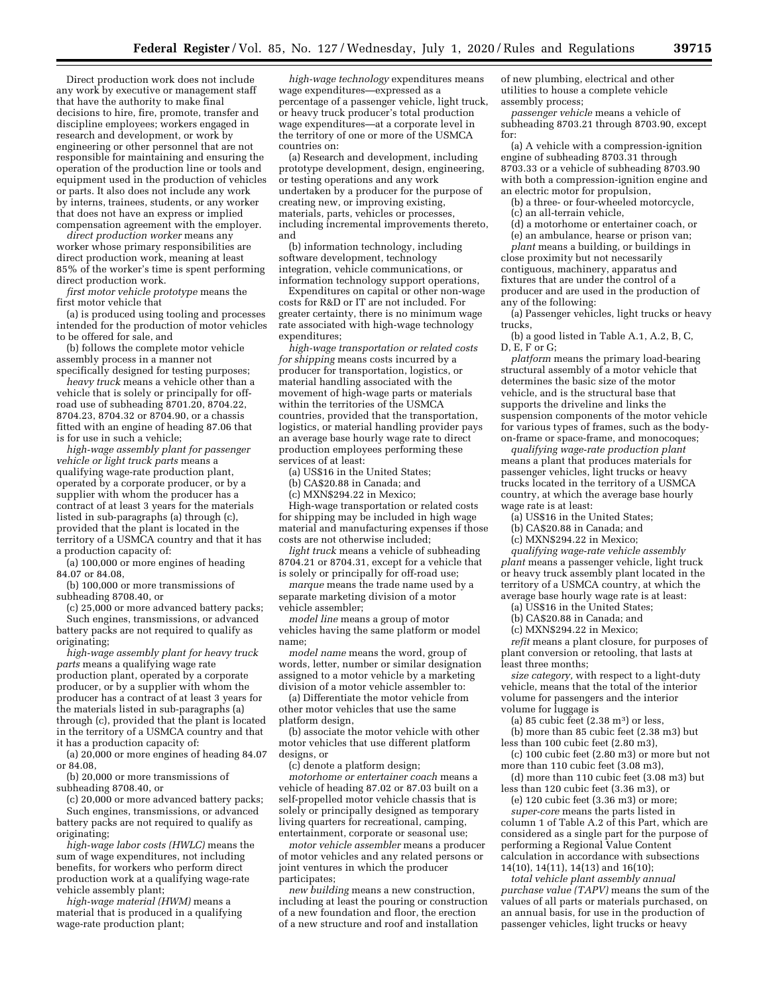Direct production work does not include any work by executive or management staff that have the authority to make final decisions to hire, fire, promote, transfer and discipline employees; workers engaged in research and development, or work by engineering or other personnel that are not responsible for maintaining and ensuring the operation of the production line or tools and equipment used in the production of vehicles or parts. It also does not include any work by interns, trainees, students, or any worker that does not have an express or implied compensation agreement with the employer.

*direct production worker* means any worker whose primary responsibilities are direct production work, meaning at least 85% of the worker's time is spent performing direct production work.

*first motor vehicle prototype* means the first motor vehicle that

(a) is produced using tooling and processes intended for the production of motor vehicles to be offered for sale, and

(b) follows the complete motor vehicle assembly process in a manner not specifically designed for testing purposes;

*heavy truck* means a vehicle other than a vehicle that is solely or principally for offroad use of subheading 8701.20, 8704.22, 8704.23, 8704.32 or 8704.90, or a chassis fitted with an engine of heading 87.06 that is for use in such a vehicle;

*high-wage assembly plant for passenger vehicle or light truck parts* means a qualifying wage-rate production plant, operated by a corporate producer, or by a supplier with whom the producer has a contract of at least 3 years for the materials listed in sub-paragraphs (a) through (c), provided that the plant is located in the territory of a USMCA country and that it has a production capacity of:

(a) 100,000 or more engines of heading 84.07 or 84.08,

(b) 100,000 or more transmissions of subheading 8708.40, or

(c) 25,000 or more advanced battery packs; Such engines, transmissions, or advanced battery packs are not required to qualify as originating;

*high-wage assembly plant for heavy truck parts* means a qualifying wage rate production plant, operated by a corporate producer, or by a supplier with whom the producer has a contract of at least 3 years for the materials listed in sub-paragraphs (a) through (c), provided that the plant is located in the territory of a USMCA country and that it has a production capacity of:

(a) 20,000 or more engines of heading 84.07 or 84.08,

(b) 20,000 or more transmissions of subheading 8708.40, or

(c) 20,000 or more advanced battery packs; Such engines, transmissions, or advanced battery packs are not required to qualify as originating;

*high-wage labor costs (HWLC)* means the sum of wage expenditures, not including benefits, for workers who perform direct production work at a qualifying wage-rate vehicle assembly plant;

*high-wage material (HWM)* means a material that is produced in a qualifying wage-rate production plant;

*high-wage technology* expenditures means wage expenditures—expressed as a percentage of a passenger vehicle, light truck, or heavy truck producer's total production wage expenditures—at a corporate level in the territory of one or more of the USMCA countries on:

(a) Research and development, including prototype development, design, engineering, or testing operations and any work undertaken by a producer for the purpose of creating new, or improving existing, materials, parts, vehicles or processes, including incremental improvements thereto, and

(b) information technology, including software development, technology integration, vehicle communications, or information technology support operations,

Expenditures on capital or other non-wage costs for R&D or IT are not included. For greater certainty, there is no minimum wage rate associated with high-wage technology expenditures;

*high-wage transportation or related costs for shipping* means costs incurred by a producer for transportation, logistics, or material handling associated with the movement of high-wage parts or materials within the territories of the USMCA countries, provided that the transportation, logistics, or material handling provider pays an average base hourly wage rate to direct production employees performing these services of at least:

(a) US\$16 in the United States;

(b) CA\$20.88 in Canada; and

(c) MXN\$294.22 in Mexico;

High-wage transportation or related costs for shipping may be included in high wage material and manufacturing expenses if those costs are not otherwise included;

*light truck* means a vehicle of subheading 8704.21 or 8704.31, except for a vehicle that is solely or principally for off-road use;

*marque* means the trade name used by a separate marketing division of a motor vehicle assembler;

*model line* means a group of motor vehicles having the same platform or model name;

*model name* means the word, group of words, letter, number or similar designation assigned to a motor vehicle by a marketing division of a motor vehicle assembler to:

(a) Differentiate the motor vehicle from other motor vehicles that use the same platform design,

(b) associate the motor vehicle with other motor vehicles that use different platform designs, or

(c) denote a platform design;

*motorhome or entertainer coach* means a vehicle of heading 87.02 or 87.03 built on a self-propelled motor vehicle chassis that is solely or principally designed as temporary living quarters for recreational, camping, entertainment, corporate or seasonal use;

*motor vehicle assembler* means a producer of motor vehicles and any related persons or joint ventures in which the producer participates;

*new building* means a new construction, including at least the pouring or construction of a new foundation and floor, the erection of a new structure and roof and installation

of new plumbing, electrical and other utilities to house a complete vehicle assembly process;

*passenger vehicle* means a vehicle of subheading 8703.21 through 8703.90, except for:

(a) A vehicle with a compression-ignition engine of subheading 8703.31 through 8703.33 or a vehicle of subheading 8703.90 with both a compression-ignition engine and an electric motor for propulsion,

(b) a three- or four-wheeled motorcycle,

(c) an all-terrain vehicle,

(d) a motorhome or entertainer coach, or (e) an ambulance, hearse or prison van;

*plant* means a building, or buildings in close proximity but not necessarily contiguous, machinery, apparatus and fixtures that are under the control of a producer and are used in the production of any of the following:

(a) Passenger vehicles, light trucks or heavy trucks,

(b) a good listed in Table A.1, A.2, B, C, D, E, F or G;

*platform* means the primary load-bearing structural assembly of a motor vehicle that determines the basic size of the motor vehicle, and is the structural base that supports the driveline and links the suspension components of the motor vehicle for various types of frames, such as the bodyon-frame or space-frame, and monocoques;

*qualifying wage-rate production plant*  means a plant that produces materials for passenger vehicles, light trucks or heavy trucks located in the territory of a USMCA country, at which the average base hourly wage rate is at least:

(a) US\$16 in the United States;

(b) CA\$20.88 in Canada; and

(c) MXN\$294.22 in Mexico;

*qualifying wage-rate vehicle assembly plant* means a passenger vehicle, light truck or heavy truck assembly plant located in the territory of a USMCA country, at which the average base hourly wage rate is at least:

(a) US\$16 in the United States;

(b) CA\$20.88 in Canada; and

(c) MXN\$294.22 in Mexico;

*refit* means a plant closure, for purposes of plant conversion or retooling, that lasts at least three months;

*size category,* with respect to a light-duty vehicle, means that the total of the interior volume for passengers and the interior volume for luggage is

(a) 85 cubic feet  $(2.38 \text{ m}^3)$  or less,

(b) more than 85 cubic feet (2.38 m3) but less than 100 cubic feet (2.80 m3),

(c) 100 cubic feet (2.80 m3) or more but not more than 110 cubic feet (3.08 m3),

(d) more than 110 cubic feet (3.08 m3) but less than 120 cubic feet (3.36 m3), or

(e) 120 cubic feet (3.36 m3) or more; *super-core* means the parts listed in

column 1 of Table A.2 of this Part, which are considered as a single part for the purpose of performing a Regional Value Content calculation in accordance with subsections 14(10), 14(11), 14(13) and 16(10);

*total vehicle plant assembly annual purchase value (TAPV)* means the sum of the values of all parts or materials purchased, on an annual basis, for use in the production of passenger vehicles, light trucks or heavy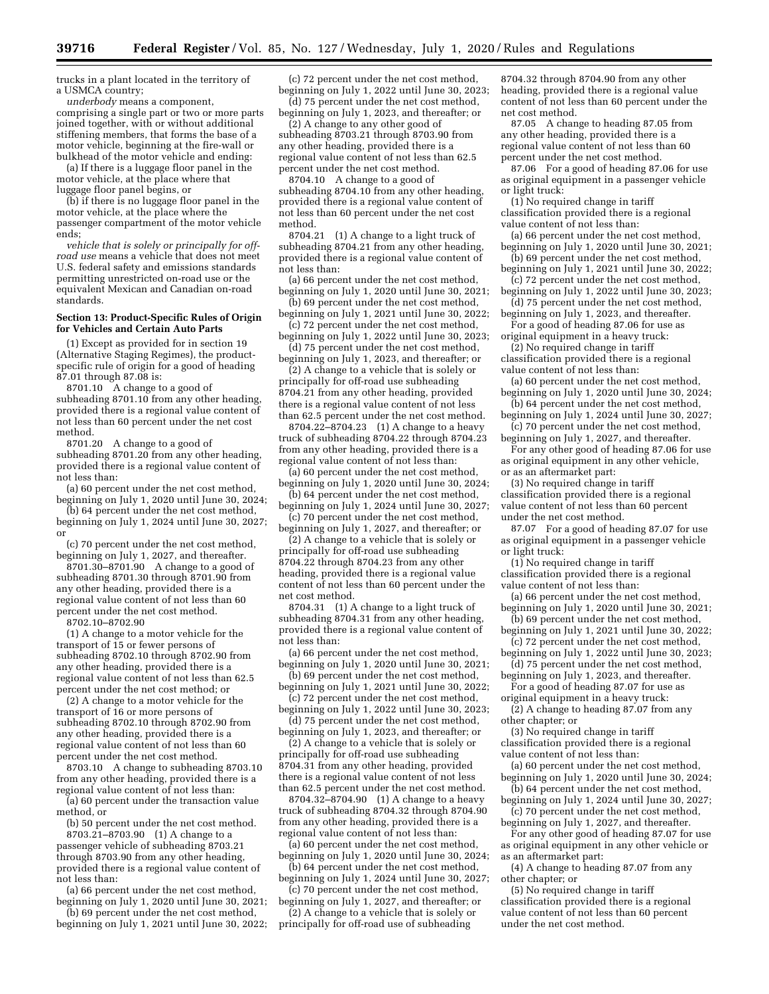trucks in a plant located in the territory of a USMCA country;

*underbody* means a component, comprising a single part or two or more parts joined together, with or without additional stiffening members, that forms the base of a motor vehicle, beginning at the fire-wall or bulkhead of the motor vehicle and ending:

(a) If there is a luggage floor panel in the motor vehicle, at the place where that luggage floor panel begins, or

(b) if there is no luggage floor panel in the motor vehicle, at the place where the passenger compartment of the motor vehicle ends;

*vehicle that is solely or principally for offroad use* means a vehicle that does not meet U.S. federal safety and emissions standards permitting unrestricted on-road use or the equivalent Mexican and Canadian on-road standards.

#### **Section 13: Product-Specific Rules of Origin for Vehicles and Certain Auto Parts**

(1) Except as provided for in section 19 (Alternative Staging Regimes), the productspecific rule of origin for a good of heading 87.01 through 87.08 is:

8701.10 A change to a good of subheading 8701.10 from any other heading, provided there is a regional value content of not less than 60 percent under the net cost method.

8701.20 A change to a good of subheading 8701.20 from any other heading, provided there is a regional value content of not less than:

(a) 60 percent under the net cost method, beginning on July 1, 2020 until June 30, 2024;

(b) 64 percent under the net cost method, beginning on July 1, 2024 until June 30, 2027; or

(c) 70 percent under the net cost method, beginning on July 1, 2027, and thereafter.

8701.30–8701.90 A change to a good of subheading 8701.30 through 8701.90 from any other heading, provided there is a regional value content of not less than 60 percent under the net cost method.

8702.10–8702.90

(1) A change to a motor vehicle for the transport of 15 or fewer persons of subheading 8702.10 through 8702.90 from any other heading, provided there is a regional value content of not less than 62.5 percent under the net cost method; or

(2) A change to a motor vehicle for the transport of 16 or more persons of subheading 8702.10 through 8702.90 from any other heading, provided there is a regional value content of not less than 60 percent under the net cost method.

8703.10 A change to subheading 8703.10 from any other heading, provided there is a regional value content of not less than:

(a) 60 percent under the transaction value method, or

(b) 50 percent under the net cost method. 8703.21–8703.90 (1) A change to a passenger vehicle of subheading 8703.21 through 8703.90 from any other heading, provided there is a regional value content of not less than:

(a) 66 percent under the net cost method, beginning on July 1, 2020 until June 30, 2021;

(b) 69 percent under the net cost method, beginning on July 1, 2021 until June 30, 2022;

(c) 72 percent under the net cost method, beginning on July 1, 2022 until June 30, 2023; (d) 75 percent under the net cost method,

beginning on July 1, 2023, and thereafter; or (2) A change to any other good of

subheading 8703.21 through 8703.90 from any other heading, provided there is a regional value content of not less than 62.5 percent under the net cost method. 8704.10 A change to a good of

subheading 8704.10 from any other heading, provided there is a regional value content of not less than 60 percent under the net cost method.

8704.21 (1) A change to a light truck of subheading 8704.21 from any other heading, provided there is a regional value content of not less than:

(a) 66 percent under the net cost method, beginning on July 1, 2020 until June 30, 2021; (b) 69 percent under the net cost method,

beginning on July 1, 2021 until June 30, 2022; (c) 72 percent under the net cost method,

beginning on July 1, 2022 until June 30, 2023; (d) 75 percent under the net cost method,

beginning on July 1, 2023, and thereafter; or

(2) A change to a vehicle that is solely or principally for off-road use subheading 8704.21 from any other heading, provided there is a regional value content of not less than 62.5 percent under the net cost method.

8704.22–8704.23 (1) A change to a heavy truck of subheading 8704.22 through 8704.23 from any other heading, provided there is a regional value content of not less than:

(a) 60 percent under the net cost method, beginning on July 1, 2020 until June 30, 2024;

(b) 64 percent under the net cost method, beginning on July 1, 2024 until June 30, 2027;

(c) 70 percent under the net cost method, beginning on July 1, 2027, and thereafter; or

(2) A change to a vehicle that is solely or principally for off-road use subheading 8704.22 through 8704.23 from any other heading, provided there is a regional value content of not less than 60 percent under the net cost method.

8704.31 (1) A change to a light truck of subheading 8704.31 from any other heading, provided there is a regional value content of not less than:

(a) 66 percent under the net cost method, beginning on July 1, 2020 until June 30, 2021; (b) 69 percent under the net cost method,

beginning on July 1, 2021 until June 30, 2022; (c) 72 percent under the net cost method,

beginning on July 1, 2022 until June 30, 2023; (d) 75 percent under the net cost method,

beginning on July 1, 2023, and thereafter; or (2) A change to a vehicle that is solely or

principally for off-road use subheading 8704.31 from any other heading, provided there is a regional value content of not less than 62.5 percent under the net cost method.

8704.32–8704.90 (1) A change to a heavy truck of subheading 8704.32 through 8704.90 from any other heading, provided there is a regional value content of not less than:

(a) 60 percent under the net cost method, beginning on July 1, 2020 until June 30, 2024; (b) 64 percent under the net cost method,

beginning on July 1, 2024 until June 30, 2027;

(c) 70 percent under the net cost method, beginning on July 1, 2027, and thereafter; or

(2) A change to a vehicle that is solely or principally for off-road use of subheading

8704.32 through 8704.90 from any other heading, provided there is a regional value content of not less than 60 percent under the net cost method.

87.05 A change to heading 87.05 from any other heading, provided there is a regional value content of not less than 60 percent under the net cost method.

87.06 For a good of heading 87.06 for use as original equipment in a passenger vehicle or light truck:

(1) No required change in tariff classification provided there is a regional value content of not less than:

(a) 66 percent under the net cost method, beginning on July 1, 2020 until June 30, 2021;

(b) 69 percent under the net cost method, beginning on July 1, 2021 until June 30, 2022;

(c) 72 percent under the net cost method, beginning on July 1, 2022 until June 30, 2023;

(d) 75 percent under the net cost method, beginning on July 1, 2023, and thereafter.

For a good of heading 87.06 for use as original equipment in a heavy truck:

(2) No required change in tariff classification provided there is a regional value content of not less than:

(a) 60 percent under the net cost method, beginning on July 1, 2020 until June 30, 2024;

(b) 64 percent under the net cost method, beginning on July 1, 2024 until June 30, 2027; (c) 70 percent under the net cost method,

beginning on July 1, 2027, and thereafter.

For any other good of heading 87.06 for use as original equipment in any other vehicle, or as an aftermarket part:

(3) No required change in tariff classification provided there is a regional value content of not less than 60 percent under the net cost method.

87.07 For a good of heading 87.07 for use as original equipment in a passenger vehicle or light truck:

(1) No required change in tariff classification provided there is a regional value content of not less than:

(a) 66 percent under the net cost method,

beginning on July 1, 2020 until June 30, 2021; (b) 69 percent under the net cost method,

beginning on July 1, 2021 until June 30, 2022; (c) 72 percent under the net cost method,

beginning on July 1, 2022 until June 30, 2023; (d) 75 percent under the net cost method,

beginning on July 1, 2023, and thereafter. For a good of heading 87.07 for use as

original equipment in a heavy truck:

(2) A change to heading 87.07 from any other chapter; or

(3) No required change in tariff classification provided there is a regional value content of not less than:

(a) 60 percent under the net cost method, beginning on July 1, 2020 until June 30, 2024;

(b) 64 percent under the net cost method, beginning on July 1, 2024 until June 30, 2027;

(c) 70 percent under the net cost method, beginning on July 1, 2027, and thereafter.

For any other good of heading 87.07 for use as original equipment in any other vehicle or as an aftermarket part:

(4) A change to heading 87.07 from any other chapter; or

(5) No required change in tariff classification provided there is a regional value content of not less than 60 percent under the net cost method.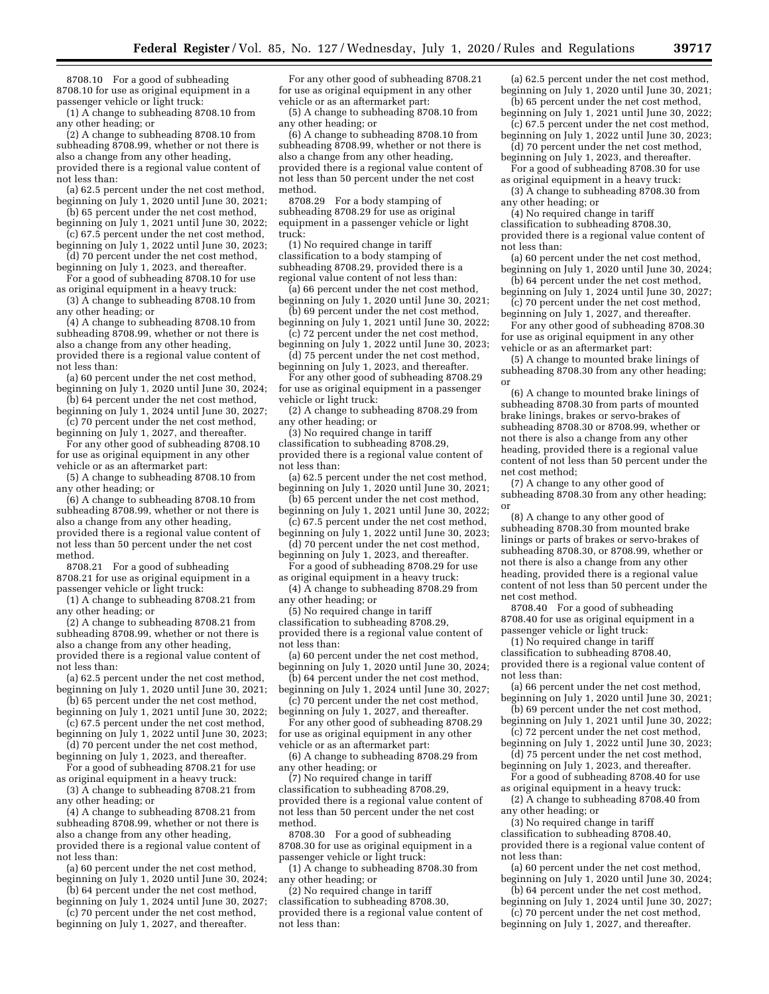8708.10 For a good of subheading 8708.10 for use as original equipment in a passenger vehicle or light truck:

(1) A change to subheading 8708.10 from any other heading; or

(2) A change to subheading 8708.10 from subheading 8708.99, whether or not there is also a change from any other heading, provided there is a regional value content of not less than:

(a) 62.5 percent under the net cost method, beginning on July 1, 2020 until June 30, 2021; (b) 65 percent under the net cost method,

beginning on July 1, 2021 until June 30, 2022;

(c) 67.5 percent under the net cost method, beginning on July 1, 2022 until June 30, 2023;

(d) 70 percent under the net cost method, beginning on July 1, 2023, and thereafter. For a good of subheading 8708.10 for use

as original equipment in a heavy truck: (3) A change to subheading 8708.10 from

any other heading; or (4) A change to subheading 8708.10 from

subheading 8708.99, whether or not there is also a change from any other heading, provided there is a regional value content of not less than:

(a) 60 percent under the net cost method, beginning on July 1, 2020 until June 30, 2024;

(b) 64 percent under the net cost method, beginning on July 1, 2024 until June 30, 2027; (c) 70 percent under the net cost method,

beginning on July 1, 2027, and thereafter. For any other good of subheading 8708.10

for use as original equipment in any other vehicle or as an aftermarket part:

(5) A change to subheading 8708.10 from any other heading; or

(6) A change to subheading 8708.10 from subheading 8708.99, whether or not there is also a change from any other heading, provided there is a regional value content of not less than 50 percent under the net cost method.

8708.21 For a good of subheading 8708.21 for use as original equipment in a passenger vehicle or light truck:

(1) A change to subheading 8708.21 from any other heading; or

(2) A change to subheading 8708.21 from subheading 8708.99, whether or not there is also a change from any other heading, provided there is a regional value content of not less than:

(a) 62.5 percent under the net cost method, beginning on July 1, 2020 until June 30, 2021; (b) 65 percent under the net cost method,

beginning on July 1, 2021 until June 30, 2022; (c) 67.5 percent under the net cost method,

beginning on July 1, 2022 until June 30, 2023; (d) 70 percent under the net cost method,

beginning on July 1, 2023, and thereafter.

For a good of subheading 8708.21 for use as original equipment in a heavy truck:

(3) A change to subheading 8708.21 from any other heading; or

(4) A change to subheading 8708.21 from subheading 8708.99, whether or not there is also a change from any other heading, provided there is a regional value content of not less than:

(a) 60 percent under the net cost method, beginning on July 1, 2020 until June 30, 2024;

(b) 64 percent under the net cost method, beginning on July 1, 2024 until June 30, 2027;

(c) 70 percent under the net cost method, beginning on July 1, 2027, and thereafter.

For any other good of subheading 8708.21 for use as original equipment in any other vehicle or as an aftermarket part:

(5) A change to subheading 8708.10 from any other heading; or

(6) A change to subheading 8708.10 from subheading 8708.99, whether or not there is also a change from any other heading, provided there is a regional value content of not less than 50 percent under the net cost method.

8708.29 For a body stamping of subheading 8708.29 for use as original equipment in a passenger vehicle or light truck:

(1) No required change in tariff classification to a body stamping of subheading 8708.29, provided there is a regional value content of not less than:

(a) 66 percent under the net cost method, beginning on July 1, 2020 until June 30, 2021;

(b) 69 percent under the net cost method, beginning on July 1, 2021 until June 30, 2022;

(c) 72 percent under the net cost method, beginning on July 1, 2022 until June 30, 2023;

(d) 75 percent under the net cost method,

beginning on July 1, 2023, and thereafter. For any other good of subheading 8708.29 for use as original equipment in a passenger vehicle or light truck:

(2) A change to subheading 8708.29 from any other heading; or

(3) No required change in tariff

classification to subheading 8708.29, provided there is a regional value content of not less than:

(a) 62.5 percent under the net cost method, beginning on July 1, 2020 until June 30, 2021;

(b) 65 percent under the net cost method, beginning on July 1, 2021 until June 30, 2022;

(c) 67.5 percent under the net cost method, beginning on July 1, 2022 until June 30, 2023;

(d) 70 percent under the net cost method,

beginning on July 1, 2023, and thereafter. For a good of subheading 8708.29 for use

as original equipment in a heavy truck: (4) A change to subheading 8708.29 from any other heading; or

(5) No required change in tariff classification to subheading 8708.29, provided there is a regional value content of not less than:

(a) 60 percent under the net cost method, beginning on July 1, 2020 until June 30, 2024; (b) 64 percent under the net cost method,

beginning on July 1, 2024 until June 30, 2027; (c) 70 percent under the net cost method,

beginning on July 1, 2027, and thereafter. For any other good of subheading 8708.29

for use as original equipment in any other vehicle or as an aftermarket part:

(6) A change to subheading 8708.29 from any other heading; or

(7) No required change in tariff classification to subheading 8708.29, provided there is a regional value content of not less than 50 percent under the net cost method.

8708.30 For a good of subheading 8708.30 for use as original equipment in a passenger vehicle or light truck:

(1) A change to subheading 8708.30 from any other heading; or

(2) No required change in tariff classification to subheading 8708.30, provided there is a regional value content of not less than:

(a) 62.5 percent under the net cost method, beginning on July 1, 2020 until June 30, 2021; (b) 65 percent under the net cost method,

beginning on July 1, 2021 until June 30, 2022; (c) 67.5 percent under the net cost method, beginning on July 1, 2022 until June 30, 2023;

(d) 70 percent under the net cost method, beginning on July 1, 2023, and thereafter.

For a good of subheading 8708.30 for use as original equipment in a heavy truck:

(3) A change to subheading 8708.30 from any other heading; or

(4) No required change in tariff classification to subheading 8708.30, provided there is a regional value content of not less than:

(a) 60 percent under the net cost method, beginning on July 1, 2020 until June 30, 2024; (b) 64 percent under the net cost method,

beginning on July 1, 2024 until June 30, 2027; (c) 70 percent under the net cost method,

beginning on July 1, 2027, and thereafter. For any other good of subheading 8708.30

for use as original equipment in any other vehicle or as an aftermarket part:

(5) A change to mounted brake linings of subheading 8708.30 from any other heading; or

(6) A change to mounted brake linings of subheading 8708.30 from parts of mounted brake linings, brakes or servo-brakes of subheading 8708.30 or 8708.99, whether or not there is also a change from any other heading, provided there is a regional value content of not less than 50 percent under the net cost method;

(7) A change to any other good of subheading 8708.30 from any other heading; or

(8) A change to any other good of subheading 8708.30 from mounted brake linings or parts of brakes or servo-brakes of subheading 8708.30, or 8708.99, whether or not there is also a change from any other heading, provided there is a regional value content of not less than 50 percent under the net cost method.

8708.40 For a good of subheading 8708.40 for use as original equipment in a passenger vehicle or light truck:

(1) No required change in tariff classification to subheading 8708.40, provided there is a regional value content of not less than:

(a) 66 percent under the net cost method, beginning on July 1, 2020 until June 30, 2021;

(b) 69 percent under the net cost method, beginning on July 1, 2021 until June 30, 2022;

(c) 72 percent under the net cost method, beginning on July 1, 2022 until June 30, 2023;

(d) 75 percent under the net cost method, beginning on July 1, 2023, and thereafter.

For a good of subheading 8708.40 for use as original equipment in a heavy truck:

(2) A change to subheading 8708.40 from any other heading; or

(3) No required change in tariff classification to subheading 8708.40, provided there is a regional value content of not less than:

(a) 60 percent under the net cost method, beginning on July 1, 2020 until June 30, 2024;

(b) 64 percent under the net cost method, beginning on July 1, 2024 until June 30, 2027;

(c) 70 percent under the net cost method, beginning on July 1, 2027, and thereafter.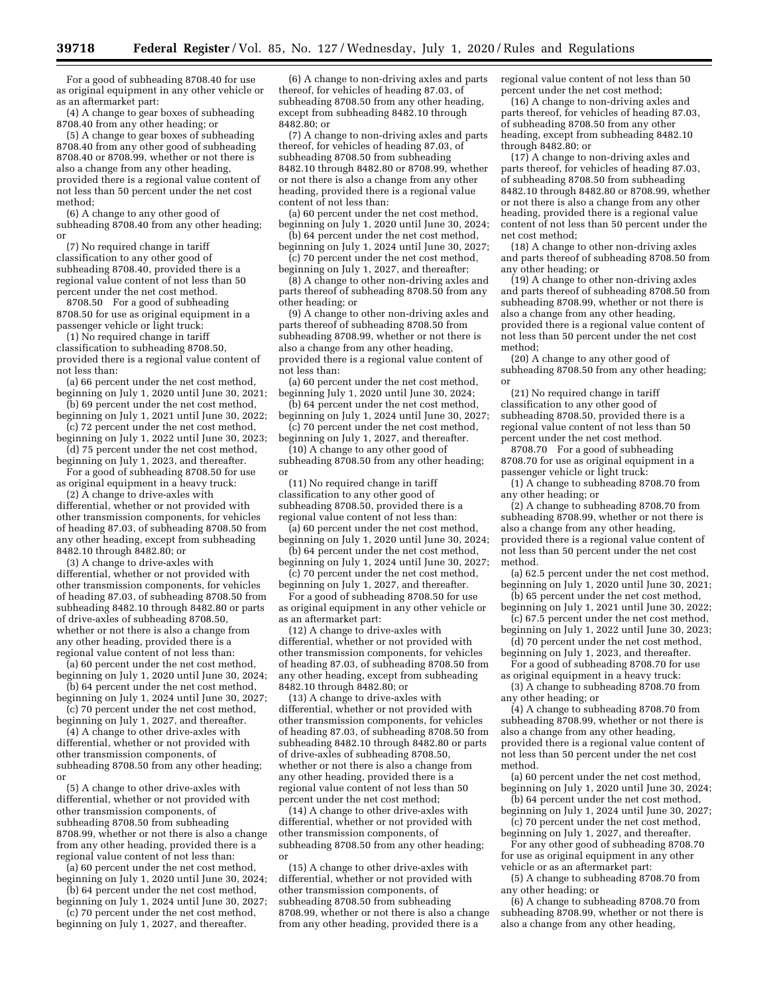For a good of subheading 8708.40 for use as original equipment in any other vehicle or as an aftermarket part:

(4) A change to gear boxes of subheading 8708.40 from any other heading; or

(5) A change to gear boxes of subheading 8708.40 from any other good of subheading 8708.40 or 8708.99, whether or not there is also a change from any other heading, provided there is a regional value content of not less than 50 percent under the net cost method;

(6) A change to any other good of subheading 8708.40 from any other heading; or

(7) No required change in tariff classification to any other good of subheading 8708.40, provided there is a regional value content of not less than 50 percent under the net cost method.

8708.50 For a good of subheading 8708.50 for use as original equipment in a passenger vehicle or light truck:

(1) No required change in tariff classification to subheading 8708.50, provided there is a regional value content of not less than:

(a) 66 percent under the net cost method, beginning on July 1, 2020 until June 30, 2021;

(b) 69 percent under the net cost method, beginning on July 1, 2021 until June 30, 2022;

(c) 72 percent under the net cost method, beginning on July 1, 2022 until June 30, 2023; (d) 75 percent under the net cost method,

beginning on July 1, 2023, and thereafter. For a good of subheading 8708.50 for use

as original equipment in a heavy truck: (2) A change to drive-axles with

differential, whether or not provided with other transmission components, for vehicles of heading 87.03, of subheading 8708.50 from any other heading, except from subheading 8482.10 through 8482.80; or

(3) A change to drive-axles with differential, whether or not provided with other transmission components, for vehicles of heading 87.03, of subheading 8708.50 from subheading 8482.10 through 8482.80 or parts of drive-axles of subheading 8708.50, whether or not there is also a change from any other heading, provided there is a regional value content of not less than:

(a) 60 percent under the net cost method, beginning on July 1, 2020 until June 30, 2024; (b) 64 percent under the net cost method,

beginning on July 1, 2024 until June 30, 2027; (c) 70 percent under the net cost method,

beginning on July 1, 2027, and thereafter. (4) A change to other drive-axles with

differential, whether or not provided with other transmission components, of subheading 8708.50 from any other heading; or

(5) A change to other drive-axles with differential, whether or not provided with other transmission components, of subheading 8708.50 from subheading 8708.99, whether or not there is also a change from any other heading, provided there is a regional value content of not less than:

(a) 60 percent under the net cost method, beginning on July 1, 2020 until June 30, 2024;

(b) 64 percent under the net cost method, beginning on July 1, 2024 until June 30, 2027;

(c) 70 percent under the net cost method, beginning on July 1, 2027, and thereafter.

(6) A change to non-driving axles and parts thereof, for vehicles of heading 87.03, of subheading 8708.50 from any other heading, except from subheading 8482.10 through 8482.80; or

(7) A change to non-driving axles and parts thereof, for vehicles of heading 87.03, of subheading 8708.50 from subheading 8482.10 through 8482.80 or 8708.99, whether or not there is also a change from any other heading, provided there is a regional value content of not less than:

(a) 60 percent under the net cost method, beginning on July 1, 2020 until June 30, 2024;

(b) 64 percent under the net cost method, beginning on July 1, 2024 until June 30, 2027; (c) 70 percent under the net cost method,

beginning on July 1, 2027, and thereafter; (8) A change to other non-driving axles and

parts thereof of subheading 8708.50 from any other heading; or

(9) A change to other non-driving axles and parts thereof of subheading 8708.50 from subheading 8708.99, whether or not there is also a change from any other heading, provided there is a regional value content of not less than:

(a) 60 percent under the net cost method, beginning July 1, 2020 until June 30, 2024;

(b) 64 percent under the net cost method, beginning on July 1, 2024 until June 30, 2027; (c) 70 percent under the net cost method,

beginning on July 1, 2027, and thereafter.

(10) A change to any other good of subheading 8708.50 from any other heading; or

(11) No required change in tariff classification to any other good of subheading 8708.50, provided there is a regional value content of not less than:

(a) 60 percent under the net cost method, beginning on July 1, 2020 until June 30, 2024; (b) 64 percent under the net cost method,

beginning on July 1, 2024 until June 30, 2027; (c) 70 percent under the net cost method,

beginning on July 1, 2027, and thereafter.

For a good of subheading 8708.50 for use as original equipment in any other vehicle or as an aftermarket part:

(12) A change to drive-axles with differential, whether or not provided with other transmission components, for vehicles of heading 87.03, of subheading 8708.50 from any other heading, except from subheading 8482.10 through 8482.80; or

(13) A change to drive-axles with differential, whether or not provided with other transmission components, for vehicles of heading 87.03, of subheading 8708.50 from subheading 8482.10 through 8482.80 or parts of drive-axles of subheading 8708.50, whether or not there is also a change from any other heading, provided there is a regional value content of not less than 50 percent under the net cost method;

(14) A change to other drive-axles with differential, whether or not provided with other transmission components, of subheading 8708.50 from any other heading; or

(15) A change to other drive-axles with differential, whether or not provided with other transmission components, of subheading 8708.50 from subheading 8708.99, whether or not there is also a change from any other heading, provided there is a

regional value content of not less than 50 percent under the net cost method;

(16) A change to non-driving axles and parts thereof, for vehicles of heading 87.03, of subheading 8708.50 from any other heading, except from subheading 8482.10 through 8482.80; or

(17) A change to non-driving axles and parts thereof, for vehicles of heading 87.03, of subheading 8708.50 from subheading 8482.10 through 8482.80 or 8708.99, whether or not there is also a change from any other heading, provided there is a regional value content of not less than 50 percent under the net cost method;

(18) A change to other non-driving axles and parts thereof of subheading 8708.50 from any other heading; or

(19) A change to other non-driving axles and parts thereof of subheading 8708.50 from subheading 8708.99, whether or not there is also a change from any other heading, provided there is a regional value content of not less than 50 percent under the net cost method;

(20) A change to any other good of subheading 8708.50 from any other heading; or

(21) No required change in tariff classification to any other good of subheading 8708.50, provided there is a regional value content of not less than 50 percent under the net cost method.

8708.70 For a good of subheading 8708.70 for use as original equipment in a passenger vehicle or light truck:

(1) A change to subheading 8708.70 from any other heading; or

(2) A change to subheading 8708.70 from subheading 8708.99, whether or not there is also a change from any other heading, provided there is a regional value content of not less than 50 percent under the net cost method.

(a) 62.5 percent under the net cost method, beginning on July 1, 2020 until June 30, 2021;

(b) 65 percent under the net cost method, beginning on July 1, 2021 until June 30, 2022; (c) 67.5 percent under the net cost method,

beginning on July 1, 2022 until June 30, 2023; (d) 70 percent under the net cost method,

beginning on July 1, 2023, and thereafter.

For a good of subheading 8708.70 for use as original equipment in a heavy truck:

(3) A change to subheading 8708.70 from any other heading; or

(4) A change to subheading 8708.70 from subheading 8708.99, whether or not there is also a change from any other heading, provided there is a regional value content of not less than 50 percent under the net cost method.

(a) 60 percent under the net cost method, beginning on July 1, 2020 until June 30, 2024; (b) 64 percent under the net cost method,

beginning on July 1, 2024 until June 30, 2027; (c) 70 percent under the net cost method,

beginning on July 1, 2027, and thereafter.

For any other good of subheading 8708.70 for use as original equipment in any other vehicle or as an aftermarket part:

(5) A change to subheading 8708.70 from any other heading; or

(6) A change to subheading 8708.70 from subheading 8708.99, whether or not there is also a change from any other heading,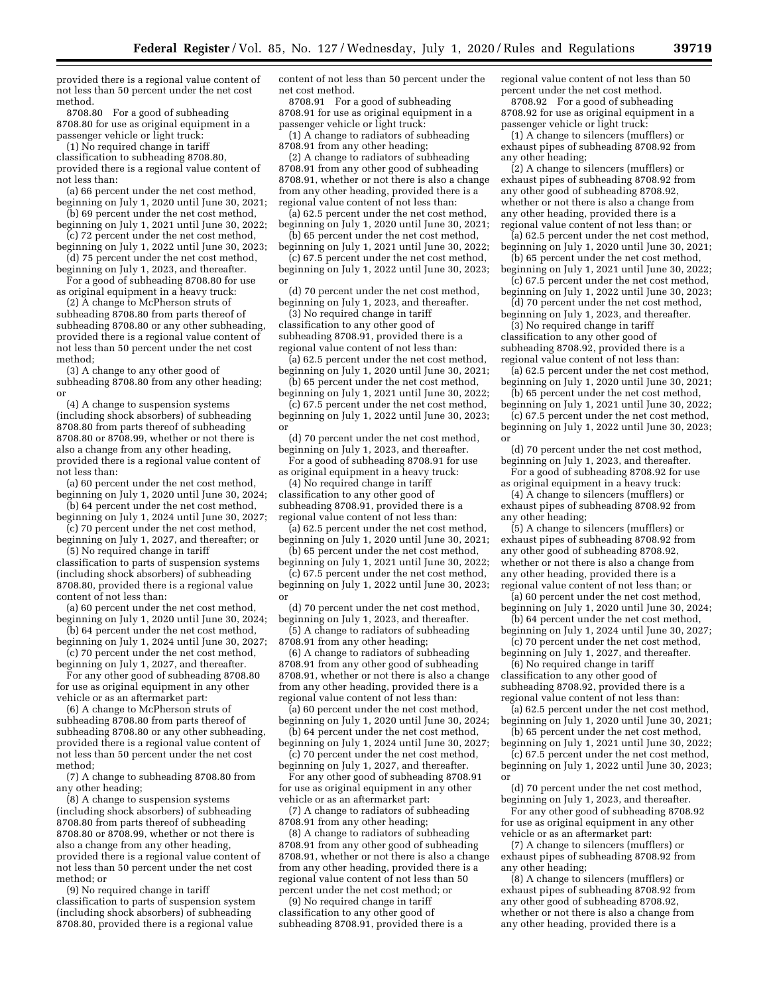provided there is a regional value content of not less than 50 percent under the net cost method.

8708.80 For a good of subheading 8708.80 for use as original equipment in a passenger vehicle or light truck:

(1) No required change in tariff classification to subheading 8708.80, provided there is a regional value content of not less than:

(a) 66 percent under the net cost method, beginning on July 1, 2020 until June 30, 2021;

(b) 69 percent under the net cost method, beginning on July 1, 2021 until June 30, 2022; (c) 72 percent under the net cost method,

beginning on July 1, 2022 until June 30, 2023; (d) 75 percent under the net cost method,

beginning on July 1, 2023, and thereafter. For a good of subheading 8708.80 for use

as original equipment in a heavy truck: (2) A change to McPherson struts of

subheading 8708.80 from parts thereof of subheading 8708.80 or any other subheading, provided there is a regional value content of not less than 50 percent under the net cost method;

(3) A change to any other good of subheading 8708.80 from any other heading; or

(4) A change to suspension systems (including shock absorbers) of subheading 8708.80 from parts thereof of subheading 8708.80 or 8708.99, whether or not there is also a change from any other heading, provided there is a regional value content of not less than:

(a) 60 percent under the net cost method, beginning on July 1, 2020 until June 30, 2024;

(b) 64 percent under the net cost method, beginning on July 1, 2024 until June 30, 2027;

(c) 70 percent under the net cost method, beginning on July 1, 2027, and thereafter; or

(5) No required change in tariff classification to parts of suspension systems (including shock absorbers) of subheading 8708.80, provided there is a regional value content of not less than:

(a) 60 percent under the net cost method, beginning on July 1, 2020 until June 30, 2024;

(b) 64 percent under the net cost method, beginning on July 1, 2024 until June 30, 2027;

(c) 70 percent under the net cost method, beginning on July 1, 2027, and thereafter.

For any other good of subheading 8708.80 for use as original equipment in any other vehicle or as an aftermarket part:

(6) A change to McPherson struts of subheading 8708.80 from parts thereof of subheading 8708.80 or any other subheading, provided there is a regional value content of not less than 50 percent under the net cost method;

(7) A change to subheading 8708.80 from any other heading;

(8) A change to suspension systems (including shock absorbers) of subheading 8708.80 from parts thereof of subheading 8708.80 or 8708.99, whether or not there is also a change from any other heading, provided there is a regional value content of not less than 50 percent under the net cost method; or

(9) No required change in tariff classification to parts of suspension system (including shock absorbers) of subheading 8708.80, provided there is a regional value

content of not less than 50 percent under the net cost method.

8708.91 For a good of subheading 8708.91 for use as original equipment in a passenger vehicle or light truck:

(1) A change to radiators of subheading 8708.91 from any other heading;

(2) A change to radiators of subheading 8708.91 from any other good of subheading 8708.91, whether or not there is also a change from any other heading, provided there is a regional value content of not less than:

(a) 62.5 percent under the net cost method, beginning on July 1, 2020 until June 30, 2021; (b) 65 percent under the net cost method,

beginning on July 1, 2021 until June 30, 2022; (c) 67.5 percent under the net cost method,

beginning on July 1, 2022 until June 30, 2023; or

(d) 70 percent under the net cost method, beginning on July 1, 2023, and thereafter.

(3) No required change in tariff classification to any other good of subheading 8708.91, provided there is a regional value content of not less than:

(a) 62.5 percent under the net cost method, beginning on July 1, 2020 until June 30, 2021; (b) 65 percent under the net cost method,

beginning on July 1, 2021 until June 30, 2022; (c) 67.5 percent under the net cost method,

beginning on July 1, 2022 until June 30, 2023; or

(d) 70 percent under the net cost method, beginning on July 1, 2023, and thereafter.

For a good of subheading 8708.91 for use as original equipment in a heavy truck:

(4) No required change in tariff classification to any other good of subheading 8708.91, provided there is a regional value content of not less than:

(a) 62.5 percent under the net cost method, beginning on July 1, 2020 until June 30, 2021; (b) 65 percent under the net cost method,

beginning on July 1, 2021 until June 30, 2022; (c) 67.5 percent under the net cost method, beginning on July 1, 2022 until June 30, 2023; or

(d) 70 percent under the net cost method, beginning on July 1, 2023, and thereafter.

(5) A change to radiators of subheading 8708.91 from any other heading;

(6) A change to radiators of subheading 8708.91 from any other good of subheading 8708.91, whether or not there is also a change from any other heading, provided there is a regional value content of not less than:

(a) 60 percent under the net cost method, beginning on July 1, 2020 until June 30, 2024;

(b) 64 percent under the net cost method, beginning on July 1, 2024 until June 30, 2027; (c) 70 percent under the net cost method,

beginning on July 1, 2027, and thereafter. For any other good of subheading 8708.91 for use as original equipment in any other

vehicle or as an aftermarket part: (7) A change to radiators of subheading 8708.91 from any other heading;

(8) A change to radiators of subheading 8708.91 from any other good of subheading 8708.91, whether or not there is also a change from any other heading, provided there is a regional value content of not less than 50 percent under the net cost method; or

(9) No required change in tariff classification to any other good of subheading 8708.91, provided there is a regional value content of not less than 50 percent under the net cost method.

8708.92 For a good of subheading 8708.92 for use as original equipment in a passenger vehicle or light truck:

(1) A change to silencers (mufflers) or exhaust pipes of subheading 8708.92 from any other heading;

(2) A change to silencers (mufflers) or exhaust pipes of subheading 8708.92 from any other good of subheading 8708.92, whether or not there is also a change from any other heading, provided there is a regional value content of not less than; or

(a) 62.5 percent under the net cost method, beginning on July 1, 2020 until June 30, 2021;

(b) 65 percent under the net cost method, beginning on July 1, 2021 until June 30, 2022; (c) 67.5 percent under the net cost method,

beginning on July 1, 2022 until June 30, 2023; (d) 70 percent under the net cost method,

beginning on July 1, 2023, and thereafter. (3) No required change in tariff classification to any other good of

subheading 8708.92, provided there is a regional value content of not less than:

(a) 62.5 percent under the net cost method, beginning on July 1, 2020 until June 30, 2021;

(b) 65 percent under the net cost method, beginning on July 1, 2021 until June 30, 2022;

(c) 67.5 percent under the net cost method, beginning on July 1, 2022 until June 30, 2023; or

(d) 70 percent under the net cost method, beginning on July 1, 2023, and thereafter.

For a good of subheading 8708.92 for use as original equipment in a heavy truck:

(4) A change to silencers (mufflers) or exhaust pipes of subheading 8708.92 from any other heading;

(5) A change to silencers (mufflers) or exhaust pipes of subheading 8708.92 from any other good of subheading 8708.92, whether or not there is also a change from any other heading, provided there is a regional value content of not less than; or

(a) 60 percent under the net cost method, beginning on July 1, 2020 until June 30, 2024;

(b) 64 percent under the net cost method, beginning on July 1, 2024 until June 30, 2027;

(c) 70 percent under the net cost method, beginning on July 1, 2027, and thereafter.

(6) No required change in tariff classification to any other good of subheading 8708.92, provided there is a regional value content of not less than:

(a) 62.5 percent under the net cost method, beginning on July 1, 2020 until June 30, 2021;

(b) 65 percent under the net cost method, beginning on July 1, 2021 until June 30, 2022;

(c) 67.5 percent under the net cost method, beginning on July 1, 2022 until June 30, 2023; or

(d) 70 percent under the net cost method, beginning on July 1, 2023, and thereafter.

For any other good of subheading 8708.92 for use as original equipment in any other vehicle or as an aftermarket part:

(7) A change to silencers (mufflers) or exhaust pipes of subheading 8708.92 from any other heading;

(8) A change to silencers (mufflers) or exhaust pipes of subheading 8708.92 from any other good of subheading 8708.92, whether or not there is also a change from any other heading, provided there is a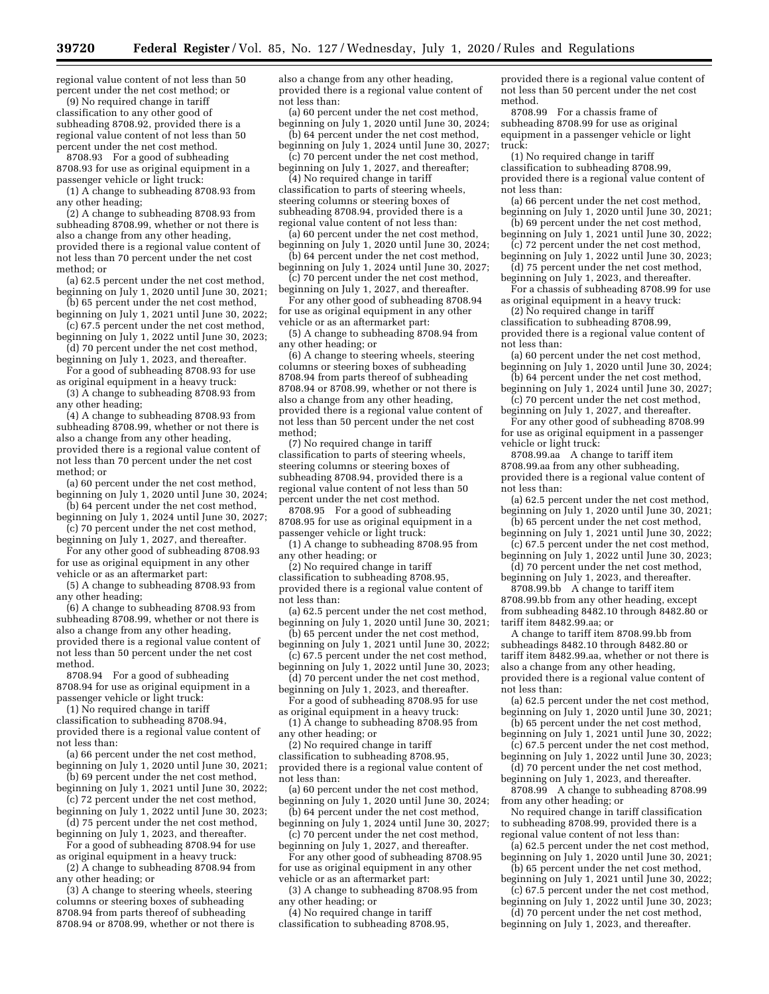regional value content of not less than 50 percent under the net cost method; or

(9) No required change in tariff classification to any other good of subheading 8708.92, provided there is a regional value content of not less than 50 percent under the net cost method.

8708.93 For a good of subheading 8708.93 for use as original equipment in a passenger vehicle or light truck:

(1) A change to subheading 8708.93 from any other heading;

(2) A change to subheading 8708.93 from subheading 8708.99, whether or not there is also a change from any other heading, provided there is a regional value content of not less than 70 percent under the net cost method; or

(a) 62.5 percent under the net cost method, beginning on July 1, 2020 until June 30, 2021;

(b) 65 percent under the net cost method, beginning on July 1, 2021 until June 30, 2022;

(c) 67.5 percent under the net cost method, beginning on July 1, 2022 until June 30, 2023; (d) 70 percent under the net cost method,

beginning on July 1, 2023, and thereafter.

For a good of subheading 8708.93 for use as original equipment in a heavy truck:

(3) A change to subheading 8708.93 from any other heading;

(4) A change to subheading 8708.93 from subheading 8708.99, whether or not there is also a change from any other heading, provided there is a regional value content of not less than 70 percent under the net cost method; or

(a) 60 percent under the net cost method, beginning on July 1, 2020 until June 30, 2024;

(b) 64 percent under the net cost method, beginning on July 1, 2024 until June 30, 2027;

(c) 70 percent under the net cost method, beginning on July 1, 2027, and thereafter.

For any other good of subheading 8708.93 for use as original equipment in any other vehicle or as an aftermarket part:

(5) A change to subheading 8708.93 from any other heading;

(6) A change to subheading 8708.93 from subheading 8708.99, whether or not there is also a change from any other heading, provided there is a regional value content of not less than 50 percent under the net cost method.

8708.94 For a good of subheading 8708.94 for use as original equipment in a passenger vehicle or light truck:

(1) No required change in tariff classification to subheading 8708.94, provided there is a regional value content of not less than:

(a) 66 percent under the net cost method, beginning on July 1, 2020 until June 30, 2021;

(b) 69 percent under the net cost method, beginning on July 1, 2021 until June 30, 2022;

(c) 72 percent under the net cost method, beginning on July 1, 2022 until June 30, 2023;

(d) 75 percent under the net cost method, beginning on July 1, 2023, and thereafter.

For a good of subheading 8708.94 for use as original equipment in a heavy truck:

(2) A change to subheading 8708.94 from any other heading; or

(3) A change to steering wheels, steering columns or steering boxes of subheading 8708.94 from parts thereof of subheading 8708.94 or 8708.99, whether or not there is also a change from any other heading, provided there is a regional value content of not less than:

(a) 60 percent under the net cost method, beginning on July 1, 2020 until June 30, 2024; (b) 64 percent under the net cost method,

beginning on July 1, 2024 until June 30, 2027; (c) 70 percent under the net cost method,

beginning on July 1, 2027, and thereafter;

(4) No required change in tariff classification to parts of steering wheels, steering columns or steering boxes of subheading 8708.94, provided there is a regional value content of not less than:

(a) 60 percent under the net cost method, beginning on July 1, 2020 until June 30, 2024; (b) 64 percent under the net cost method,

beginning on July 1, 2024 until June 30, 2027; (c) 70 percent under the net cost method,

beginning on July 1, 2027, and thereafter. For any other good of subheading 8708.94

for use as original equipment in any other vehicle or as an aftermarket part:

(5) A change to subheading 8708.94 from any other heading; or

(6) A change to steering wheels, steering columns or steering boxes of subheading 8708.94 from parts thereof of subheading 8708.94 or 8708.99, whether or not there is also a change from any other heading, provided there is a regional value content of not less than 50 percent under the net cost method;

(7) No required change in tariff classification to parts of steering wheels, steering columns or steering boxes of subheading 8708.94, provided there is a regional value content of not less than 50 percent under the net cost method.

8708.95 For a good of subheading 8708.95 for use as original equipment in a passenger vehicle or light truck:

(1) A change to subheading 8708.95 from any other heading; or

(2) No required change in tariff

classification to subheading 8708.95, provided there is a regional value content of not less than:

(a) 62.5 percent under the net cost method, beginning on July 1, 2020 until June 30, 2021; (b) 65 percent under the net cost method,

beginning on July 1, 2021 until June 30, 2022; (c) 67.5 percent under the net cost method,

beginning on July 1, 2022 until June 30, 2023; (d) 70 percent under the net cost method,

beginning on July 1, 2023, and thereafter. For a good of subheading 8708.95 for use

as original equipment in a heavy truck: (1) A change to subheading 8708.95 from

any other heading; or

(2) No required change in tariff

classification to subheading 8708.95, provided there is a regional value content of not less than:

(a) 60 percent under the net cost method, beginning on July 1, 2020 until June 30, 2024;

(b) 64 percent under the net cost method, beginning on July 1, 2024 until June 30, 2027; (c) 70 percent under the net cost method,

beginning on July 1, 2027, and thereafter.

For any other good of subheading 8708.95 for use as original equipment in any other

vehicle or as an aftermarket part: (3) A change to subheading 8708.95 from any other heading; or

(4) No required change in tariff

classification to subheading 8708.95,

provided there is a regional value content of not less than 50 percent under the net cost method.

8708.99 For a chassis frame of subheading 8708.99 for use as original equipment in a passenger vehicle or light truck:

(1) No required change in tariff classification to subheading 8708.99, provided there is a regional value content of not less than:

- (a) 66 percent under the net cost method, beginning on July 1, 2020 until June 30, 2021;
- (b) 69 percent under the net cost method, beginning on July 1, 2021 until June 30, 2022; (c) 72 percent under the net cost method,
- beginning on July 1, 2022 until June 30, 2023; (d) 75 percent under the net cost method,
- beginning on July 1, 2023, and thereafter. For a chassis of subheading 8708.99 for use

as original equipment in a heavy truck: (2) No required change in tariff

classification to subheading 8708.99, provided there is a regional value content of not less than:

- (a) 60 percent under the net cost method, beginning on July 1, 2020 until June 30, 2024;
- (b) 64 percent under the net cost method, beginning on July 1, 2024 until June 30, 2027; (c) 70 percent under the net cost method,

beginning on July 1, 2027, and thereafter. For any other good of subheading 8708.99

for use as original equipment in a passenger vehicle or light truck:

8708.99.aa A change to tariff item 8708.99.aa from any other subheading, provided there is a regional value content of not less than:

(a) 62.5 percent under the net cost method, beginning on July 1, 2020 until June 30, 2021; (b) 65 percent under the net cost method,

beginning on July 1, 2021 until June 30, 2022;

(c) 67.5 percent under the net cost method, beginning on July 1, 2022 until June 30, 2023; (d) 70 percent under the net cost method,

beginning on July 1, 2023, and thereafter. 8708.99.bb A change to tariff item

8708.99.bb from any other heading, except from subheading 8482.10 through 8482.80 or tariff item 8482.99.aa; or

A change to tariff item 8708.99.bb from subheadings 8482.10 through 8482.80 or tariff item 8482.99.aa, whether or not there is also a change from any other heading, provided there is a regional value content of not less than:

(a) 62.5 percent under the net cost method, beginning on July 1, 2020 until June 30, 2021;

- (b) 65 percent under the net cost method, beginning on July 1, 2021 until June 30, 2022; (c) 67.5 percent under the net cost method,
- beginning on July 1, 2022 until June 30, 2023;

(d) 70 percent under the net cost method, beginning on July 1, 2023, and thereafter.

8708.99 A change to subheading 8708.99 from any other heading; or

No required change in tariff classification to subheading 8708.99, provided there is a regional value content of not less than:

(a) 62.5 percent under the net cost method, beginning on July 1, 2020 until June 30, 2021; (b) 65 percent under the net cost method,

beginning on July 1, 2021 until June 30, 2022;

(c) 67.5 percent under the net cost method, beginning on July 1, 2022 until June 30, 2023;

(d) 70 percent under the net cost method, beginning on July 1, 2023, and thereafter.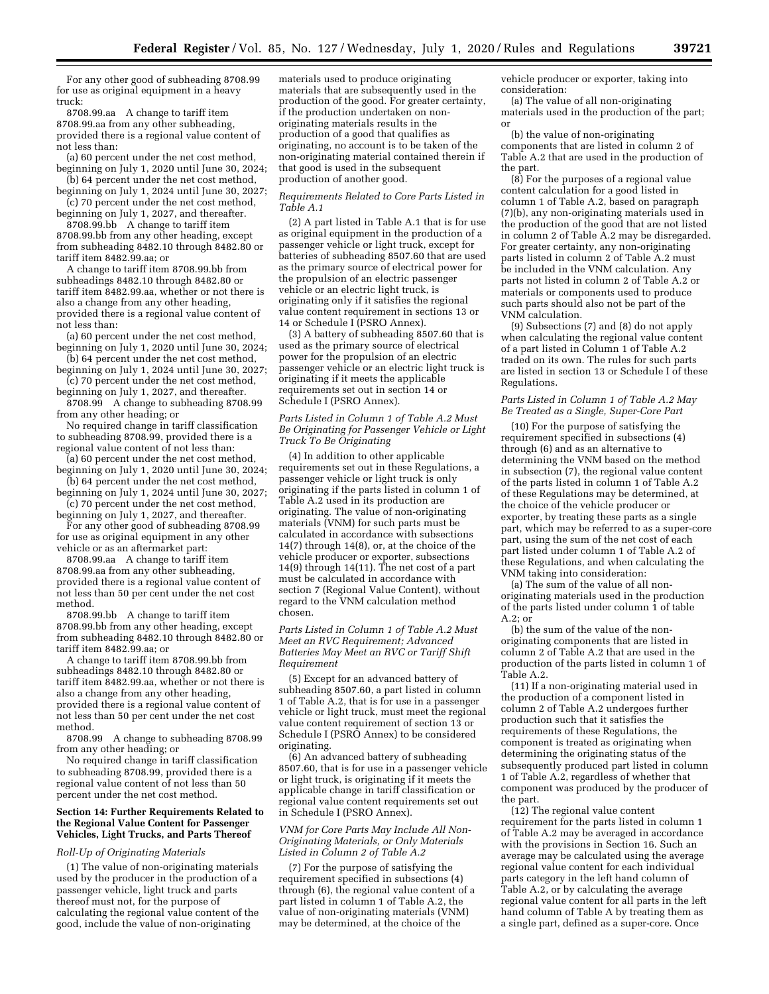For any other good of subheading 8708.99 for use as original equipment in a heavy truck:

8708.99.aa A change to tariff item 8708.99.aa from any other subheading, provided there is a regional value content of not less than:

(a) 60 percent under the net cost method, beginning on July 1, 2020 until June 30, 2024; (b) 64 percent under the net cost method,

beginning on July 1, 2024 until June 30, 2027; (c) 70 percent under the net cost method,

beginning on July 1, 2027, and thereafter. 8708.99.bb A change to tariff item 8708.99.bb from any other heading, except from subheading 8482.10 through 8482.80 or

tariff item 8482.99.aa; or A change to tariff item 8708.99.bb from subheadings 8482.10 through 8482.80 or tariff item 8482.99.aa, whether or not there is also a change from any other heading, provided there is a regional value content of not less than:

(a) 60 percent under the net cost method, beginning on July 1, 2020 until June 30, 2024;

(b) 64 percent under the net cost method, beginning on July 1, 2024 until June 30, 2027;

(c) 70 percent under the net cost method, beginning on July 1, 2027, and thereafter.

8708.99 A change to subheading 8708.99 from any other heading; or

No required change in tariff classification to subheading 8708.99, provided there is a regional value content of not less than:

(a) 60 percent under the net cost method, beginning on July 1, 2020 until June 30, 2024;

(b) 64 percent under the net cost method, beginning on July 1, 2024 until June 30, 2027;

(c) 70 percent under the net cost method,

beginning on July 1, 2027, and thereafter. For any other good of subheading 8708.99 for use as original equipment in any other

vehicle or as an aftermarket part: 8708.99.aa A change to tariff item 8708.99.aa from any other subheading, provided there is a regional value content of not less than 50 per cent under the net cost method.

8708.99.bb A change to tariff item 8708.99.bb from any other heading, except from subheading 8482.10 through 8482.80 or tariff item 8482.99.aa; or

A change to tariff item 8708.99.bb from subheadings 8482.10 through 8482.80 or tariff item 8482.99.aa, whether or not there is also a change from any other heading, provided there is a regional value content of not less than 50 per cent under the net cost method.

8708.99 A change to subheading 8708.99 from any other heading; or

No required change in tariff classification to subheading 8708.99, provided there is a regional value content of not less than 50 percent under the net cost method.

#### **Section 14: Further Requirements Related to the Regional Value Content for Passenger Vehicles, Light Trucks, and Parts Thereof**

#### *Roll-Up of Originating Materials*

(1) The value of non-originating materials used by the producer in the production of a passenger vehicle, light truck and parts thereof must not, for the purpose of calculating the regional value content of the good, include the value of non-originating

materials used to produce originating materials that are subsequently used in the production of the good. For greater certainty, if the production undertaken on nonoriginating materials results in the production of a good that qualifies as originating, no account is to be taken of the non-originating material contained therein if that good is used in the subsequent production of another good.

## *Requirements Related to Core Parts Listed in Table A.1*

(2) A part listed in Table A.1 that is for use as original equipment in the production of a passenger vehicle or light truck, except for batteries of subheading 8507.60 that are used as the primary source of electrical power for the propulsion of an electric passenger vehicle or an electric light truck, is originating only if it satisfies the regional value content requirement in sections 13 or 14 or Schedule I (PSRO Annex).

(3) A battery of subheading 8507.60 that is used as the primary source of electrical power for the propulsion of an electric passenger vehicle or an electric light truck is originating if it meets the applicable requirements set out in section 14 or Schedule I (PSRO Annex).

#### *Parts Listed in Column 1 of Table A.2 Must Be Originating for Passenger Vehicle or Light Truck To Be Originating*

(4) In addition to other applicable requirements set out in these Regulations, a passenger vehicle or light truck is only originating if the parts listed in column 1 of Table A.2 used in its production are originating. The value of non-originating materials (VNM) for such parts must be calculated in accordance with subsections 14(7) through 14(8), or, at the choice of the vehicle producer or exporter, subsections 14(9) through 14(11). The net cost of a part must be calculated in accordance with section 7 (Regional Value Content), without regard to the VNM calculation method chosen.

*Parts Listed in Column 1 of Table A.2 Must Meet an RVC Requirement; Advanced Batteries May Meet an RVC or Tariff Shift Requirement* 

(5) Except for an advanced battery of subheading 8507.60, a part listed in column 1 of Table A.2, that is for use in a passenger vehicle or light truck, must meet the regional value content requirement of section 13 or Schedule I (PSRO Annex) to be considered originating.

(6) An advanced battery of subheading 8507.60, that is for use in a passenger vehicle or light truck, is originating if it meets the applicable change in tariff classification or regional value content requirements set out in Schedule I (PSRO Annex).

## *VNM for Core Parts May Include All Non-Originating Materials, or Only Materials Listed in Column 2 of Table A.2*

(7) For the purpose of satisfying the requirement specified in subsections (4) through (6), the regional value content of a part listed in column 1 of Table A.2, the value of non-originating materials (VNM) may be determined, at the choice of the

vehicle producer or exporter, taking into consideration:

(a) The value of all non-originating materials used in the production of the part; or

(b) the value of non-originating components that are listed in column 2 of Table A.2 that are used in the production of the part.

(8) For the purposes of a regional value content calculation for a good listed in column 1 of Table A.2, based on paragraph (7)(b), any non-originating materials used in the production of the good that are not listed in column 2 of Table A.2 may be disregarded. For greater certainty, any non-originating parts listed in column 2 of Table A.2 must be included in the VNM calculation. Any parts not listed in column 2 of Table A.2 or materials or components used to produce such parts should also not be part of the VNM calculation.

(9) Subsections (7) and (8) do not apply when calculating the regional value content of a part listed in Column 1 of Table A.2 traded on its own. The rules for such parts are listed in section 13 or Schedule I of these Regulations.

## *Parts Listed in Column 1 of Table A.2 May Be Treated as a Single, Super-Core Part*

(10) For the purpose of satisfying the requirement specified in subsections (4) through (6) and as an alternative to determining the VNM based on the method in subsection (7), the regional value content of the parts listed in column 1 of Table A.2 of these Regulations may be determined, at the choice of the vehicle producer or exporter, by treating these parts as a single part, which may be referred to as a super-core part, using the sum of the net cost of each part listed under column 1 of Table A.2 of these Regulations, and when calculating the VNM taking into consideration:

(a) The sum of the value of all nonoriginating materials used in the production of the parts listed under column 1 of table A.2; or

(b) the sum of the value of the nonoriginating components that are listed in column 2 of Table A.2 that are used in the production of the parts listed in column 1 of Table A.2.

(11) If a non-originating material used in the production of a component listed in column 2 of Table A.2 undergoes further production such that it satisfies the requirements of these Regulations, the component is treated as originating when determining the originating status of the subsequently produced part listed in column 1 of Table A.2, regardless of whether that component was produced by the producer of the part.

(12) The regional value content requirement for the parts listed in column 1 of Table A.2 may be averaged in accordance with the provisions in Section 16. Such an average may be calculated using the average regional value content for each individual parts category in the left hand column of Table A.2, or by calculating the average regional value content for all parts in the left hand column of Table A by treating them as a single part, defined as a super-core. Once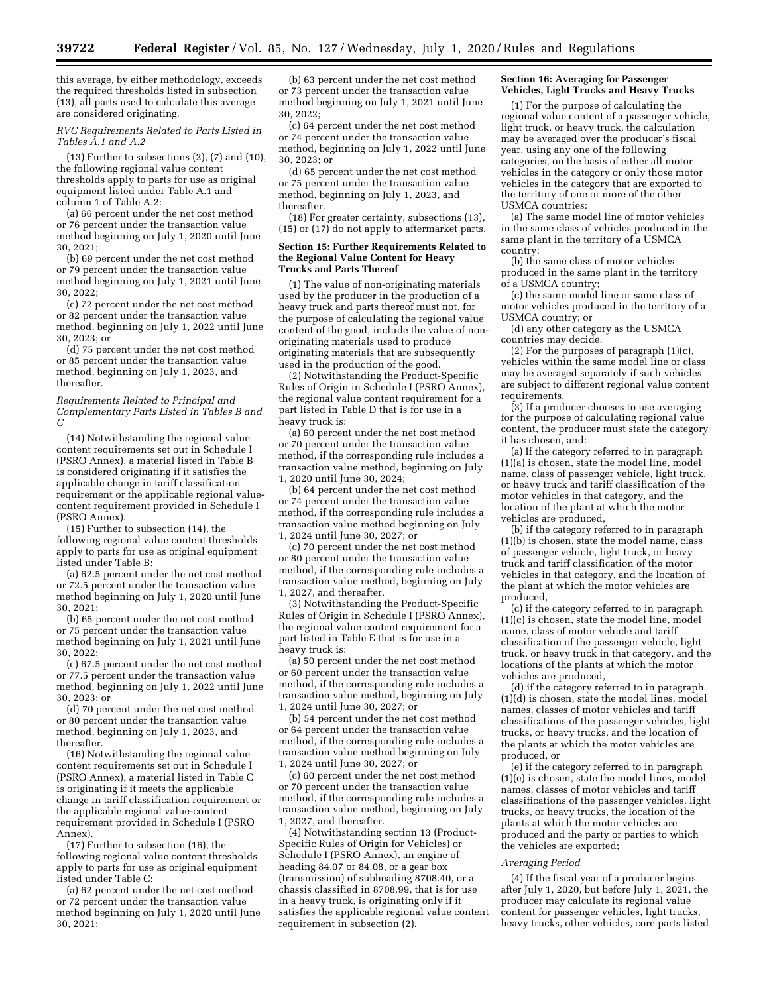this average, by either methodology, exceeds the required thresholds listed in subsection (13), all parts used to calculate this average are considered originating.

#### *RVC Requirements Related to Parts Listed in Tables A.1 and A.2*

(13) Further to subsections (2), (7) and (10), the following regional value content thresholds apply to parts for use as original equipment listed under Table A.1 and column 1 of Table A.2:

(a) 66 percent under the net cost method or 76 percent under the transaction value method beginning on July 1, 2020 until June 30, 2021;

(b) 69 percent under the net cost method or 79 percent under the transaction value method beginning on July 1, 2021 until June 30, 2022;

(c) 72 percent under the net cost method or 82 percent under the transaction value method, beginning on July 1, 2022 until June 30, 2023; or

(d) 75 percent under the net cost method or 85 percent under the transaction value method, beginning on July 1, 2023, and thereafter.

#### *Requirements Related to Principal and Complementary Parts Listed in Tables B and C*

(14) Notwithstanding the regional value content requirements set out in Schedule I (PSRO Annex), a material listed in Table B is considered originating if it satisfies the applicable change in tariff classification requirement or the applicable regional valuecontent requirement provided in Schedule I (PSRO Annex).

(15) Further to subsection (14), the following regional value content thresholds apply to parts for use as original equipment listed under Table B:

(a) 62.5 percent under the net cost method or 72.5 percent under the transaction value method beginning on July 1, 2020 until June 30, 2021;

(b) 65 percent under the net cost method or 75 percent under the transaction value method beginning on July 1, 2021 until June 30, 2022;

(c) 67.5 percent under the net cost method or 77.5 percent under the transaction value method, beginning on July 1, 2022 until June 30, 2023; or

(d) 70 percent under the net cost method or 80 percent under the transaction value method, beginning on July 1, 2023, and thereafter.

(16) Notwithstanding the regional value content requirements set out in Schedule I (PSRO Annex), a material listed in Table C is originating if it meets the applicable change in tariff classification requirement or the applicable regional value-content requirement provided in Schedule I (PSRO Annex).

(17) Further to subsection (16), the following regional value content thresholds apply to parts for use as original equipment listed under Table C:

(a) 62 percent under the net cost method or 72 percent under the transaction value method beginning on July 1, 2020 until June 30, 2021;

(b) 63 percent under the net cost method or 73 percent under the transaction value method beginning on July 1, 2021 until June 30, 2022;

(c) 64 percent under the net cost method or 74 percent under the transaction value method, beginning on July 1, 2022 until June 30, 2023; or

(d) 65 percent under the net cost method or 75 percent under the transaction value method, beginning on July 1, 2023, and thereafter.

(18) For greater certainty, subsections (13), (15) or (17) do not apply to aftermarket parts.

## **Section 15: Further Requirements Related to the Regional Value Content for Heavy Trucks and Parts Thereof**

(1) The value of non-originating materials used by the producer in the production of a heavy truck and parts thereof must not, for the purpose of calculating the regional value content of the good, include the value of nonoriginating materials used to produce originating materials that are subsequently used in the production of the good.

(2) Notwithstanding the Product-Specific Rules of Origin in Schedule I (PSRO Annex), the regional value content requirement for a part listed in Table D that is for use in a heavy truck is:

(a) 60 percent under the net cost method or 70 percent under the transaction value method, if the corresponding rule includes a transaction value method, beginning on July 1, 2020 until June 30, 2024;

(b) 64 percent under the net cost method or 74 percent under the transaction value method, if the corresponding rule includes a transaction value method beginning on July 1, 2024 until June 30, 2027; or

(c) 70 percent under the net cost method or 80 percent under the transaction value method, if the corresponding rule includes a transaction value method, beginning on July 1, 2027, and thereafter.

(3) Notwithstanding the Product-Specific Rules of Origin in Schedule I (PSRO Annex), the regional value content requirement for a part listed in Table E that is for use in a heavy truck is:

(a) 50 percent under the net cost method or 60 percent under the transaction value method, if the corresponding rule includes a transaction value method, beginning on July 1, 2024 until June 30, 2027; or

(b) 54 percent under the net cost method or 64 percent under the transaction value method, if the corresponding rule includes a transaction value method beginning on July 1, 2024 until June 30, 2027; or

(c) 60 percent under the net cost method or 70 percent under the transaction value method, if the corresponding rule includes a transaction value method, beginning on July 1, 2027, and thereafter.

(4) Notwithstanding section 13 (Product-Specific Rules of Origin for Vehicles) or Schedule I (PSRO Annex), an engine of heading 84.07 or 84.08, or a gear box (transmission) of subheading 8708.40, or a chassis classified in 8708.99, that is for use in a heavy truck, is originating only if it satisfies the applicable regional value content requirement in subsection (2).

## **Section 16: Averaging for Passenger Vehicles, Light Trucks and Heavy Trucks**

(1) For the purpose of calculating the regional value content of a passenger vehicle, light truck, or heavy truck, the calculation may be averaged over the producer's fiscal year, using any one of the following categories, on the basis of either all motor vehicles in the category or only those motor vehicles in the category that are exported to the territory of one or more of the other USMCA countries:

(a) The same model line of motor vehicles in the same class of vehicles produced in the same plant in the territory of a USMCA country;

(b) the same class of motor vehicles produced in the same plant in the territory of a USMCA country;

(c) the same model line or same class of motor vehicles produced in the territory of a USMCA country; or

(d) any other category as the USMCA countries may decide.

(2) For the purposes of paragraph  $(1)(c)$ , vehicles within the same model line or class may be averaged separately if such vehicles are subject to different regional value content requirements.

(3) If a producer chooses to use averaging for the purpose of calculating regional value content, the producer must state the category it has chosen, and:

(a) If the category referred to in paragraph (1)(a) is chosen, state the model line, model name, class of passenger vehicle, light truck, or heavy truck and tariff classification of the motor vehicles in that category, and the location of the plant at which the motor vehicles are produced,

(b) if the category referred to in paragraph  $(1)(b)$  is chosen, state the model name, class of passenger vehicle, light truck, or heavy truck and tariff classification of the motor vehicles in that category, and the location of the plant at which the motor vehicles are produced,

(c) if the category referred to in paragraph (1)(c) is chosen, state the model line, model name, class of motor vehicle and tariff classification of the passenger vehicle, light truck, or heavy truck in that category, and the locations of the plants at which the motor vehicles are produced,

(d) if the category referred to in paragraph (1)(d) is chosen, state the model lines, model names, classes of motor vehicles and tariff classifications of the passenger vehicles, light trucks, or heavy trucks, and the location of the plants at which the motor vehicles are produced, or

(e) if the category referred to in paragraph (1)(e) is chosen, state the model lines, model names, classes of motor vehicles and tariff classifications of the passenger vehicles, light trucks, or heavy trucks, the location of the plants at which the motor vehicles are produced and the party or parties to which the vehicles are exported;

#### *Averaging Period*

(4) If the fiscal year of a producer begins after July 1, 2020, but before July 1, 2021, the producer may calculate its regional value content for passenger vehicles, light trucks, heavy trucks, other vehicles, core parts listed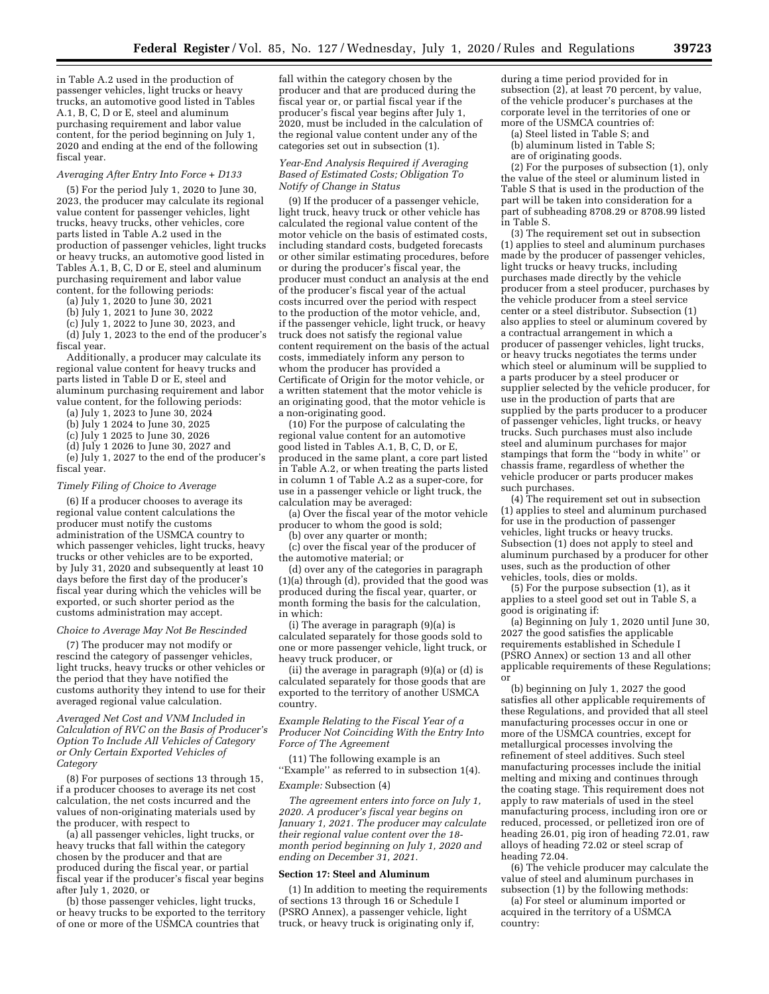in Table A.2 used in the production of passenger vehicles, light trucks or heavy trucks, an automotive good listed in Tables A.1, B, C, D or E, steel and aluminum purchasing requirement and labor value content, for the period beginning on July 1, 2020 and ending at the end of the following fiscal year.

#### *Averaging After Entry Into Force + D133*

(5) For the period July 1, 2020 to June 30, 2023, the producer may calculate its regional value content for passenger vehicles, light trucks, heavy trucks, other vehicles, core parts listed in Table A.2 used in the production of passenger vehicles, light trucks or heavy trucks, an automotive good listed in Tables A.1, B, C, D or E, steel and aluminum purchasing requirement and labor value content, for the following periods:

(a) July 1, 2020 to June 30, 2021

(b) July 1, 2021 to June 30, 2022

(c) July 1, 2022 to June 30, 2023, and

(d) July 1, 2023 to the end of the producer's fiscal year.

Additionally, a producer may calculate its regional value content for heavy trucks and parts listed in Table D or E, steel and aluminum purchasing requirement and labor value content, for the following periods:

(a) July 1, 2023 to June 30, 2024

(b) July 1 2024 to June 30, 2025

(c) July 1 2025 to June 30, 2026

(d) July 1 2026 to June 30, 2027 and

(e) July 1, 2027 to the end of the producer's fiscal year.

#### *Timely Filing of Choice to Average*

(6) If a producer chooses to average its regional value content calculations the producer must notify the customs administration of the USMCA country to which passenger vehicles, light trucks, heavy trucks or other vehicles are to be exported, by July 31, 2020 and subsequently at least 10 days before the first day of the producer's fiscal year during which the vehicles will be exported, or such shorter period as the customs administration may accept.

#### *Choice to Average May Not Be Rescinded*

(7) The producer may not modify or rescind the category of passenger vehicles, light trucks, heavy trucks or other vehicles or the period that they have notified the customs authority they intend to use for their averaged regional value calculation.

## *Averaged Net Cost and VNM Included in Calculation of RVC on the Basis of Producer's Option To Include All Vehicles of Category or Only Certain Exported Vehicles of Category*

(8) For purposes of sections 13 through 15, if a producer chooses to average its net cost calculation, the net costs incurred and the values of non-originating materials used by the producer, with respect to

(a) all passenger vehicles, light trucks, or heavy trucks that fall within the category chosen by the producer and that are produced during the fiscal year, or partial fiscal year if the producer's fiscal year begins after July 1, 2020, or

(b) those passenger vehicles, light trucks, or heavy trucks to be exported to the territory of one or more of the USMCA countries that

fall within the category chosen by the producer and that are produced during the fiscal year or, or partial fiscal year if the producer's fiscal year begins after July 1, 2020, must be included in the calculation of the regional value content under any of the categories set out in subsection (1).

## *Year-End Analysis Required if Averaging Based of Estimated Costs; Obligation To Notify of Change in Status*

(9) If the producer of a passenger vehicle, light truck, heavy truck or other vehicle has calculated the regional value content of the motor vehicle on the basis of estimated costs, including standard costs, budgeted forecasts or other similar estimating procedures, before or during the producer's fiscal year, the producer must conduct an analysis at the end of the producer's fiscal year of the actual costs incurred over the period with respect to the production of the motor vehicle, and, if the passenger vehicle, light truck, or heavy truck does not satisfy the regional value content requirement on the basis of the actual costs, immediately inform any person to whom the producer has provided a Certificate of Origin for the motor vehicle, or a written statement that the motor vehicle is an originating good, that the motor vehicle is a non-originating good.

(10) For the purpose of calculating the regional value content for an automotive good listed in Tables A.1, B, C, D, or E, produced in the same plant, a core part listed in Table A.2, or when treating the parts listed in column 1 of Table A.2 as a super-core, for use in a passenger vehicle or light truck, the calculation may be averaged:

(a) Over the fiscal year of the motor vehicle producer to whom the good is sold;

(b) over any quarter or month;

(c) over the fiscal year of the producer of the automotive material; or

(d) over any of the categories in paragraph (1)(a) through (d), provided that the good was produced during the fiscal year, quarter, or month forming the basis for the calculation, in which:

(i) The average in paragraph (9)(a) is calculated separately for those goods sold to one or more passenger vehicle, light truck, or heavy truck producer, or

(ii) the average in paragraph (9)(a) or (d) is calculated separately for those goods that are exported to the territory of another USMCA country.

*Example Relating to the Fiscal Year of a Producer Not Coinciding With the Entry Into Force of The Agreement* 

(11) The following example is an ''Example'' as referred to in subsection 1(4).

# *Example:* Subsection (4)

*The agreement enters into force on July 1, 2020. A producer's fiscal year begins on January 1, 2021. The producer may calculate their regional value content over the 18 month period beginning on July 1, 2020 and ending on December 31, 2021.* 

# **Section 17: Steel and Aluminum**

(1) In addition to meeting the requirements of sections 13 through 16 or Schedule I (PSRO Annex), a passenger vehicle, light truck, or heavy truck is originating only if,

during a time period provided for in subsection (2), at least 70 percent, by value, of the vehicle producer's purchases at the corporate level in the territories of one or more of the USMCA countries of:

(a) Steel listed in Table S; and

(b) aluminum listed in Table S;

are of originating goods.

(2) For the purposes of subsection (1), only the value of the steel or aluminum listed in Table S that is used in the production of the part will be taken into consideration for a part of subheading 8708.29 or 8708.99 listed in Table S.

(3) The requirement set out in subsection (1) applies to steel and aluminum purchases made by the producer of passenger vehicles, light trucks or heavy trucks, including purchases made directly by the vehicle producer from a steel producer, purchases by the vehicle producer from a steel service center or a steel distributor. Subsection (1) also applies to steel or aluminum covered by a contractual arrangement in which a producer of passenger vehicles, light trucks, or heavy trucks negotiates the terms under which steel or aluminum will be supplied to a parts producer by a steel producer or supplier selected by the vehicle producer, for use in the production of parts that are supplied by the parts producer to a producer of passenger vehicles, light trucks, or heavy trucks. Such purchases must also include steel and aluminum purchases for major stampings that form the ''body in white'' or chassis frame, regardless of whether the vehicle producer or parts producer makes such purchases.

(4) The requirement set out in subsection (1) applies to steel and aluminum purchased for use in the production of passenger vehicles, light trucks or heavy trucks. Subsection (1) does not apply to steel and aluminum purchased by a producer for other uses, such as the production of other vehicles, tools, dies or molds.

(5) For the purpose subsection (1), as it applies to a steel good set out in Table S, a good is originating if:

(a) Beginning on July 1, 2020 until June 30, 2027 the good satisfies the applicable requirements established in Schedule I (PSRO Annex) or section 13 and all other applicable requirements of these Regulations; or

(b) beginning on July 1, 2027 the good satisfies all other applicable requirements of these Regulations, and provided that all steel manufacturing processes occur in one or more of the USMCA countries, except for metallurgical processes involving the refinement of steel additives. Such steel manufacturing processes include the initial melting and mixing and continues through the coating stage. This requirement does not apply to raw materials of used in the steel manufacturing process, including iron ore or reduced, processed, or pelletized iron ore of heading 26.01, pig iron of heading 72.01, raw alloys of heading 72.02 or steel scrap of heading 72.04.

(6) The vehicle producer may calculate the value of steel and aluminum purchases in subsection (1) by the following methods:

(a) For steel or aluminum imported or acquired in the territory of a USMCA country: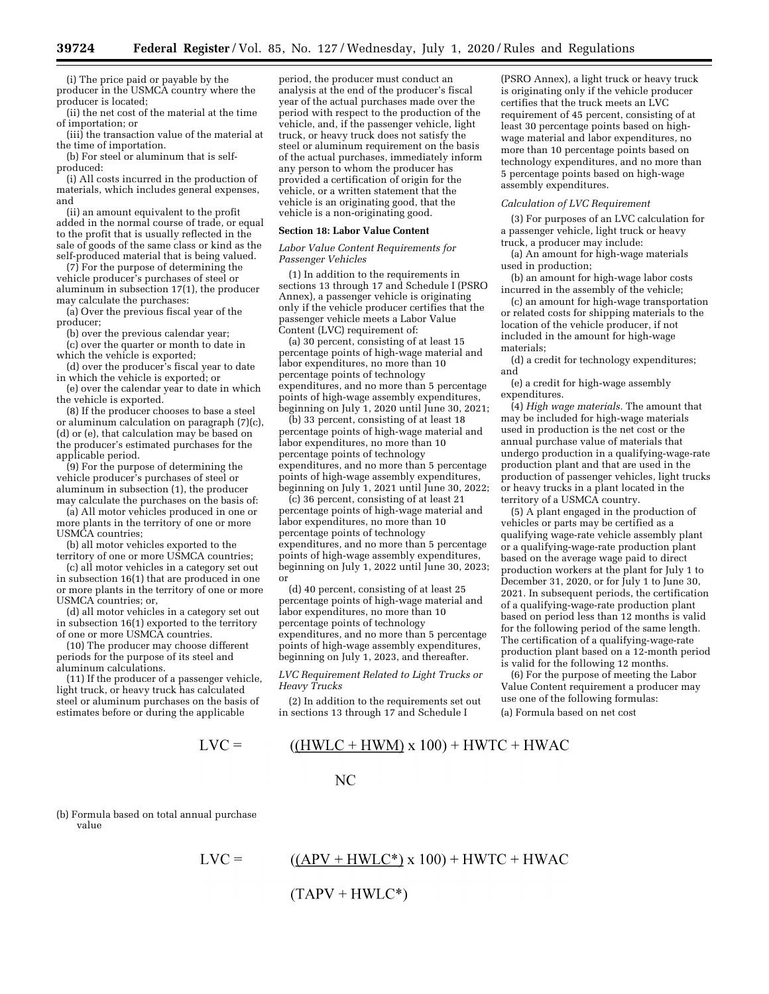(i) The price paid or payable by the producer in the USMCA country where the producer is located;

(ii) the net cost of the material at the time of importation; or

(iii) the transaction value of the material at the time of importation.

(b) For steel or aluminum that is selfproduced:

(i) All costs incurred in the production of materials, which includes general expenses, and

(ii) an amount equivalent to the profit added in the normal course of trade, or equal to the profit that is usually reflected in the sale of goods of the same class or kind as the self-produced material that is being valued.

 $(7)$  For the purpose of determining the vehicle producer's purchases of steel or aluminum in subsection 17(1), the producer

may calculate the purchases: (a) Over the previous fiscal year of the producer;

(b) over the previous calendar year;

(c) over the quarter or month to date in

which the vehicle is exported; (d) over the producer's fiscal year to date

in which the vehicle is exported; or (e) over the calendar year to date in which

the vehicle is exported. (8) If the producer chooses to base a steel

or aluminum calculation on paragraph (7)(c), (d) or (e), that calculation may be based on the producer's estimated purchases for the applicable period.

(9) For the purpose of determining the vehicle producer's purchases of steel or aluminum in subsection (1), the producer may calculate the purchases on the basis of:

(a) All motor vehicles produced in one or more plants in the territory of one or more USMCA countries;

(b) all motor vehicles exported to the territory of one or more USMCA countries;

(c) all motor vehicles in a category set out in subsection 16(1) that are produced in one or more plants in the territory of one or more USMCA countries; or,

(d) all motor vehicles in a category set out in subsection 16(1) exported to the territory of one or more USMCA countries.

(10) The producer may choose different periods for the purpose of its steel and aluminum calculations.

(11) If the producer of a passenger vehicle, light truck, or heavy truck has calculated steel or aluminum purchases on the basis of estimates before or during the applicable

 $LVC =$ 

period, the producer must conduct an analysis at the end of the producer's fiscal year of the actual purchases made over the period with respect to the production of the vehicle, and, if the passenger vehicle, light truck, or heavy truck does not satisfy the steel or aluminum requirement on the basis of the actual purchases, immediately inform any person to whom the producer has provided a certification of origin for the vehicle, or a written statement that the vehicle is an originating good, that the vehicle is a non-originating good.

#### **Section 18: Labor Value Content**

*Labor Value Content Requirements for Passenger Vehicles* 

(1) In addition to the requirements in sections 13 through 17 and Schedule I (PSRO Annex), a passenger vehicle is originating only if the vehicle producer certifies that the passenger vehicle meets a Labor Value Content (LVC) requirement of:

(a) 30 percent, consisting of at least 15 percentage points of high-wage material and labor expenditures, no more than 10 percentage points of technology expenditures, and no more than 5 percentage points of high-wage assembly expenditures, beginning on July 1, 2020 until June 30, 2021;

(b) 33 percent, consisting of at least 18 percentage points of high-wage material and labor expenditures, no more than 10 percentage points of technology expenditures, and no more than 5 percentage points of high-wage assembly expenditures, beginning on July 1, 2021 until June 30, 2022;

(c) 36 percent, consisting of at least 21 percentage points of high-wage material and labor expenditures, no more than 10 percentage points of technology expenditures, and no more than 5 percentage points of high-wage assembly expenditures, beginning on July 1, 2022 until June 30, 2023; or

(d) 40 percent, consisting of at least 25 percentage points of high-wage material and labor expenditures, no more than 10 percentage points of technology expenditures, and no more than 5 percentage points of high-wage assembly expenditures, beginning on July 1, 2023, and thereafter.

*LVC Requirement Related to Light Trucks or Heavy Trucks* 

(2) In addition to the requirements set out in sections 13 through 17 and Schedule I

(PSRO Annex), a light truck or heavy truck is originating only if the vehicle producer certifies that the truck meets an LVC requirement of 45 percent, consisting of at least 30 percentage points based on highwage material and labor expenditures, no more than 10 percentage points based on technology expenditures, and no more than 5 percentage points based on high-wage assembly expenditures.

#### *Calculation of LVC Requirement*

(3) For purposes of an LVC calculation for a passenger vehicle, light truck or heavy

truck, a producer may include:

(a) An amount for high-wage materials used in production;

(b) an amount for high-wage labor costs incurred in the assembly of the vehicle;

(c) an amount for high-wage transportation or related costs for shipping materials to the location of the vehicle producer, if not included in the amount for high-wage materials;

(d) a credit for technology expenditures; and

(e) a credit for high-wage assembly expenditures.

(4) *High wage materials.* The amount that may be included for high-wage materials used in production is the net cost or the annual purchase value of materials that undergo production in a qualifying-wage-rate production plant and that are used in the production of passenger vehicles, light trucks or heavy trucks in a plant located in the territory of a USMCA country.

(5) A plant engaged in the production of vehicles or parts may be certified as a qualifying wage-rate vehicle assembly plant or a qualifying-wage-rate production plant based on the average wage paid to direct production workers at the plant for July 1 to December 31, 2020, or for July 1 to June 30, 2021. In subsequent periods, the certification of a qualifying-wage-rate production plant based on period less than 12 months is valid for the following period of the same length. The certification of a qualifying-wage-rate production plant based on a 12-month period is valid for the following 12 months.

(6) For the purpose of meeting the Labor Value Content requirement a producer may use one of the following formulas: (a) Formula based on net cost

# $((HWLC + HWM) \times 100) + HWTC + HWAC$

# NC

(b) Formula based on total annual purchase value

$$
LVC = \frac{((APV + HWLC^*) \times 100) + HWTC + HWAC}{(TAPV + HWLC^*)}
$$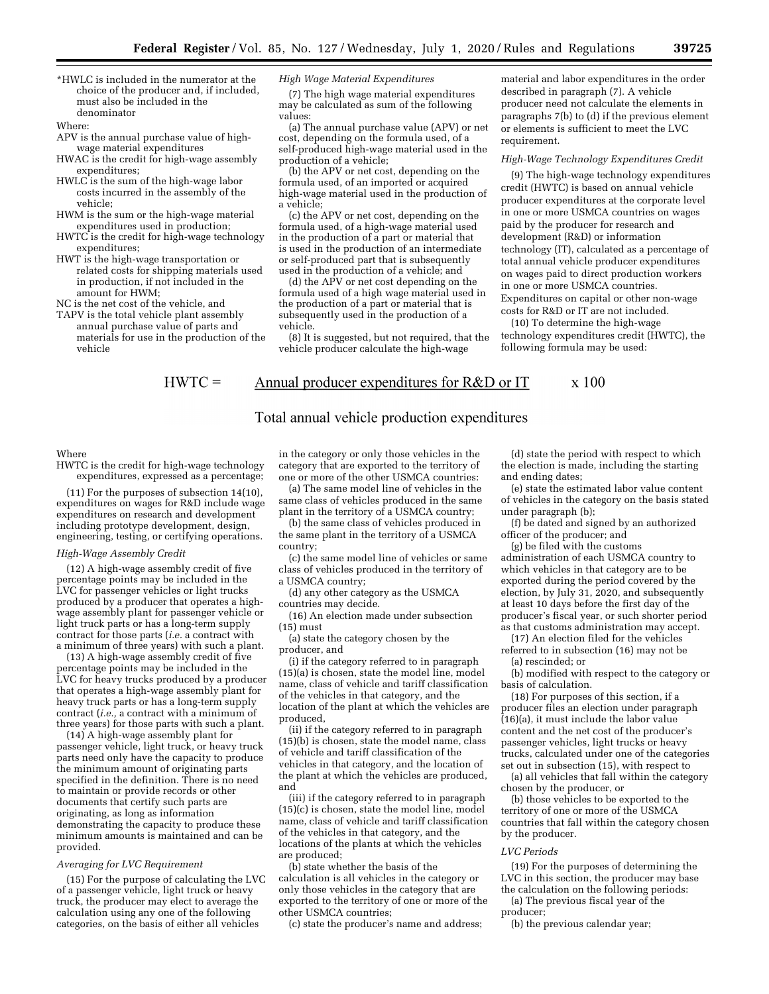\*HWLC is included in the numerator at the choice of the producer and, if included, must also be included in the denominator

Where:

- APV is the annual purchase value of highwage material expenditures
- HWAC is the credit for high-wage assembly expenditures;
- HWLC is the sum of the high-wage labor costs incurred in the assembly of the vehicle;
- HWM is the sum or the high-wage material expenditures used in production;
- HWTC is the credit for high-wage technology expenditures;
- HWT is the high-wage transportation or related costs for shipping materials used in production, if not included in the amount for HWM;
- NC is the net cost of the vehicle, and
- TAPV is the total vehicle plant assembly annual purchase value of parts and materials for use in the production of the vehicle

$$
HWTC =
$$

## *High Wage Material Expenditures*

(7) The high wage material expenditures may be calculated as sum of the following values:

(a) The annual purchase value (APV) or net cost, depending on the formula used, of a self-produced high-wage material used in the production of a vehicle;

(b) the APV or net cost, depending on the formula used, of an imported or acquired high-wage material used in the production of a vehicle;

(c) the APV or net cost, depending on the formula used, of a high-wage material used in the production of a part or material that is used in the production of an intermediate or self-produced part that is subsequently used in the production of a vehicle; and

(d) the APV or net cost depending on the formula used of a high wage material used in the production of a part or material that is subsequently used in the production of a vehicle.

(8) It is suggested, but not required, that the vehicle producer calculate the high-wage

Annual producer expenditures for R&D or IT  $\rm x$  100

# Total annual vehicle production expenditures

# **Where**

HWTC is the credit for high-wage technology expenditures, expressed as a percentage;

(11) For the purposes of subsection 14(10), expenditures on wages for R&D include wage expenditures on research and development including prototype development, design, engineering, testing, or certifying operations.

# *High-Wage Assembly Credit*

(12) A high-wage assembly credit of five percentage points may be included in the LVC for passenger vehicles or light trucks produced by a producer that operates a highwage assembly plant for passenger vehicle or light truck parts or has a long-term supply contract for those parts (*i.e.* a contract with a minimum of three years) with such a plant.

(13) A high-wage assembly credit of five percentage points may be included in the LVC for heavy trucks produced by a producer that operates a high-wage assembly plant for heavy truck parts or has a long-term supply contract (*i.e.,* a contract with a minimum of three years) for those parts with such a plant.

(14) A high-wage assembly plant for passenger vehicle, light truck, or heavy truck parts need only have the capacity to produce the minimum amount of originating parts specified in the definition. There is no need to maintain or provide records or other documents that certify such parts are originating, as long as information demonstrating the capacity to produce these minimum amounts is maintained and can be provided.

#### *Averaging for LVC Requirement*

(15) For the purpose of calculating the LVC of a passenger vehicle, light truck or heavy truck, the producer may elect to average the calculation using any one of the following categories, on the basis of either all vehicles

in the category or only those vehicles in the category that are exported to the territory of one or more of the other USMCA countries:

(a) The same model line of vehicles in the same class of vehicles produced in the same plant in the territory of a USMCA country;

(b) the same class of vehicles produced in the same plant in the territory of a USMCA country;

(c) the same model line of vehicles or same class of vehicles produced in the territory of a USMCA country;

(d) any other category as the USMCA countries may decide.

(16) An election made under subsection (15) must

(a) state the category chosen by the producer, and

(i) if the category referred to in paragraph (15)(a) is chosen, state the model line, model name, class of vehicle and tariff classification of the vehicles in that category, and the location of the plant at which the vehicles are produced,

(ii) if the category referred to in paragraph (15)(b) is chosen, state the model name, class of vehicle and tariff classification of the vehicles in that category, and the location of the plant at which the vehicles are produced, and

(iii) if the category referred to in paragraph (15)(c) is chosen, state the model line, model name, class of vehicle and tariff classification of the vehicles in that category, and the locations of the plants at which the vehicles are produced;

(b) state whether the basis of the calculation is all vehicles in the category or only those vehicles in the category that are exported to the territory of one or more of the other USMCA countries;

(c) state the producer's name and address;

(d) state the period with respect to which the election is made, including the starting

material and labor expenditures in the order described in paragraph (7). A vehicle producer need not calculate the elements in paragraphs 7(b) to (d) if the previous element or elements is sufficient to meet the LVC

*High-Wage Technology Expenditures Credit*  (9) The high-wage technology expenditures credit (HWTC) is based on annual vehicle producer expenditures at the corporate level in one or more USMCA countries on wages paid by the producer for research and development (R&D) or information

technology (IT), calculated as a percentage of total annual vehicle producer expenditures on wages paid to direct production workers

in one or more USMCA countries. Expenditures on capital or other non-wage costs for R&D or IT are not included. (10) To determine the high-wage technology expenditures credit (HWTC), the

following formula may be used:

requirement.

and ending dates; (e) state the estimated labor value content of vehicles in the category on the basis stated under paragraph (b);

(f) be dated and signed by an authorized officer of the producer; and

(g) be filed with the customs administration of each USMCA country to which vehicles in that category are to be exported during the period covered by the election, by July 31, 2020, and subsequently at least 10 days before the first day of the producer's fiscal year, or such shorter period as that customs administration may accept.

(17) An election filed for the vehicles referred to in subsection (16) may not be (a) rescinded; or

(b) modified with respect to the category or basis of calculation.

(18) For purposes of this section, if a producer files an election under paragraph  $(16)(a)$ , it must include the labor value content and the net cost of the producer's passenger vehicles, light trucks or heavy trucks, calculated under one of the categories set out in subsection (15), with respect to

(a) all vehicles that fall within the category chosen by the producer, or

(b) those vehicles to be exported to the territory of one or more of the USMCA countries that fall within the category chosen by the producer.

#### *LVC Periods*

(19) For the purposes of determining the LVC in this section, the producer may base the calculation on the following periods:

(a) The previous fiscal year of the producer;

(b) the previous calendar year;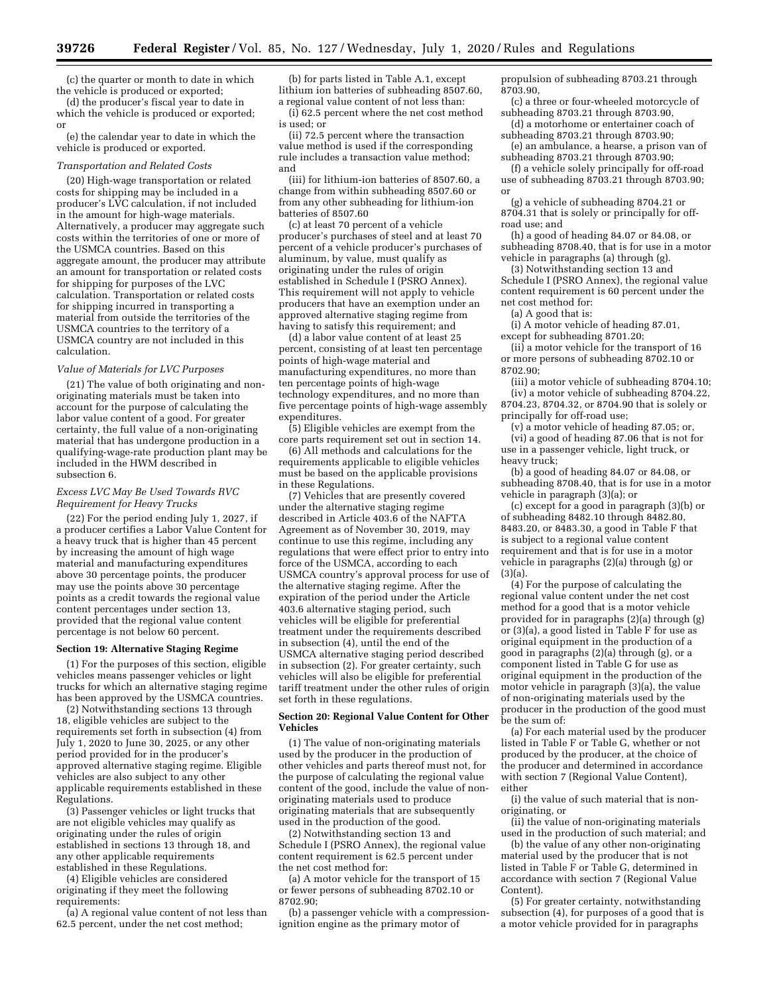(c) the quarter or month to date in which the vehicle is produced or exported;

(d) the producer's fiscal year to date in which the vehicle is produced or exported; or

(e) the calendar year to date in which the vehicle is produced or exported.

#### *Transportation and Related Costs*

(20) High-wage transportation or related costs for shipping may be included in a producer's LVC calculation, if not included in the amount for high-wage materials. Alternatively, a producer may aggregate such costs within the territories of one or more of the USMCA countries. Based on this aggregate amount, the producer may attribute an amount for transportation or related costs for shipping for purposes of the LVC calculation. Transportation or related costs for shipping incurred in transporting a material from outside the territories of the USMCA countries to the territory of a USMCA country are not included in this calculation.

#### *Value of Materials for LVC Purposes*

(21) The value of both originating and nonoriginating materials must be taken into account for the purpose of calculating the labor value content of a good. For greater certainty, the full value of a non-originating material that has undergone production in a qualifying-wage-rate production plant may be included in the HWM described in subsection 6.

#### *Excess LVC May Be Used Towards RVC Requirement for Heavy Trucks*

(22) For the period ending July 1, 2027, if a producer certifies a Labor Value Content for a heavy truck that is higher than 45 percent by increasing the amount of high wage material and manufacturing expenditures above 30 percentage points, the producer may use the points above 30 percentage points as a credit towards the regional value content percentages under section 13, provided that the regional value content percentage is not below 60 percent.

## **Section 19: Alternative Staging Regime**

(1) For the purposes of this section, eligible vehicles means passenger vehicles or light trucks for which an alternative staging regime has been approved by the USMCA countries.

(2) Notwithstanding sections 13 through 18, eligible vehicles are subject to the requirements set forth in subsection (4) from July 1, 2020 to June 30, 2025, or any other period provided for in the producer's approved alternative staging regime. Eligible vehicles are also subject to any other applicable requirements established in these Regulations.

(3) Passenger vehicles or light trucks that are not eligible vehicles may qualify as originating under the rules of origin established in sections 13 through 18, and any other applicable requirements established in these Regulations.

(4) Eligible vehicles are considered originating if they meet the following requirements:

(a) A regional value content of not less than 62.5 percent, under the net cost method;

(b) for parts listed in Table A.1, except lithium ion batteries of subheading 8507.60, a regional value content of not less than:

(i) 62.5 percent where the net cost method is used; or

(ii) 72.5 percent where the transaction value method is used if the corresponding rule includes a transaction value method; and

(iii) for lithium-ion batteries of 8507.60, a change from within subheading 8507.60 or from any other subheading for lithium-ion batteries of 8507.60

(c) at least 70 percent of a vehicle producer's purchases of steel and at least 70 percent of a vehicle producer's purchases of aluminum, by value, must qualify as originating under the rules of origin established in Schedule I (PSRO Annex). This requirement will not apply to vehicle producers that have an exemption under an approved alternative staging regime from having to satisfy this requirement; and

(d) a labor value content of at least 25 percent, consisting of at least ten percentage points of high-wage material and manufacturing expenditures, no more than ten percentage points of high-wage technology expenditures, and no more than five percentage points of high-wage assembly expenditures.

(5) Eligible vehicles are exempt from the core parts requirement set out in section 14.

(6) All methods and calculations for the requirements applicable to eligible vehicles must be based on the applicable provisions in these Regulations.

(7) Vehicles that are presently covered under the alternative staging regime described in Article 403.6 of the NAFTA Agreement as of November 30, 2019, may continue to use this regime, including any regulations that were effect prior to entry into force of the USMCA, according to each USMCA country's approval process for use of the alternative staging regime. After the expiration of the period under the Article 403.6 alternative staging period, such vehicles will be eligible for preferential treatment under the requirements described in subsection (4), until the end of the USMCA alternative staging period described in subsection (2). For greater certainty, such vehicles will also be eligible for preferential tariff treatment under the other rules of origin set forth in these regulations.

# **Section 20: Regional Value Content for Other Vehicles**

(1) The value of non-originating materials used by the producer in the production of other vehicles and parts thereof must not, for the purpose of calculating the regional value content of the good, include the value of nonoriginating materials used to produce originating materials that are subsequently used in the production of the good.

(2) Notwithstanding section 13 and Schedule I (PSRO Annex), the regional value content requirement is 62.5 percent under the net cost method for:

(a) A motor vehicle for the transport of 15 or fewer persons of subheading 8702.10 or 8702.90;

(b) a passenger vehicle with a compressionignition engine as the primary motor of

propulsion of subheading 8703.21 through 8703.90,

(c) a three or four-wheeled motorcycle of subheading 8703.21 through 8703.90, (d) a motorhome or entertainer coach of

subheading 8703.21 through 8703.90;

(e) an ambulance, a hearse, a prison van of subheading 8703.21 through 8703.90;

(f) a vehicle solely principally for off-road use of subheading 8703.21 through 8703.90; or

(g) a vehicle of subheading 8704.21 or 8704.31 that is solely or principally for offroad use; and

(h) a good of heading 84.07 or 84.08, or subheading 8708.40, that is for use in a motor vehicle in paragraphs (a) through (g).

(3) Notwithstanding section 13 and Schedule I (PSRO Annex), the regional value content requirement is 60 percent under the net cost method for:

(a) A good that is:

(i) A motor vehicle of heading 87.01, except for subheading 8701.20;

(ii) a motor vehicle for the transport of 16 or more persons of subheading 8702.10 or 8702.90;

(iii) a motor vehicle of subheading 8704.10; (iv) a motor vehicle of subheading 8704.22, 8704.23, 8704.32, or 8704.90 that is solely or principally for off-road use;

(v) a motor vehicle of heading 87.05; or, (vi) a good of heading 87.06 that is not for use in a passenger vehicle, light truck, or heavy truck;

(b) a good of heading 84.07 or 84.08, or subheading 8708.40, that is for use in a motor vehicle in paragraph (3)(a); or

(c) except for a good in paragraph (3)(b) or of subheading 8482.10 through 8482.80, 8483.20, or 8483.30, a good in Table F that is subject to a regional value content requirement and that is for use in a motor vehicle in paragraphs (2)(a) through (g) or  $(3)(a)$ .

(4) For the purpose of calculating the regional value content under the net cost method for a good that is a motor vehicle provided for in paragraphs (2)(a) through (g) or (3)(a), a good listed in Table F for use as original equipment in the production of a good in paragraphs (2)(a) through (g), or a component listed in Table G for use as original equipment in the production of the motor vehicle in paragraph (3)(a), the value of non-originating materials used by the producer in the production of the good must be the sum of:

(a) For each material used by the producer listed in Table F or Table G, whether or not produced by the producer, at the choice of the producer and determined in accordance with section 7 (Regional Value Content), either

(i) the value of such material that is nonoriginating, or

(ii) the value of non-originating materials used in the production of such material; and

(b) the value of any other non-originating material used by the producer that is not listed in Table F or Table G, determined in accordance with section 7 (Regional Value Content).

(5) For greater certainty, notwithstanding subsection (4), for purposes of a good that is a motor vehicle provided for in paragraphs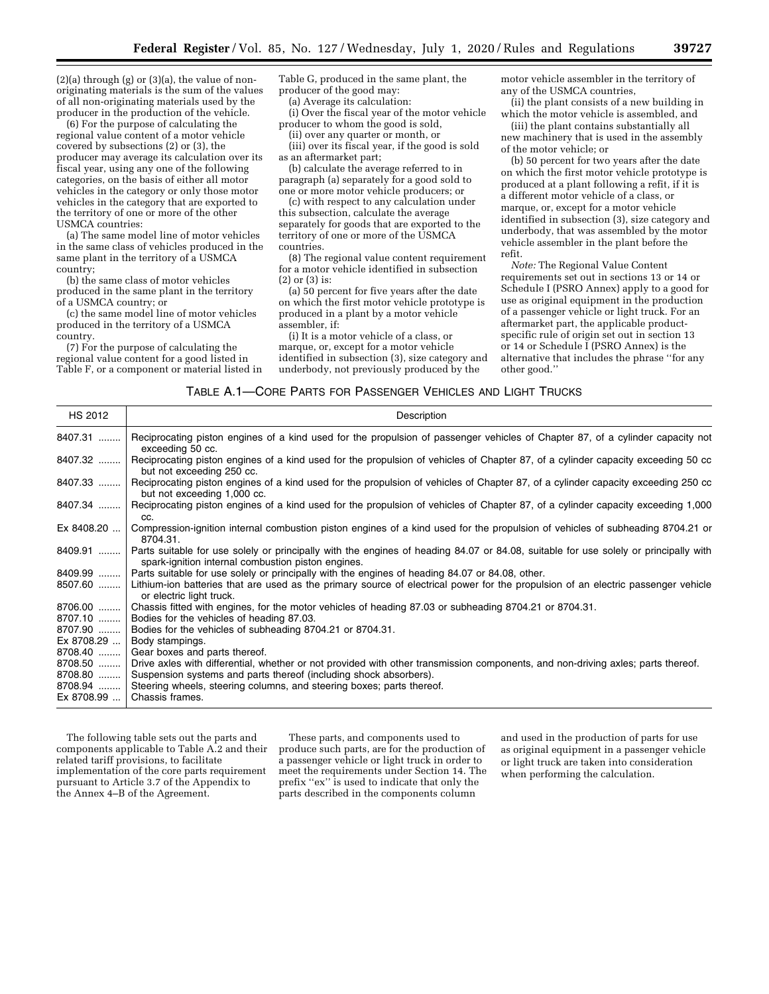$(2)(a)$  through  $(g)$  or  $(3)(a)$ , the value of nonoriginating materials is the sum of the values of all non-originating materials used by the producer in the production of the vehicle.

(6) For the purpose of calculating the regional value content of a motor vehicle covered by subsections (2) or (3), the producer may average its calculation over its fiscal year, using any one of the following categories, on the basis of either all motor vehicles in the category or only those motor vehicles in the category that are exported to the territory of one or more of the other USMCA countries:

(a) The same model line of motor vehicles in the same class of vehicles produced in the same plant in the territory of a USMCA country;

(b) the same class of motor vehicles produced in the same plant in the territory of a USMCA country; or

(c) the same model line of motor vehicles produced in the territory of a USMCA country.

(7) For the purpose of calculating the regional value content for a good listed in Table F, or a component or material listed in

Table G, produced in the same plant, the producer of the good may:

(a) Average its calculation:

(i) Over the fiscal year of the motor vehicle producer to whom the good is sold,

(ii) over any quarter or month, or

(iii) over its fiscal year, if the good is sold as an aftermarket part;

(b) calculate the average referred to in paragraph (a) separately for a good sold to one or more motor vehicle producers; or

(c) with respect to any calculation under this subsection, calculate the average separately for goods that are exported to the territory of one or more of the USMCA countries.

(8) The regional value content requirement for a motor vehicle identified in subsection (2) or (3) is:

(a) 50 percent for five years after the date on which the first motor vehicle prototype is produced in a plant by a motor vehicle assembler, if:

(i) It is a motor vehicle of a class, or marque, or, except for a motor vehicle identified in subsection (3), size category and underbody, not previously produced by the

motor vehicle assembler in the territory of any of the USMCA countries,

(ii) the plant consists of a new building in which the motor vehicle is assembled, and

(iii) the plant contains substantially all new machinery that is used in the assembly of the motor vehicle; or

(b) 50 percent for two years after the date on which the first motor vehicle prototype is produced at a plant following a refit, if it is a different motor vehicle of a class, or marque, or, except for a motor vehicle identified in subsection (3), size category and underbody, that was assembled by the motor vehicle assembler in the plant before the refit.

*Note:* The Regional Value Content requirements set out in sections 13 or 14 or Schedule I (PSRO Annex) apply to a good for use as original equipment in the production of a passenger vehicle or light truck. For an aftermarket part, the applicable productspecific rule of origin set out in section 13 or 14 or Schedule I (PSRO Annex) is the alternative that includes the phrase ''for any other good.''

| TABLE A.1—CORE PARTS FOR PASSENGER VEHICLES AND LIGHT TRUCKS |  |
|--------------------------------------------------------------|--|
|--------------------------------------------------------------|--|

| <b>HS 2012</b> | Description                                                                                                                                                                                |
|----------------|--------------------------------------------------------------------------------------------------------------------------------------------------------------------------------------------|
| 8407.31        | Reciprocating piston engines of a kind used for the propulsion of passenger vehicles of Chapter 87, of a cylinder capacity not<br>exceeding 50 cc.                                         |
| 8407.32        | Reciprocating piston engines of a kind used for the propulsion of vehicles of Chapter 87, of a cylinder capacity exceeding 50 cc<br>but not exceeding 250 cc.                              |
| 8407.33        | Reciprocating piston engines of a kind used for the propulsion of vehicles of Chapter 87, of a cylinder capacity exceeding 250 cc<br>but not exceeding 1,000 cc.                           |
| 8407.34        | Reciprocating piston engines of a kind used for the propulsion of vehicles of Chapter 87, of a cylinder capacity exceeding 1,000<br>CC.                                                    |
| Ex 8408.20     | Compression-ignition internal combustion piston engines of a kind used for the propulsion of vehicles of subheading 8704.21 or<br>8704.31.                                                 |
| $8409.91$      | Parts suitable for use solely or principally with the engines of heading 84.07 or 84.08, suitable for use solely or principally with<br>spark-ignition internal combustion piston engines. |
| 8409.99        | Parts suitable for use solely or principally with the engines of heading 84.07 or 84.08, other.                                                                                            |
| $8507.60$      | Lithium-ion batteries that are used as the primary source of electrical power for the propulsion of an electric passenger vehicle<br>or electric light truck.                              |
| 8706.00        | Chassis fitted with engines, for the motor vehicles of heading 87.03 or subheading 8704.21 or 8704.31.                                                                                     |
| 8707.10        | Bodies for the vehicles of heading 87.03.                                                                                                                                                  |
| 8707.90        | Bodies for the vehicles of subheading 8704.21 or 8704.31.                                                                                                                                  |
| Ex 8708.29     | Body stampings.                                                                                                                                                                            |
| 8708.40        | Gear boxes and parts thereof.                                                                                                                                                              |
| 8708.50        | Drive axles with differential, whether or not provided with other transmission components, and non-driving axles; parts thereof.                                                           |
| 8708.80        | Suspension systems and parts thereof (including shock absorbers).                                                                                                                          |
| 8708.94        | Steering wheels, steering columns, and steering boxes; parts thereof.                                                                                                                      |
| Ex 8708.99     | Chassis frames.                                                                                                                                                                            |

The following table sets out the parts and components applicable to Table A.2 and their related tariff provisions, to facilitate implementation of the core parts requirement pursuant to Article 3.7 of the Appendix to the Annex 4–B of the Agreement.

These parts, and components used to produce such parts, are for the production of a passenger vehicle or light truck in order to meet the requirements under Section 14. The prefix ''ex'' is used to indicate that only the parts described in the components column

and used in the production of parts for use as original equipment in a passenger vehicle or light truck are taken into consideration when performing the calculation.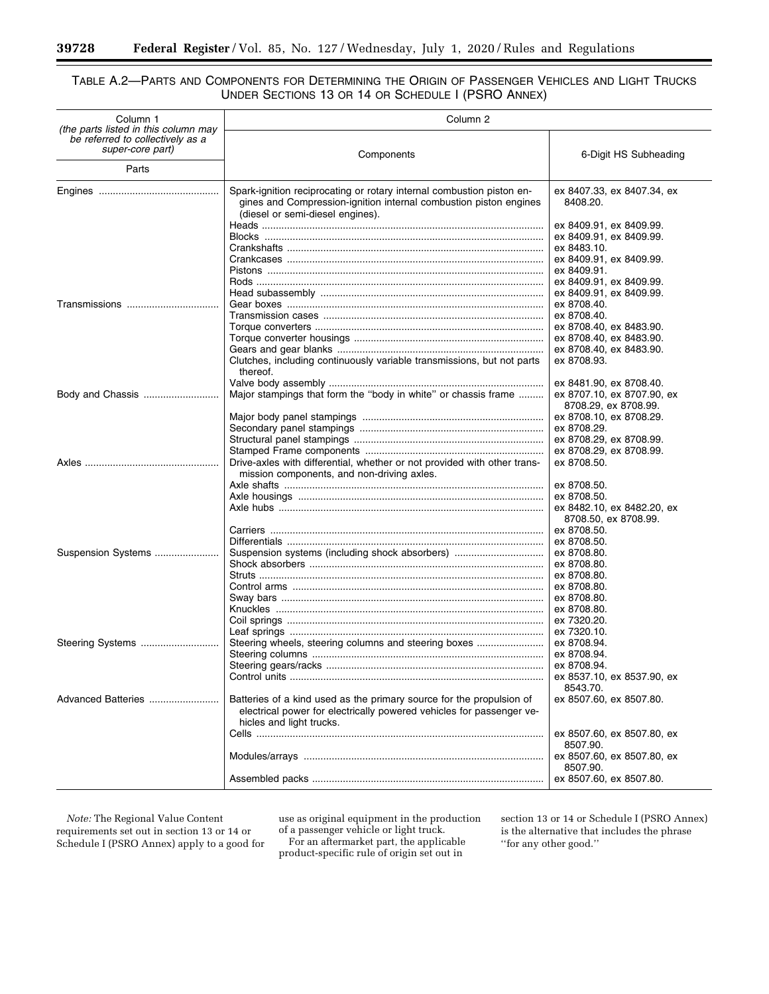# TABLE A.2—PARTS AND COMPONENTS FOR DETERMINING THE ORIGIN OF PASSENGER VEHICLES AND LIGHT TRUCKS UNDER SECTIONS 13 OR 14 OR SCHEDULE I (PSRO ANNEX)

| Column 1<br>(the parts listed in this column may     | Column <sub>2</sub>                                                                                                                                                            |                                                                                                                                                    |
|------------------------------------------------------|--------------------------------------------------------------------------------------------------------------------------------------------------------------------------------|----------------------------------------------------------------------------------------------------------------------------------------------------|
| be referred to collectively as a<br>super-core part) | Components                                                                                                                                                                     | 6-Digit HS Subheading                                                                                                                              |
| Parts                                                |                                                                                                                                                                                |                                                                                                                                                    |
|                                                      | Spark-ignition reciprocating or rotary internal combustion piston en-<br>gines and Compression-ignition internal combustion piston engines<br>(diesel or semi-diesel engines). | ex 8407.33, ex 8407.34, ex<br>8408.20.<br>ex 8409.91, ex 8409.99.<br>ex 8409.91, ex 8409.99.                                                       |
|                                                      |                                                                                                                                                                                | ex 8483.10.<br>ex 8409.91, ex 8409.99.<br>ex 8409.91.<br>ex 8409.91, ex 8409.99.<br>ex 8409.91, ex 8409.99.<br>ex 8708.40.                         |
|                                                      | Clutches, including continuously variable transmissions, but not parts<br>thereof.                                                                                             | ex 8708.40.<br>ex 8708.40, ex 8483.90.<br>ex 8708.40, ex 8483.90.<br>ex 8708.40, ex 8483.90.<br>ex 8708.93.<br>ex 8481.90, ex 8708.40.             |
| Body and Chassis                                     | Major stampings that form the "body in white" or chassis frame                                                                                                                 | ex 8707.10, ex 8707.90, ex<br>8708.29, ex 8708.99.<br>ex 8708.10, ex 8708.29.<br>ex 8708.29.<br>ex 8708.29, ex 8708.99.<br>ex 8708.29, ex 8708.99. |
|                                                      | Drive-axles with differential, whether or not provided with other trans-<br>mission components, and non-driving axles.                                                         | ex 8708.50.<br>ex 8708.50.<br>ex 8708.50.<br>ex 8482.10, ex 8482.20, ex<br>8708.50, ex 8708.99.<br>ex 8708.50.<br>ex 8708.50.                      |
| Suspension Systems                                   | Suspension systems (including shock absorbers)                                                                                                                                 | ex 8708.80.<br>ex 8708.80.<br>ex 8708.80.<br>ex 8708.80.<br>ex 8708.80.<br>ex 8708.80.<br>ex 7320.20.<br>ex 7320.10.                               |
|                                                      | Steering wheels, steering columns and steering boxes                                                                                                                           | ex 8708.94.<br>ex 8708.94.<br>ex 8708.94.<br>ex 8537.10, ex 8537.90, ex<br>8543.70.                                                                |
| Advanced Batteries                                   | Batteries of a kind used as the primary source for the propulsion of<br>electrical power for electrically powered vehicles for passenger ve-<br>hicles and light trucks.       | ex 8507.60, ex 8507.80.<br>ex 8507.60, ex 8507.80, ex                                                                                              |
|                                                      |                                                                                                                                                                                | 8507.90.<br>ex 8507.60, ex 8507.80, ex<br>8507.90.                                                                                                 |
|                                                      |                                                                                                                                                                                | ex 8507.60, ex 8507.80.                                                                                                                            |

*Note:* The Regional Value Content requirements set out in section 13 or 14 or Schedule I (PSRO Annex) apply to a good for use as original equipment in the production of a passenger vehicle or light truck.

For an aftermarket part, the applicable product-specific rule of origin set out in

section 13 or 14 or Schedule I (PSRO Annex) is the alternative that includes the phrase ''for any other good.''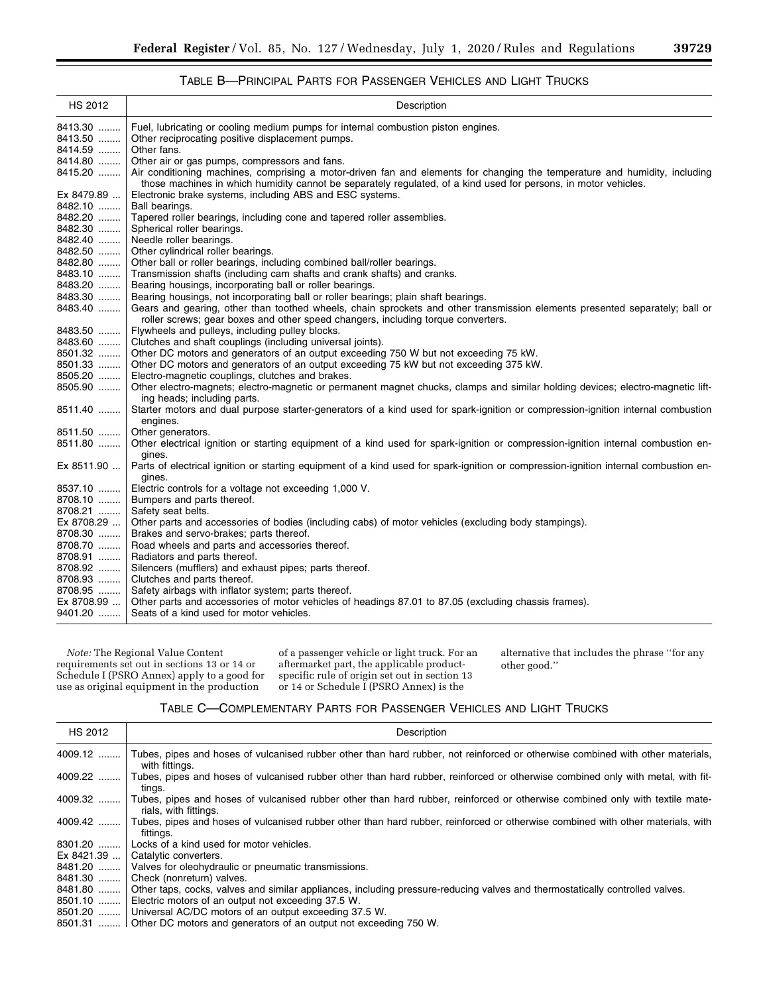# TABLE B—PRINCIPAL PARTS FOR PASSENGER VEHICLES AND LIGHT TRUCKS

| <b>HS 2012</b>        | Description                                                                                                                                                                                                                                   |
|-----------------------|-----------------------------------------------------------------------------------------------------------------------------------------------------------------------------------------------------------------------------------------------|
| 8413.30               | Fuel, lubricating or cooling medium pumps for internal combustion piston engines.                                                                                                                                                             |
| 8413.50               | Other reciprocating positive displacement pumps.                                                                                                                                                                                              |
| 8414.59               | Other fans.                                                                                                                                                                                                                                   |
| 8414.80               | Other air or gas pumps, compressors and fans.                                                                                                                                                                                                 |
| 8415.20               | Air conditioning machines, comprising a motor-driven fan and elements for changing the temperature and humidity, including<br>those machines in which humidity cannot be separately regulated, of a kind used for persons, in motor vehicles. |
| Ex 8479.89            | Electronic brake systems, including ABS and ESC systems.                                                                                                                                                                                      |
| 8482.10               | Ball bearings.                                                                                                                                                                                                                                |
| 8482.20               | Tapered roller bearings, including cone and tapered roller assemblies.                                                                                                                                                                        |
| 8482.30               | Spherical roller bearings.                                                                                                                                                                                                                    |
| 8482.40               | Needle roller bearings.                                                                                                                                                                                                                       |
| 8482.50               | Other cylindrical roller bearings.                                                                                                                                                                                                            |
| 8482.80               | Other ball or roller bearings, including combined ball/roller bearings.                                                                                                                                                                       |
| 8483.10               | Transmission shafts (including cam shafts and crank shafts) and cranks.                                                                                                                                                                       |
| 8483.20               | Bearing housings, incorporating ball or roller bearings.                                                                                                                                                                                      |
| 8483.30               | Bearing housings, not incorporating ball or roller bearings; plain shaft bearings.                                                                                                                                                            |
| 8483.40               | Gears and gearing, other than toothed wheels, chain sprockets and other transmission elements presented separately; ball or                                                                                                                   |
|                       | roller screws; gear boxes and other speed changers, including torque converters.                                                                                                                                                              |
| 8483.50               | Flywheels and pulleys, including pulley blocks.                                                                                                                                                                                               |
| 8483.60               | Clutches and shaft couplings (including universal joints).                                                                                                                                                                                    |
| 8501.32               | Other DC motors and generators of an output exceeding 750 W but not exceeding 75 kW.                                                                                                                                                          |
| 8501.33               | Other DC motors and generators of an output exceeding 75 kW but not exceeding 375 kW.                                                                                                                                                         |
| 8505.20               | Electro-magnetic couplings, clutches and brakes.                                                                                                                                                                                              |
| 8505.90               | Other electro-magnets; electro-magnetic or permanent magnet chucks, clamps and similar holding devices; electro-magnetic lift-<br>ing heads; including parts.                                                                                 |
| 8511.40               | Starter motors and dual purpose starter-generators of a kind used for spark-ignition or compression-ignition internal combustion<br>engines.                                                                                                  |
| 8511.50               | Other generators.                                                                                                                                                                                                                             |
| 8511.80               | Other electrical ignition or starting equipment of a kind used for spark-ignition or compression-ignition internal combustion en-                                                                                                             |
|                       | gines.                                                                                                                                                                                                                                        |
| Ex 8511.90            | Parts of electrical ignition or starting equipment of a kind used for spark-ignition or compression-ignition internal combustion en-<br>gines.                                                                                                |
| 8537.10               | Electric controls for a voltage not exceeding 1,000 V.                                                                                                                                                                                        |
| 8708.10               | Bumpers and parts thereof.                                                                                                                                                                                                                    |
| 8708.21               | Safety seat belts.                                                                                                                                                                                                                            |
| Ex 8708.29            |                                                                                                                                                                                                                                               |
| 8708.30               | Other parts and accessories of bodies (including cabs) of motor vehicles (excluding body stampings).<br>Brakes and servo-brakes; parts thereof.                                                                                               |
| 8708.70               | Road wheels and parts and accessories thereof.                                                                                                                                                                                                |
|                       |                                                                                                                                                                                                                                               |
| 8708.91<br>8708.92    | Radiators and parts thereof.                                                                                                                                                                                                                  |
|                       | Silencers (mufflers) and exhaust pipes; parts thereof.                                                                                                                                                                                        |
| 8708.93               | Clutches and parts thereof.                                                                                                                                                                                                                   |
| 8708.95               | Safety airbags with inflator system; parts thereof.                                                                                                                                                                                           |
| Ex 8708.99<br>9401.20 | Other parts and accessories of motor vehicles of headings 87.01 to 87.05 (excluding chassis frames).<br>Seats of a kind used for motor vehicles.                                                                                              |

*Note:* The Regional Value Content requirements set out in sections 13 or 14 or Schedule I (PSRO Annex) apply to a good for use as original equipment in the production

of a passenger vehicle or light truck. For an aftermarket part, the applicable productspecific rule of origin set out in section 13 or 14 or Schedule I (PSRO Annex) is the

alternative that includes the phrase ''for any other good.''

# TABLE C—COMPLEMENTARY PARTS FOR PASSENGER VEHICLES AND LIGHT TRUCKS

| <b>HS 2012</b> | Description                                                                                                                                           |
|----------------|-------------------------------------------------------------------------------------------------------------------------------------------------------|
| $4009.12$      | Tubes, pipes and hoses of vulcanised rubber other than hard rubber, not reinforced or otherwise combined with other materials,<br>with fittings.      |
| 4009.22        | Tubes, pipes and hoses of vulcanised rubber other than hard rubber, reinforced or otherwise combined only with metal, with fit-<br>tings.             |
| $4009.32$      | Tubes, pipes and hoses of vulcanised rubber other than hard rubber, reinforced or otherwise combined only with textile mate-<br>rials, with fittings. |
| $4009.42$      | Tubes, pipes and hoses of vulcanised rubber other than hard rubber, reinforced or otherwise combined with other materials, with<br>fittings.          |
| $8301.20$      | Locks of a kind used for motor vehicles.                                                                                                              |
| Ex 8421.39     | Catalytic converters.                                                                                                                                 |
| 8481.20        | Valves for oleohydraulic or pneumatic transmissions.                                                                                                  |
| 8481.30        | Check (nonreturn) valves.                                                                                                                             |
| 8481.80        | Other taps, cocks, valves and similar appliances, including pressure-reducing valves and thermostatically controlled valves.                          |
| 8501.10        | Electric motors of an output not exceeding 37.5 W.                                                                                                    |
| 8501.20        | Universal AC/DC motors of an output exceeding 37.5 W.                                                                                                 |
| 8501.31        | Other DC motors and generators of an output not exceeding 750 W.                                                                                      |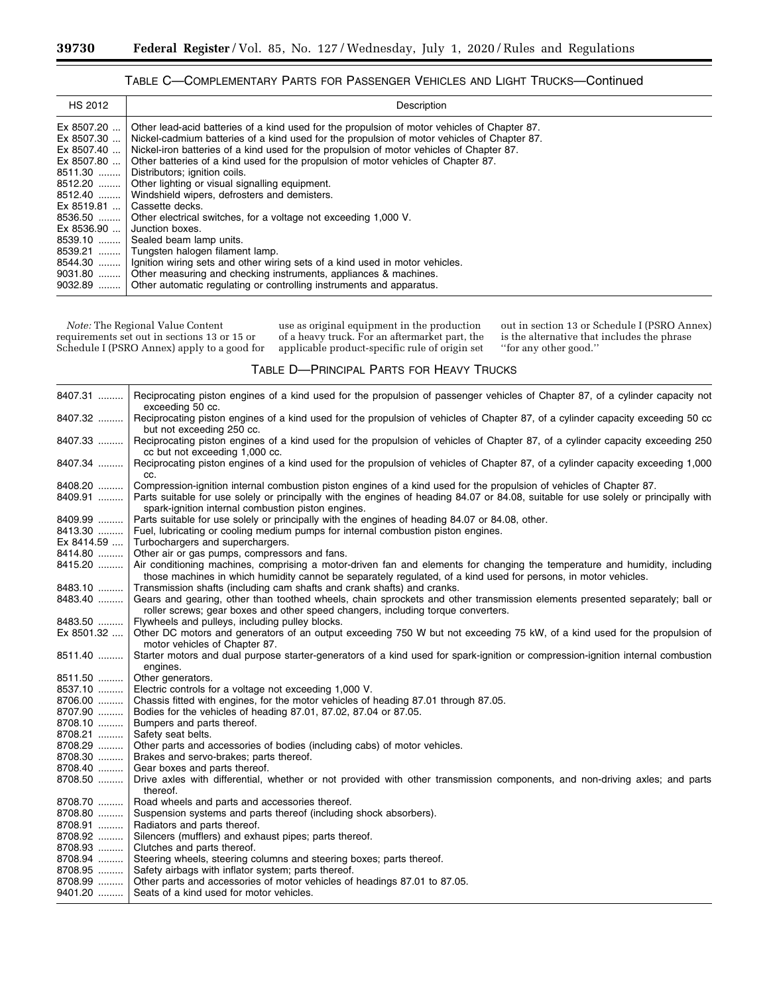| <b>HS 2012</b> | Description                                                                                  |
|----------------|----------------------------------------------------------------------------------------------|
| Ex 8507.20     | Other lead-acid batteries of a kind used for the propulsion of motor vehicles of Chapter 87. |
| Ex 8507.30     | Nickel-cadmium batteries of a kind used for the propulsion of motor vehicles of Chapter 87.  |
| Ex 8507.40     | Nickel-iron batteries of a kind used for the propulsion of motor vehicles of Chapter 87.     |
| Ex 8507.80     | Other batteries of a kind used for the propulsion of motor vehicles of Chapter 87.           |
| 8511.30        | Distributors; ignition coils.                                                                |
| 8512.20        | Other lighting or visual signalling equipment.                                               |
| 8512.40        | Windshield wipers, defrosters and demisters.                                                 |
| Ex 8519.81     | Cassette decks.                                                                              |
| 8536.50        | Other electrical switches, for a voltage not exceeding 1,000 V.                              |
| Ex 8536.90     | Junction boxes.                                                                              |
| $8539.10$      | Sealed beam lamp units.                                                                      |
| 8539.21        | Tungsten halogen filament lamp.                                                              |
| 8544.30        | Ignition wiring sets and other wiring sets of a kind used in motor vehicles.                 |
| 9031.80        | Other measuring and checking instruments, appliances & machines.                             |
| 9032.89        | Other automatic regulating or controlling instruments and apparatus.                         |

# TABLE C—COMPLEMENTARY PARTS FOR PASSENGER VEHICLES AND LIGHT TRUCKS—Continued

*Note:* The Regional Value Content requirements set out in sections 13 or 15 or Schedule I (PSRO Annex) apply to a good for

use as original equipment in the production of a heavy truck. For an aftermarket part, the applicable product-specific rule of origin set out in section 13 or Schedule I (PSRO Annex) is the alternative that includes the phrase ''for any other good.''

| 8407.31    | Reciprocating piston engines of a kind used for the propulsion of passenger vehicles of Chapter 87, of a cylinder capacity not<br>exceeding 50 cc.                                                                                            |
|------------|-----------------------------------------------------------------------------------------------------------------------------------------------------------------------------------------------------------------------------------------------|
| 8407.32    | Reciprocating piston engines of a kind used for the propulsion of vehicles of Chapter 87, of a cylinder capacity exceeding 50 cc<br>but not exceeding 250 cc.                                                                                 |
| 8407.33    | Reciprocating piston engines of a kind used for the propulsion of vehicles of Chapter 87, of a cylinder capacity exceeding 250<br>cc but not exceeding 1,000 cc.                                                                              |
| 8407.34    | Reciprocating piston engines of a kind used for the propulsion of vehicles of Chapter 87, of a cylinder capacity exceeding 1,000<br>CC.                                                                                                       |
| 8408.20    | Compression-ignition internal combustion piston engines of a kind used for the propulsion of vehicles of Chapter 87.                                                                                                                          |
| 8409.91    | Parts suitable for use solely or principally with the engines of heading 84.07 or 84.08, suitable for use solely or principally with<br>spark-ignition internal combustion piston engines.                                                    |
| 8409.99    | Parts suitable for use solely or principally with the engines of heading 84.07 or 84.08, other.                                                                                                                                               |
| 8413.30    | Fuel, lubricating or cooling medium pumps for internal combustion piston engines.                                                                                                                                                             |
| Ex 8414.59 | Turbochargers and superchargers.                                                                                                                                                                                                              |
| 8414.80    | Other air or gas pumps, compressors and fans.                                                                                                                                                                                                 |
| 8415.20    | Air conditioning machines, comprising a motor-driven fan and elements for changing the temperature and humidity, including<br>those machines in which humidity cannot be separately regulated, of a kind used for persons, in motor vehicles. |
| 8483.10    | Transmission shafts (including cam shafts and crank shafts) and cranks.                                                                                                                                                                       |
| 8483.40    | Gears and gearing, other than toothed wheels, chain sprockets and other transmission elements presented separately; ball or                                                                                                                   |
|            | roller screws; gear boxes and other speed changers, including torque converters.                                                                                                                                                              |
| 8483.50    | Flywheels and pulleys, including pulley blocks.                                                                                                                                                                                               |
| Ex 8501.32 | Other DC motors and generators of an output exceeding 750 W but not exceeding 75 kW, of a kind used for the propulsion of<br>motor vehicles of Chapter 87.                                                                                    |
| 8511.40    | Starter motors and dual purpose starter-generators of a kind used for spark-ignition or compression-ignition internal combustion                                                                                                              |
|            | engines.                                                                                                                                                                                                                                      |
| 8511.50    | Other generators.                                                                                                                                                                                                                             |
| 8537.10    | Electric controls for a voltage not exceeding 1,000 V.                                                                                                                                                                                        |
| 8706.00    | Chassis fitted with engines, for the motor vehicles of heading 87.01 through 87.05.                                                                                                                                                           |
| 8707.90    | Bodies for the vehicles of heading 87.01, 87.02, 87.04 or 87.05.                                                                                                                                                                              |
| 8708.10    | Bumpers and parts thereof.                                                                                                                                                                                                                    |
| 8708.21    | Safety seat belts.                                                                                                                                                                                                                            |
| 8708.29    | Other parts and accessories of bodies (including cabs) of motor vehicles.                                                                                                                                                                     |
| 8708.30    | Brakes and servo-brakes; parts thereof.                                                                                                                                                                                                       |
| 8708.40    | Gear boxes and parts thereof.                                                                                                                                                                                                                 |
| 8708.50    | Drive axles with differential, whether or not provided with other transmission components, and non-driving axles; and parts                                                                                                                   |
| 8708.70    | thereof.                                                                                                                                                                                                                                      |
|            | Road wheels and parts and accessories thereof.                                                                                                                                                                                                |
| 8708.80    | Suspension systems and parts thereof (including shock absorbers).                                                                                                                                                                             |
| 8708.91    | Radiators and parts thereof.                                                                                                                                                                                                                  |
| 8708.92    | Silencers (mufflers) and exhaust pipes; parts thereof.                                                                                                                                                                                        |
| 8708.93    | Clutches and parts thereof.                                                                                                                                                                                                                   |
| 8708.94    | Steering wheels, steering columns and steering boxes; parts thereof.                                                                                                                                                                          |
| 8708.95    | Safety airbags with inflator system; parts thereof.                                                                                                                                                                                           |
| 9401.20    | 8708.99  Other parts and accessories of motor vehicles of headings 87.01 to 87.05.<br>Seats of a kind used for motor vehicles.                                                                                                                |

# TABLE D—PRINCIPAL PARTS FOR HEAVY TRUCKS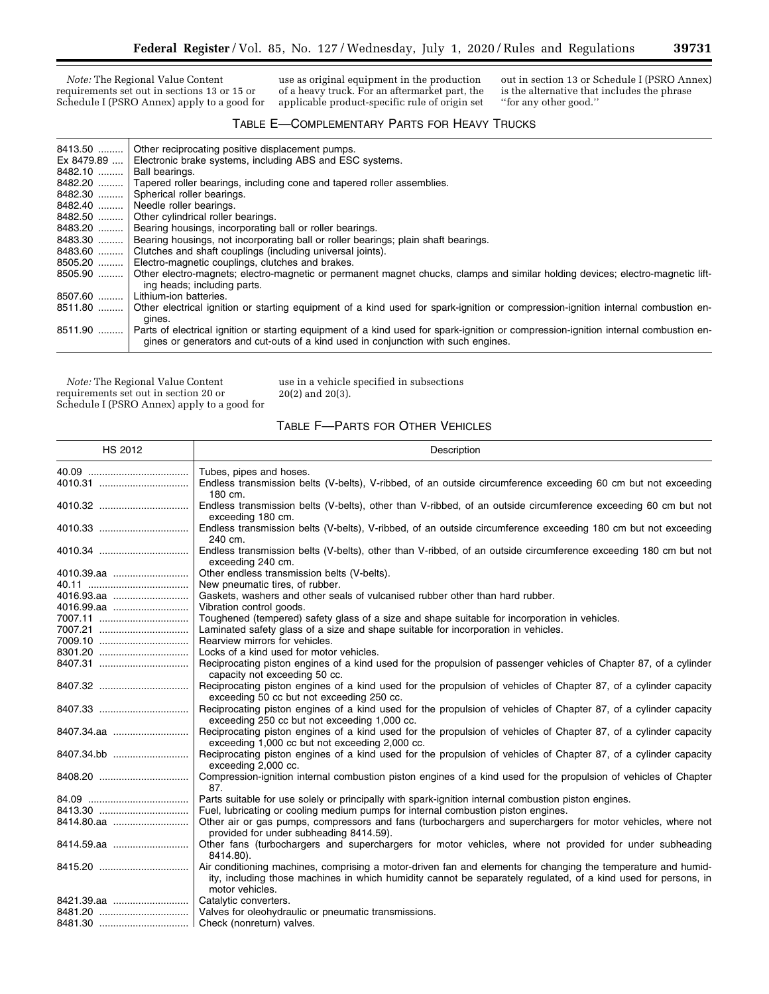*Note:* The Regional Value Content requirements set out in sections 13 or 15 or Schedule I (PSRO Annex) apply to a good for

use as original equipment in the production of a heavy truck. For an aftermarket part, the applicable product-specific rule of origin set

out in section 13 or Schedule I (PSRO Annex) is the alternative that includes the phrase ''for any other good.''

# TABLE E—COMPLEMENTARY PARTS FOR HEAVY TRUCKS

| 8413.50    | Other reciprocating positive displacement pumps.                                                                                     |
|------------|--------------------------------------------------------------------------------------------------------------------------------------|
| Ex 8479.89 | Electronic brake systems, including ABS and ESC systems.                                                                             |
| 8482.10    | Ball bearings.                                                                                                                       |
| 8482.20    | Tapered roller bearings, including cone and tapered roller assemblies.                                                               |
| 8482.30    | Spherical roller bearings.                                                                                                           |
| 8482.40    | Needle roller bearings.                                                                                                              |
| 8482.50    | Other cylindrical roller bearings.                                                                                                   |
| 8483.20    | Bearing housings, incorporating ball or roller bearings.                                                                             |
| 8483.30    | Bearing housings, not incorporating ball or roller bearings; plain shaft bearings.                                                   |
| 8483.60    | Clutches and shaft couplings (including universal joints).                                                                           |
| 8505.20    | Electro-magnetic couplings, clutches and brakes.                                                                                     |
| 8505.90    | Other electro-magnets; electro-magnetic or permanent magnet chucks, clamps and similar holding devices; electro-magnetic lift-       |
|            | ing heads; including parts.                                                                                                          |
| $8507.60$  | Lithium-ion batteries.                                                                                                               |
| $8511.80$  | Other electrical ignition or starting equipment of a kind used for spark-ignition or compression-ignition internal combustion en-    |
|            | gines.                                                                                                                               |
| 8511.90    | Parts of electrical ignition or starting equipment of a kind used for spark-ignition or compression-ignition internal combustion en- |
|            | gines or generators and cut-outs of a kind used in conjunction with such engines.                                                    |

*Note:* The Regional Value Content requirements set out in section 20 or Schedule I (PSRO Annex) apply to a good for use in a vehicle specified in subsections 20(2) and 20(3).

# TABLE F—PARTS FOR OTHER VEHICLES

| HS 2012    | Description                                                                                                                                                                                                                                        |  |  |
|------------|----------------------------------------------------------------------------------------------------------------------------------------------------------------------------------------------------------------------------------------------------|--|--|
|            | Tubes, pipes and hoses.                                                                                                                                                                                                                            |  |  |
|            | Endless transmission belts (V-belts), V-ribbed, of an outside circumference exceeding 60 cm but not exceeding<br>180 cm.                                                                                                                           |  |  |
| 4010.32    | Endless transmission belts (V-belts), other than V-ribbed, of an outside circumference exceeding 60 cm but not<br>exceeding 180 cm.                                                                                                                |  |  |
|            | Endless transmission belts (V-belts), V-ribbed, of an outside circumference exceeding 180 cm but not exceeding<br>240 cm.                                                                                                                          |  |  |
| 4010.34    | Endless transmission belts (V-belts), other than V-ribbed, of an outside circumference exceeding 180 cm but not<br>exceeding 240 cm.                                                                                                               |  |  |
| 4010.39.aa | Other endless transmission belts (V-belts).                                                                                                                                                                                                        |  |  |
|            | New pneumatic tires, of rubber.                                                                                                                                                                                                                    |  |  |
|            | Gaskets, washers and other seals of vulcanised rubber other than hard rubber.                                                                                                                                                                      |  |  |
| 4016.99.aa | Vibration control goods.                                                                                                                                                                                                                           |  |  |
|            | Toughened (tempered) safety glass of a size and shape suitable for incorporation in vehicles.                                                                                                                                                      |  |  |
|            | Laminated safety glass of a size and shape suitable for incorporation in vehicles.                                                                                                                                                                 |  |  |
|            | Rearview mirrors for vehicles.                                                                                                                                                                                                                     |  |  |
|            | Locks of a kind used for motor vehicles.                                                                                                                                                                                                           |  |  |
| 8407.31    | Reciprocating piston engines of a kind used for the propulsion of passenger vehicles of Chapter 87, of a cylinder<br>capacity not exceeding 50 cc.                                                                                                 |  |  |
| 8407.32    | Reciprocating piston engines of a kind used for the propulsion of vehicles of Chapter 87, of a cylinder capacity                                                                                                                                   |  |  |
|            | exceeding 50 cc but not exceeding 250 cc.                                                                                                                                                                                                          |  |  |
|            | Reciprocating piston engines of a kind used for the propulsion of vehicles of Chapter 87, of a cylinder capacity<br>exceeding 250 cc but not exceeding 1,000 cc.                                                                                   |  |  |
| 8407.34.aa | Reciprocating piston engines of a kind used for the propulsion of vehicles of Chapter 87, of a cylinder capacity<br>exceeding 1,000 cc but not exceeding 2,000 cc.                                                                                 |  |  |
| 8407.34.bb | Reciprocating piston engines of a kind used for the propulsion of vehicles of Chapter 87, of a cylinder capacity<br>exceeding 2,000 cc.                                                                                                            |  |  |
|            | Compression-ignition internal combustion piston engines of a kind used for the propulsion of vehicles of Chapter<br>87.                                                                                                                            |  |  |
|            | Parts suitable for use solely or principally with spark-ignition internal combustion piston engines.                                                                                                                                               |  |  |
|            | Fuel, lubricating or cooling medium pumps for internal combustion piston engines.                                                                                                                                                                  |  |  |
| 8414.80.aa | Other air or gas pumps, compressors and fans (turbochargers and superchargers for motor vehicles, where not<br>provided for under subheading 8414.59).                                                                                             |  |  |
| 8414.59.aa | Other fans (turbochargers and superchargers for motor vehicles, where not provided for under subheading<br>8414.80).                                                                                                                               |  |  |
| 8415.20    | Air conditioning machines, comprising a motor-driven fan and elements for changing the temperature and humid-<br>ity, including those machines in which humidity cannot be separately regulated, of a kind used for persons, in<br>motor vehicles. |  |  |
|            | Catalytic converters.                                                                                                                                                                                                                              |  |  |
|            | Valves for oleohydraulic or pneumatic transmissions.                                                                                                                                                                                               |  |  |
|            | Check (nonreturn) valves.                                                                                                                                                                                                                          |  |  |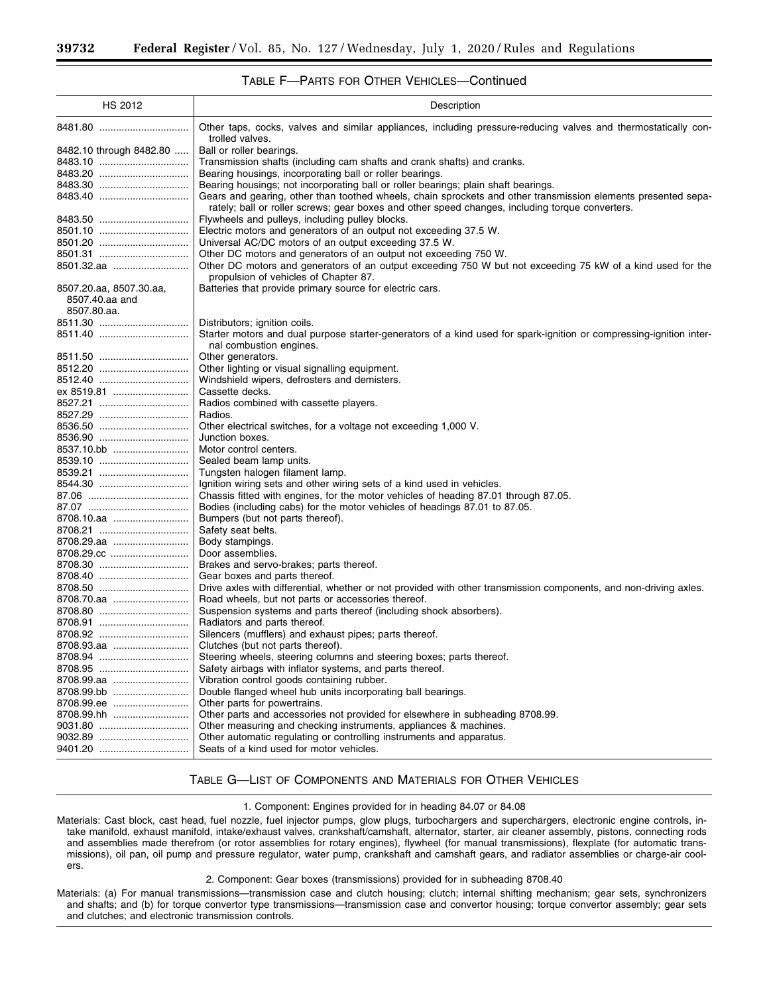# TABLE F—PARTS FOR OTHER VEHICLES—Continued

| <b>HS 2012</b>          | Description                                                                                                                                         |
|-------------------------|-----------------------------------------------------------------------------------------------------------------------------------------------------|
|                         | Other taps, cocks, valves and similar appliances, including pressure-reducing valves and thermostatically con-<br>trolled valves.                   |
| 8482.10 through 8482.80 | Ball or roller bearings.                                                                                                                            |
| 8483.10                 | Transmission shafts (including cam shafts and crank shafts) and cranks.                                                                             |
| 8483.20                 | Bearing housings, incorporating ball or roller bearings.                                                                                            |
|                         | Bearing housings; not incorporating ball or roller bearings; plain shaft bearings.                                                                  |
|                         | Gears and gearing, other than toothed wheels, chain sprockets and other transmission elements presented sepa-                                       |
|                         | rately; ball or roller screws; gear boxes and other speed changes, including torque converters.                                                     |
| 8483.50                 | Flywheels and pulleys, including pulley blocks.                                                                                                     |
|                         | Electric motors and generators of an output not exceeding 37.5 W.                                                                                   |
|                         | Universal AC/DC motors of an output exceeding 37.5 W.                                                                                               |
|                         | Other DC motors and generators of an output not exceeding 750 W.                                                                                    |
| 8501.32.aa              | Other DC motors and generators of an output exceeding 750 W but not exceeding 75 kW of a kind used for the<br>propulsion of vehicles of Chapter 87. |
| 8507.20.aa, 8507.30.aa, | Batteries that provide primary source for electric cars.                                                                                            |
| 8507.40.aa and          |                                                                                                                                                     |
| 8507.80.aa.             |                                                                                                                                                     |
|                         | Distributors; ignition coils.                                                                                                                       |
|                         | Starter motors and dual purpose starter-generators of a kind used for spark-ignition or compressing-ignition inter-<br>nal combustion engines.      |
|                         | Other generators.                                                                                                                                   |
|                         | Other lighting or visual signalling equipment.                                                                                                      |
|                         | Windshield wipers, defrosters and demisters.                                                                                                        |
| ex 8519.81              | Cassette decks.                                                                                                                                     |
|                         | Radios combined with cassette players.                                                                                                              |
|                         | Radios.                                                                                                                                             |
|                         | Other electrical switches, for a voltage not exceeding 1,000 V.                                                                                     |
|                         | Junction boxes.                                                                                                                                     |
| 8537.10.bb              | Motor control centers.                                                                                                                              |
|                         | Sealed beam lamp units.                                                                                                                             |
|                         | Tungsten halogen filament lamp.                                                                                                                     |
| 8544.30                 | Ignition wiring sets and other wiring sets of a kind used in vehicles.                                                                              |
|                         | Chassis fitted with engines, for the motor vehicles of heading 87.01 through 87.05.                                                                 |
|                         | Bodies (including cabs) for the motor vehicles of headings 87.01 to 87.05.                                                                          |
| 8708.10.aa              | Bumpers (but not parts thereof).                                                                                                                    |
|                         | Safety seat belts.                                                                                                                                  |
|                         | Body stampings.                                                                                                                                     |
| 8708.29.cc              | Door assemblies.                                                                                                                                    |
|                         | Brakes and servo-brakes; parts thereof.                                                                                                             |
|                         | Gear boxes and parts thereof.                                                                                                                       |
|                         | Drive axles with differential, whether or not provided with other transmission components, and non-driving axles.                                   |
| 8708.70.aa              | Road wheels, but not parts or accessories thereof.                                                                                                  |
|                         | Suspension systems and parts thereof (including shock absorbers).                                                                                   |
|                         | Radiators and parts thereof.                                                                                                                        |
|                         | Silencers (mufflers) and exhaust pipes; parts thereof.                                                                                              |
| 8708.93.aa              | Clutches (but not parts thereof).                                                                                                                   |
|                         | Steering wheels, steering columns and steering boxes; parts thereof.                                                                                |
| 8708.95                 | Safety airbags with inflator systems, and parts thereof.                                                                                            |
| 8708.99.aa              | Vibration control goods containing rubber.                                                                                                          |
| 8708.99.bb              | Double flanged wheel hub units incorporating ball bearings.                                                                                         |
| 8708.99.ee              | Other parts for powertrains.                                                                                                                        |
| 8708.99.hh              | Other parts and accessories not provided for elsewhere in subheading 8708.99.                                                                       |
| 9031.80                 | Other measuring and checking instruments, appliances & machines.                                                                                    |
| 9032.89                 | Other automatic regulating or controlling instruments and apparatus.                                                                                |
|                         | Seats of a kind used for motor vehicles.                                                                                                            |
|                         |                                                                                                                                                     |

# TABLE G—LIST OF COMPONENTS AND MATERIALS FOR OTHER VEHICLES

# 1. Component: Engines provided for in heading 84.07 or 84.08

Materials: Cast block, cast head, fuel nozzle, fuel injector pumps, glow plugs, turbochargers and superchargers, electronic engine controls, intake manifold, exhaust manifold, intake/exhaust valves, crankshaft/camshaft, alternator, starter, air cleaner assembly, pistons, connecting rods and assemblies made therefrom (or rotor assemblies for rotary engines), flywheel (for manual transmissions), flexplate (for automatic transmissions), oil pan, oil pump and pressure regulator, water pump, crankshaft and camshaft gears, and radiator assemblies or charge-air coolers.

#### 2. Component: Gear boxes (transmissions) provided for in subheading 8708.40

Materials: (a) For manual transmissions—transmission case and clutch housing; clutch; internal shifting mechanism; gear sets, synchronizers and shafts; and (b) for torque convertor type transmissions—transmission case and convertor housing; torque convertor assembly; gear sets and clutches; and electronic transmission controls.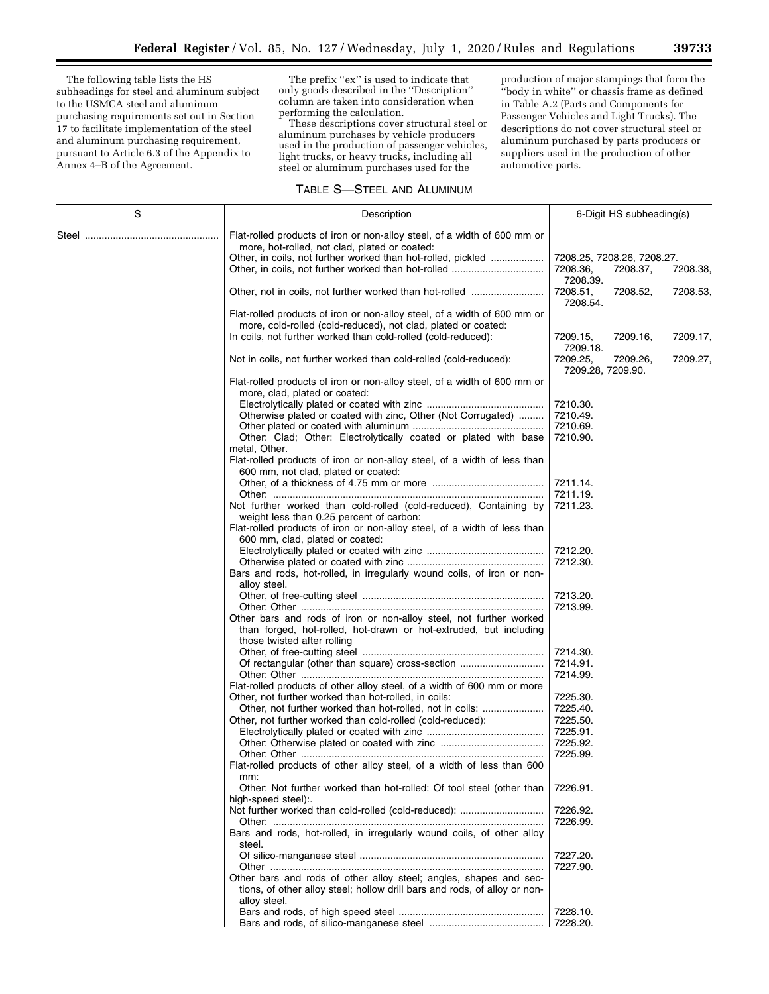The following table lists the HS subheadings for steel and aluminum subject to the USMCA steel and aluminum purchasing requirements set out in Section 17 to facilitate implementation of the steel and aluminum purchasing requirement, pursuant to Article 6.3 of the Appendix to Annex 4–B of the Agreement.

The prefix "ex" is used to indicate that only goods described in the ''Description'' column are taken into consideration when performing the calculation.

These descriptions cover structural steel or aluminum purchases by vehicle producers used in the production of passenger vehicles, light trucks, or heavy trucks, including all steel or aluminum purchases used for the

production of major stampings that form the ''body in white'' or chassis frame as defined in Table A.2 (Parts and Components for Passenger Vehicles and Light Trucks). The descriptions do not cover structural steel or aluminum purchased by parts producers or suppliers used in the production of other automotive parts.

# TABLE S—STEEL AND ALUMINUM

| S | Description                                                                                                                                                                                                                                                                                                  | 6-Digit HS subheading(s)                                                                                                   |  |  |
|---|--------------------------------------------------------------------------------------------------------------------------------------------------------------------------------------------------------------------------------------------------------------------------------------------------------------|----------------------------------------------------------------------------------------------------------------------------|--|--|
|   | Flat-rolled products of iron or non-alloy steel, of a width of 600 mm or<br>more, hot-rolled, not clad, plated or coated:<br>Other, in coils, not further worked than hot-rolled, pickled<br>Other, not in coils, not further worked than hot-rolled                                                         | 7208.25, 7208.26, 7208.27.<br>7208.36,<br>7208.37,<br>7208.38,<br>7208.39.<br>7208.51,<br>7208.53,<br>7208.52,<br>7208.54. |  |  |
|   | Flat-rolled products of iron or non-alloy steel, of a width of 600 mm or<br>more, cold-rolled (cold-reduced), not clad, plated or coated:                                                                                                                                                                    |                                                                                                                            |  |  |
|   | In coils, not further worked than cold-rolled (cold-reduced):                                                                                                                                                                                                                                                | 7209.15,<br>7209.17,<br>7209.16,<br>7209.18.                                                                               |  |  |
|   | Not in coils, not further worked than cold-rolled (cold-reduced):                                                                                                                                                                                                                                            | 7209.25,<br>7209.27,<br>7209.26,<br>7209.28, 7209.90.                                                                      |  |  |
|   | Flat-rolled products of iron or non-alloy steel, of a width of 600 mm or<br>more, clad, plated or coated:<br>Otherwise plated or coated with zinc, Other (Not Corrugated)<br>Other: Clad; Other: Electrolytically coated or plated with base<br>metal, Other.                                                | 7210.30.<br>7210.49.<br>7210.69.<br>7210.90.                                                                               |  |  |
|   | Flat-rolled products of iron or non-alloy steel, of a width of less than<br>600 mm, not clad, plated or coated:<br>Not further worked than cold-rolled (cold-reduced), Containing by<br>weight less than 0.25 percent of carbon:<br>Flat-rolled products of iron or non-alloy steel, of a width of less than | 7211.14.<br>7211.19.<br>7211.23.                                                                                           |  |  |
|   | 600 mm, clad, plated or coated:<br>Bars and rods, hot-rolled, in irregularly wound coils, of iron or non-<br>alloy steel.                                                                                                                                                                                    | 7212.20.<br>7212.30.                                                                                                       |  |  |
|   | Other bars and rods of iron or non-alloy steel, not further worked<br>than forged, hot-rolled, hot-drawn or hot-extruded, but including<br>those twisted after rolling                                                                                                                                       | 7213.20.<br>7213.99.                                                                                                       |  |  |
|   | Of rectangular (other than square) cross-section<br>Flat-rolled products of other alloy steel, of a width of 600 mm or more<br>Other, not further worked than hot-rolled, in coils:                                                                                                                          | 7214.30.<br>7214.91.<br>7214.99.<br>7225.30.                                                                               |  |  |
|   | Other, not further worked than hot-rolled, not in coils:<br>Other, not further worked than cold-rolled (cold-reduced):                                                                                                                                                                                       | 7225.40.<br>7225.50.<br>7225.91.<br>7225.92.<br>7225.99.                                                                   |  |  |
|   | Flat-rolled products of other alloy steel, of a width of less than 600<br>mm:<br>Other: Not further worked than hot-rolled: Of tool steel (other than                                                                                                                                                        | 7226.91.                                                                                                                   |  |  |
|   | high-speed steel):.<br>Not further worked than cold-rolled (cold-reduced):                                                                                                                                                                                                                                   | 7226.92.<br>7226.99.                                                                                                       |  |  |
|   | Bars and rods, hot-rolled, in irregularly wound coils, of other alloy<br>steel.                                                                                                                                                                                                                              | 7227.20.<br>7227.90.                                                                                                       |  |  |
|   | Other bars and rods of other alloy steel; angles, shapes and sec-<br>tions, of other alloy steel; hollow drill bars and rods, of alloy or non-<br>alloy steel.                                                                                                                                               |                                                                                                                            |  |  |
|   |                                                                                                                                                                                                                                                                                                              | 7228.10.                                                                                                                   |  |  |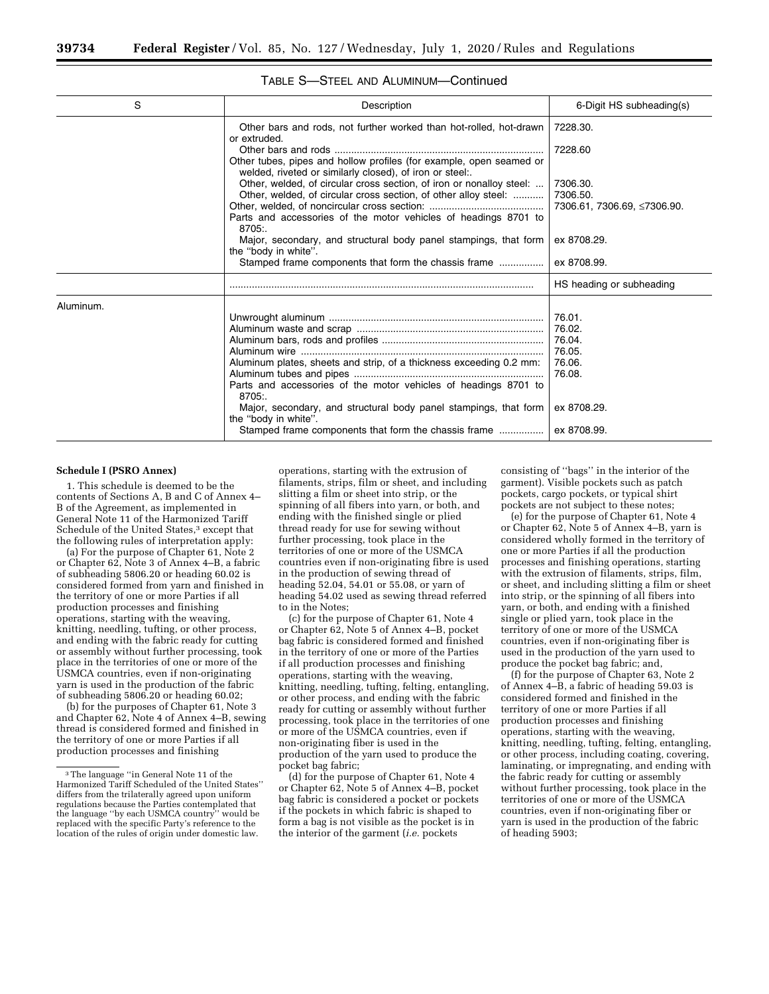| S<br>Description |                                                                                                                                                                                                                                                                                                                                                        | 6-Digit HS subheading(s)                                                               |  |
|------------------|--------------------------------------------------------------------------------------------------------------------------------------------------------------------------------------------------------------------------------------------------------------------------------------------------------------------------------------------------------|----------------------------------------------------------------------------------------|--|
|                  | Other bars and rods, not further worked than hot-rolled, hot-drawn<br>or extruded.                                                                                                                                                                                                                                                                     | 7228.30.<br>7228.60                                                                    |  |
|                  | Other tubes, pipes and hollow profiles (for example, open seamed or<br>welded, riveted or similarly closed), of iron or steel:.<br>Other, welded, of circular cross section, of iron or nonalloy steel:<br>Other, welded, of circular cross section, of other alloy steel:<br>Parts and accessories of the motor vehicles of headings 8701 to<br>8705: | 7306.30.<br>7306.50.<br>7306.61, 7306.69, ≤7306.90.                                    |  |
|                  | Major, secondary, and structural body panel stampings, that form<br>the "body in white".                                                                                                                                                                                                                                                               | ex 8708.29.                                                                            |  |
|                  |                                                                                                                                                                                                                                                                                                                                                        | ex 8708.99.                                                                            |  |
|                  |                                                                                                                                                                                                                                                                                                                                                        | HS heading or subheading                                                               |  |
| Aluminum.        | Aluminum plates, sheets and strip, of a thickness exceeding 0.2 mm:<br>Parts and accessories of the motor vehicles of headings 8701 to<br>8705:<br>Major, secondary, and structural body panel stampings, that form<br>the "body in white".                                                                                                            | 76.01.<br>76.02.<br>76.04.<br>76.05.<br>76.06.<br>76.08.<br>ex 8708.29.<br>ex 8708.99. |  |

|  | TABLE S-STEEL AND ALUMINUM-Continued |
|--|--------------------------------------|
|--|--------------------------------------|

## **Schedule I (PSRO Annex)**

1. This schedule is deemed to be the contents of Sections A, B and C of Annex 4– B of the Agreement, as implemented in General Note 11 of the Harmonized Tariff Schedule of the United States,<sup>3</sup> except that the following rules of interpretation apply:

(a) For the purpose of Chapter 61, Note 2 or Chapter 62, Note 3 of Annex 4–B, a fabric of subheading 5806.20 or heading 60.02 is considered formed from yarn and finished in the territory of one or more Parties if all production processes and finishing operations, starting with the weaving, knitting, needling, tufting, or other process, and ending with the fabric ready for cutting or assembly without further processing, took place in the territories of one or more of the USMCA countries, even if non-originating yarn is used in the production of the fabric of subheading 5806.20 or heading 60.02;

(b) for the purposes of Chapter 61, Note 3 and Chapter 62, Note 4 of Annex 4–B, sewing thread is considered formed and finished in the territory of one or more Parties if all production processes and finishing

operations, starting with the extrusion of filaments, strips, film or sheet, and including slitting a film or sheet into strip, or the spinning of all fibers into yarn, or both, and ending with the finished single or plied thread ready for use for sewing without further processing, took place in the territories of one or more of the USMCA countries even if non-originating fibre is used in the production of sewing thread of heading 52.04, 54.01 or 55.08, or yarn of heading 54.02 used as sewing thread referred to in the Notes;

(c) for the purpose of Chapter 61, Note 4 or Chapter 62, Note 5 of Annex 4–B, pocket bag fabric is considered formed and finished in the territory of one or more of the Parties if all production processes and finishing operations, starting with the weaving, knitting, needling, tufting, felting, entangling, or other process, and ending with the fabric ready for cutting or assembly without further processing, took place in the territories of one or more of the USMCA countries, even if non-originating fiber is used in the production of the yarn used to produce the pocket bag fabric;

(d) for the purpose of Chapter 61, Note 4 or Chapter 62, Note 5 of Annex 4–B, pocket bag fabric is considered a pocket or pockets if the pockets in which fabric is shaped to form a bag is not visible as the pocket is in the interior of the garment (*i.e.* pockets

consisting of ''bags'' in the interior of the garment). Visible pockets such as patch pockets, cargo pockets, or typical shirt pockets are not subject to these notes;

(e) for the purpose of Chapter 61, Note 4 or Chapter 62, Note 5 of Annex 4–B, yarn is considered wholly formed in the territory of one or more Parties if all the production processes and finishing operations, starting with the extrusion of filaments, strips, film, or sheet, and including slitting a film or sheet into strip, or the spinning of all fibers into yarn, or both, and ending with a finished single or plied yarn, took place in the territory of one or more of the USMCA countries, even if non-originating fiber is used in the production of the yarn used to produce the pocket bag fabric; and,

(f) for the purpose of Chapter 63, Note 2 of Annex 4–B, a fabric of heading 59.03 is considered formed and finished in the territory of one or more Parties if all production processes and finishing operations, starting with the weaving, knitting, needling, tufting, felting, entangling, or other process, including coating, covering, laminating, or impregnating, and ending with the fabric ready for cutting or assembly without further processing, took place in the territories of one or more of the USMCA countries, even if non-originating fiber or yarn is used in the production of the fabric of heading 5903;

<sup>3</sup>The language ''in General Note 11 of the Harmonized Tariff Scheduled of the United States'' differs from the trilaterally agreed upon uniform regulations because the Parties contemplated that the language ''by each USMCA country'' would be replaced with the specific Party's reference to the location of the rules of origin under domestic law.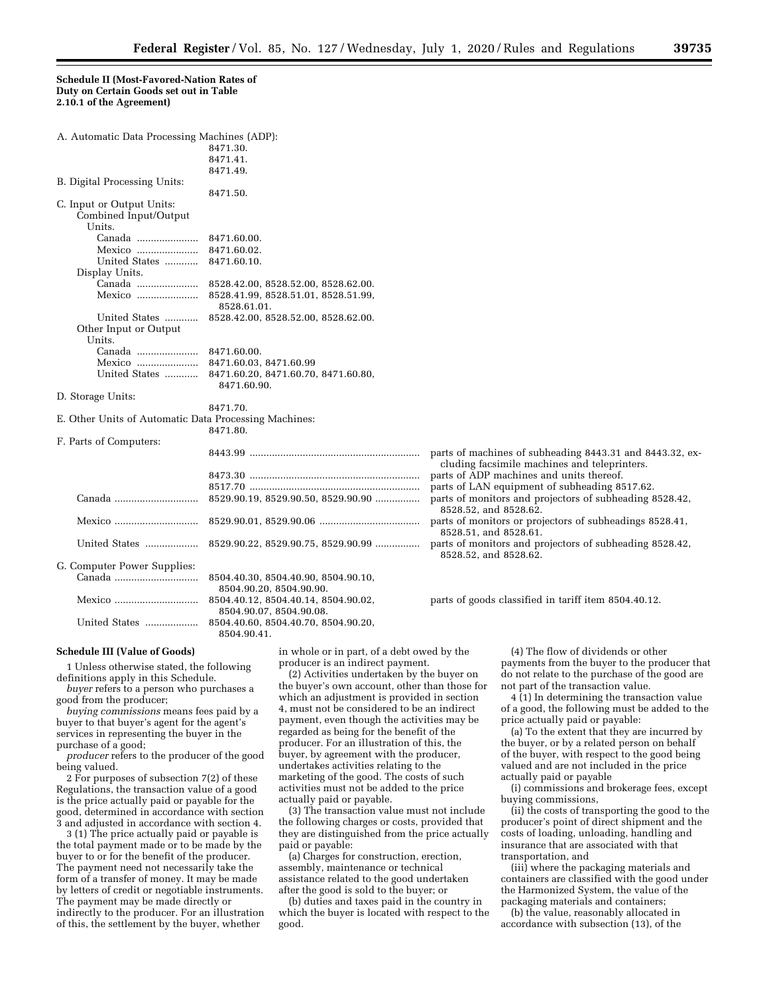## **Schedule II (Most-Favored-Nation Rates of Duty on Certain Goods set out in Table 2.10.1 of the Agreement)**

| A. Automatic Data Processing Machines (ADP):                 | 8471.30.<br>8471.41.                                                          |                                                                                                          |
|--------------------------------------------------------------|-------------------------------------------------------------------------------|----------------------------------------------------------------------------------------------------------|
|                                                              | 8471.49.                                                                      |                                                                                                          |
| <b>B.</b> Digital Processing Units:                          | 8471.50.                                                                      |                                                                                                          |
| C. Input or Output Units:<br>Combined Input/Output<br>Units. |                                                                               |                                                                                                          |
| Canada                                                       | 8471.60.00.                                                                   |                                                                                                          |
| Mexico                                                       | 8471.60.02.                                                                   |                                                                                                          |
| United States<br>Display Units.                              | 8471.60.10.                                                                   |                                                                                                          |
|                                                              | Canada  8528.42.00, 8528.52.00, 8528.62.00.                                   |                                                                                                          |
| Mexico                                                       | 8528.41.99, 8528.51.01, 8528.51.99,<br>8528.61.01.                            |                                                                                                          |
| United States<br>Other Input or Output<br>Units.             | 8528.42.00, 8528.52.00, 8528.62.00.                                           |                                                                                                          |
| Canada  8471.60.00.                                          |                                                                               |                                                                                                          |
|                                                              |                                                                               |                                                                                                          |
| United States                                                | 8471.60.20, 8471.60.70, 8471.60.80,<br>8471.60.90.                            |                                                                                                          |
| D. Storage Units:                                            |                                                                               |                                                                                                          |
|                                                              | 8471.70.                                                                      |                                                                                                          |
| E. Other Units of Automatic Data Processing Machines:        |                                                                               |                                                                                                          |
|                                                              | 8471.80.                                                                      |                                                                                                          |
| F. Parts of Computers:                                       |                                                                               |                                                                                                          |
|                                                              |                                                                               | parts of machines of subheading 8443.31 and 8443.32, ex-<br>cluding facsimile machines and teleprinters. |
|                                                              |                                                                               | parts of ADP machines and units thereof.                                                                 |
|                                                              |                                                                               | parts of LAN equipment of subheading 8517.62.                                                            |
| Canada                                                       | 8529.90.19, 8529.90.50, 8529.90.90                                            | parts of monitors and projectors of subheading 8528.42,<br>8528.52, and 8528.62.                         |
| Mexico                                                       |                                                                               | parts of monitors or projectors of subheadings 8528.41,<br>8528.51, and 8528.61.                         |
| United States                                                | 8529.90.22, 8529.90.75, 8529.90.99                                            | parts of monitors and projectors of subheading 8528.42,<br>8528.52, and 8528.62.                         |
| G. Computer Power Supplies:                                  |                                                                               |                                                                                                          |
|                                                              | 8504.40.30, 8504.40.90, 8504.90.10,                                           |                                                                                                          |
|                                                              | 8504.90.20, 8504.90.90.                                                       |                                                                                                          |
|                                                              | 8504.40.12, 8504.40.14, 8504.90.02,                                           | parts of goods classified in tariff item 8504.40.12.                                                     |
| United States                                                | 8504.90.07, 8504.90.08.<br>8504.40.60, 8504.40.70, 8504.90.20,<br>8504.90.41. |                                                                                                          |

#### **Schedule III (Value of Goods)**

1 Unless otherwise stated, the following definitions apply in this Schedule.

*buyer* refers to a person who purchases a good from the producer;

*buying commissions* means fees paid by a buyer to that buyer's agent for the agent's services in representing the buyer in the purchase of a good;

*producer* refers to the producer of the good being valued.

2 For purposes of subsection 7(2) of these Regulations, the transaction value of a good is the price actually paid or payable for the good, determined in accordance with section 3 and adjusted in accordance with section 4.

3 (1) The price actually paid or payable is the total payment made or to be made by the buyer to or for the benefit of the producer. The payment need not necessarily take the form of a transfer of money. It may be made by letters of credit or negotiable instruments. The payment may be made directly or indirectly to the producer. For an illustration of this, the settlement by the buyer, whether

in whole or in part, of a debt owed by the producer is an indirect payment.

(2) Activities undertaken by the buyer on the buyer's own account, other than those for which an adjustment is provided in section 4, must not be considered to be an indirect payment, even though the activities may be regarded as being for the benefit of the producer. For an illustration of this, the buyer, by agreement with the producer, undertakes activities relating to the marketing of the good. The costs of such activities must not be added to the price actually paid or payable.

(3) The transaction value must not include the following charges or costs, provided that they are distinguished from the price actually paid or payable:

(a) Charges for construction, erection, assembly, maintenance or technical assistance related to the good undertaken after the good is sold to the buyer; or

(b) duties and taxes paid in the country in which the buyer is located with respect to the good.

(4) The flow of dividends or other payments from the buyer to the producer that do not relate to the purchase of the good are not part of the transaction value.

4 (1) In determining the transaction value of a good, the following must be added to the price actually paid or payable:

(a) To the extent that they are incurred by the buyer, or by a related person on behalf of the buyer, with respect to the good being valued and are not included in the price actually paid or payable

(i) commissions and brokerage fees, except buying commissions,

(ii) the costs of transporting the good to the producer's point of direct shipment and the costs of loading, unloading, handling and insurance that are associated with that transportation, and

(iii) where the packaging materials and containers are classified with the good under the Harmonized System, the value of the packaging materials and containers;

(b) the value, reasonably allocated in accordance with subsection (13), of the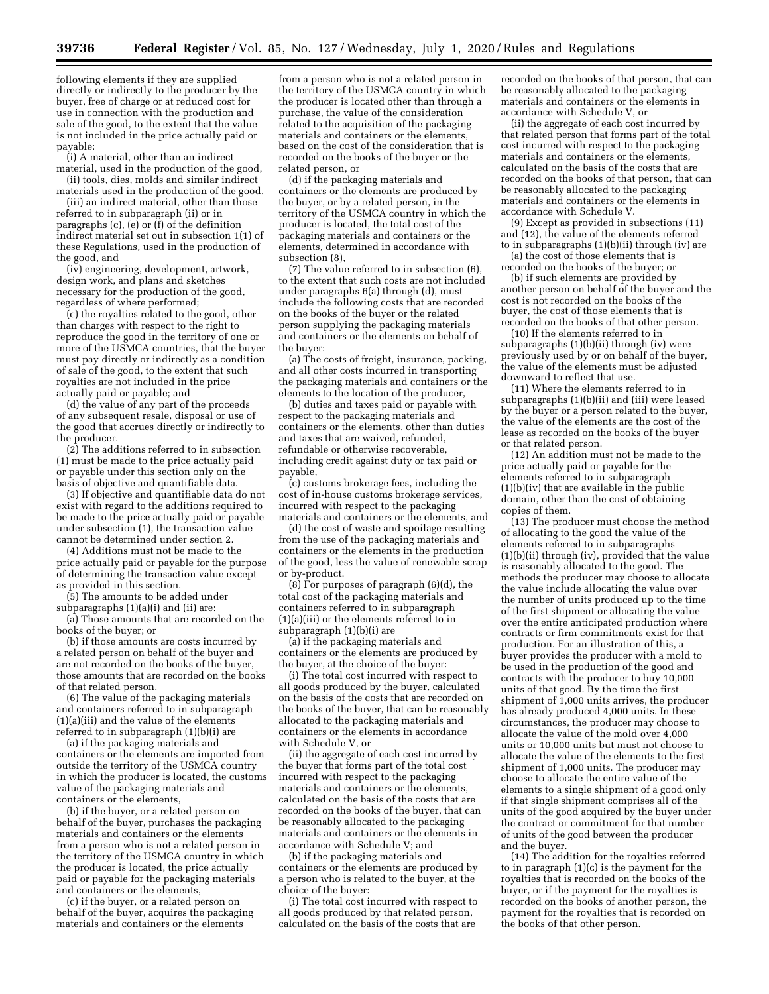following elements if they are supplied directly or indirectly to the producer by the buyer, free of charge or at reduced cost for use in connection with the production and sale of the good, to the extent that the value is not included in the price actually paid or payable:

(i) A material, other than an indirect material, used in the production of the good, (ii) tools, dies, molds and similar indirect

materials used in the production of the good,

(iii) an indirect material, other than those referred to in subparagraph (ii) or in paragraphs  $(c)$ ,  $(e)$  or  $(f)$  of the definition indirect material set out in subsection 1(1) of these Regulations, used in the production of the good, and

(iv) engineering, development, artwork, design work, and plans and sketches necessary for the production of the good, regardless of where performed;

(c) the royalties related to the good, other than charges with respect to the right to reproduce the good in the territory of one or more of the USMCA countries, that the buyer must pay directly or indirectly as a condition of sale of the good, to the extent that such royalties are not included in the price actually paid or payable; and

(d) the value of any part of the proceeds of any subsequent resale, disposal or use of the good that accrues directly or indirectly to the producer.

(2) The additions referred to in subsection (1) must be made to the price actually paid or payable under this section only on the basis of objective and quantifiable data.

(3) If objective and quantifiable data do not exist with regard to the additions required to be made to the price actually paid or payable under subsection (1), the transaction value cannot be determined under section 2.

(4) Additions must not be made to the price actually paid or payable for the purpose of determining the transaction value except as provided in this section.

(5) The amounts to be added under subparagraphs (1)(a)(i) and (ii) are:

(a) Those amounts that are recorded on the books of the buyer; or

(b) if those amounts are costs incurred by a related person on behalf of the buyer and are not recorded on the books of the buyer, those amounts that are recorded on the books of that related person.

(6) The value of the packaging materials and containers referred to in subparagraph (1)(a)(iii) and the value of the elements referred to in subparagraph (1)(b)(i) are

(a) if the packaging materials and containers or the elements are imported from outside the territory of the USMCA country in which the producer is located, the customs value of the packaging materials and containers or the elements,

(b) if the buyer, or a related person on behalf of the buyer, purchases the packaging materials and containers or the elements from a person who is not a related person in the territory of the USMCA country in which the producer is located, the price actually paid or payable for the packaging materials and containers or the elements,

(c) if the buyer, or a related person on behalf of the buyer, acquires the packaging materials and containers or the elements

from a person who is not a related person in the territory of the USMCA country in which the producer is located other than through a purchase, the value of the consideration related to the acquisition of the packaging materials and containers or the elements, based on the cost of the consideration that is recorded on the books of the buyer or the related person, or

(d) if the packaging materials and containers or the elements are produced by the buyer, or by a related person, in the territory of the USMCA country in which the producer is located, the total cost of the packaging materials and containers or the elements, determined in accordance with subsection (8),

(7) The value referred to in subsection (6), to the extent that such costs are not included under paragraphs 6(a) through (d), must include the following costs that are recorded on the books of the buyer or the related person supplying the packaging materials and containers or the elements on behalf of the buyer:

(a) The costs of freight, insurance, packing, and all other costs incurred in transporting the packaging materials and containers or the elements to the location of the producer,

(b) duties and taxes paid or payable with respect to the packaging materials and containers or the elements, other than duties and taxes that are waived, refunded, refundable or otherwise recoverable, including credit against duty or tax paid or payable,

(c) customs brokerage fees, including the cost of in-house customs brokerage services, incurred with respect to the packaging materials and containers or the elements, and

(d) the cost of waste and spoilage resulting from the use of the packaging materials and containers or the elements in the production of the good, less the value of renewable scrap or by-product.

(8) For purposes of paragraph (6)(d), the total cost of the packaging materials and containers referred to in subparagraph  $(1)(a)(iii)$  or the elements referred to in subparagraph (1)(b)(i) are

(a) if the packaging materials and containers or the elements are produced by the buyer, at the choice of the buyer:

(i) The total cost incurred with respect to all goods produced by the buyer, calculated on the basis of the costs that are recorded on the books of the buyer, that can be reasonably allocated to the packaging materials and containers or the elements in accordance with Schedule V, or

(ii) the aggregate of each cost incurred by the buyer that forms part of the total cost incurred with respect to the packaging materials and containers or the elements, calculated on the basis of the costs that are recorded on the books of the buyer, that can be reasonably allocated to the packaging materials and containers or the elements in accordance with Schedule V; and

(b) if the packaging materials and containers or the elements are produced by a person who is related to the buyer, at the choice of the buyer:

(i) The total cost incurred with respect to all goods produced by that related person, calculated on the basis of the costs that are

recorded on the books of that person, that can be reasonably allocated to the packaging materials and containers or the elements in accordance with Schedule V, or

(ii) the aggregate of each cost incurred by that related person that forms part of the total cost incurred with respect to the packaging materials and containers or the elements, calculated on the basis of the costs that are recorded on the books of that person, that can be reasonably allocated to the packaging materials and containers or the elements in accordance with Schedule V.

(9) Except as provided in subsections (11) and (12), the value of the elements referred to in subparagraphs (1)(b)(ii) through (iv) are

(a) the cost of those elements that is recorded on the books of the buyer; or

(b) if such elements are provided by another person on behalf of the buyer and the cost is not recorded on the books of the buyer, the cost of those elements that is recorded on the books of that other person.

(10) If the elements referred to in subparagraphs (1)(b)(ii) through (iv) were previously used by or on behalf of the buyer, the value of the elements must be adjusted downward to reflect that use.

(11) Where the elements referred to in subparagraphs (1)(b)(ii) and (iii) were leased by the buyer or a person related to the buyer, the value of the elements are the cost of the lease as recorded on the books of the buyer or that related person.

(12) An addition must not be made to the price actually paid or payable for the elements referred to in subparagraph (1)(b)(iv) that are available in the public domain, other than the cost of obtaining copies of them.

(13) The producer must choose the method of allocating to the good the value of the elements referred to in subparagraphs (1)(b)(ii) through (iv), provided that the value is reasonably allocated to the good. The methods the producer may choose to allocate the value include allocating the value over the number of units produced up to the time of the first shipment or allocating the value over the entire anticipated production where contracts or firm commitments exist for that production. For an illustration of this, a buyer provides the producer with a mold to be used in the production of the good and contracts with the producer to buy 10,000 units of that good. By the time the first shipment of 1,000 units arrives, the producer has already produced 4,000 units. In these circumstances, the producer may choose to allocate the value of the mold over 4,000 units or 10,000 units but must not choose to allocate the value of the elements to the first shipment of 1,000 units. The producer may choose to allocate the entire value of the elements to a single shipment of a good only if that single shipment comprises all of the units of the good acquired by the buyer under the contract or commitment for that number of units of the good between the producer and the buyer.

(14) The addition for the royalties referred to in paragraph (1)(c) is the payment for the royalties that is recorded on the books of the buyer, or if the payment for the royalties is recorded on the books of another person, the payment for the royalties that is recorded on the books of that other person.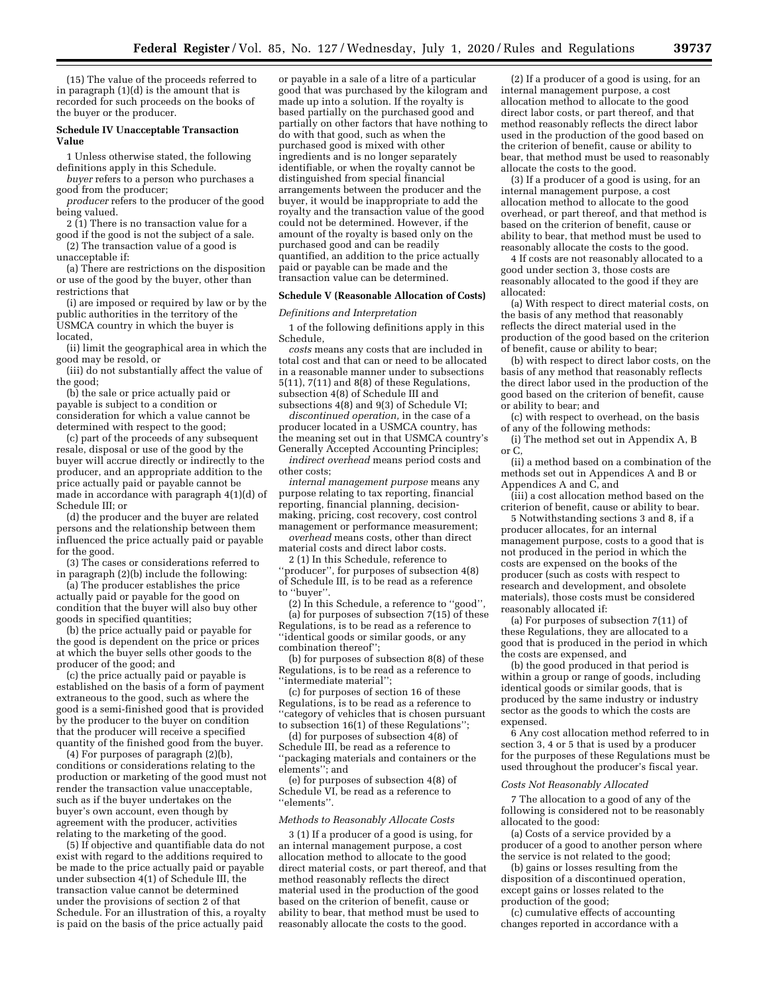(15) The value of the proceeds referred to in paragraph (1)(d) is the amount that is recorded for such proceeds on the books of the buyer or the producer.

# **Schedule IV Unacceptable Transaction Value**

1 Unless otherwise stated, the following definitions apply in this Schedule.

*buyer* refers to a person who purchases a good from the producer;

*producer* refers to the producer of the good being valued.

2 (1) There is no transaction value for a

good if the good is not the subject of a sale. (2) The transaction value of a good is

unacceptable if: (a) There are restrictions on the disposition

or use of the good by the buyer, other than restrictions that

(i) are imposed or required by law or by the public authorities in the territory of the USMCA country in which the buyer is located,

(ii) limit the geographical area in which the good may be resold, or

(iii) do not substantially affect the value of the good;

(b) the sale or price actually paid or payable is subject to a condition or consideration for which a value cannot be determined with respect to the good;

(c) part of the proceeds of any subsequent resale, disposal or use of the good by the buyer will accrue directly or indirectly to the producer, and an appropriate addition to the price actually paid or payable cannot be made in accordance with paragraph 4(1)(d) of Schedule III; or

(d) the producer and the buyer are related persons and the relationship between them influenced the price actually paid or payable for the good.

(3) The cases or considerations referred to in paragraph (2)(b) include the following:

(a) The producer establishes the price actually paid or payable for the good on condition that the buyer will also buy other goods in specified quantities;

(b) the price actually paid or payable for the good is dependent on the price or prices at which the buyer sells other goods to the producer of the good; and

(c) the price actually paid or payable is established on the basis of a form of payment extraneous to the good, such as where the good is a semi-finished good that is provided by the producer to the buyer on condition that the producer will receive a specified quantity of the finished good from the buyer.

(4) For purposes of paragraph (2)(b), conditions or considerations relating to the production or marketing of the good must not render the transaction value unacceptable, such as if the buyer undertakes on the buyer's own account, even though by agreement with the producer, activities relating to the marketing of the good.

(5) If objective and quantifiable data do not exist with regard to the additions required to be made to the price actually paid or payable under subsection 4(1) of Schedule III, the transaction value cannot be determined under the provisions of section 2 of that Schedule. For an illustration of this, a royalty is paid on the basis of the price actually paid

or payable in a sale of a litre of a particular good that was purchased by the kilogram and made up into a solution. If the royalty is based partially on the purchased good and partially on other factors that have nothing to do with that good, such as when the purchased good is mixed with other ingredients and is no longer separately identifiable, or when the royalty cannot be distinguished from special financial arrangements between the producer and the buyer, it would be inappropriate to add the royalty and the transaction value of the good could not be determined. However, if the amount of the royalty is based only on the purchased good and can be readily quantified, an addition to the price actually paid or payable can be made and the transaction value can be determined.

## **Schedule V (Reasonable Allocation of Costs)**

*Definitions and Interpretation* 

1 of the following definitions apply in this Schedule,

*costs* means any costs that are included in total cost and that can or need to be allocated in a reasonable manner under to subsections 5(11), 7(11) and 8(8) of these Regulations, subsection 4(8) of Schedule III and subsections 4(8) and 9(3) of Schedule VI;

*discontinued operation,* in the case of a producer located in a USMCA country, has the meaning set out in that USMCA country's Generally Accepted Accounting Principles;

*indirect overhead* means period costs and other costs;

*internal management purpose* means any purpose relating to tax reporting, financial reporting, financial planning, decisionmaking, pricing, cost recovery, cost control management or performance measurement;

*overhead* means costs, other than direct material costs and direct labor costs. 2 (1) In this Schedule, reference to

''producer'', for purposes of subsection 4(8) of Schedule III, is to be read as a reference to ''buyer''.

(2) In this Schedule, a reference to ''good'', (a) for purposes of subsection 7(15) of these Regulations, is to be read as a reference to ''identical goods or similar goods, or any combination thereof'';

(b) for purposes of subsection 8(8) of these Regulations, is to be read as a reference to ''intermediate material'';

(c) for purposes of section 16 of these Regulations, is to be read as a reference to ''category of vehicles that is chosen pursuant to subsection 16(1) of these Regulations'';

(d) for purposes of subsection 4(8) of Schedule III, be read as a reference to ''packaging materials and containers or the elements''; and

(e) for purposes of subsection 4(8) of Schedule VI, be read as a reference to ''elements''.

# *Methods to Reasonably Allocate Costs*

3 (1) If a producer of a good is using, for an internal management purpose, a cost allocation method to allocate to the good direct material costs, or part thereof, and that method reasonably reflects the direct material used in the production of the good based on the criterion of benefit, cause or ability to bear, that method must be used to reasonably allocate the costs to the good.

(2) If a producer of a good is using, for an internal management purpose, a cost allocation method to allocate to the good direct labor costs, or part thereof, and that method reasonably reflects the direct labor used in the production of the good based on the criterion of benefit, cause or ability to bear, that method must be used to reasonably allocate the costs to the good.

(3) If a producer of a good is using, for an internal management purpose, a cost allocation method to allocate to the good overhead, or part thereof, and that method is based on the criterion of benefit, cause or ability to bear, that method must be used to reasonably allocate the costs to the good.

4 If costs are not reasonably allocated to a good under section 3, those costs are reasonably allocated to the good if they are allocated:

(a) With respect to direct material costs, on the basis of any method that reasonably reflects the direct material used in the production of the good based on the criterion of benefit, cause or ability to bear;

(b) with respect to direct labor costs, on the basis of any method that reasonably reflects the direct labor used in the production of the good based on the criterion of benefit, cause or ability to bear; and

(c) with respect to overhead, on the basis of any of the following methods:

(i) The method set out in Appendix A, B or C,

(ii) a method based on a combination of the methods set out in Appendices A and B or Appendices A and C, and

(iii) a cost allocation method based on the criterion of benefit, cause or ability to bear.

5 Notwithstanding sections 3 and 8, if a producer allocates, for an internal management purpose, costs to a good that is not produced in the period in which the costs are expensed on the books of the producer (such as costs with respect to research and development, and obsolete materials), those costs must be considered reasonably allocated if:

(a) For purposes of subsection 7(11) of these Regulations, they are allocated to a good that is produced in the period in which the costs are expensed, and

(b) the good produced in that period is within a group or range of goods, including identical goods or similar goods, that is produced by the same industry or industry sector as the goods to which the costs are expensed.

6 Any cost allocation method referred to in section 3, 4 or 5 that is used by a producer for the purposes of these Regulations must be used throughout the producer's fiscal year.

## *Costs Not Reasonably Allocated*

7 The allocation to a good of any of the following is considered not to be reasonably allocated to the good:

(a) Costs of a service provided by a producer of a good to another person where the service is not related to the good;

(b) gains or losses resulting from the disposition of a discontinued operation, except gains or losses related to the production of the good;

(c) cumulative effects of accounting changes reported in accordance with a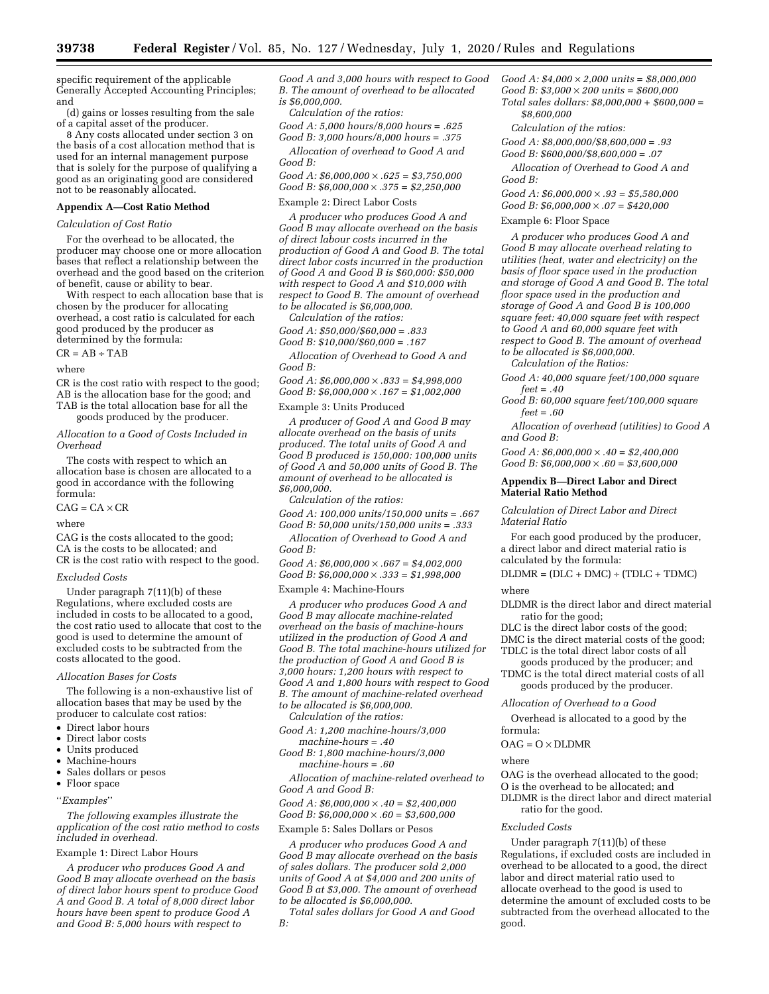specific requirement of the applicable Generally Accepted Accounting Principles; and

(d) gains or losses resulting from the sale of a capital asset of the producer.

8 Any costs allocated under section 3 on the basis of a cost allocation method that is used for an internal management purpose that is solely for the purpose of qualifying a good as an originating good are considered not to be reasonably allocated.

#### **Appendix A—Cost Ratio Method**

#### *Calculation of Cost Ratio*

For the overhead to be allocated, the producer may choose one or more allocation bases that reflect a relationship between the overhead and the good based on the criterion of benefit, cause or ability to bear.

With respect to each allocation base that is chosen by the producer for allocating overhead, a cost ratio is calculated for each good produced by the producer as determined by the formula:  $CR = AB + TAB$ 

where

CR is the cost ratio with respect to the good; AB is the allocation base for the good; and TAB is the total allocation base for all the goods produced by the producer.

*Allocation to a Good of Costs Included in Overhead* 

The costs with respect to which an allocation base is chosen are allocated to a good in accordance with the following formula:

 $CAG = CA \times CR$ 

where

CAG is the costs allocated to the good; CA is the costs to be allocated; and CR is the cost ratio with respect to the good.

#### *Excluded Costs*

Under paragraph 7(11)(b) of these Regulations, where excluded costs are included in costs to be allocated to a good, the cost ratio used to allocate that cost to the good is used to determine the amount of excluded costs to be subtracted from the costs allocated to the good.

## *Allocation Bases for Costs*

The following is a non-exhaustive list of allocation bases that may be used by the producer to calculate cost ratios:

- Direct labor hours
- Direct labor costs
- Units produced
- Machine-hours
- Sales dollars or pesos
- Floor space
- ''*Examples*''

*The following examples illustrate the application of the cost ratio method to costs included in overhead.* 

#### Example 1: Direct Labor Hours

*A producer who produces Good A and Good B may allocate overhead on the basis of direct labor hours spent to produce Good A and Good B. A total of 8,000 direct labor hours have been spent to produce Good A and Good B: 5,000 hours with respect to* 

*Good A and 3,000 hours with respect to Good B. The amount of overhead to be allocated is \$6,000,000.* 

*Calculation of the ratios:* 

*Good A: 5,000 hours/8,000 hours = .625 Good B: 3,000 hours/8,000 hours = .375 Allocation of overhead to Good A and* 

*Good B: Good A: \$6,000,000* × *.625 = \$3,750,000* 

*Good B: \$6,000,000* × *.375 = \$2,250,000* 

Example 2: Direct Labor Costs

*A producer who produces Good A and Good B may allocate overhead on the basis of direct labour costs incurred in the production of Good A and Good B. The total direct labor costs incurred in the production of Good A and Good B is \$60,000: \$50,000 with respect to Good A and \$10,000 with respect to Good B. The amount of overhead to be allocated is \$6,000,000.* 

*Calculation of the ratios:* 

*Good A: \$50,000/\$60,000 = .833* 

*Good B: \$10,000/\$60,000 = .167* 

*Allocation of Overhead to Good A and Good B:* 

*Good A: \$6,000,000* × *.833 = \$4,998,000 Good B: \$6,000,000* × *.167 = \$1,002,000* 

Example 3: Units Produced

*A producer of Good A and Good B may allocate overhead on the basis of units produced. The total units of Good A and Good B produced is 150,000: 100,000 units of Good A and 50,000 units of Good B. The amount of overhead to be allocated is \$6,000,000.* 

*Calculation of the ratios: Good A: 100,000 units/150,000 units = .667 Good B: 50,000 units/150,000 units = .333* 

*Allocation of Overhead to Good A and Good B:* 

*Good A: \$6,000,000* × *.667 = \$4,002,000 Good B: \$6,000,000* × *.333 = \$1,998,000* 

Example 4: Machine-Hours

*A producer who produces Good A and Good B may allocate machine-related overhead on the basis of machine-hours utilized in the production of Good A and Good B. The total machine-hours utilized for the production of Good A and Good B is 3,000 hours: 1,200 hours with respect to Good A and 1,800 hours with respect to Good B. The amount of machine-related overhead to be allocated is \$6,000,000.* 

*Calculation of the ratios:* 

- *Good A: 1,200 machine-hours/3,000 machine-hours = .40*
- *Good B: 1,800 machine-hours/3,000 machine-hours = .60*

*Allocation of machine-related overhead to Good A and Good B:* 

*Good A: \$6,000,000* × *.40 = \$2,400,000 Good B: \$6,000,000* × *.60 = \$3,600,000* 

#### Example 5: Sales Dollars or Pesos

*A producer who produces Good A and Good B may allocate overhead on the basis of sales dollars. The producer sold 2,000 units of Good A at \$4,000 and 200 units of Good B at \$3,000. The amount of overhead to be allocated is \$6,000,000.* 

*Total sales dollars for Good A and Good B:* 

*Good A: \$4,000* × *2,000 units = \$8,000,000 Good B: \$3,000* × *200 units = \$600,000 Total sales dollars: \$8,000,000 + \$600,000 = \$8,600,000* 

*Calculation of the ratios:* 

*Good A: \$8,000,000/\$8,600,000 = .93* 

*Good B: \$600,000/\$8,600,000 = .07* 

*Allocation of Overhead to Good A and Good B:* 

*Good A: \$6,000,000* × *.93 = \$5,580,000 Good B: \$6,000,000* × *.07 = \$420,000* 

## Example 6: Floor Space

*A producer who produces Good A and Good B may allocate overhead relating to utilities (heat, water and electricity) on the basis of floor space used in the production and storage of Good A and Good B. The total floor space used in the production and storage of Good A and Good B is 100,000 square feet: 40,000 square feet with respect to Good A and 60,000 square feet with respect to Good B. The amount of overhead to be allocated is \$6,000,000.* 

*Calculation of the Ratios:* 

- *Good A: 40,000 square feet/100,000 square feet = .40*
- *Good B: 60,000 square feet/100,000 square feet = .60*

*Allocation of overhead (utilities) to Good A and Good B:* 

*Good A: \$6,000,000* × *.40 = \$2,400,000 Good B: \$6,000,000* × *.60 = \$3,600,000* 

## **Appendix B—Direct Labor and Direct Material Ratio Method**

*Calculation of Direct Labor and Direct Material Ratio* 

For each good produced by the producer, a direct labor and direct material ratio is calculated by the formula:

 $DLDMR = (DLC + DMC) \div (TDLC + TDMC)$ 

where

DLDMR is the direct labor and direct material ratio for the good;

DLC is the direct labor costs of the good;

- DMC is the direct material costs of the good; TDLC is the total direct labor costs of all
- goods produced by the producer; and
- TDMC is the total direct material costs of all goods produced by the producer.
- *Allocation of Overhead to a Good*

Overhead is allocated to a good by the formula:

 $OAG = O \times DLDMR$ 

#### where

OAG is the overhead allocated to the good;

O is the overhead to be allocated; and

DLDMR is the direct labor and direct material ratio for the good.

# *Excluded Costs*

Under paragraph 7(11)(b) of these Regulations, if excluded costs are included in overhead to be allocated to a good, the direct labor and direct material ratio used to allocate overhead to the good is used to determine the amount of excluded costs to be subtracted from the overhead allocated to the good.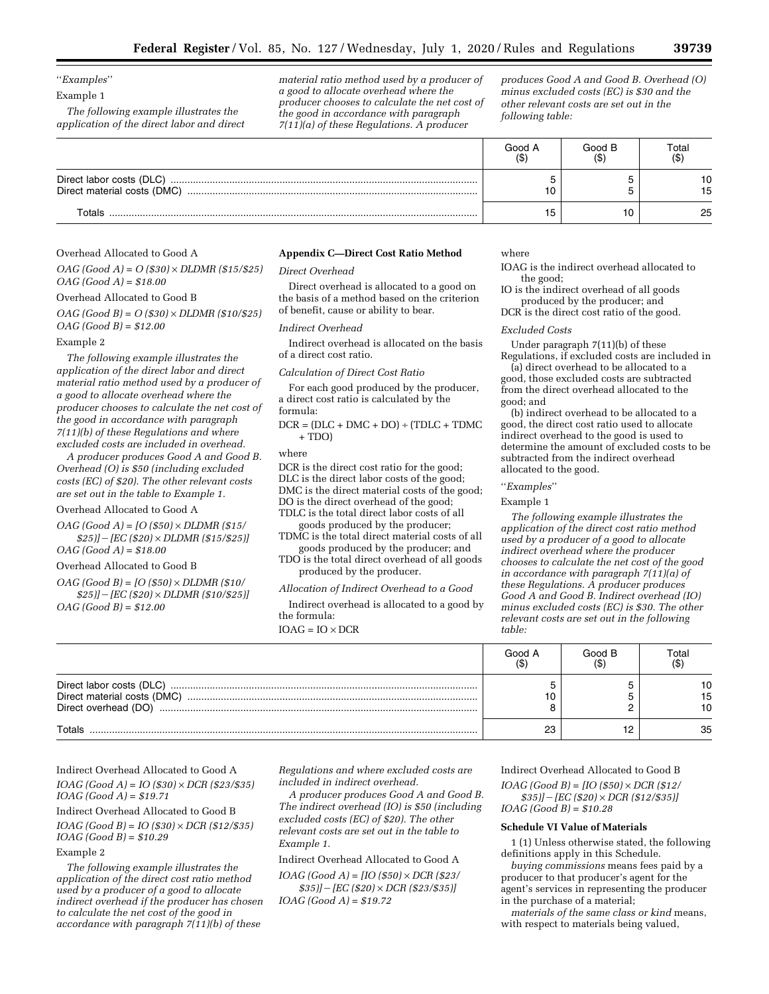''*Examples*''

Example 1

*The following example illustrates the application of the direct labor and direct*  *material ratio method used by a producer of a good to allocate overhead where the producer chooses to calculate the net cost of the good in accordance with paragraph 7(11)(a) of these Regulations. A producer* 

*produces Good A and Good B. Overhead (O) minus excluded costs (EC) is \$30 and the other relevant costs are set out in the following table:* 

|                             | Good A | Good B | ГоtаI<br>(\$ |
|-----------------------------|--------|--------|--------------|
| Direct material costs (DMC) | 10     |        | 10<br>15     |
| Totals                      | 15     |        | 25           |

# Overhead Allocated to Good A

*OAG (Good A) = O (\$30)* × *DLDMR (\$15/\$25) OAG (Good A) = \$18.00* 

# Overhead Allocated to Good B

*OAG (Good B) = O (\$30)* × *DLDMR (\$10/\$25) OAG (Good B) = \$12.00* 

#### Example 2

*The following example illustrates the application of the direct labor and direct material ratio method used by a producer of a good to allocate overhead where the producer chooses to calculate the net cost of the good in accordance with paragraph 7(11)(b) of these Regulations and where excluded costs are included in overhead.* 

*A producer produces Good A and Good B. Overhead (O) is \$50 (including excluded costs (EC) of \$20). The other relevant costs are set out in the table to Example 1.* 

Overhead Allocated to Good A

*OAG (Good A) = [O (\$50)* × *DLDMR (\$15/ \$25)]*¥*[EC (\$20)* × *DLDMR (\$15/\$25)] OAG (Good A) = \$18.00* 

Overhead Allocated to Good B

*OAG (Good B) = [O (\$50)* × *DLDMR (\$10/ \$25)]*¥*[EC (\$20)* × *DLDMR (\$10/\$25)] OAG (Good B) = \$12.00* 

# **Appendix C—Direct Cost Ratio Method**

*Direct Overhead* 

Direct overhead is allocated to a good on the basis of a method based on the criterion of benefit, cause or ability to bear.

#### *Indirect Overhead*

Indirect overhead is allocated on the basis of a direct cost ratio.

*Calculation of Direct Cost Ratio* 

For each good produced by the producer, a direct cost ratio is calculated by the formula:

 $DCR = (DLC + DMC + DO) \div (TDLC + TDMC$ + TDO)

## where

DCR is the direct cost ratio for the good;

DLC is the direct labor costs of the good; DMC is the direct material costs of the good;

DO is the direct overhead of the good;

TDLC is the total direct labor costs of all

goods produced by the producer;

TDMC is the total direct material costs of all goods produced by the producer; and

TDO is the total direct overhead of all goods produced by the producer.

*Allocation of Indirect Overhead to a Good* 

Indirect overhead is allocated to a good by the formula:

 $IOAG = IO \times DCR$ 

# where

IOAG is the indirect overhead allocated to the good;

IO is the indirect overhead of all goods produced by the producer; and

DCR is the direct cost ratio of the good.

#### *Excluded Costs*

Under paragraph 7(11)(b) of these

Regulations, if excluded costs are included in (a) direct overhead to be allocated to a

good, those excluded costs are subtracted from the direct overhead allocated to the good; and

(b) indirect overhead to be allocated to a good, the direct cost ratio used to allocate indirect overhead to the good is used to determine the amount of excluded costs to be subtracted from the indirect overhead allocated to the good.

#### ''*Examples*''

Example 1

*The following example illustrates the application of the direct cost ratio method used by a producer of a good to allocate indirect overhead where the producer chooses to calculate the net cost of the good in accordance with paragraph 7(11)(a) of these Regulations. A producer produces Good A and Good B. Indirect overhead (IO) minus excluded costs (EC) is \$30. The other relevant costs are set out in the following table:* 

|                                                     | Good A | Good B | Total    |
|-----------------------------------------------------|--------|--------|----------|
| Direct material costs (DMC)<br>Direct overhead (DO) | ١C     |        | 15<br>10 |
|                                                     | 23     |        | 35       |

Indirect Overhead Allocated to Good A *IOAG (Good A) = IO (\$30)* × *DCR (\$23/\$35) IOAG (Good A) = \$19.71* 

Indirect Overhead Allocated to Good B

*IOAG (Good B) = IO (\$30)* × *DCR (\$12/\$35) IOAG (Good B) = \$10.29* 

# Example 2

*The following example illustrates the application of the direct cost ratio method used by a producer of a good to allocate indirect overhead if the producer has chosen to calculate the net cost of the good in accordance with paragraph 7(11)(b) of these* 

*Regulations and where excluded costs are included in indirect overhead.* 

*A producer produces Good A and Good B. The indirect overhead (IO) is \$50 (including excluded costs (EC) of \$20). The other relevant costs are set out in the table to Example 1.* 

Indirect Overhead Allocated to Good A

*IOAG (Good A) = [IO (\$50)* × *DCR (\$23/ \$35)]*¥*[EC (\$20)* × *DCR (\$23/\$35)] IOAG (Good A) = \$19.72* 

Indirect Overhead Allocated to Good B

*IOAG (Good B) = [IO (\$50)* × *DCR (\$12/ \$35)]*¥*[EC (\$20)* × *DCR (\$12/\$35)] IOAG (Good B) = \$10.28* 

#### **Schedule VI Value of Materials**

1 (1) Unless otherwise stated, the following definitions apply in this Schedule.

*buying commissions* means fees paid by a producer to that producer's agent for the agent's services in representing the producer in the purchase of a material;

*materials of the same class or kind* means, with respect to materials being valued,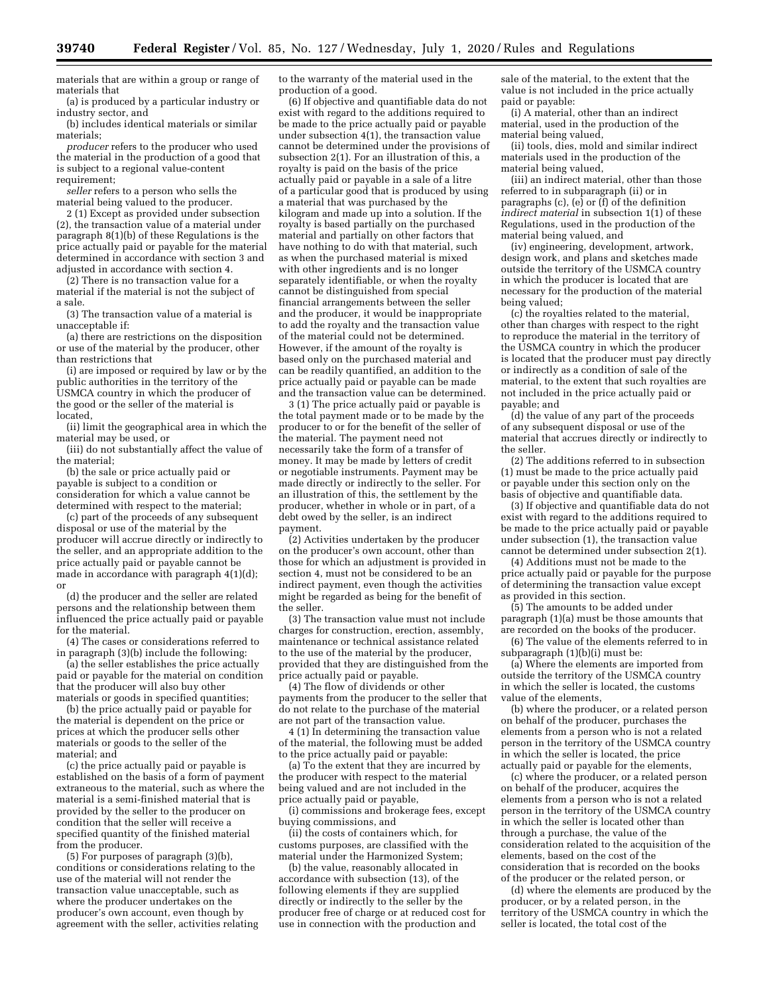materials that are within a group or range of materials that

(a) is produced by a particular industry or industry sector, and

(b) includes identical materials or similar materials;

*producer* refers to the producer who used the material in the production of a good that is subject to a regional value-content requirement;

*seller* refers to a person who sells the material being valued to the producer.

2 (1) Except as provided under subsection (2), the transaction value of a material under paragraph 8(1)(b) of these Regulations is the price actually paid or payable for the material determined in accordance with section 3 and adjusted in accordance with section 4.

(2) There is no transaction value for a material if the material is not the subject of

a sale. (3) The transaction value of a material is

unacceptable if:

(a) there are restrictions on the disposition or use of the material by the producer, other than restrictions that

(i) are imposed or required by law or by the public authorities in the territory of the USMCA country in which the producer of the good or the seller of the material is located,

(ii) limit the geographical area in which the material may be used, or

(iii) do not substantially affect the value of the material;

(b) the sale or price actually paid or payable is subject to a condition or consideration for which a value cannot be determined with respect to the material;

(c) part of the proceeds of any subsequent disposal or use of the material by the producer will accrue directly or indirectly to the seller, and an appropriate addition to the price actually paid or payable cannot be made in accordance with paragraph 4(1)(d); or

(d) the producer and the seller are related persons and the relationship between them influenced the price actually paid or payable for the material.

(4) The cases or considerations referred to in paragraph (3)(b) include the following:

(a) the seller establishes the price actually paid or payable for the material on condition that the producer will also buy other materials or goods in specified quantities;

(b) the price actually paid or payable for the material is dependent on the price or prices at which the producer sells other materials or goods to the seller of the material; and

(c) the price actually paid or payable is established on the basis of a form of payment extraneous to the material, such as where the material is a semi-finished material that is provided by the seller to the producer on condition that the seller will receive a specified quantity of the finished material from the producer.

(5) For purposes of paragraph (3)(b), conditions or considerations relating to the use of the material will not render the transaction value unacceptable, such as where the producer undertakes on the producer's own account, even though by agreement with the seller, activities relating to the warranty of the material used in the production of a good.

(6) If objective and quantifiable data do not exist with regard to the additions required to be made to the price actually paid or payable under subsection 4(1), the transaction value cannot be determined under the provisions of subsection 2(1). For an illustration of this, a royalty is paid on the basis of the price actually paid or payable in a sale of a litre of a particular good that is produced by using a material that was purchased by the kilogram and made up into a solution. If the royalty is based partially on the purchased material and partially on other factors that have nothing to do with that material, such as when the purchased material is mixed with other ingredients and is no longer separately identifiable, or when the royalty cannot be distinguished from special financial arrangements between the seller and the producer, it would be inappropriate to add the royalty and the transaction value of the material could not be determined. However, if the amount of the royalty is based only on the purchased material and can be readily quantified, an addition to the price actually paid or payable can be made and the transaction value can be determined.

3 (1) The price actually paid or payable is the total payment made or to be made by the producer to or for the benefit of the seller of the material. The payment need not necessarily take the form of a transfer of money. It may be made by letters of credit or negotiable instruments. Payment may be made directly or indirectly to the seller. For an illustration of this, the settlement by the producer, whether in whole or in part, of a debt owed by the seller, is an indirect payment.

(2) Activities undertaken by the producer on the producer's own account, other than those for which an adjustment is provided in section 4, must not be considered to be an indirect payment, even though the activities might be regarded as being for the benefit of the seller.

(3) The transaction value must not include charges for construction, erection, assembly, maintenance or technical assistance related to the use of the material by the producer, provided that they are distinguished from the price actually paid or payable.

(4) The flow of dividends or other payments from the producer to the seller that do not relate to the purchase of the material are not part of the transaction value.

4 (1) In determining the transaction value of the material, the following must be added to the price actually paid or payable:

(a) To the extent that they are incurred by the producer with respect to the material being valued and are not included in the price actually paid or payable,

(i) commissions and brokerage fees, except buying commissions, and

(ii) the costs of containers which, for customs purposes, are classified with the material under the Harmonized System;

(b) the value, reasonably allocated in accordance with subsection (13), of the following elements if they are supplied directly or indirectly to the seller by the producer free of charge or at reduced cost for use in connection with the production and

sale of the material, to the extent that the value is not included in the price actually paid or payable:

(i) A material, other than an indirect material, used in the production of the material being valued,

(ii) tools, dies, mold and similar indirect materials used in the production of the material being valued,

(iii) an indirect material, other than those referred to in subparagraph (ii) or in paragraphs (c),  $(e)$  or  $(f)$  of the definition *indirect material* in subsection 1(1) of these Regulations, used in the production of the material being valued, and

(iv) engineering, development, artwork, design work, and plans and sketches made outside the territory of the USMCA country in which the producer is located that are necessary for the production of the material being valued;

(c) the royalties related to the material, other than charges with respect to the right to reproduce the material in the territory of the USMCA country in which the producer is located that the producer must pay directly or indirectly as a condition of sale of the material, to the extent that such royalties are not included in the price actually paid or payable; and

(d) the value of any part of the proceeds of any subsequent disposal or use of the material that accrues directly or indirectly to the seller.

(2) The additions referred to in subsection (1) must be made to the price actually paid or payable under this section only on the basis of objective and quantifiable data.

(3) If objective and quantifiable data do not exist with regard to the additions required to be made to the price actually paid or payable under subsection (1), the transaction value cannot be determined under subsection 2(1).

(4) Additions must not be made to the price actually paid or payable for the purpose of determining the transaction value except as provided in this section.

(5) The amounts to be added under paragraph (1)(a) must be those amounts that are recorded on the books of the producer.

(6) The value of the elements referred to in subparagraph (1)(b)(i) must be:

(a) Where the elements are imported from outside the territory of the USMCA country in which the seller is located, the customs value of the elements,

(b) where the producer, or a related person on behalf of the producer, purchases the elements from a person who is not a related person in the territory of the USMCA country in which the seller is located, the price actually paid or payable for the elements,

(c) where the producer, or a related person on behalf of the producer, acquires the elements from a person who is not a related person in the territory of the USMCA country in which the seller is located other than through a purchase, the value of the consideration related to the acquisition of the elements, based on the cost of the consideration that is recorded on the books of the producer or the related person, or

(d) where the elements are produced by the producer, or by a related person, in the territory of the USMCA country in which the seller is located, the total cost of the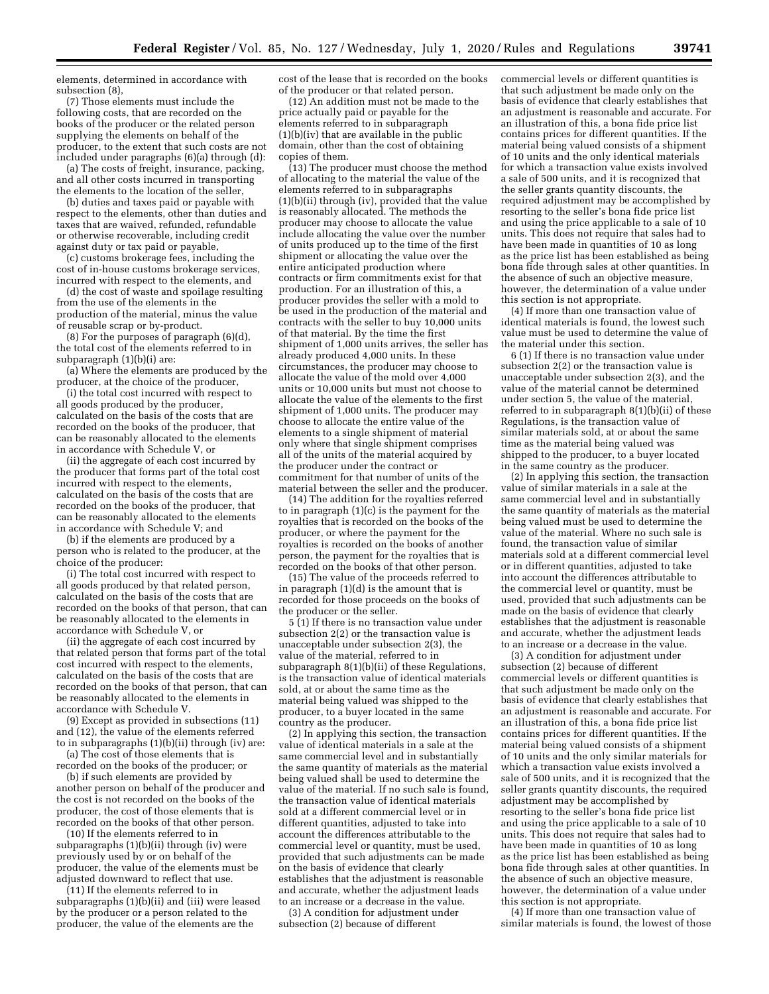elements, determined in accordance with subsection (8),

(7) Those elements must include the following costs, that are recorded on the books of the producer or the related person supplying the elements on behalf of the producer, to the extent that such costs are not included under paragraphs (6)(a) through (d):

(a) The costs of freight, insurance, packing, and all other costs incurred in transporting the elements to the location of the seller,

(b) duties and taxes paid or payable with respect to the elements, other than duties and taxes that are waived, refunded, refundable or otherwise recoverable, including credit against duty or tax paid or payable,

(c) customs brokerage fees, including the cost of in-house customs brokerage services, incurred with respect to the elements, and

(d) the cost of waste and spoilage resulting from the use of the elements in the production of the material, minus the value of reusable scrap or by-product.

(8) For the purposes of paragraph (6)(d), the total cost of the elements referred to in subparagraph (1)(b)(i) are:

(a) Where the elements are produced by the producer, at the choice of the producer,

(i) the total cost incurred with respect to all goods produced by the producer, calculated on the basis of the costs that are recorded on the books of the producer, that can be reasonably allocated to the elements in accordance with Schedule V, or

(ii) the aggregate of each cost incurred by the producer that forms part of the total cost incurred with respect to the elements, calculated on the basis of the costs that are recorded on the books of the producer, that can be reasonably allocated to the elements in accordance with Schedule V; and

(b) if the elements are produced by a person who is related to the producer, at the choice of the producer:

(i) The total cost incurred with respect to all goods produced by that related person, calculated on the basis of the costs that are recorded on the books of that person, that can be reasonably allocated to the elements in accordance with Schedule V, or

(ii) the aggregate of each cost incurred by that related person that forms part of the total cost incurred with respect to the elements, calculated on the basis of the costs that are recorded on the books of that person, that can be reasonably allocated to the elements in accordance with Schedule V.

(9) Except as provided in subsections (11) and (12), the value of the elements referred to in subparagraphs (1)(b)(ii) through (iv) are:

(a) The cost of those elements that is recorded on the books of the producer; or

(b) if such elements are provided by another person on behalf of the producer and the cost is not recorded on the books of the producer, the cost of those elements that is recorded on the books of that other person.

(10) If the elements referred to in subparagraphs (1)(b)(ii) through (iv) were previously used by or on behalf of the producer, the value of the elements must be adjusted downward to reflect that use.

(11) If the elements referred to in subparagraphs (1)(b)(ii) and (iii) were leased by the producer or a person related to the producer, the value of the elements are the

cost of the lease that is recorded on the books of the producer or that related person.

(12) An addition must not be made to the price actually paid or payable for the elements referred to in subparagraph (1)(b)(iv) that are available in the public domain, other than the cost of obtaining copies of them.

(13) The producer must choose the method of allocating to the material the value of the elements referred to in subparagraphs (1)(b)(ii) through (iv), provided that the value is reasonably allocated. The methods the producer may choose to allocate the value include allocating the value over the number of units produced up to the time of the first shipment or allocating the value over the entire anticipated production where contracts or firm commitments exist for that production. For an illustration of this, a producer provides the seller with a mold to be used in the production of the material and  $\frac{1}{2}$  contracts with the seller to buy 10,000 units of that material. By the time the first shipment of 1,000 units arrives, the seller has already produced 4,000 units. In these circumstances, the producer may choose to allocate the value of the mold over 4,000 units or 10,000 units but must not choose to allocate the value of the elements to the first shipment of 1,000 units. The producer may choose to allocate the entire value of the elements to a single shipment of material only where that single shipment comprises all of the units of the material acquired by the producer under the contract or commitment for that number of units of the material between the seller and the producer.

(14) The addition for the royalties referred to in paragraph (1)(c) is the payment for the royalties that is recorded on the books of the producer, or where the payment for the royalties is recorded on the books of another person, the payment for the royalties that is recorded on the books of that other person.

(15) The value of the proceeds referred to in paragraph (1)(d) is the amount that is recorded for those proceeds on the books of the producer or the seller.

5 (1) If there is no transaction value under subsection 2(2) or the transaction value is unacceptable under subsection 2(3), the value of the material, referred to in subparagraph 8(1)(b)(ii) of these Regulations, is the transaction value of identical materials sold, at or about the same time as the material being valued was shipped to the producer, to a buyer located in the same country as the producer.

(2) In applying this section, the transaction value of identical materials in a sale at the same commercial level and in substantially the same quantity of materials as the material being valued shall be used to determine the value of the material. If no such sale is found, the transaction value of identical materials sold at a different commercial level or in different quantities, adjusted to take into account the differences attributable to the commercial level or quantity, must be used, provided that such adjustments can be made on the basis of evidence that clearly establishes that the adjustment is reasonable and accurate, whether the adjustment leads to an increase or a decrease in the value.

(3) A condition for adjustment under subsection (2) because of different

commercial levels or different quantities is that such adjustment be made only on the basis of evidence that clearly establishes that an adjustment is reasonable and accurate. For an illustration of this, a bona fide price list contains prices for different quantities. If the material being valued consists of a shipment of 10 units and the only identical materials for which a transaction value exists involved a sale of 500 units, and it is recognized that the seller grants quantity discounts, the required adjustment may be accomplished by resorting to the seller's bona fide price list and using the price applicable to a sale of 10 units. This does not require that sales had to have been made in quantities of 10 as long as the price list has been established as being bona fide through sales at other quantities. In the absence of such an objective measure, however, the determination of a value under this section is not appropriate.

(4) If more than one transaction value of identical materials is found, the lowest such value must be used to determine the value of the material under this section.

6 (1) If there is no transaction value under subsection 2(2) or the transaction value is unacceptable under subsection 2(3), and the value of the material cannot be determined under section 5, the value of the material, referred to in subparagraph 8(1)(b)(ii) of these Regulations, is the transaction value of similar materials sold, at or about the same time as the material being valued was shipped to the producer, to a buyer located in the same country as the producer.

(2) In applying this section, the transaction value of similar materials in a sale at the same commercial level and in substantially the same quantity of materials as the material being valued must be used to determine the value of the material. Where no such sale is found, the transaction value of similar materials sold at a different commercial level or in different quantities, adjusted to take into account the differences attributable to the commercial level or quantity, must be used, provided that such adjustments can be made on the basis of evidence that clearly establishes that the adjustment is reasonable and accurate, whether the adjustment leads to an increase or a decrease in the value.

(3) A condition for adjustment under subsection (2) because of different commercial levels or different quantities is that such adjustment be made only on the basis of evidence that clearly establishes that an adjustment is reasonable and accurate. For an illustration of this, a bona fide price list contains prices for different quantities. If the material being valued consists of a shipment of 10 units and the only similar materials for which a transaction value exists involved a sale of 500 units, and it is recognized that the seller grants quantity discounts, the required adjustment may be accomplished by resorting to the seller's bona fide price list and using the price applicable to a sale of 10 units. This does not require that sales had to have been made in quantities of 10 as long as the price list has been established as being bona fide through sales at other quantities. In the absence of such an objective measure, however, the determination of a value under this section is not appropriate.

(4) If more than one transaction value of similar materials is found, the lowest of those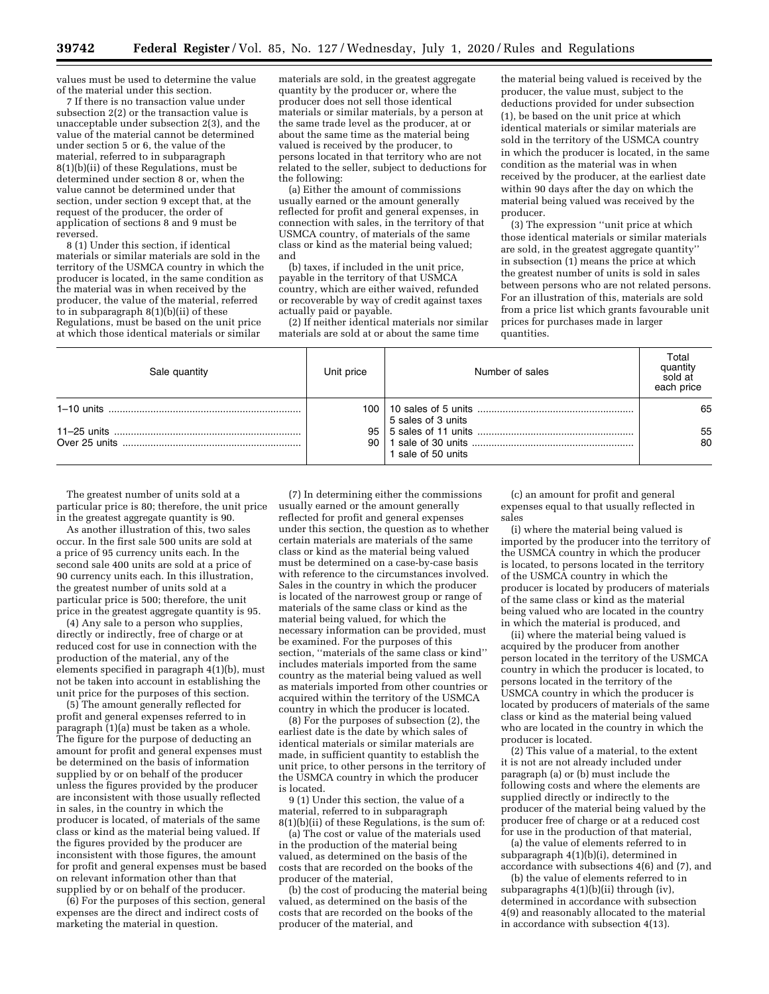values must be used to determine the value of the material under this section.

7 If there is no transaction value under subsection 2(2) or the transaction value is unacceptable under subsection 2(3), and the value of the material cannot be determined under section 5 or 6, the value of the material, referred to in subparagraph 8(1)(b)(ii) of these Regulations, must be determined under section 8 or, when the value cannot be determined under that section, under section 9 except that, at the request of the producer, the order of application of sections 8 and 9 must be reversed.

8 (1) Under this section, if identical materials or similar materials are sold in the territory of the USMCA country in which the producer is located, in the same condition as the material was in when received by the producer, the value of the material, referred to in subparagraph 8(1)(b)(ii) of these Regulations, must be based on the unit price at which those identical materials or similar

materials are sold, in the greatest aggregate quantity by the producer or, where the producer does not sell those identical materials or similar materials, by a person at the same trade level as the producer, at or about the same time as the material being valued is received by the producer, to persons located in that territory who are not related to the seller, subject to deductions for the following:

(a) Either the amount of commissions usually earned or the amount generally reflected for profit and general expenses, in connection with sales, in the territory of that USMCA country, of materials of the same class or kind as the material being valued; and

(b) taxes, if included in the unit price, payable in the territory of that USMCA country, which are either waived, refunded or recoverable by way of credit against taxes actually paid or payable.

(2) If neither identical materials nor similar materials are sold at or about the same time

the material being valued is received by the producer, the value must, subject to the deductions provided for under subsection (1), be based on the unit price at which identical materials or similar materials are sold in the territory of the USMCA country in which the producer is located, in the same condition as the material was in when received by the producer, at the earliest date within 90 days after the day on which the material being valued was received by the producer.

(3) The expression ''unit price at which those identical materials or similar materials are sold, in the greatest aggregate quantity'' in subsection (1) means the price at which the greatest number of units is sold in sales between persons who are not related persons. For an illustration of this, materials are sold from a price list which grants favourable unit prices for purchases made in larger quantities.

| Sale quantity | Unit price | Number of sales    | Total<br>quantity<br>sold at<br>each price |
|---------------|------------|--------------------|--------------------------------------------|
|               |            | 5 sales of 3 units | 65                                         |
|               |            |                    | 55                                         |
|               | 90.        | sale of 50 units   | 80                                         |

The greatest number of units sold at a particular price is 80; therefore, the unit price in the greatest aggregate quantity is 90.

As another illustration of this, two sales occur. In the first sale 500 units are sold at a price of 95 currency units each. In the second sale 400 units are sold at a price of 90 currency units each. In this illustration, the greatest number of units sold at a particular price is 500; therefore, the unit price in the greatest aggregate quantity is 95.

(4) Any sale to a person who supplies, directly or indirectly, free of charge or at reduced cost for use in connection with the production of the material, any of the elements specified in paragraph 4(1)(b), must not be taken into account in establishing the unit price for the purposes of this section.

(5) The amount generally reflected for profit and general expenses referred to in paragraph (1)(a) must be taken as a whole. The figure for the purpose of deducting an amount for profit and general expenses must be determined on the basis of information supplied by or on behalf of the producer unless the figures provided by the producer are inconsistent with those usually reflected in sales, in the country in which the producer is located, of materials of the same class or kind as the material being valued. If the figures provided by the producer are inconsistent with those figures, the amount for profit and general expenses must be based on relevant information other than that supplied by or on behalf of the producer.

(6) For the purposes of this section, general expenses are the direct and indirect costs of marketing the material in question.

(7) In determining either the commissions usually earned or the amount generally reflected for profit and general expenses under this section, the question as to whether certain materials are materials of the same class or kind as the material being valued must be determined on a case-by-case basis with reference to the circumstances involved. Sales in the country in which the producer is located of the narrowest group or range of materials of the same class or kind as the material being valued, for which the necessary information can be provided, must be examined. For the purposes of this section, ''materials of the same class or kind'' includes materials imported from the same country as the material being valued as well as materials imported from other countries or acquired within the territory of the USMCA country in which the producer is located.

(8) For the purposes of subsection (2), the earliest date is the date by which sales of identical materials or similar materials are made, in sufficient quantity to establish the unit price, to other persons in the territory of the USMCA country in which the producer is located.

9 (1) Under this section, the value of a material, referred to in subparagraph  $8(1)(b)(ii)$  of these Regulations, is the sum of:

(a) The cost or value of the materials used in the production of the material being valued, as determined on the basis of the costs that are recorded on the books of the producer of the material,

(b) the cost of producing the material being valued, as determined on the basis of the costs that are recorded on the books of the producer of the material, and

(c) an amount for profit and general expenses equal to that usually reflected in sales

(i) where the material being valued is imported by the producer into the territory of the USMCA country in which the producer is located, to persons located in the territory of the USMCA country in which the producer is located by producers of materials of the same class or kind as the material being valued who are located in the country in which the material is produced, and

(ii) where the material being valued is acquired by the producer from another person located in the territory of the USMCA country in which the producer is located, to persons located in the territory of the USMCA country in which the producer is located by producers of materials of the same class or kind as the material being valued who are located in the country in which the producer is located.

(2) This value of a material, to the extent it is not are not already included under paragraph (a) or (b) must include the following costs and where the elements are supplied directly or indirectly to the producer of the material being valued by the producer free of charge or at a reduced cost for use in the production of that material,

(a) the value of elements referred to in subparagraph 4(1)(b)(i), determined in accordance with subsections 4(6) and (7), and

(b) the value of elements referred to in subparagraphs 4(1)(b)(ii) through (iv), determined in accordance with subsection 4(9) and reasonably allocated to the material in accordance with subsection 4(13).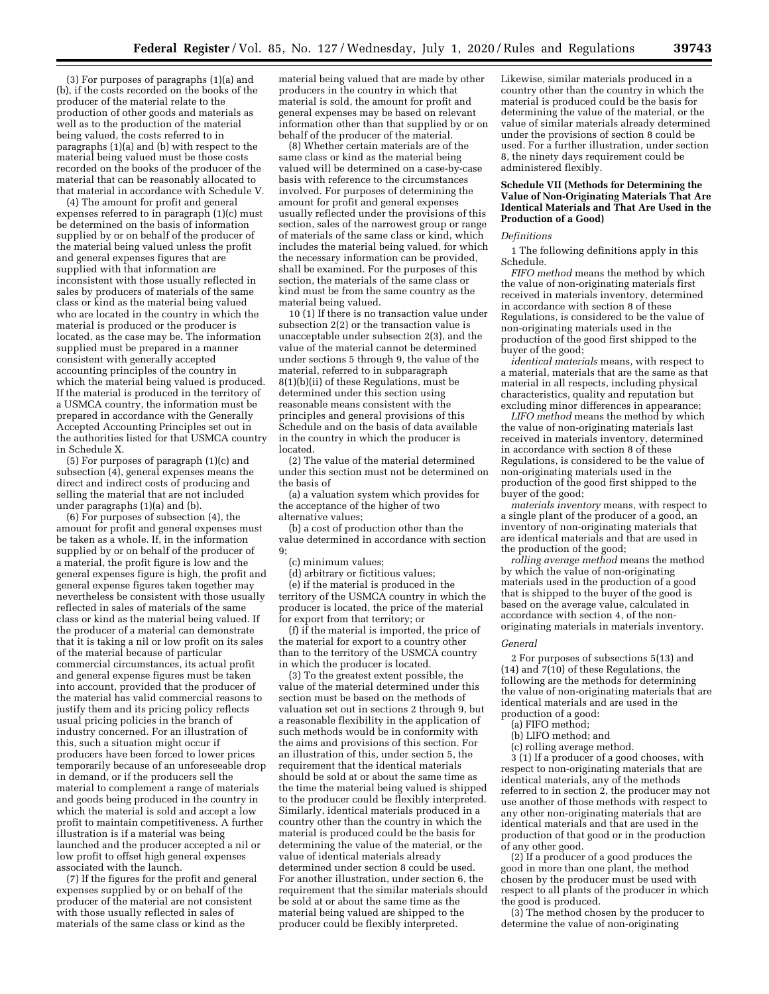(3) For purposes of paragraphs (1)(a) and (b), if the costs recorded on the books of the producer of the material relate to the production of other goods and materials as well as to the production of the material being valued, the costs referred to in paragraphs (1)(a) and (b) with respect to the material being valued must be those costs recorded on the books of the producer of the material that can be reasonably allocated to that material in accordance with Schedule V.

(4) The amount for profit and general expenses referred to in paragraph (1)(c) must be determined on the basis of information supplied by or on behalf of the producer of the material being valued unless the profit and general expenses figures that are supplied with that information are inconsistent with those usually reflected in sales by producers of materials of the same class or kind as the material being valued who are located in the country in which the material is produced or the producer is located, as the case may be. The information supplied must be prepared in a manner consistent with generally accepted accounting principles of the country in which the material being valued is produced. If the material is produced in the territory of a USMCA country, the information must be prepared in accordance with the Generally Accepted Accounting Principles set out in the authorities listed for that USMCA country in Schedule X.

(5) For purposes of paragraph (1)(c) and subsection (4), general expenses means the direct and indirect costs of producing and selling the material that are not included under paragraphs (1)(a) and (b).

(6) For purposes of subsection (4), the amount for profit and general expenses must be taken as a whole. If, in the information supplied by or on behalf of the producer of a material, the profit figure is low and the general expenses figure is high, the profit and general expense figures taken together may nevertheless be consistent with those usually reflected in sales of materials of the same class or kind as the material being valued. If the producer of a material can demonstrate that it is taking a nil or low profit on its sales of the material because of particular commercial circumstances, its actual profit and general expense figures must be taken into account, provided that the producer of the material has valid commercial reasons to justify them and its pricing policy reflects usual pricing policies in the branch of industry concerned. For an illustration of this, such a situation might occur if producers have been forced to lower prices temporarily because of an unforeseeable drop in demand, or if the producers sell the material to complement a range of materials and goods being produced in the country in which the material is sold and accept a low profit to maintain competitiveness. A further illustration is if a material was being launched and the producer accepted a nil or low profit to offset high general expenses associated with the launch.

(7) If the figures for the profit and general expenses supplied by or on behalf of the producer of the material are not consistent with those usually reflected in sales of materials of the same class or kind as the

material being valued that are made by other producers in the country in which that material is sold, the amount for profit and general expenses may be based on relevant information other than that supplied by or on behalf of the producer of the material.

(8) Whether certain materials are of the same class or kind as the material being valued will be determined on a case-by-case basis with reference to the circumstances involved. For purposes of determining the amount for profit and general expenses usually reflected under the provisions of this section, sales of the narrowest group or range of materials of the same class or kind, which includes the material being valued, for which the necessary information can be provided, shall be examined. For the purposes of this section, the materials of the same class or kind must be from the same country as the material being valued.

10 (1) If there is no transaction value under subsection 2(2) or the transaction value is unacceptable under subsection 2(3), and the value of the material cannot be determined under sections 5 through 9, the value of the material, referred to in subparagraph 8(1)(b)(ii) of these Regulations, must be determined under this section using reasonable means consistent with the principles and general provisions of this Schedule and on the basis of data available in the country in which the producer is located.

(2) The value of the material determined under this section must not be determined on the basis of

(a) a valuation system which provides for the acceptance of the higher of two alternative values;

(b) a cost of production other than the value determined in accordance with section 9;

(c) minimum values;

(d) arbitrary or fictitious values; (e) if the material is produced in the

territory of the USMCA country in which the producer is located, the price of the material for export from that territory; or

(f) if the material is imported, the price of the material for export to a country other than to the territory of the USMCA country in which the producer is located.

(3) To the greatest extent possible, the value of the material determined under this section must be based on the methods of valuation set out in sections 2 through 9, but a reasonable flexibility in the application of such methods would be in conformity with the aims and provisions of this section. For an illustration of this, under section 5, the requirement that the identical materials should be sold at or about the same time as the time the material being valued is shipped to the producer could be flexibly interpreted. Similarly, identical materials produced in a country other than the country in which the material is produced could be the basis for determining the value of the material, or the value of identical materials already determined under section 8 could be used. For another illustration, under section 6, the requirement that the similar materials should be sold at or about the same time as the material being valued are shipped to the producer could be flexibly interpreted.

Likewise, similar materials produced in a country other than the country in which the material is produced could be the basis for determining the value of the material, or the value of similar materials already determined under the provisions of section 8 could be used. For a further illustration, under section 8, the ninety days requirement could be administered flexibly.

#### **Schedule VII (Methods for Determining the Value of Non-Originating Materials That Are Identical Materials and That Are Used in the Production of a Good)**

#### *Definitions*

1 The following definitions apply in this Schedule.

*FIFO method* means the method by which the value of non-originating materials first received in materials inventory, determined in accordance with section 8 of these Regulations, is considered to be the value of non-originating materials used in the production of the good first shipped to the buyer of the good;

*identical materials* means, with respect to a material, materials that are the same as that material in all respects, including physical characteristics, quality and reputation but excluding minor differences in appearance;

*LIFO method* means the method by which the value of non-originating materials last received in materials inventory, determined in accordance with section 8 of these Regulations, is considered to be the value of non-originating materials used in the production of the good first shipped to the buyer of the good;

*materials inventory* means, with respect to a single plant of the producer of a good, an inventory of non-originating materials that are identical materials and that are used in the production of the good;

*rolling average method* means the method by which the value of non-originating materials used in the production of a good that is shipped to the buyer of the good is based on the average value, calculated in accordance with section 4, of the nonoriginating materials in materials inventory.

#### *General*

2 For purposes of subsections 5(13) and  $(14)$  and  $7(10)$  of these Regulations, the following are the methods for determining the value of non-originating materials that are identical materials and are used in the production of a good:

- (a) FIFO method;
- (b) LIFO method; and
- (c) rolling average method.
- 

3 (1) If a producer of a good chooses, with respect to non-originating materials that are identical materials, any of the methods referred to in section 2, the producer may not use another of those methods with respect to any other non-originating materials that are identical materials and that are used in the production of that good or in the production of any other good.

(2) If a producer of a good produces the good in more than one plant, the method chosen by the producer must be used with respect to all plants of the producer in which the good is produced.

(3) The method chosen by the producer to determine the value of non-originating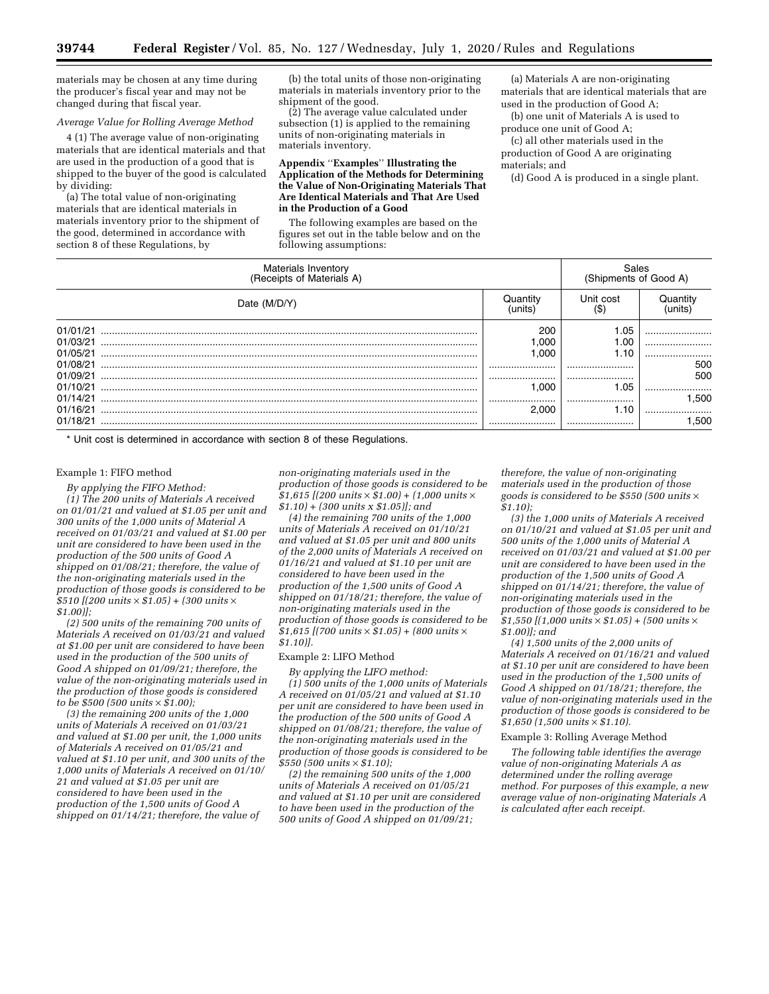materials may be chosen at any time during the producer's fiscal year and may not be changed during that fiscal year.

# *Average Value for Rolling Average Method*

4 (1) The average value of non-originating materials that are identical materials and that are used in the production of a good that is shipped to the buyer of the good is calculated by dividing:

(a) The total value of non-originating materials that are identical materials in materials inventory prior to the shipment of the good, determined in accordance with section 8 of these Regulations, by

(b) the total units of those non-originating materials in materials inventory prior to the shipment of the good.

(2) The average value calculated under subsection (1) is applied to the remaining units of non-originating materials in materials inventory.

# **Appendix** ''**Examples**'' **Illustrating the Application of the Methods for Determining the Value of Non-Originating Materials That Are Identical Materials and That Are Used in the Production of a Good**

The following examples are based on the figures set out in the table below and on the following assumptions:

(a) Materials A are non-originating materials that are identical materials that are used in the production of Good A;

(b) one unit of Materials A is used to produce one unit of Good A;

(c) all other materials used in the production of Good A are originating

materials; and

(d) Good A is produced in a single plant.

| <b>Materials Inventory</b><br>(Receipts of Materials A)  |              |                            | Sales<br>(Shipments of Good A) |                    |  |
|----------------------------------------------------------|--------------|----------------------------|--------------------------------|--------------------|--|
|                                                          | Date (M/D/Y) |                            | Unit cost<br>(\$)              | units              |  |
| 01/01/21<br>01/03/21<br>01/05/21<br>01/08/21<br>01/09/21 |              | 200<br>.000<br>.000<br>    | 1.05<br>.00<br>1.10<br>        | <br><br>500<br>500 |  |
| 01/10/21<br>01/14/21<br>01/16/21<br>01/18/21             |              | <br>1.000<br><br>2.000<br> | <br>1.05<br><br>1.10<br>       | <br>1.500<br>1.500 |  |

\* Unit cost is determined in accordance with section 8 of these Regulations.

#### Example 1: FIFO method

*By applying the FIFO Method:* 

*(1) The 200 units of Materials A received on 01/01/21 and valued at \$1.05 per unit and 300 units of the 1,000 units of Material A received on 01/03/21 and valued at \$1.00 per unit are considered to have been used in the production of the 500 units of Good A shipped on 01/08/21; therefore, the value of the non-originating materials used in the production of those goods is considered to be \$510 [(200 units* × *\$1.05) + (300 units* × *\$1.00)];* 

*(2) 500 units of the remaining 700 units of Materials A received on 01/03/21 and valued at \$1.00 per unit are considered to have been used in the production of the 500 units of Good A shipped on 01/09/21; therefore, the value of the non-originating materials used in the production of those goods is considered to be \$500 (500 units* × *\$1.00);* 

*(3) the remaining 200 units of the 1,000 units of Materials A received on 01/03/21 and valued at \$1.00 per unit, the 1,000 units of Materials A received on 01/05/21 and valued at \$1.10 per unit, and 300 units of the 1,000 units of Materials A received on 01/10/ 21 and valued at \$1.05 per unit are considered to have been used in the production of the 1,500 units of Good A shipped on 01/14/21; therefore, the value of* 

*non-originating materials used in the production of those goods is considered to be \$1,615 [(200 units* × *\$1.00) + (1,000 units* × *\$1.10) + (300 units x \$1.05)]; and* 

*(4) the remaining 700 units of the 1,000 units of Materials A received on 01/10/21 and valued at \$1.05 per unit and 800 units of the 2,000 units of Materials A received on 01/16/21 and valued at \$1.10 per unit are considered to have been used in the production of the 1,500 units of Good A shipped on 01/18/21; therefore, the value of non-originating materials used in the production of those goods is considered to be \$1,615 [(700 units* × *\$1.05) + (800 units* × *\$1.10)].* 

#### Example 2: LIFO Method

*By applying the LIFO method:* 

*(1) 500 units of the 1,000 units of Materials A received on 01/05/21 and valued at \$1.10 per unit are considered to have been used in the production of the 500 units of Good A shipped on 01/08/21; therefore, the value of the non-originating materials used in the production of those goods is considered to be \$550 (500 units* × *\$1.10);* 

*(2) the remaining 500 units of the 1,000 units of Materials A received on 01/05/21 and valued at \$1.10 per unit are considered to have been used in the production of the 500 units of Good A shipped on 01/09/21;* 

*therefore, the value of non-originating materials used in the production of those goods is considered to be \$550 (500 units* × *\$1.10);* 

*(3) the 1,000 units of Materials A received on 01/10/21 and valued at \$1.05 per unit and 500 units of the 1,000 units of Material A received on 01/03/21 and valued at \$1.00 per unit are considered to have been used in the production of the 1,500 units of Good A shipped on 01/14/21; therefore, the value of non-originating materials used in the production of those goods is considered to be \$1,550 [(1,000 units* × *\$1.05) + (500 units* × *\$1.00)]; and* 

*(4) 1,500 units of the 2,000 units of Materials A received on 01/16/21 and valued at \$1.10 per unit are considered to have been used in the production of the 1,500 units of Good A shipped on 01/18/21; therefore, the value of non-originating materials used in the production of those goods is considered to be \$1,650 (1,500 units* × *\$1.10).* 

#### Example 3: Rolling Average Method

*The following table identifies the average value of non-originating Materials A as determined under the rolling average method. For purposes of this example, a new average value of non-originating Materials A is calculated after each receipt.*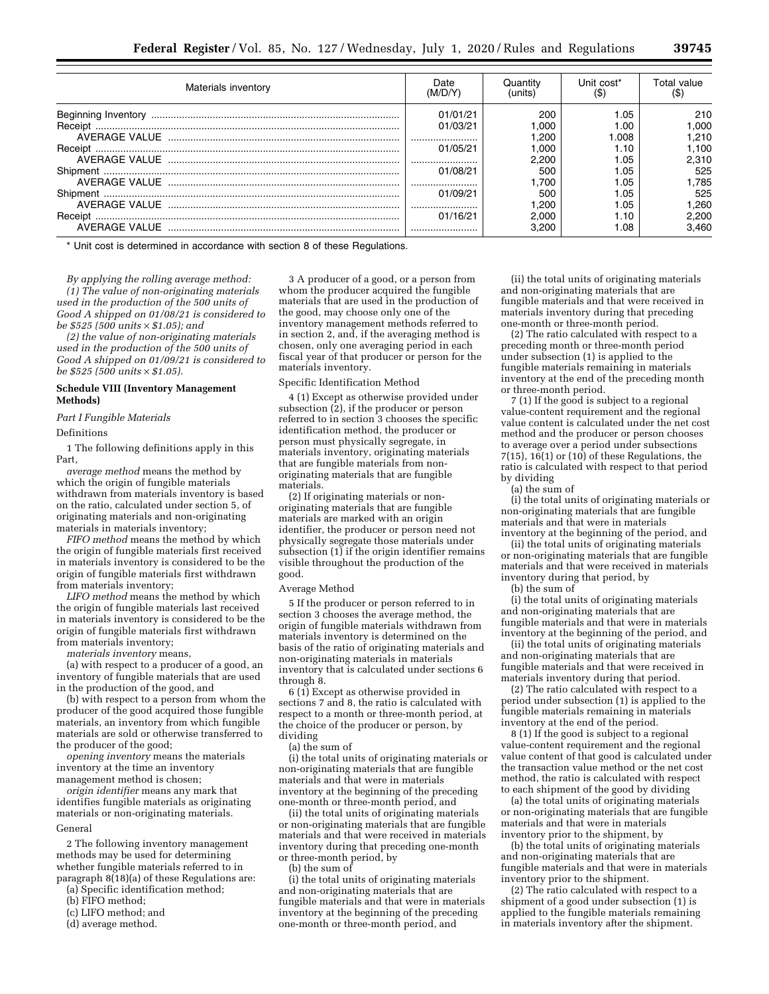| Materials inventory | Date<br>(M/D/Y) | Quantity<br>units | Unit cost* | Total value |
|---------------------|-----------------|-------------------|------------|-------------|
|                     | 01/01/21        | 200               | .05        | 210         |
|                     | 01/03/21        | .000              | L.OO       | 000.        |
|                     |                 | .200              | 1.008      | 210. ا      |
|                     | 01/05/21        | .000              | l.10       | 1.100       |
|                     |                 | 2.200             | .05        | 2.310       |
|                     | 01/08/21        | 500               | .05        | 525         |
|                     |                 | 1.700             | .05        | .785        |
|                     | 01/09/21        | 500               | .05        | 525         |
|                     |                 | .200              | .05        | .260        |
|                     | 01/16/21        | 2.000             | 1.10       | 2.200       |
|                     |                 | 3.200             | ⊧.08       | 3.460       |

\* Unit cost is determined in accordance with section 8 of these Regulations.

*By applying the rolling average method: (1) The value of non-originating materials used in the production of the 500 units of Good A shipped on 01/08/21 is considered to be \$525 (500 units* × *\$1.05); and* 

*(2) the value of non-originating materials used in the production of the 500 units of Good A shipped on 01/09/21 is considered to be \$525 (500 units* × *\$1.05).* 

# **Schedule VIII (Inventory Management Methods)**

*Part I Fungible Materials* 

Definitions

1 The following definitions apply in this Part,

*average method* means the method by which the origin of fungible materials withdrawn from materials inventory is based on the ratio, calculated under section 5, of originating materials and non-originating materials in materials inventory;

*FIFO method* means the method by which the origin of fungible materials first received in materials inventory is considered to be the origin of fungible materials first withdrawn from materials inventory;

*LIFO method* means the method by which the origin of fungible materials last received in materials inventory is considered to be the origin of fungible materials first withdrawn from materials inventory;

*materials inventory* means,

(a) with respect to a producer of a good, an inventory of fungible materials that are used in the production of the good, and

(b) with respect to a person from whom the producer of the good acquired those fungible materials, an inventory from which fungible materials are sold or otherwise transferred to the producer of the good;

*opening inventory* means the materials inventory at the time an inventory management method is chosen;

*origin identifier* means any mark that identifies fungible materials as originating materials or non-originating materials.

General

2 The following inventory management methods may be used for determining whether fungible materials referred to in paragraph 8(18)(a) of these Regulations are:

(a) Specific identification method;

- (b) FIFO method;
- (c) LIFO method; and
- (d) average method.

3 A producer of a good, or a person from whom the producer acquired the fungible materials that are used in the production of the good, may choose only one of the inventory management methods referred to in section 2, and, if the averaging method is chosen, only one averaging period in each fiscal year of that producer or person for the materials inventory.

# Specific Identification Method

4 (1) Except as otherwise provided under subsection  $(2)$ , if the producer or person referred to in section 3 chooses the specific identification method, the producer or person must physically segregate, in materials inventory, originating materials that are fungible materials from nonoriginating materials that are fungible materials.

(2) If originating materials or nonoriginating materials that are fungible materials are marked with an origin identifier, the producer or person need not physically segregate those materials under subsection (1) if the origin identifier remains visible throughout the production of the good.

#### Average Method

5 If the producer or person referred to in section 3 chooses the average method, the origin of fungible materials withdrawn from materials inventory is determined on the basis of the ratio of originating materials and non-originating materials in materials inventory that is calculated under sections 6 through 8.

6 (1) Except as otherwise provided in sections 7 and 8, the ratio is calculated with respect to a month or three-month period, at the choice of the producer or person, by dividing

(a) the sum of

(i) the total units of originating materials or non-originating materials that are fungible materials and that were in materials inventory at the beginning of the preceding one-month or three-month period, and

(ii) the total units of originating materials or non-originating materials that are fungible materials and that were received in materials inventory during that preceding one-month or three-month period, by

(b) the sum of

(i) the total units of originating materials and non-originating materials that are fungible materials and that were in materials inventory at the beginning of the preceding one-month or three-month period, and

(ii) the total units of originating materials and non-originating materials that are fungible materials and that were received in materials inventory during that preceding one-month or three-month period.

(2) The ratio calculated with respect to a preceding month or three-month period under subsection (1) is applied to the fungible materials remaining in materials inventory at the end of the preceding month or three-month period.

7 (1) If the good is subject to a regional value-content requirement and the regional value content is calculated under the net cost method and the producer or person chooses to average over a period under subsections  $7(15)$ ,  $16(1)$  or  $(10)$  of these Regulations, the ratio is calculated with respect to that period by dividing

(a) the sum of

(i) the total units of originating materials or non-originating materials that are fungible materials and that were in materials inventory at the beginning of the period, and

(ii) the total units of originating materials or non-originating materials that are fungible materials and that were received in materials inventory during that period, by

(b) the sum of

(i) the total units of originating materials and non-originating materials that are fungible materials and that were in materials inventory at the beginning of the period, and

(ii) the total units of originating materials and non-originating materials that are fungible materials and that were received in materials inventory during that period.

(2) The ratio calculated with respect to a period under subsection (1) is applied to the fungible materials remaining in materials inventory at the end of the period.

8 (1) If the good is subject to a regional value-content requirement and the regional value content of that good is calculated under the transaction value method or the net cost method, the ratio is calculated with respect to each shipment of the good by dividing

(a) the total units of originating materials or non-originating materials that are fungible materials and that were in materials inventory prior to the shipment, by

(b) the total units of originating materials and non-originating materials that are fungible materials and that were in materials inventory prior to the shipment.

(2) The ratio calculated with respect to a shipment of a good under subsection (1) is applied to the fungible materials remaining in materials inventory after the shipment.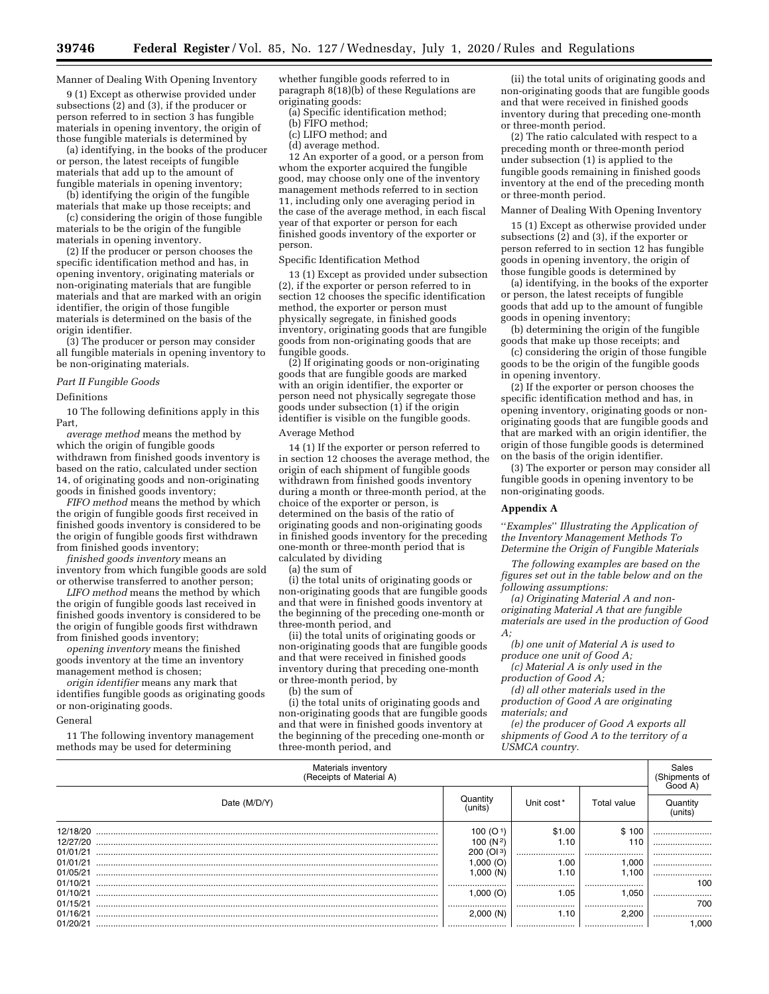Manner of Dealing With Opening Inventory

9 (1) Except as otherwise provided under subsections (2) and (3), if the producer or person referred to in section 3 has fungible materials in opening inventory, the origin of those fungible materials is determined by

(a) identifying, in the books of the producer or person, the latest receipts of fungible materials that add up to the amount of fungible materials in opening inventory;

(b) identifying the origin of the fungible materials that make up those receipts; and

(c) considering the origin of those fungible materials to be the origin of the fungible materials in opening inventory.

(2) If the producer or person chooses the specific identification method and has, in opening inventory, originating materials or non-originating materials that are fungible materials and that are marked with an origin identifier, the origin of those fungible materials is determined on the basis of the origin identifier.

(3) The producer or person may consider all fungible materials in opening inventory to be non-originating materials.

#### *Part II Fungible Goods*

#### Definitions

10 The following definitions apply in this Part,

*average method* means the method by which the origin of fungible goods withdrawn from finished goods inventory is based on the ratio, calculated under section 14, of originating goods and non-originating goods in finished goods inventory;

*FIFO method* means the method by which the origin of fungible goods first received in finished goods inventory is considered to be the origin of fungible goods first withdrawn from finished goods inventory;

*finished goods inventory* means an inventory from which fungible goods are sold or otherwise transferred to another person;

LIFO method means the method by which the origin of fungible goods last received in finished goods inventory is considered to be the origin of fungible goods first withdrawn from finished goods inventory;

*opening inventory* means the finished goods inventory at the time an inventory management method is chosen;

*origin identifier* means any mark that identifies fungible goods as originating goods or non-originating goods.

# General

11 The following inventory management methods may be used for determining

whether fungible goods referred to in paragraph 8(18)(b) of these Regulations are originating goods:

- (a) Specific identification method;
- (b) FIFO method;
- (c) LIFO method; and

(d) average method.

12 An exporter of a good, or a person from whom the exporter acquired the fungible good, may choose only one of the inventory management methods referred to in section 11, including only one averaging period in the case of the average method, in each fiscal year of that exporter or person for each finished goods inventory of the exporter or person.

#### Specific Identification Method

13 (1) Except as provided under subsection (2), if the exporter or person referred to in section 12 chooses the specific identification method, the exporter or person must physically segregate, in finished goods inventory, originating goods that are fungible goods from non-originating goods that are fungible goods.

(2) If originating goods or non-originating goods that are fungible goods are marked with an origin identifier, the exporter or person need not physically segregate those goods under subsection (1) if the origin identifier is visible on the fungible goods.

## Average Method

14 (1) If the exporter or person referred to in section 12 chooses the average method, the origin of each shipment of fungible goods withdrawn from finished goods inventory during a month or three-month period, at the choice of the exporter or person, is determined on the basis of the ratio of originating goods and non-originating goods in finished goods inventory for the preceding one-month or three-month period that is calculated by dividing

(a) the sum of

(i) the total units of originating goods or non-originating goods that are fungible goods and that were in finished goods inventory at the beginning of the preceding one-month or three-month period, and

(ii) the total units of originating goods or non-originating goods that are fungible goods and that were received in finished goods inventory during that preceding one-month or three-month period, by

(b) the sum of

(i) the total units of originating goods and non-originating goods that are fungible goods and that were in finished goods inventory at the beginning of the preceding one-month or three-month period, and

(ii) the total units of originating goods and non-originating goods that are fungible goods and that were received in finished goods inventory during that preceding one-month or three-month period.

(2) The ratio calculated with respect to a preceding month or three-month period under subsection (1) is applied to the fungible goods remaining in finished goods inventory at the end of the preceding month or three-month period.

#### Manner of Dealing With Opening Inventory

15 (1) Except as otherwise provided under subsections (2) and (3), if the exporter or person referred to in section 12 has fungible goods in opening inventory, the origin of those fungible goods is determined by

(a) identifying, in the books of the exporter or person, the latest receipts of fungible goods that add up to the amount of fungible goods in opening inventory;

(b) determining the origin of the fungible goods that make up those receipts; and

(c) considering the origin of those fungible goods to be the origin of the fungible goods in opening inventory.

(2) If the exporter or person chooses the specific identification method and has, in opening inventory, originating goods or nonoriginating goods that are fungible goods and that are marked with an origin identifier, the origin of those fungible goods is determined on the basis of the origin identifier.

(3) The exporter or person may consider all fungible goods in opening inventory to be non-originating goods.

## **Appendix A**

''*Examples*'' *Illustrating the Application of the Inventory Management Methods To Determine the Origin of Fungible Materials* 

*The following examples are based on the figures set out in the table below and on the following assumptions:* 

*(a) Originating Material A and nonoriginating Material A that are fungible materials are used in the production of Good A;* 

*(b) one unit of Material A is used to produce one unit of Good A;* 

*(c) Material A is only used in the production of Good A;* 

*(d) all other materials used in the production of Good A are originating materials; and* 

*(e) the producer of Good A exports all shipments of Good A to the territory of a USMCA country.* 

| Materials inventory<br>(Receipts of Material A) |                       |                        |             |         |  |  |  |
|-------------------------------------------------|-----------------------|------------------------|-------------|---------|--|--|--|
| Date (M/D/Y)                                    | Quantity<br>(units)   | Unit cost <sup>*</sup> | Total value | (units) |  |  |  |
| 12/18/20                                        |                       | \$1.00                 | \$100       |         |  |  |  |
| 12/27/20                                        | 100 (N <sup>2)</sup>  | 1.10                   | 110         |         |  |  |  |
| 01/01/21                                        | 200(01 <sup>3</sup> ) |                        |             |         |  |  |  |
| 01/01/21                                        | 1.000 (O)             | 1.00                   | .000        |         |  |  |  |
| 01/05/21                                        | .000(N)               | 1.10                   | .100        |         |  |  |  |
| 01/10/21                                        |                       |                        |             | 100     |  |  |  |
| 01/10/21                                        | 1.000(O)              | 1.05                   | .050        |         |  |  |  |
| 01/15/21                                        |                       |                        |             | 700     |  |  |  |
| 01/16/21                                        | 2,000(N)              | 1.10                   | 2.200       |         |  |  |  |
| 01/20/21                                        |                       |                        |             | .000    |  |  |  |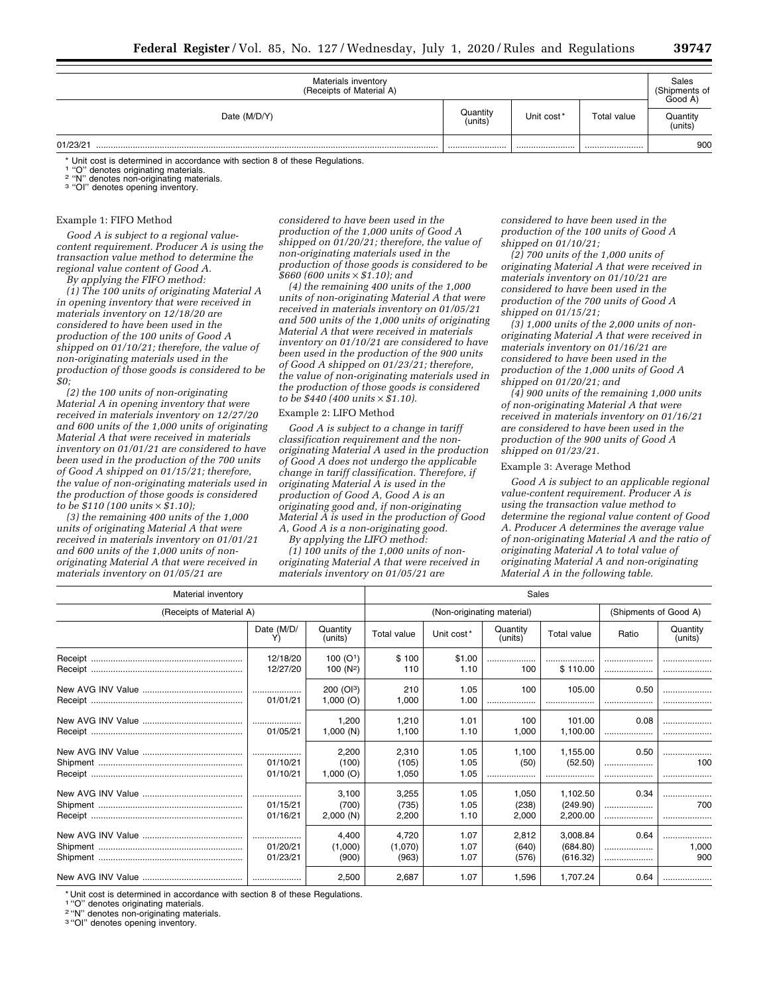| Materials inventory<br>(Receipts of Material A) |                     |            |             |                                                 |  |
|-------------------------------------------------|---------------------|------------|-------------|-------------------------------------------------|--|
| Date (M/D/Y)                                    | Quantity<br>(units) | Unit cost* | Total value | (Shipments of<br>Good A)<br>Quantity<br>(units) |  |
| 01/23/21                                        |                     |            |             | 900                                             |  |

\* Unit cost is determined in accordance with section 8 of these Regulations.

2 "N" denotes non-originating materials.<br>3 "OI" denotes opening inventory.

#### Example 1: FIFO Method

*Good A is subject to a regional valuecontent requirement. Producer A is using the transaction value method to determine the regional value content of Good A. By applying the FIFO method:* 

*(1) The 100 units of originating Material A in opening inventory that were received in materials inventory on 12/18/20 are considered to have been used in the production of the 100 units of Good A shipped on 01/10/21; therefore, the value of non-originating materials used in the production of those goods is considered to be \$0;* 

*(2) the 100 units of non-originating Material A in opening inventory that were received in materials inventory on 12/27/20 and 600 units of the 1,000 units of originating Material A that were received in materials inventory on 01/01/21 are considered to have been used in the production of the 700 units of Good A shipped on 01/15/21; therefore, the value of non-originating materials used in the production of those goods is considered to be \$110 (100 units* × *\$1.10);* 

*(3) the remaining 400 units of the 1,000 units of originating Material A that were received in materials inventory on 01/01/21 and 600 units of the 1,000 units of nonoriginating Material A that were received in materials inventory on 01/05/21 are* 

*considered to have been used in the production of the 1,000 units of Good A shipped on 01/20/21; therefore, the value of non-originating materials used in the production of those goods is considered to be \$660 (600 units* × *\$1.10); and* 

*(4) the remaining 400 units of the 1,000 units of non-originating Material A that were received in materials inventory on 01/05/21 and 500 units of the 1,000 units of originating Material A that were received in materials inventory on 01/10/21 are considered to have been used in the production of the 900 units of Good A shipped on 01/23/21; therefore, the value of non-originating materials used in the production of those goods is considered to be \$440 (400 units* × *\$1.10).* 

# Example 2: LIFO Method

*Good A is subject to a change in tariff classification requirement and the nonoriginating Material A used in the production of Good A does not undergo the applicable change in tariff classification. Therefore, if originating Material A is used in the production of Good A, Good A is an originating good and, if non-originating Material A is used in the production of Good A, Good A is a non-originating good.* 

*By applying the LIFO method:* 

*(1) 100 units of the 1,000 units of nonoriginating Material A that were received in materials inventory on 01/05/21 are* 

*considered to have been used in the production of the 100 units of Good A shipped on 01/10/21;* 

*(2) 700 units of the 1,000 units of originating Material A that were received in materials inventory on 01/10/21 are considered to have been used in the production of the 700 units of Good A shipped on 01/15/21;* 

*(3) 1,000 units of the 2,000 units of nonoriginating Material A that were received in materials inventory on 01/16/21 are considered to have been used in the production of the 1,000 units of Good A shipped on 01/20/21; and* 

*(4) 900 units of the remaining 1,000 units of non-originating Material A that were received in materials inventory on 01/16/21 are considered to have been used in the production of the 900 units of Good A shipped on 01/23/21.* 

#### Example 3: Average Method

*Good A is subject to an applicable regional value-content requirement. Producer A is using the transaction value method to determine the regional value content of Good A. Producer A determines the average value of non-originating Material A and the ratio of originating Material A to total value of originating Material A and non-originating Material A in the following table.* 

| Material inventory       |                          |                                     | Sales                     |                            |                         |                                  |                       |                     |  |
|--------------------------|--------------------------|-------------------------------------|---------------------------|----------------------------|-------------------------|----------------------------------|-----------------------|---------------------|--|
| (Receipts of Material A) |                          |                                     |                           | (Non-originating material) |                         |                                  | (Shipments of Good A) |                     |  |
|                          | Date (M/D/               | Quantity<br>(units)                 | <b>Total value</b>        | Unit cost*                 | Quantity<br>(units)     | <b>Total value</b>               | Ratio                 | Quantity<br>(units) |  |
|                          | 12/18/20<br>12/27/20     | 100(0 <sup>1</sup> )<br>100 $(N^2)$ | \$100<br>110              | \$1.00<br>1.10             | 100                     | \$110.00                         |                       |                     |  |
|                          | <br>01/01/21             | 200 (OI <sup>3</sup> )<br>1,000(O)  | 210<br>1.000              | 1.05<br>1.00               | 100                     | 105.00                           | 0.50                  |                     |  |
|                          | <br>01/05/21             | 1.200<br>1,000(N)                   | 1,210<br>1,100            | 1.01<br>1.10               | 100<br>1,000            | 101.00<br>1.100.00               | 0.08                  |                     |  |
|                          | 01/10/21<br>01/10/21     | 2.200<br>(100)<br>1,000(O)          | 2,310<br>(105)<br>1.050   | 1.05<br>1.05<br>1.05       | 1.100<br>(50)           | 1,155.00<br>(52.50)<br>          | 0.50<br>              | .<br>100            |  |
|                          | 01/15/21<br>01/16/21     | 3,100<br>(700)<br>2,000(N)          | 3,255<br>(735)<br>2,200   | 1.05<br>1.05<br>1.10       | 1.050<br>(238)<br>2,000 | 1.102.50<br>(249.90)<br>2,200.00 | 0.34<br><br>          | 700                 |  |
|                          | <br>01/20/21<br>01/23/21 | 4,400<br>(1,000)<br>(900)           | 4,720<br>(1,070)<br>(963) | 1.07<br>1.07<br>1.07       | 2,812<br>(640)<br>(576) | 3.008.84<br>(684.80)<br>(616.32) | 0.64<br>.<br>         | <br>1.000<br>900    |  |
|                          |                          | 2,500                               | 2,687                     | 1.07                       | 1.596                   | 1.707.24                         | 0.64                  |                     |  |

\* Unit cost is determined in accordance with section 8 of these Regulations.

1 ''O'' denotes originating materials.

2 ''N'' denotes non-originating materials.

<sup>3</sup> "OI" denotes opening inventory.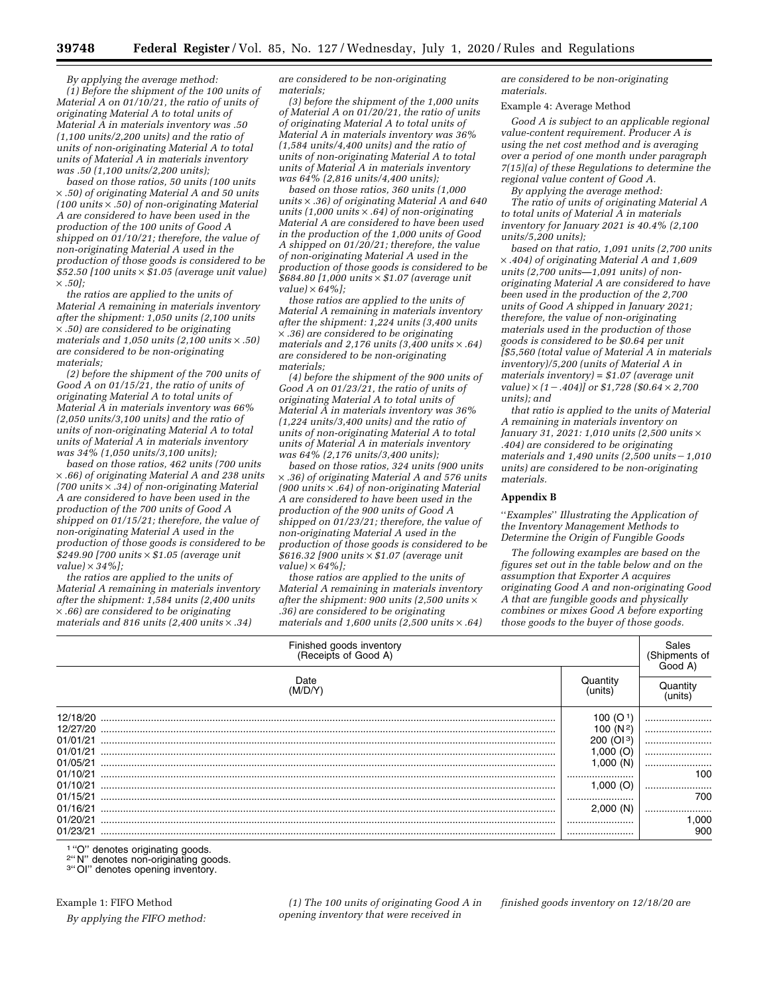*By applying the average method: (1) Before the shipment of the 100 units of Material A on 01/10/21, the ratio of units of originating Material A to total units of Material A in materials inventory was .50 (1,100 units/2,200 units) and the ratio of units of non-originating Material A to total units of Material A in materials inventory was .50 (1,100 units/2,200 units);* 

*based on those ratios, 50 units (100 units*  × *.50) of originating Material A and 50 units (100 units* × *.50) of non-originating Material A are considered to have been used in the production of the 100 units of Good A shipped on 01/10/21; therefore, the value of non-originating Material A used in the production of those goods is considered to be \$52.50 [100 units* × *\$1.05 (average unit value)*  × *.50];* 

*the ratios are applied to the units of Material A remaining in materials inventory after the shipment: 1,050 units (2,100 units*  × *.50) are considered to be originating materials and 1,050 units (2,100 units* × *.50) are considered to be non-originating materials;* 

*(2) before the shipment of the 700 units of Good A on 01/15/21, the ratio of units of originating Material A to total units of Material A in materials inventory was 66% (2,050 units/3,100 units) and the ratio of units of non-originating Material A to total units of Material A in materials inventory was 34% (1,050 units/3,100 units);* 

*based on those ratios, 462 units (700 units*  × *.66) of originating Material A and 238 units (700 units* × *.34) of non-originating Material A are considered to have been used in the production of the 700 units of Good A shipped on 01/15/21; therefore, the value of non-originating Material A used in the production of those goods is considered to be \$249.90 [700 units* × *\$1.05 (average unit value)* × *34%];* 

*the ratios are applied to the units of Material A remaining in materials inventory after the shipment: 1,584 units (2,400 units*  × *.66) are considered to be originating materials and 816 units (2,400 units* × *.34)* 

*are considered to be non-originating materials;* 

*(3) before the shipment of the 1,000 units of Material A on 01/20/21, the ratio of units of originating Material A to total units of Material A in materials inventory was 36% (1,584 units/4,400 units) and the ratio of units of non-originating Material A to total units of Material A in materials inventory was 64% (2,816 units/4,400 units);* 

*based on those ratios, 360 units (1,000 units* × *.36) of originating Material A and 640 units (1,000 units* × *.64) of non-originating Material A are considered to have been used in the production of the 1,000 units of Good A shipped on 01/20/21; therefore, the value of non-originating Material A used in the production of those goods is considered to be \$684.80 [1,000 units* × *\$1.07 (average unit value)* × *64%];* 

*those ratios are applied to the units of Material A remaining in materials inventory after the shipment: 1,224 units (3,400 units*  × *.36) are considered to be originating materials and 2,176 units (3,400 units* × *.64) are considered to be non-originating materials;* 

*(4) before the shipment of the 900 units of Good A on 01/23/21, the ratio of units of originating Material A to total units of Material A in materials inventory was 36% (1,224 units/3,400 units) and the ratio of units of non-originating Material A to total units of Material A in materials inventory was 64% (2,176 units/3,400 units);* 

*based on those ratios, 324 units (900 units*  × *.36) of originating Material A and 576 units (900 units* × *.64) of non-originating Material A are considered to have been used in the production of the 900 units of Good A shipped on 01/23/21; therefore, the value of non-originating Material A used in the production of those goods is considered to be \$616.32 [900 units* × *\$1.07 (average unit value)* × *64%];* 

*those ratios are applied to the units of Material A remaining in materials inventory after the shipment: 900 units (2,500 units* × *.36) are considered to be originating materials and 1,600 units (2,500 units* × *.64)*  *are considered to be non-originating materials.* 

Example 4: Average Method

*Good A is subject to an applicable regional value-content requirement. Producer A is using the net cost method and is averaging over a period of one month under paragraph 7(15)(a) of these Regulations to determine the regional value content of Good A.* 

*By applying the average method: The ratio of units of originating Material A to total units of Material A in materials inventory for January 2021 is 40.4% (2,100 units/5,200 units);* 

*based on that ratio, 1,091 units (2,700 units*  × *.404) of originating Material A and 1,609 units (2,700 units—1,091 units) of nonoriginating Material A are considered to have been used in the production of the 2,700 units of Good A shipped in January 2021; therefore, the value of non-originating materials used in the production of those goods is considered to be \$0.64 per unit [\$5,560 (total value of Material A in materials inventory)/5,200 (units of Material A in materials inventory) = \$1.07 (average unit value*)  $\times$   $(1 - .404)$ ] or \$1,728 (\$0.64  $\times$  2,700 *units); and* 

*that ratio is applied to the units of Material A remaining in materials inventory on January 31, 2021: 1,010 units (2,500 units* × *.404) are considered to be originating materials and 1,490 units (2,500 units*  $- 1,010$ *units) are considered to be non-originating materials.* 

# **Appendix B**

''*Examples*'' *Illustrating the Application of the Inventory Management Methods to Determine the Origin of Fungible Goods* 

*The following examples are based on the figures set out in the table below and on the assumption that Exporter A acquires originating Good A and non-originating Good A that are fungible goods and physically combines or mixes Good A before exporting those goods to the buyer of those goods.* 

| Finished goods inventory<br>(Receipts of Good A) |                 |                     |                     |  |
|--------------------------------------------------|-----------------|---------------------|---------------------|--|
|                                                  | Date<br>(M/D/Y) | Quantity<br>(units) | Quantitv<br>(units) |  |
| 12/18/20                                         |                 | 100 $(O1)$          |                     |  |
| 12/27/20                                         |                 | 100 $(N2)$          |                     |  |
| 01/01/21                                         |                 | 200 $(O13)$         |                     |  |
| 01/01/21                                         |                 | 1.000 (O)           |                     |  |
| 01/05/21                                         |                 | 1.000 (N)           |                     |  |
| 01/10/21                                         |                 |                     | 100                 |  |
| 01/10/21                                         |                 | $(O)$ $(O)$         |                     |  |
| 01/15/21                                         |                 |                     | 700                 |  |
| 01/16/21                                         |                 | 2.000(N)            |                     |  |
| 01/20/21                                         |                 |                     | 000. ا              |  |
| 01/23/21                                         |                 |                     | 900                 |  |

1 ''O'' denotes originating goods.

2'' N'' denotes non-originating goods.

<sup>3"</sup> OI" denotes opening inventory.

Example 1: FIFO Method *By applying the FIFO method:* 

*(1) The 100 units of originating Good A in opening inventory that were received in*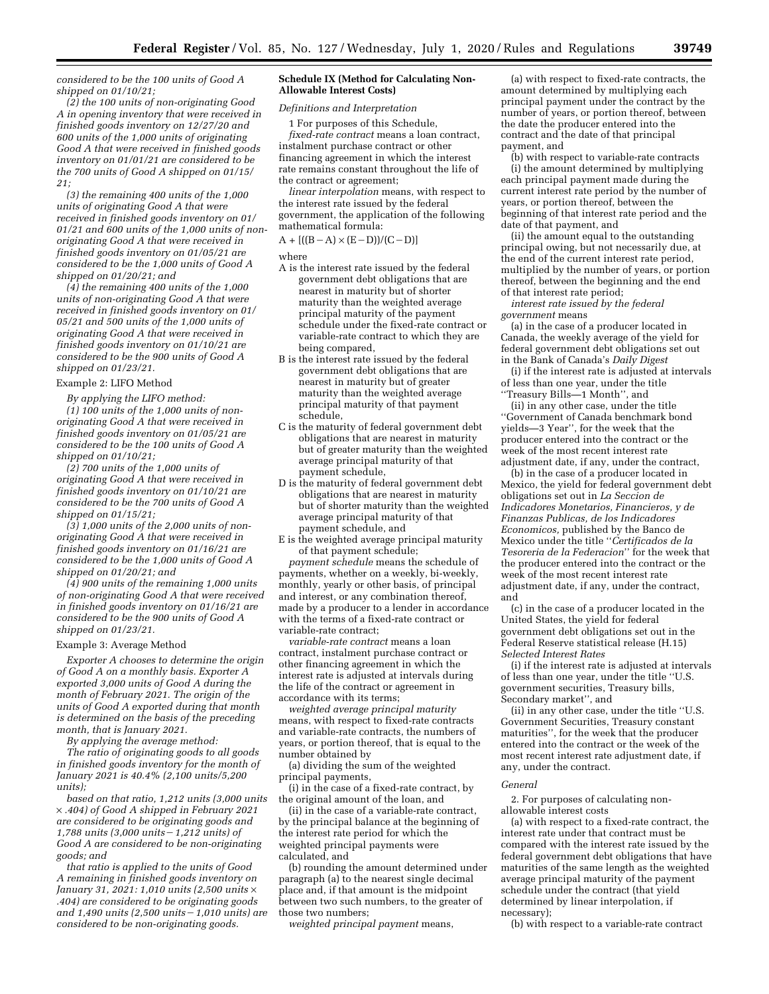*considered to be the 100 units of Good A shipped on 01/10/21;* 

*(2) the 100 units of non-originating Good A in opening inventory that were received in finished goods inventory on 12/27/20 and 600 units of the 1,000 units of originating Good A that were received in finished goods inventory on 01/01/21 are considered to be the 700 units of Good A shipped on 01/15/ 21;* 

*(3) the remaining 400 units of the 1,000 units of originating Good A that were received in finished goods inventory on 01/ 01/21 and 600 units of the 1,000 units of nonoriginating Good A that were received in finished goods inventory on 01/05/21 are considered to be the 1,000 units of Good A shipped on 01/20/21; and* 

*(4) the remaining 400 units of the 1,000 units of non-originating Good A that were received in finished goods inventory on 01/ 05/21 and 500 units of the 1,000 units of originating Good A that were received in finished goods inventory on 01/10/21 are considered to be the 900 units of Good A shipped on 01/23/21.* 

#### Example 2: LIFO Method

*By applying the LIFO method: (1) 100 units of the 1,000 units of nonoriginating Good A that were received in finished goods inventory on 01/05/21 are considered to be the 100 units of Good A shipped on 01/10/21;* 

*(2) 700 units of the 1,000 units of originating Good A that were received in finished goods inventory on 01/10/21 are considered to be the 700 units of Good A shipped on 01/15/21;* 

*(3) 1,000 units of the 2,000 units of nonoriginating Good A that were received in finished goods inventory on 01/16/21 are considered to be the 1,000 units of Good A shipped on 01/20/21; and* 

*(4) 900 units of the remaining 1,000 units of non-originating Good A that were received in finished goods inventory on 01/16/21 are considered to be the 900 units of Good A shipped on 01/23/21.* 

#### Example 3: Average Method

*Exporter A chooses to determine the origin of Good A on a monthly basis. Exporter A exported 3,000 units of Good A during the month of February 2021. The origin of the units of Good A exported during that month is determined on the basis of the preceding month, that is January 2021.* 

*By applying the average method:* 

*The ratio of originating goods to all goods in finished goods inventory for the month of January 2021 is 40.4% (2,100 units/5,200 units);* 

*based on that ratio, 1,212 units (3,000 units*  × *.404) of Good A shipped in February 2021 are considered to be originating goods and 1,788 units (3,000 units*¥*1,212 units) of Good A are considered to be non-originating goods; and* 

*that ratio is applied to the units of Good A remaining in finished goods inventory on January 31, 2021: 1,010 units (2,500 units* × *.404) are considered to be originating goods and 1,490 units (2,500 units*  $- 1,010$  *units) are considered to be non-originating goods.* 

## **Schedule IX (Method for Calculating Non-Allowable Interest Costs)**

# *Definitions and Interpretation*

1 For purposes of this Schedule,

*fixed-rate contract* means a loan contract, instalment purchase contract or other financing agreement in which the interest rate remains constant throughout the life of the contract or agreement;

*linear interpolation* means, with respect to the interest rate issued by the federal government, the application of the following mathematical formula:

 $A + [(B-A) \times (E-D)]/(C-D)]$ 

#### where

- A is the interest rate issued by the federal government debt obligations that are nearest in maturity but of shorter maturity than the weighted average principal maturity of the payment schedule under the fixed-rate contract or variable-rate contract to which they are being compared,
- B is the interest rate issued by the federal government debt obligations that are nearest in maturity but of greater maturity than the weighted average principal maturity of that payment schedule,
- C is the maturity of federal government debt obligations that are nearest in maturity but of greater maturity than the weighted average principal maturity of that payment schedule,
- D is the maturity of federal government debt obligations that are nearest in maturity but of shorter maturity than the weighted average principal maturity of that payment schedule, and
- E is the weighted average principal maturity of that payment schedule;

*payment schedule* means the schedule of payments, whether on a weekly, bi-weekly, monthly, yearly or other basis, of principal and interest, or any combination thereof, made by a producer to a lender in accordance with the terms of a fixed-rate contract or variable-rate contract;

*variable-rate contract* means a loan contract, instalment purchase contract or other financing agreement in which the interest rate is adjusted at intervals during the life of the contract or agreement in accordance with its terms;

*weighted average principal maturity*  means, with respect to fixed-rate contracts and variable-rate contracts, the numbers of years, or portion thereof, that is equal to the number obtained by

(a) dividing the sum of the weighted principal payments,

(i) in the case of a fixed-rate contract, by the original amount of the loan, and

(ii) in the case of a variable-rate contract, by the principal balance at the beginning of the interest rate period for which the weighted principal payments were calculated, and

(b) rounding the amount determined under paragraph (a) to the nearest single decimal place and, if that amount is the midpoint between two such numbers, to the greater of those two numbers;

*weighted principal payment* means,

(a) with respect to fixed-rate contracts, the amount determined by multiplying each principal payment under the contract by the number of years, or portion thereof, between the date the producer entered into the contract and the date of that principal payment, and

(b) with respect to variable-rate contracts (i) the amount determined by multiplying each principal payment made during the current interest rate period by the number of years, or portion thereof, between the beginning of that interest rate period and the date of that payment, and

(ii) the amount equal to the outstanding principal owing, but not necessarily due, at the end of the current interest rate period, multiplied by the number of years, or portion thereof, between the beginning and the end of that interest rate period;

*interest rate issued by the federal government* means

(a) in the case of a producer located in Canada, the weekly average of the yield for federal government debt obligations set out in the Bank of Canada's *Daily Digest* 

(i) if the interest rate is adjusted at intervals of less than one year, under the title ''Treasury Bills—1 Month'', and

(ii) in any other case, under the title ''Government of Canada benchmark bond yields—3 Year'', for the week that the producer entered into the contract or the week of the most recent interest rate adjustment date, if any, under the contract,

(b) in the case of a producer located in Mexico, the yield for federal government debt obligations set out in *La Seccion de Indicadores Monetarios, Financieros, y de Finanzas Publicas, de los Indicadores Economicos,* published by the Banco de Mexico under the title ''*Certificados de la Tesoreria de la Federacion*'' for the week that the producer entered into the contract or the week of the most recent interest rate adjustment date, if any, under the contract, and

(c) in the case of a producer located in the United States, the yield for federal government debt obligations set out in the Federal Reserve statistical release (H.15) *Selected Interest Rates* 

(i) if the interest rate is adjusted at intervals of less than one year, under the title ''U.S. government securities, Treasury bills, Secondary market'', and

(ii) in any other case, under the title ''U.S. Government Securities, Treasury constant maturities'', for the week that the producer entered into the contract or the week of the most recent interest rate adjustment date, if any, under the contract.

#### *General*

2. For purposes of calculating nonallowable interest costs

(a) with respect to a fixed-rate contract, the interest rate under that contract must be compared with the interest rate issued by the federal government debt obligations that have maturities of the same length as the weighted average principal maturity of the payment schedule under the contract (that yield determined by linear interpolation, if necessary);

(b) with respect to a variable-rate contract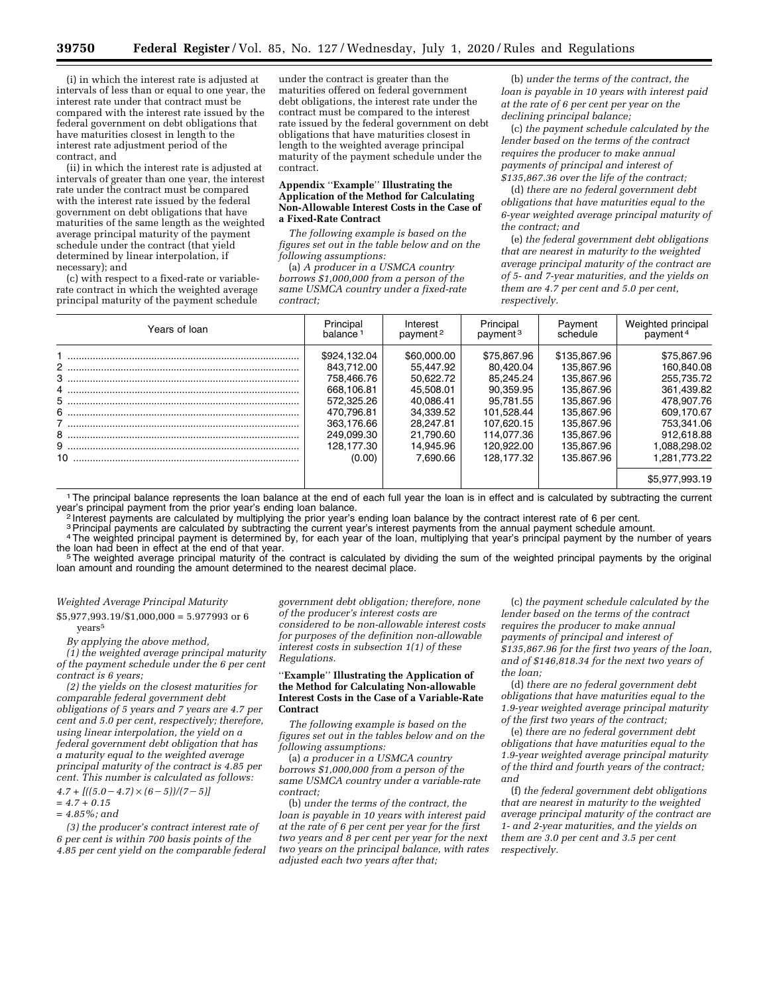(i) in which the interest rate is adjusted at intervals of less than or equal to one year, the interest rate under that contract must be compared with the interest rate issued by the federal government on debt obligations that have maturities closest in length to the interest rate adjustment period of the contract, and

(ii) in which the interest rate is adjusted at intervals of greater than one year, the interest rate under the contract must be compared with the interest rate issued by the federal government on debt obligations that have maturities of the same length as the weighted average principal maturity of the payment schedule under the contract (that yield determined by linear interpolation, if necessary); and

(c) with respect to a fixed-rate or variablerate contract in which the weighted average principal maturity of the payment schedule

under the contract is greater than the maturities offered on federal government debt obligations, the interest rate under the contract must be compared to the interest rate issued by the federal government on debt obligations that have maturities closest in length to the weighted average principal maturity of the payment schedule under the contract.

#### **Appendix** ''**Example**'' **Illustrating the Application of the Method for Calculating Non-Allowable Interest Costs in the Case of a Fixed-Rate Contract**

*The following example is based on the figures set out in the table below and on the following assumptions:* 

(a) *A producer in a USMCA country borrows \$1,000,000 from a person of the same USMCA country under a fixed-rate contract;* 

(b) *under the terms of the contract, the loan is payable in 10 years with interest paid at the rate of 6 per cent per year on the declining principal balance;* 

(c) *the payment schedule calculated by the lender based on the terms of the contract requires the producer to make annual payments of principal and interest of \$135,867.36 over the life of the contract;* 

(d) *there are no federal government debt obligations that have maturities equal to the 6-year weighted average principal maturity of the contract; and* 

(e) *the federal government debt obligations that are nearest in maturity to the weighted average principal maturity of the contract are of 5- and 7-year maturities, and the yields on them are 4.7 per cent and 5.0 per cent, respectively.* 

| Years of loan | Principal<br>balance <sup>1</sup>                                                                                                      | Interest<br>payment <sup>2</sup>                                                                                                | Principal<br>payment <sup>3</sup>                                                                                                     | Payment<br>schedule                                                                                                                        | Weighted principal<br>payment <sup>4</sup>                                                                                                    |
|---------------|----------------------------------------------------------------------------------------------------------------------------------------|---------------------------------------------------------------------------------------------------------------------------------|---------------------------------------------------------------------------------------------------------------------------------------|--------------------------------------------------------------------------------------------------------------------------------------------|-----------------------------------------------------------------------------------------------------------------------------------------------|
| 8<br>10.      | \$924.132.04<br>843.712.00<br>758.466.76<br>668.106.81<br>572.325.26<br>470.796.81<br>363.176.66<br>249.099.30<br>128.177.30<br>(0.00) | \$60,000,00<br>55.447.92<br>50.622.72<br>45.508.01<br>40.086.41<br>34,339.52<br>28.247.81<br>21.790.60<br>14.945.96<br>7.690.66 | \$75.867.96<br>80.420.04<br>85.245.24<br>90.359.95<br>95.781.55<br>101.528.44<br>107.620.15<br>114.077.36<br>120.922.00<br>128.177.32 | \$135.867.96<br>135.867.96<br>135.867.96<br>135.867.96<br>135.867.96<br>135.867.96<br>135.867.96<br>135.867.96<br>135.867.96<br>135.867.96 | \$75,867.96<br>160.840.08<br>255.735.72<br>361.439.82<br>478.907.76<br>609.170.67<br>753.341.06<br>912.618.88<br>1.088.298.02<br>1.281.773.22 |
|               |                                                                                                                                        |                                                                                                                                 |                                                                                                                                       |                                                                                                                                            | \$5,977,993.19                                                                                                                                |

<sup>1</sup>The principal balance represents the loan balance at the end of each full year the loan is in effect and is calculated by subtracting the current year's principal payment from the prior year's ending loan balance. year's principal payment from the prior year's ending loan balance.<br>Interest payments are calculated by multiplying the prior year's ending loan balance by the contract interest rate of 6 per cent.<br>Principal payments are c

4The weighted principal payment is determined by, for each year of the loan, multiplying that year's principal payment by the number of years the loan had been in effect at the end of that year.<br><sup>5</sup>The weighted average principal maturity of the contract is calculated by dividing the sum of the weighted principal payments by the original

loan amount and rounding the amount determined to the nearest decimal place.

#### *Weighted Average Principal Maturity*

 $$5,977,993.19/\$1,000,000 = 5.977993$  or 6 years5

*By applying the above method,* 

*(1) the weighted average principal maturity of the payment schedule under the 6 per cent contract is 6 years;* 

*(2) the yields on the closest maturities for comparable federal government debt obligations of 5 years and 7 years are 4.7 per cent and 5.0 per cent, respectively; therefore, using linear interpolation, the yield on a federal government debt obligation that has a maturity equal to the weighted average principal maturity of the contract is 4.85 per cent. This number is calculated as follows:*   $4.7 + [((5.0 - 4.7) \times (6 - 5)]/(7 - 5)]$ 

*= 4.7 + 0.15* 

$$
= 4.85\% ; and
$$

*(3) the producer's contract interest rate of 6 per cent is within 700 basis points of the 4.85 per cent yield on the comparable federal*  *government debt obligation; therefore, none of the producer's interest costs are considered to be non-allowable interest costs for purposes of the definition non-allowable interest costs in subsection 1(1) of these Regulations.* 

## ''**Example**'' **Illustrating the Application of the Method for Calculating Non-allowable Interest Costs in the Case of a Variable-Rate Contract**

*The following example is based on the figures set out in the tables below and on the following assumptions:* 

(a) *a producer in a USMCA country borrows \$1,000,000 from a person of the same USMCA country under a variable-rate contract;* 

(b) *under the terms of the contract, the loan is payable in 10 years with interest paid at the rate of 6 per cent per year for the first two years and 8 per cent per year for the next two years on the principal balance, with rates adjusted each two years after that;* 

(c) *the payment schedule calculated by the lender based on the terms of the contract requires the producer to make annual payments of principal and interest of \$135,867.96 for the first two years of the loan, and of \$146,818.34 for the next two years of the loan;* 

(d) *there are no federal government debt obligations that have maturities equal to the 1.9-year weighted average principal maturity of the first two years of the contract;* 

(e) *there are no federal government debt obligations that have maturities equal to the 1.9-year weighted average principal maturity of the third and fourth years of the contract; and* 

(f) *the federal government debt obligations that are nearest in maturity to the weighted average principal maturity of the contract are 1- and 2-year maturities, and the yields on them are 3.0 per cent and 3.5 per cent respectively.*